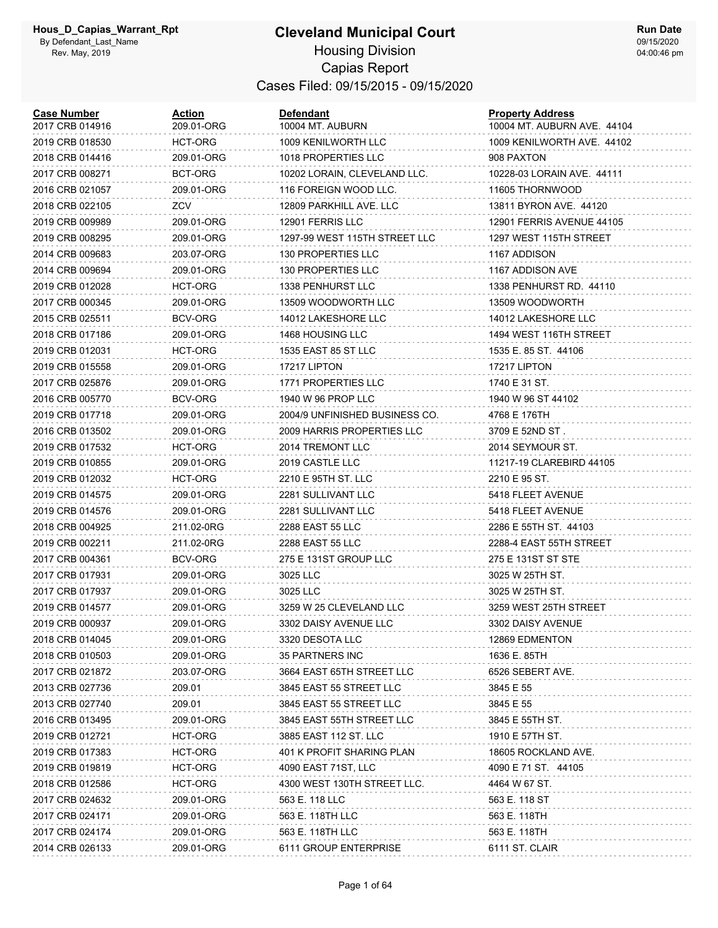# **Cleveland Municipal Court**

**Run Date** 09/15/2020 04:00:46 pm

#### Housing Division Capias Report Cases Filed: 09/15/2015 - 09/15/2020

| <b>Case Number</b><br>2017 CRB 014916 | Action<br>209.01-ORG | <b>Defendant</b><br>10004 MT. AUBURN | <b>Property Address</b><br>10004 MT. AUBURN AVE. 44104 |
|---------------------------------------|----------------------|--------------------------------------|--------------------------------------------------------|
| 2019 CRB 018530                       | <b>HCT-ORG</b>       | 1009 KENILWORTH LLC                  | 1009 KENILWORTH AVE. 44102                             |
| 2018 CRB 014416                       | 209.01-ORG           | 1018 PROPERTIES LLC                  | 908 PAXTON                                             |
| 2017 CRB 008271                       | BCT-ORG              | 10202 LORAIN, CLEVELAND LLC.         | 10228-03 LORAIN AVE. 44111                             |
| 2016 CRB 021057                       | 209.01-ORG           | 116 FOREIGN WOOD LLC.                | 11605 THORNWOOD                                        |
| 2018 CRB 022105                       | ZCV                  | 12809 PARKHILL AVE. LLC              | 13811 BYRON AVE. 44120                                 |
| 2019 CRB 009989                       | 209.01-ORG           | 12901 FERRIS LLC                     | 12901 FERRIS AVENUE 44105                              |
| 2019 CRB 008295                       | 209.01-ORG           | 1297-99 WEST 115TH STREET LLC        | 1297 WEST 115TH STREET                                 |
| 2014 CRB 009683                       | 203.07-ORG           | 130 PROPERTIES LLC                   | 1167 ADDISON                                           |
| 2014 CRB 009694                       | 209.01-ORG           | 130 PROPERTIES LLC                   | 1167 ADDISON AVE                                       |
| 2019 CRB 012028                       | HCT-ORG              | 1338 PENHURST LLC                    | 1338 PENHURST RD. 44110                                |
| 2017 CRB 000345                       | 209.01-ORG           | 13509 WOODWORTH LLC                  | 13509 WOODWORTH                                        |
| 2015 CRB 025511                       | <b>BCV-ORG</b>       | 14012 LAKESHORE LLC                  | 14012 LAKESHORE LLC                                    |
| 2018 CRB 017186                       | 209.01-ORG           | 1468 HOUSING LLC                     | 1494 WEST 116TH STREET                                 |
| 2019 CRB 012031                       | HCT-ORG              | 1535 EAST 85 ST LLC                  | 1535 E. 85 ST. 44106                                   |
| 2019 CRB 015558                       | 209.01-ORG           | 17217 LIPTON                         | 17217 LIPTON                                           |
| 2017 CRB 025876                       | 209.01-ORG           | 1771 PROPERTIES LLC                  | 1740 E 31 ST.                                          |
| 2016 CRB 005770                       | <b>BCV-ORG</b>       | 1940 W 96 PROP LLC                   | 1940 W 96 ST 44102                                     |
| 2019 CRB 017718                       | 209.01-ORG           | 2004/9 UNFINISHED BUSINESS CO.       | 4768 E 176TH                                           |
| 2016 CRB 013502                       | 209.01-ORG           | 2009 HARRIS PROPERTIES LLC           | 3709 E 52ND ST.                                        |
| 2019 CRB 017532                       | HCT-ORG              | 2014 TREMONT LLC                     | 2014 SEYMOUR ST.                                       |
| 2019 CRB 010855                       | 209.01-ORG           | 2019 CASTLE LLC                      | 11217-19 CLAREBIRD 44105                               |
| 2019 CRB 012032                       | <b>HCT-ORG</b>       | 2210 E 95TH ST. LLC                  | 2210 E 95 ST.                                          |
| 2019 CRB 014575                       | 209.01-ORG           | 2281 SULLIVANT LLC                   | 5418 FLEET AVENUE                                      |
| 2019 CRB 014576                       | 209.01-ORG           | 2281 SULLIVANT LLC                   | 5418 FLEET AVENUE                                      |
| 2018 CRB 004925                       | 211.02-0RG           | <b>2288 EAST 55 LLC</b>              | 2286 E 55TH ST. 44103                                  |
| 2019 CRB 002211                       | 211.02-0RG           | <b>2288 EAST 55 LLC</b>              | 2288-4 EAST 55TH STREET                                |
| 2017 CRB 004361                       | BCV-ORG              | 275 E 131ST GROUP LLC                | 275 E 131ST ST STE                                     |
| 2017 CRB 017931                       | 209.01-ORG           | 3025 LLC                             | 3025 W 25TH ST.                                        |
| 2017 CRB 017937                       | 209.01-ORG           | 3025 LLC                             | 3025 W 25TH ST.                                        |
| 2019 CRB 014577                       | 209.01-ORG           | 3259 W 25 CLEVELAND LLC              | 3259 WEST 25TH STREET                                  |
| 2019 CRB 000937                       | 209.01-ORG           | 3302 DAISY AVENUE LLC                | 3302 DAISY AVENUE                                      |
| 2018 CRB 014045                       | 209.01-ORG           | 3320 DESOTA LLC                      | 12869 EDMENTON                                         |
| 2018 CRB 010503                       | 209.01-ORG           | <b>35 PARTNERS INC</b>               | 1636 E. 85TH                                           |
| 2017 CRB 021872                       | 203.07-ORG           | 3664 EAST 65TH STREET LLC            | 6526 SEBERT AVE.                                       |
| 2013 CRB 027736                       | 209.01               | 3845 EAST 55 STREET LLC              | 3845 E 55                                              |
| 2013 CRB 027740                       | 209.01               | 3845 EAST 55 STREET LLC              | 3845 E 55                                              |
| 2016 CRB 013495                       | 209.01-ORG           | 3845 EAST 55TH STREET LLC            | 3845 E 55TH ST.                                        |
| 2019 CRB 012721                       | HCT-ORG              | 3885 EAST 112 ST. LLC                | 1910 E 57TH ST.                                        |
| 2019 CRB 017383                       | HCT-ORG              | 401 K PROFIT SHARING PLAN            | 18605 ROCKLAND AVE.                                    |
| 2019 CRB 019819                       | <b>HCT-ORG</b>       | 4090 EAST 71ST, LLC                  | 4090 E 71 ST. 44105                                    |
| 2018 CRB 012586                       | HCT-ORG              | 4300 WEST 130TH STREET LLC.          | 4464 W 67 ST.                                          |
| 2017 CRB 024632                       | 209.01-ORG           | 563 E. 118 LLC                       | 563 E. 118 ST                                          |
| 2017 CRB 024171                       | 209.01-ORG           | 563 E. 118TH LLC                     | 563 E. 118TH                                           |
| 2017 CRB 024174                       | 209.01-ORG           | 563 E. 118TH LLC                     | 563 E. 118TH                                           |
| 2014 CRB 026133                       | 209.01-ORG           | 6111 GROUP ENTERPRISE                | 6111 ST. CLAIR                                         |
|                                       |                      |                                      |                                                        |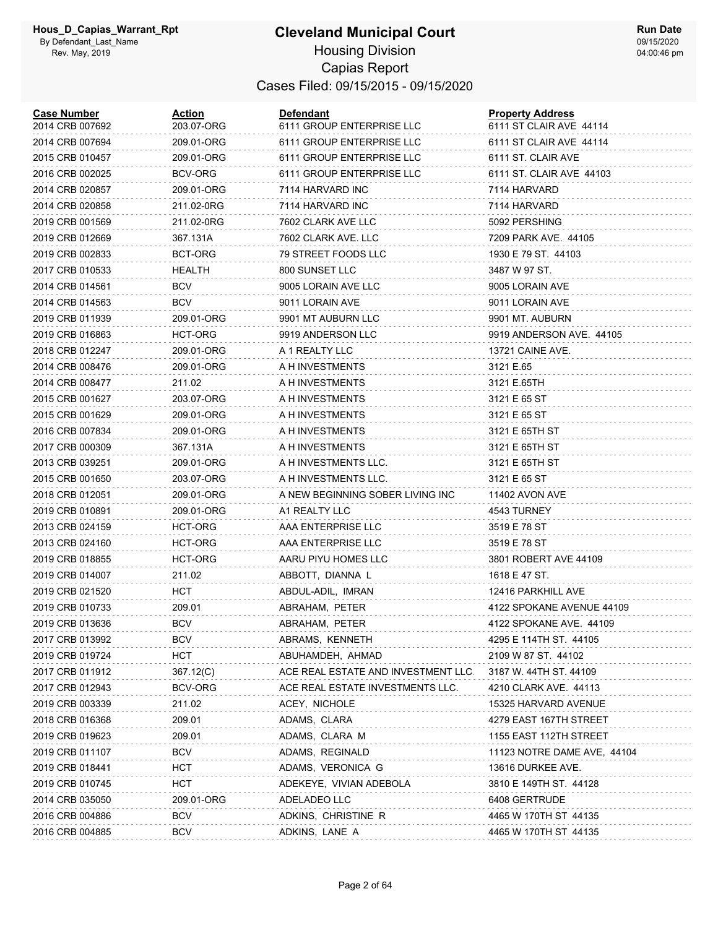| <b>Case Number</b><br>2014 CRB 007692 | <b>Action</b><br>203.07-ORG | <b>Defendant</b><br>6111 GROUP ENTERPRISE LLC | <b>Property Address</b><br>6111 ST CLAIR AVE 44114 |
|---------------------------------------|-----------------------------|-----------------------------------------------|----------------------------------------------------|
| 2014 CRB 007694                       | 209.01-ORG                  | 6111 GROUP ENTERPRISE LLC                     | 6111 ST CLAIR AVE 44114                            |
| 2015 CRB 010457                       | 209.01-ORG                  | 6111 GROUP ENTERPRISE LLC                     | 6111 ST. CLAIR AVE                                 |
| 2016 CRB 002025                       | BCV-ORG                     | 6111 GROUP ENTERPRISE LLC                     | 6111 ST. CLAIR AVE 44103                           |
| 2014 CRB 020857                       | 209.01-ORG                  | 7114 HARVARD INC                              | 7114 HARVARD                                       |
| 2014 CRB 020858                       | 211.02-0RG                  | 7114 HARVARD INC                              | 7114 HARVARD                                       |
| 2019 CRB 001569                       | 211.02-0RG                  | 7602 CLARK AVE LLC                            | 5092 PERSHING                                      |
| 2019 CRB 012669                       | 367.131A                    | 7602 CLARK AVE. LLC                           | 7209 PARK AVE, 44105                               |
| 2019 CRB 002833                       | BCT-ORG                     | 79 STREET FOODS LLC                           | 1930 E 79 ST. 44103                                |
| 2017 CRB 010533                       | HEALTH                      | 800 SUNSET LLC                                | 3487 W 97 ST.                                      |
| 2014 CRB 014561                       | <b>BCV</b>                  | 9005 LORAIN AVE LLC                           | 9005 LORAIN AVE                                    |
| 2014 CRB 014563                       | <b>BCV</b>                  | 9011 LORAIN AVE                               | 9011 LORAIN AVE                                    |
| 2019 CRB 011939                       | 209.01-ORG                  | 9901 MT AUBURN LLC                            | 9901 MT. AUBURN                                    |
| 2019 CRB 016863                       | HCT-ORG                     | 9919 ANDERSON LLC                             | 9919 ANDERSON AVE. 44105                           |
| 2018 CRB 012247                       | 209.01-ORG                  | A 1 REALTY LLC                                | 13721 CAINE AVE.                                   |
| 2014 CRB 008476                       | 209.01-ORG                  | A H INVESTMENTS                               | 3121 E.65                                          |
| 2014 CRB 008477                       | 211.02                      | A H INVESTMENTS                               | 3121 E.65TH                                        |
| 2015 CRB 001627                       | 203.07-ORG                  | A H INVESTMENTS                               | 3121 E 65 ST                                       |
| 2015 CRB 001629                       | 209.01-ORG                  | A H INVESTMENTS                               | 3121 E 65 ST                                       |
| 2016 CRB 007834                       | 209.01-ORG                  | A H INVESTMENTS                               | 3121 E 65TH ST                                     |
| 2017 CRB 000309                       | 367.131A                    | A H INVESTMENTS                               | 3121 E 65TH ST                                     |
| 2013 CRB 039251                       | 209.01-ORG                  | A H INVESTMENTS LLC.                          | 3121 E 65TH ST                                     |
| 2015 CRB 001650                       | 203.07-ORG                  | A H INVESTMENTS LLC.                          | 3121 E 65 ST                                       |
| 2018 CRB 012051                       | 209.01-ORG                  | A NEW BEGINNING SOBER LIVING INC              | 11402 AVON AVE                                     |
| 2019 CRB 010891                       | 209.01-ORG                  | A1 REALTY LLC                                 | 4543 TURNEY                                        |
| 2013 CRB 024159                       | HCT-ORG                     | AAA ENTERPRISE LLC                            | 3519 E 78 ST                                       |
| 2013 CRB 024160                       | HCT-ORG                     | AAA ENTERPRISE LLC                            | 3519 E 78 ST                                       |
| 2019 CRB 018855                       | HCT-ORG                     | AARU PIYU HOMES LLC                           | 3801 ROBERT AVE 44109                              |
| 2019 CRB 014007                       | 211.02                      | ABBOTT, DIANNA L                              | 1618 E 47 ST.                                      |
| 2019 CRB 021520                       | HCT                         | ABDUL-ADIL, IMRAN                             | 12416 PARKHILL AVE                                 |
| 2019 CRB 010733                       | 209.01                      | ABRAHAM, PETER                                | 4122 SPOKANE AVENUE 44109                          |
| 2019 CRB 013636                       | <b>BCV</b>                  | ABRAHAM, PETER                                | 4122 SPOKANE AVE. 44109                            |
| 2017 CRB 013992                       | BCV                         | ABRAMS, KENNETH                               | 4295 E 114TH ST. 44105                             |
| 2019 CRB 019724                       | HCT                         | ABUHAMDEH, AHMAD                              | 2109 W 87 ST. 44102                                |
| 2017 CRB 011912                       | 367.12(C)                   | ACE REAL ESTATE AND INVESTMENT LLC.           | 3187 W. 44TH ST. 44109                             |
| 2017 CRB 012943                       | BCV-ORG                     | ACE REAL ESTATE INVESTMENTS LLC.              | 4210 CLARK AVE. 44113                              |
| 2019 CRB 003339                       | 211.02                      | ACEY, NICHOLE                                 | 15325 HARVARD AVENUE                               |
| 2018 CRB 016368                       | 209.01                      | ADAMS, CLARA                                  | 4279 EAST 167TH STREET                             |
| 2019 CRB 019623                       | 209.01                      | ADAMS, CLARA M                                | 1155 EAST 112TH STREET                             |
| 2019 CRB 011107                       | BCV                         | ADAMS, REGINALD                               | 11123 NOTRE DAME AVE, 44104                        |
| 2019 CRB 018441                       | <b>HCT</b>                  | ADAMS, VERONICA G                             | 13616 DURKEE AVE.                                  |
| 2019 CRB 010745                       | <b>HCT</b>                  | ADEKEYE, VIVIAN ADEBOLA                       | 3810 E 149TH ST. 44128                             |
| 2014 CRB 035050                       | 209.01-ORG                  | ADELADEO LLC                                  | 6408 GERTRUDE                                      |
| 2016 CRB 004886                       | <b>BCV</b>                  | ADKINS, CHRISTINE R                           | 4465 W 170TH ST 44135                              |
| 2016 CRB 004885                       | <b>BCV</b>                  | ADKINS, LANE A                                | 4465 W 170TH ST 44135                              |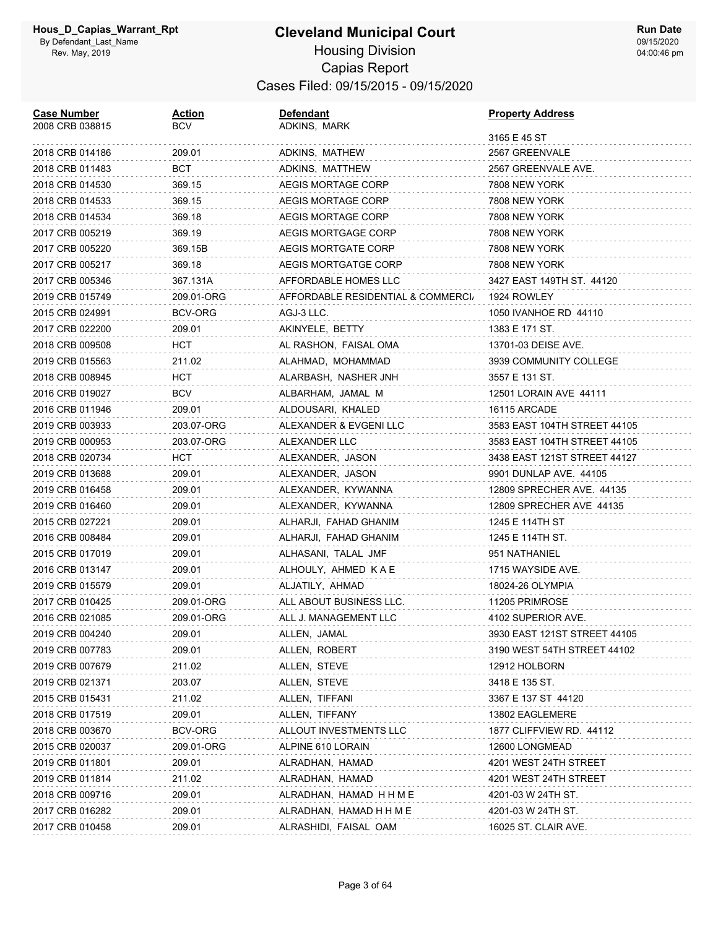# **Cleveland Municipal Court**

**Run Date** 09/15/2020 04:00:46 pm

#### Housing Division Capias Report Cases Filed: 09/15/2015 - 09/15/2020

| <b>Case Number</b><br>2008 CRB 038815 | <u>Action</u><br>BCV | <b>Defendant</b><br>ADKINS, MARK   | <b>Property Address</b>      |
|---------------------------------------|----------------------|------------------------------------|------------------------------|
|                                       |                      |                                    | 3165 E 45 ST                 |
| 2018 CRB 014186                       | 209.01               | ADKINS, MATHEW                     | 2567 GREENVALE               |
| 2018 CRB 011483                       | BCT                  | ADKINS, MATTHEW                    | 2567 GREENVALE AVE.          |
| 2018 CRB 014530                       | 369.15               | AEGIS MORTAGE CORP                 | 7808 NEW YORK                |
| 2018 CRB 014533                       | 369.15               | AEGIS MORTAGE CORP                 | 7808 NEW YORK                |
| 2018 CRB 014534                       | 369.18               | AEGIS MORTAGE CORP                 | 7808 NEW YORK                |
| 2017 CRB 005219                       | 369.19               | AEGIS MORTGAGE CORP                | 7808 NEW YORK                |
| 2017 CRB 005220                       | 369.15B              | <b>AEGIS MORTGATE CORP</b>         | 7808 NEW YORK                |
| 2017 CRB 005217                       | 369.18               | AEGIS MORTGATGE CORP               | 7808 NEW YORK                |
| 2017 CRB 005346                       | 367.131A             | AFFORDABLE HOMES LLC               | 3427 EAST 149TH ST. 44120    |
| 2019 CRB 015749                       | 209.01-ORG           | AFFORDABLE RESIDENTIAL & COMMERCI. | 1924 ROWLEY                  |
| 2015 CRB 024991                       | BCV-ORG              | AGJ-3 LLC.                         | 1050 IVANHOE RD 44110        |
| 2017 CRB 022200                       | 209.01               | AKINYELE, BETTY                    | 1383 E 171 ST.               |
| 2018 CRB 009508                       | HCT                  | AL RASHON, FAISAL OMA              | 13701-03 DEISE AVE.          |
| 2019 CRB 015563                       | 211.02               | ALAHMAD, MOHAMMAD                  | 3939 COMMUNITY COLLEGE       |
| 2018 CRB 008945                       | HCT                  | ALARBASH, NASHER JNH               | 3557 E 131 ST.               |
| 2016 CRB 019027                       | BCV                  | ALBARHAM, JAMAL M                  | 12501 LORAIN AVE 44111       |
| 2016 CRB 011946                       | 209.01               | ALDOUSARI, KHALED                  | 16115 ARCADE                 |
| 2019 CRB 003933                       | 203.07-ORG           | ALEXANDER & EVGENI LLC             | 3583 EAST 104TH STREET 44105 |
| 2019 CRB 000953                       | 203.07-ORG           | ALEXANDER LLC                      | 3583 EAST 104TH STREET 44105 |
| 2018 CRB 020734                       | HCT                  | ALEXANDER, JASON                   | 3438 EAST 121ST STREET 44127 |
| 2019 CRB 013688                       | 209.01               | ALEXANDER, JASON                   | 9901 DUNLAP AVE. 44105       |
| 2019 CRB 016458                       | 209.01               | ALEXANDER, KYWANNA                 | 12809 SPRECHER AVE. 44135    |
| 2019 CRB 016460                       | 209.01               | ALEXANDER, KYWANNA                 | 12809 SPRECHER AVE 44135     |
| 2015 CRB 027221                       | 209.01               | ALHARJI, FAHAD GHANIM              | 1245 E 114TH ST              |
| 2016 CRB 008484                       | 209.01               | ALHARJI, FAHAD GHANIM              | 1245 E 114TH ST.             |
| 2015 CRB 017019                       | 209.01               | ALHASANI, TALAL JMF                | 951 NATHANIEL                |
| 2016 CRB 013147                       | 209.01               | ALHOULY, AHMED KAE                 | 1715 WAYSIDE AVE.            |
| 2019 CRB 015579                       | 209.01               | ALJATILY, AHMAD                    | 18024-26 OLYMPIA             |
| 2017 CRB 010425                       | 209.01-ORG           | ALL ABOUT BUSINESS LLC.            | 11205 PRIMROSE               |
| 2016 CRB 021085                       | 209.01-ORG           | ALL J. MANAGEMENT LLC              | 4102 SUPERIOR AVE.           |
| 2019 CRB 004240                       | 209.01               | ALLEN, JAMAL                       | 3930 EAST 121ST STREET 44105 |
| 2019 CRB 007783                       | 209.01               | ALLEN, ROBERT                      | 3190 WEST 54TH STREET 44102  |
| 2019 CRB 007679                       | 211.02               | ALLEN, STEVE                       | 12912 HOLBORN                |
| 2019 CRB 021371                       | 203.07               | ALLEN, STEVE                       | 3418 E 135 ST.               |
| 2015 CRB 015431                       | 211.02               | ALLEN, TIFFANI                     | 3367 E 137 ST 44120          |
| 2018 CRB 017519                       | 209.01               | ALLEN, TIFFANY                     | 13802 EAGLEMERE              |
| 2018 CRB 003670                       | BCV-ORG              | ALLOUT INVESTMENTS LLC             | 1877 CLIFFVIEW RD. 44112     |
| 2015 CRB 020037                       | 209.01-ORG           | ALPINE 610 LORAIN                  | 12600 LONGMEAD               |
| 2019 CRB 011801                       | 209.01               | ALRADHAN, HAMAD                    | 4201 WEST 24TH STREET        |
| 2019 CRB 011814                       | 211.02               | ALRADHAN, HAMAD                    | 4201 WEST 24TH STREET        |
| 2018 CRB 009716                       | 209.01               | ALRADHAN, HAMAD HHME               | 4201-03 W 24TH ST.           |
| 2017 CRB 016282                       | 209.01               | ALRADHAN, HAMAD H H M E            | 4201-03 W 24TH ST.           |
| 2017 CRB 010458                       | 209.01               | ALRASHIDI, FAISAL OAM              | 16025 ST. CLAIR AVE.         |
|                                       |                      |                                    |                              |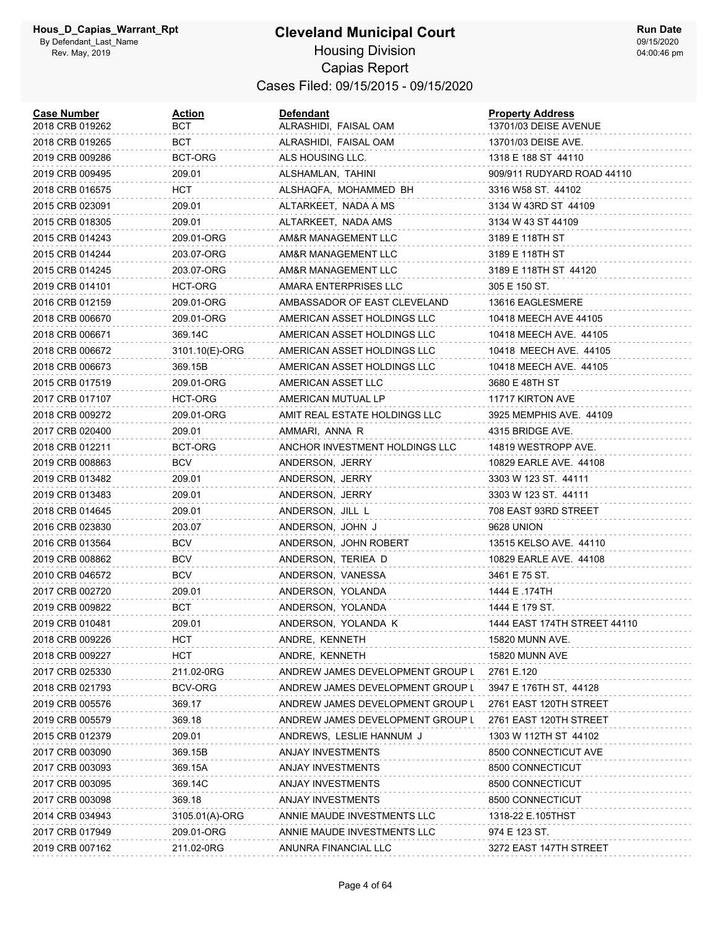| <b>Case Number</b><br>2018 CRB 019262 | <u>Action</u><br>BCT | <b>Defendant</b><br>ALRASHIDI, FAISAL OAM | <b>Property Address</b><br>13701/03 DEISE AVENUE |
|---------------------------------------|----------------------|-------------------------------------------|--------------------------------------------------|
| 2018 CRB 019265                       | BCT                  | ALRASHIDI, FAISAL OAM                     | 13701/03 DEISE AVE.                              |
| 2019 CRB 009286                       | BCT-ORG              | ALS HOUSING LLC.                          | 1318 E 188 ST 44110                              |
| 2019 CRB 009495                       | 209.01               | ALSHAMLAN, TAHINI                         | 909/911 RUDYARD ROAD 44110                       |
| 2018 CRB 016575                       | HCT                  | ALSHAQFA, MOHAMMED BH                     | 3316 W58 ST. 44102                               |
| 2015 CRB 023091                       | 209.01               | ALTARKEET, NADA A MS                      | 3134 W 43RD ST 44109                             |
| 2015 CRB 018305                       | 209.01               | ALTARKEET, NADA AMS                       | 3134 W 43 ST 44109                               |
| 2015 CRB 014243                       | 209.01-ORG           | AM&R MANAGEMENT LLC                       | 3189 E 118TH ST                                  |
| 2015 CRB 014244                       | 203.07-ORG           | AM&R MANAGEMENT LLC                       | 3189 E 118TH ST                                  |
| 2015 CRB 014245                       | 203.07-ORG           | AM&R MANAGEMENT LLC                       | 3189 E 118TH ST 44120                            |
| 2019 CRB 014101                       | HCT-ORG              | AMARA ENTERPRISES LLC                     | 305 E 150 ST.                                    |
| 2016 CRB 012159                       | 209.01-ORG           | AMBASSADOR OF EAST CLEVELAND              | 13616 EAGLESMERE                                 |
| 2018 CRB 006670                       | 209.01-ORG           | AMERICAN ASSET HOLDINGS LLC               | 10418 MEECH AVE 44105                            |
| 2018 CRB 006671                       | 369.14C              | AMERICAN ASSET HOLDINGS LLC               | 10418 MEECH AVE. 44105                           |
| 2018 CRB 006672                       | 3101.10(E)-ORG       | AMERICAN ASSET HOLDINGS LLC               | 10418 MEECH AVE. 44105                           |
| 2018 CRB 006673                       | 369.15B              | AMERICAN ASSET HOLDINGS LLC               | 10418 MEECH AVE. 44105                           |
| 2015 CRB 017519                       | 209.01-ORG           | AMERICAN ASSET LLC                        | 3680 E 48TH ST                                   |
| 2017 CRB 017107                       | HCT-ORG              | AMERICAN MUTUAL LP                        | 11717 KIRTON AVE                                 |
| 2018 CRB 009272                       | 209.01-ORG           | AMIT REAL ESTATE HOLDINGS LLC             | 3925 MEMPHIS AVE. 44109                          |
| 2017 CRB 020400                       | 209.01               | AMMARI, ANNA R                            | 4315 BRIDGE AVE.                                 |
| 2018 CRB 012211                       | BCT-ORG              | ANCHOR INVESTMENT HOLDINGS LLC            | 14819 WESTROPP AVE.                              |
| 2019 CRB 008863                       | BCV                  | ANDERSON, JERRY                           | 10829 EARLE AVE. 44108                           |
| 2019 CRB 013482                       | 209.01               | ANDERSON, JERRY                           | 3303 W 123 ST. 44111                             |
| 2019 CRB 013483                       | 209.01               | ANDERSON, JERRY                           | 3303 W 123 ST. 44111                             |
| 2018 CRB 014645                       | 209.01               | ANDERSON, JILL L                          | 708 EAST 93RD STREET                             |
| 2016 CRB 023830                       | 203.07               | ANDERSON, JOHN J                          | 9628 UNION                                       |
| 2016 CRB 013564                       | <b>BCV</b>           | ANDERSON, JOHN ROBERT                     | 13515 KELSO AVE. 44110                           |
| 2019 CRB 008862                       | <b>BCV</b>           | ANDERSON, TERIEA D                        | 10829 EARLE AVE. 44108                           |
| 2010 CRB 046572                       | BCV                  | ANDERSON, VANESSA                         | 3461 E 75 ST.                                    |
| 2017 CRB 002720                       | 209.01               | ANDERSON, YOLANDA                         | 1444 E .174TH                                    |
| 2019 CRB 009822                       | <b>BCT</b>           | ANDERSON, YOLANDA                         | 1444 E 179 ST.                                   |
| 2019 CRB 010481                       | 209.01               | ANDERSON, YOLANDA K                       | 1444 EAST 174TH STREET 44110                     |
| 2018 CRB 009226                       | HCT                  | ANDRE, KENNETH                            | 15820 MUNN AVE.                                  |
| 2018 CRB 009227                       | HCT                  | ANDRE, KENNETH                            | 15820 MUNN AVE                                   |
| 2017 CRB 025330                       | 211.02-0RG           | ANDREW JAMES DEVELOPMENT GROUP L          | 2761 E.120                                       |
| 2018 CRB 021793                       | <b>BCV-ORG</b>       | ANDREW JAMES DEVELOPMENT GROUP L          | 3947 E 176TH ST, 44128                           |
| 2019 CRB 005576                       | 369.17               | ANDREW JAMES DEVELOPMENT GROUP L          | 2761 EAST 120TH STREET                           |
| 2019 CRB 005579                       | 369.18               | ANDREW JAMES DEVELOPMENT GROUP L          | 2761 EAST 120TH STREET                           |
| 2015 CRB 012379                       | 209.01               | ANDREWS, LESLIE HANNUM J                  | 1303 W 112TH ST 44102                            |
| 2017 CRB 003090                       | 369.15B              | ANJAY INVESTMENTS                         | 8500 CONNECTICUT AVE                             |
| 2017 CRB 003093                       | 369.15A              | ANJAY INVESTMENTS                         | 8500 CONNECTICUT                                 |
| 2017 CRB 003095                       | 369.14C              | <b>ANJAY INVESTMENTS</b>                  | 8500 CONNECTICUT                                 |
| 2017 CRB 003098                       | 369.18               | ANJAY INVESTMENTS                         | 8500 CONNECTICUT                                 |
| 2014 CRB 034943                       | 3105.01(A)-ORG       | ANNIE MAUDE INVESTMENTS LLC               | 1318-22 E.105THST                                |
| 2017 CRB 017949                       | 209.01-ORG           | ANNIE MAUDE INVESTMENTS LLC               | 974 E 123 ST.                                    |
| 2019 CRB 007162                       | 211.02-0RG           | ANUNRA FINANCIAL LLC                      | 3272 EAST 147TH STREET                           |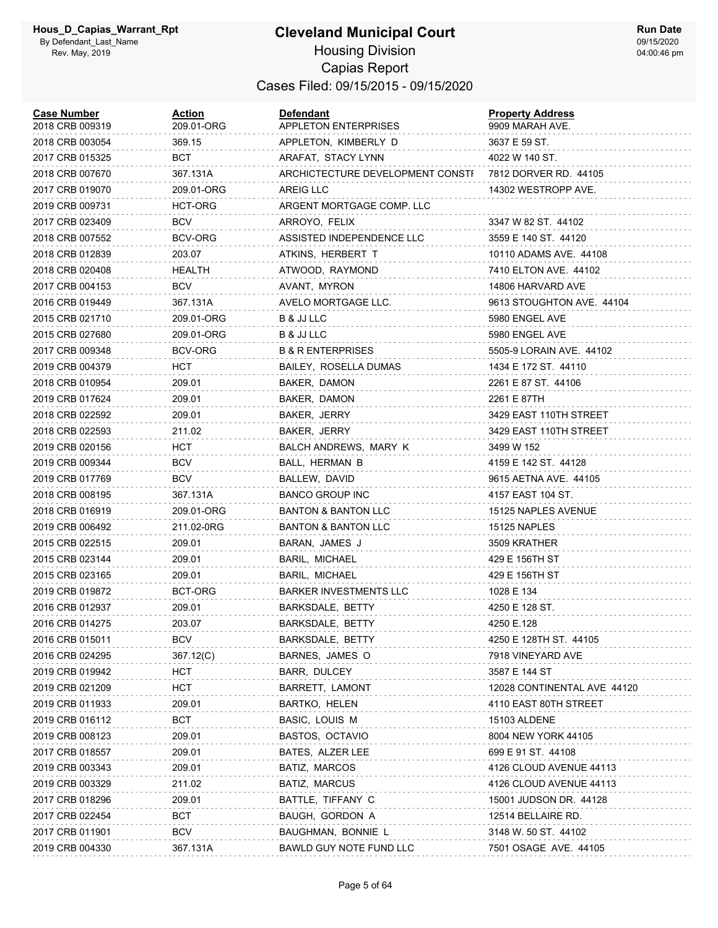| <b>Case Number</b><br>2018 CRB 009319 | Action<br>209.01-ORG | Defendant<br>APPLETON ENTERPRISES | <b>Property Address</b><br>9909 MARAH AVE. |
|---------------------------------------|----------------------|-----------------------------------|--------------------------------------------|
| 2018 CRB 003054                       | 369.15               | APPLETON, KIMBERLY D              | 3637 E 59 ST.                              |
| 2017 CRB 015325                       | BCT                  | ARAFAT, STACY LYNN                | 4022 W 140 ST.                             |
| 2018 CRB 007670                       | 367.131A             | ARCHICTECTURE DEVELOPMENT CONSTI  | 7812 DORVER RD. 44105                      |
| 2017 CRB 019070                       | 209.01-ORG           | AREIG LLC                         | 14302 WESTROPP AVE.                        |
| 2019 CRB 009731                       | HCT-ORG              | ARGENT MORTGAGE COMP. LLC         |                                            |
| 2017 CRB 023409                       | <b>BCV</b>           | ARROYO, FELIX                     | 3347 W 82 ST. 44102                        |
| 2018 CRB 007552                       | BCV-ORG              | ASSISTED INDEPENDENCE LLC         | 3559 E 140 ST. 44120                       |
| 2018 CRB 012839                       | 203.07               | ATKINS, HERBERT T                 | 10110 ADAMS AVE. 44108                     |
| 2018 CRB 020408                       | HEALTH               | ATWOOD, RAYMOND                   | 7410 ELTON AVE. 44102                      |
| 2017 CRB 004153                       | <b>BCV</b>           | AVANT, MYRON                      | 14806 HARVARD AVE                          |
| 2016 CRB 019449                       | 367.131A             | AVELO MORTGAGE LLC.               | 9613 STOUGHTON AVE. 44104                  |
| 2015 CRB 021710                       | 209.01-ORG           | B & JJ LLC                        | 5980 ENGEL AVE                             |
| 2015 CRB 027680                       | 209.01-ORG           | B & JJ LLC                        | 5980 ENGEL AVE                             |
| 2017 CRB 009348                       | BCV-ORG              | <b>B &amp; R ENTERPRISES</b>      | 5505-9 LORAIN AVE. 44102                   |
| 2019 CRB 004379                       | HCT                  | BAILEY, ROSELLA DUMAS             | 1434 E 172 ST. 44110                       |
| 2018 CRB 010954                       | 209.01               | BAKER, DAMON                      | 2261 E 87 ST. 44106                        |
| 2019 CRB 017624                       | 209.01               | BAKER, DAMON                      | 2261 E 87TH                                |
| 2018 CRB 022592                       | 209.01               | BAKER, JERRY                      | 3429 EAST 110TH STREET                     |
| 2018 CRB 022593                       | 211.02               | BAKER, JERRY                      | 3429 EAST 110TH STREET                     |
| 2019 CRB 020156                       | HCT                  | BALCH ANDREWS, MARY K             | 3499 W 152                                 |
| 2019 CRB 009344                       | <b>BCV</b>           | BALL, HERMAN B                    | 4159 E 142 ST. 44128                       |
| 2019 CRB 017769                       | <b>BCV</b>           | BALLEW, DAVID                     | 9615 AETNA AVE. 44105                      |
| 2018 CRB 008195                       | 367.131A             | <b>BANCO GROUP INC</b>            | 4157 EAST 104 ST.                          |
| 2018 CRB 016919                       | 209.01-ORG           | <b>BANTON &amp; BANTON LLC</b>    | 15125 NAPLES AVENUE                        |
| 2019 CRB 006492                       | 211.02-0RG           | BANTON & BANTON LLC               | 15125 NAPLES                               |
| 2015 CRB 022515                       | 209.01               | BARAN, JAMES J                    | 3509 KRATHER                               |
| 2015 CRB 023144                       | 209.01               | BARIL, MICHAEL                    | 429 E 156TH ST                             |
| 2015 CRB 023165                       | 209.01               | BARIL, MICHAEL                    | 429 E 156TH ST                             |
| 2019 CRB 019872                       | BCT-ORG              | <b>BARKER INVESTMENTS LLC</b>     | 1028 E 134                                 |
| 2016 CRB 012937                       | 209.01               | BARKSDALE, BETTY                  | 4250 E 128 ST.                             |
| 2016 CRB 014275                       | 203.07               | BARKSDALE, BETTY                  | 4250 E.128                                 |
| 2016 CRB 015011                       | BCV                  | BARKSDALE, BETTY                  | 4250 E 128TH ST. 44105                     |
| 2016 CRB 024295                       | 367.12(C)            | BARNES, JAMES O                   | 7918 VINEYARD AVE                          |
| 2019 CRB 019942                       | <b>HCT</b>           | BARR, DULCEY                      | 3587 E 144 ST                              |
| 2019 CRB 021209                       | HCT                  | BARRETT, LAMONT                   | 12028 CONTINENTAL AVE 44120                |
| 2019 CRB 011933                       | 209.01               | <b>BARTKO, HELEN</b>              | 4110 EAST 80TH STREET                      |
| 2019 CRB 016112                       | <b>BCT</b>           | BASIC, LOUIS M                    | 15103 ALDENE                               |
| 2019 CRB 008123                       | 209.01               | BASTOS, OCTAVIO                   | 8004 NEW YORK 44105                        |
| 2017 CRB 018557                       | 209.01               | BATES, ALZER LEE                  | 699 E 91 ST. 44108                         |
| 2019 CRB 003343                       | 209.01               | BATIZ, MARCOS                     | 4126 CLOUD AVENUE 44113                    |
| 2019 CRB 003329                       | 211.02               | BATIZ, MARCUS                     | 4126 CLOUD AVENUE 44113                    |
| 2017 CRB 018296                       | 209.01               | BATTLE, TIFFANY C                 | 15001 JUDSON DR. 44128                     |
| 2017 CRB 022454                       | BCT                  | BAUGH, GORDON A                   | 12514 BELLAIRE RD.                         |
| 2017 CRB 011901                       | BCV                  | BAUGHMAN, BONNIE L                | 3148 W. 50 ST. 44102                       |
| 2019 CRB 004330                       | 367.131A             | BAWLD GUY NOTE FUND LLC           | 7501 OSAGE AVE. 44105                      |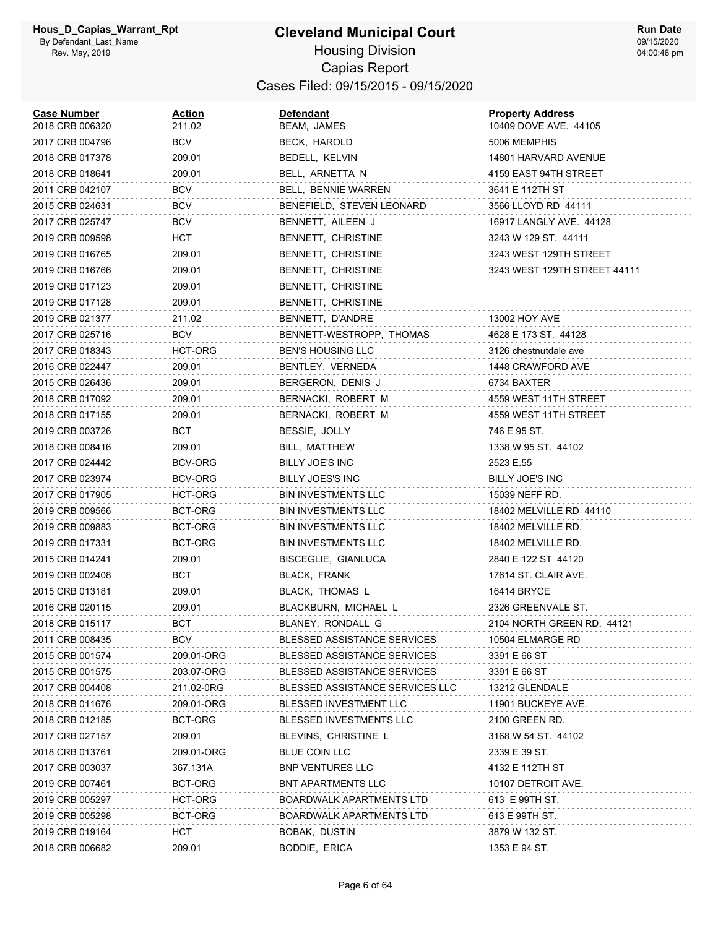| <b>Case Number</b><br>2018 CRB 006320 | <u>Action</u><br>211.02 | <b>Defendant</b><br>BEAM, JAMES    | <b>Property Address</b><br>10409 DOVE AVE. 44105 |
|---------------------------------------|-------------------------|------------------------------------|--------------------------------------------------|
| 2017 CRB 004796                       | BCV                     | BECK, HAROLD                       | 5006 MEMPHIS                                     |
| 2018 CRB 017378                       | 209.01                  | BEDELL, KELVIN                     | 14801 HARVARD AVENUE                             |
| 2018 CRB 018641                       | 209.01                  | BELL, ARNETTA N                    | 4159 EAST 94TH STREET                            |
| 2011 CRB 042107                       | BCV                     | BELL, BENNIE WARREN                | 3641 E 112TH ST                                  |
| 2015 CRB 024631                       | <b>BCV</b>              | BENEFIELD, STEVEN LEONARD          | 3566 LLOYD RD 44111                              |
| 2017 CRB 025747                       | BCV                     | BENNETT, AILEEN J                  | 16917 LANGLY AVE. 44128                          |
| 2019 CRB 009598                       | HCT.                    | BENNETT, CHRISTINE                 | 3243 W 129 ST. 44111                             |
| 2019 CRB 016765                       | 209.01                  | BENNETT, CHRISTINE                 | 3243 WEST 129TH STREET                           |
| 2019 CRB 016766                       | 209.01                  | BENNETT, CHRISTINE                 | 3243 WEST 129TH STREET 44111                     |
| 2019 CRB 017123                       | 209.01                  | BENNETT, CHRISTINE                 |                                                  |
| 2019 CRB 017128                       | 209.01                  | BENNETT, CHRISTINE                 |                                                  |
| 2019 CRB 021377                       | 211.02                  | BENNETT, D'ANDRE                   | 13002 HOY AVE                                    |
| 2017 CRB 025716                       | BCV                     | BENNETT-WESTROPP, THOMAS           | 4628 E 173 ST. 44128                             |
| 2017 CRB 018343                       | HCT-ORG                 | <b>BEN'S HOUSING LLC</b>           | 3126 chestnutdale ave                            |
| 2016 CRB 022447                       | 209.01                  | BENTLEY, VERNEDA                   | 1448 CRAWFORD AVE                                |
| 2015 CRB 026436                       | 209.01                  | BERGERON, DENIS J                  | 6734 BAXTER                                      |
| 2018 CRB 017092                       | 209.01                  | BERNACKI, ROBERT M                 | 4559 WEST 11TH STREET                            |
| 2018 CRB 017155                       | 209.01                  | BERNACKI, ROBERT M                 | 4559 WEST 11TH STREET                            |
| 2019 CRB 003726                       | BCT                     | BESSIE, JOLLY                      | 746 E 95 ST.                                     |
| 2018 CRB 008416                       | 209.01                  | BILL, MATTHEW                      | 1338 W 95 ST. 44102                              |
| 2017 CRB 024442                       | BCV-ORG                 | BILLY JOE'S INC                    | 2523 E.55                                        |
| 2017 CRB 023974                       | BCV-ORG                 | BILLY JOES'S INC                   | BILLY JOE'S INC                                  |
| 2017 CRB 017905                       | HCT-ORG                 | <b>BIN INVESTMENTS LLC</b>         | 15039 NEFF RD.                                   |
| 2019 CRB 009566                       | BCT-ORG                 | <b>BIN INVESTMENTS LLC</b>         | 18402 MELVILLE RD 44110                          |
| 2019 CRB 009883                       | BCT-ORG                 | <b>BIN INVESTMENTS LLC</b>         | 18402 MELVILLE RD.                               |
| 2019 CRB 017331                       | BCT-ORG                 | <b>BIN INVESTMENTS LLC</b>         | 18402 MELVILLE RD.                               |
| 2015 CRB 014241                       | 209.01                  | BISCEGLIE, GIANLUCA                | 2840 E 122 ST 44120                              |
| 2019 CRB 002408                       | BCT                     | <b>BLACK, FRANK</b>                | 17614 ST. CLAIR AVE.                             |
| 2015 CRB 013181                       | 209.01                  | BLACK, THOMAS L                    | 16414 BRYCE                                      |
| 2016 CRB 020115                       | 209.01                  | BLACKBURN, MICHAEL L               | 2326 GREENVALE ST.                               |
| 2018 CRB 015117                       | BCT                     | BLANEY, RONDALL G                  | 2104 NORTH GREEN RD. 44121                       |
| 2011 CRB 008435                       | <b>BCV</b>              | <b>BLESSED ASSISTANCE SERVICES</b> | 10504 ELMARGE RD                                 |
| 2015 CRB 001574                       | 209.01-ORG              | <b>BLESSED ASSISTANCE SERVICES</b> | 3391 E 66 ST                                     |
| 2015 CRB 001575                       | 203.07-ORG              | <b>BLESSED ASSISTANCE SERVICES</b> | 3391 E 66 ST                                     |
| 2017 CRB 004408                       | 211.02-0RG              | BLESSED ASSISTANCE SERVICES LLC    | 13212 GLENDALE                                   |
| 2018 CRB 011676                       | 209.01-ORG              | BLESSED INVESTMENT LLC             | 11901 BUCKEYE AVE.                               |
| 2018 CRB 012185                       | BCT-ORG                 | BLESSED INVESTMENTS LLC            | 2100 GREEN RD.                                   |
| 2017 CRB 027157                       | 209.01                  | BLEVINS, CHRISTINE L               | 3168 W 54 ST. 44102                              |
| 2018 CRB 013761                       | 209.01-ORG              | <b>BLUE COIN LLC</b>               | 2339 E 39 ST.                                    |
| 2017 CRB 003037                       | 367.131A                | <b>BNP VENTURES LLC</b>            | 4132 E 112TH ST                                  |
| 2019 CRB 007461                       | BCT-ORG                 | <b>BNT APARTMENTS LLC</b>          | 10107 DETROIT AVE.                               |
| 2019 CRB 005297                       | HCT-ORG                 | <b>BOARDWALK APARTMENTS LTD</b>    | 613 E 99TH ST.                                   |
| 2019 CRB 005298                       | BCT-ORG                 | <b>BOARDWALK APARTMENTS LTD</b>    | 613 E 99TH ST.                                   |
| 2019 CRB 019164                       | <b>HCT</b>              | BOBAK, DUSTIN                      | 3879 W 132 ST.                                   |
| 2018 CRB 006682                       | 209.01                  | BODDIE, ERICA                      | 1353 E 94 ST.                                    |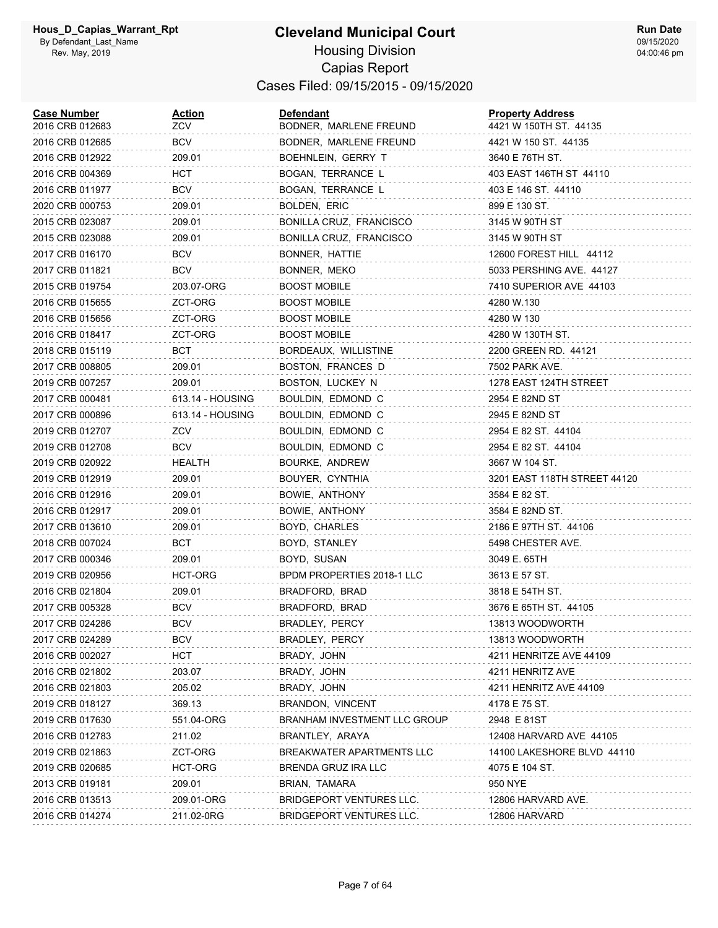| <b>Case Number</b><br>2016 CRB 012683 | <b>Action</b><br>ZCV | <b>Defendant</b><br>BODNER, MARLENE FREUND | <b>Property Address</b><br>4421 W 150TH ST. 44135 |
|---------------------------------------|----------------------|--------------------------------------------|---------------------------------------------------|
| 2016 CRB 012685                       | <b>BCV</b>           | BODNER, MARLENE FREUND                     | 4421 W 150 ST. 44135                              |
| 2016 CRB 012922                       | 209.01               | BOEHNLEIN, GERRY T                         | 3640 E 76TH ST.                                   |
| 2016 CRB 004369                       | HCT                  | BOGAN, TERRANCE L                          | 403 EAST 146TH ST 44110                           |
| 2016 CRB 011977                       | <b>BCV</b>           | BOGAN, TERRANCE L                          | 403 E 146 ST. 44110                               |
| 2020 CRB 000753                       | 209.01               | BOLDEN, ERIC                               | 899 E 130 ST.                                     |
| 2015 CRB 023087                       | 209.01               | BONILLA CRUZ, FRANCISCO                    | 3145 W 90TH ST                                    |
| 2015 CRB 023088                       | 209.01               | BONILLA CRUZ, FRANCISCO                    | 3145 W 90TH ST                                    |
| 2017 CRB 016170                       | <b>BCV</b>           | BONNER, HATTIE                             | 12600 FOREST HILL 44112                           |
| 2017 CRB 011821                       | <b>BCV</b>           | BONNER, MEKO                               | 5033 PERSHING AVE. 44127                          |
| 2015 CRB 019754                       | 203.07-ORG           | <b>BOOST MOBILE</b>                        | 7410 SUPERIOR AVE 44103                           |
| 2016 CRB 015655                       | ZCT-ORG              | <b>BOOST MOBILE</b>                        | 4280 W.130                                        |
| 2016 CRB 015656                       | ZCT-ORG              | <b>BOOST MOBILE</b>                        | 4280 W 130                                        |
| 2016 CRB 018417                       | ZCT-ORG              | <b>BOOST MOBILE</b>                        | 4280 W 130TH ST.                                  |
| 2018 CRB 015119                       | BCT                  | BORDEAUX, WILLISTINE                       | 2200 GREEN RD. 44121                              |
| 2017 CRB 008805                       | 209.01               | BOSTON, FRANCES D                          | 7502 PARK AVE.                                    |
| 2019 CRB 007257                       | 209.01               | BOSTON, LUCKEY N                           | 1278 EAST 124TH STREET                            |
| 2017 CRB 000481                       | 613.14 - HOUSING     | BOULDIN, EDMOND C                          | 2954 E 82ND ST                                    |
| 2017 CRB 000896                       | 613.14 - HOUSING     | BOULDIN, EDMOND C                          | 2945 E 82ND ST                                    |
| 2019 CRB 012707                       | ZCV                  | BOULDIN, EDMOND C                          | 2954 E 82 ST. 44104                               |
| 2019 CRB 012708                       | <b>BCV</b>           | BOULDIN, EDMOND C                          | 2954 E 82 ST. 44104                               |
| 2019 CRB 020922                       | HEALTH               | BOURKE, ANDREW                             | 3667 W 104 ST.                                    |
| 2019 CRB 012919                       | 209.01               | BOUYER, CYNTHIA                            | 3201 EAST 118TH STREET 44120                      |
| 2016 CRB 012916                       | 209.01               | BOWIE, ANTHONY                             | 3584 E 82 ST.                                     |
| 2016 CRB 012917                       | 209.01               | BOWIE, ANTHONY                             | 3584 E 82ND ST.                                   |
| 2017 CRB 013610                       | 209.01               | BOYD, CHARLES                              | 2186 E 97TH ST. 44106                             |
| 2018 CRB 007024                       | BCT                  | BOYD, STANLEY                              | 5498 CHESTER AVE.                                 |
| 2017 CRB 000346                       | 209.01               | BOYD, SUSAN                                | 3049 E. 65TH                                      |
| 2019 CRB 020956                       | HCT-ORG              | BPDM PROPERTIES 2018-1 LLC                 | 3613 E 57 ST.                                     |
| 2016 CRB 021804                       | 209.01               | BRADFORD, BRAD                             | 3818 E 54TH ST.                                   |
| 2017 CRB 005328                       | <b>BCV</b>           | BRADFORD, BRAD                             | 3676 E 65TH ST. 44105                             |
| 2017 CRB 024286                       | <b>BCV</b>           | BRADLEY, PERCY                             | 13813 WOODWORTH                                   |
| 2017 CRB 024289                       | BCV                  | BRADLEY, PERCY                             | 13813 WOODWORTH                                   |
| 2016 CRB 002027                       | <b>HCT</b>           | BRADY, JOHN                                | 4211 HENRITZE AVE 44109                           |
| 2016 CRB 021802                       | 203.07               | BRADY, JOHN                                | 4211 HENRITZ AVE                                  |
| 2016 CRB 021803                       | 205.02               | BRADY, JOHN                                | 4211 HENRITZ AVE 44109                            |
| 2019 CRB 018127                       | 369.13               | BRANDON, VINCENT                           | 4178 E 75 ST.                                     |
| 2019 CRB 017630                       | 551.04-ORG           | <b>BRANHAM INVESTMENT LLC GROUP</b>        | 2948 E 81ST                                       |
| 2016 CRB 012783                       | 211.02               | BRANTLEY, ARAYA                            | 12408 HARVARD AVE 44105                           |
| 2019 CRB 021863                       | ZCT-ORG              | <b>BREAKWATER APARTMENTS LLC</b>           | 14100 LAKESHORE BLVD 44110                        |
| 2019 CRB 020685                       | HCT-ORG              | BRENDA GRUZ IRA LLC                        | 4075 E 104 ST.                                    |
| 2013 CRB 019181                       | 209.01               | BRIAN, TAMARA                              | 950 NYE                                           |
| 2016 CRB 013513                       | 209.01-ORG           | BRIDGEPORT VENTURES LLC.                   | 12806 HARVARD AVE.                                |
| 2016 CRB 014274                       | 211.02-0RG           | BRIDGEPORT VENTURES LLC.                   | 12806 HARVARD                                     |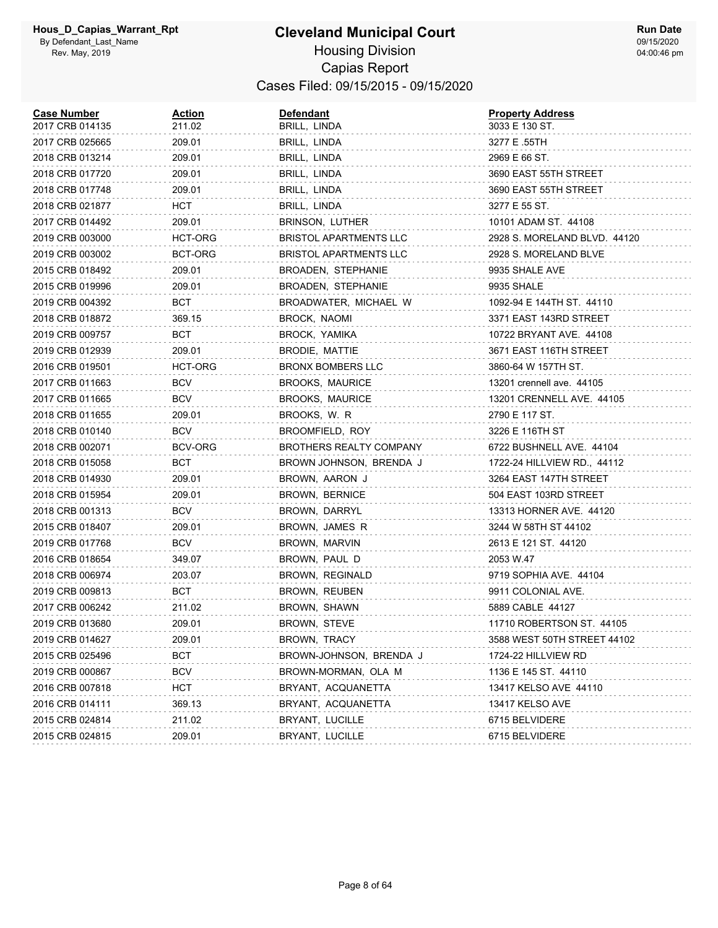| <b>Case Number</b><br>2017 CRB 014135 | <u>Action</u><br>211.02 | <b>Defendant</b><br>BRILL, LINDA | <b>Property Address</b><br>3033 E 130 ST. |
|---------------------------------------|-------------------------|----------------------------------|-------------------------------------------|
| 2017 CRB 025665                       | 209.01                  | BRILL, LINDA                     | 3277 E .55TH                              |
| 2018 CRB 013214                       | 209.01                  | BRILL, LINDA                     | 2969 E 66 ST.                             |
| 2018 CRB 017720                       | 209.01                  | BRILL, LINDA                     | 3690 EAST 55TH STREET                     |
| 2018 CRB 017748                       | 209.01                  | BRILL, LINDA                     | 3690 EAST 55TH STREET                     |
| 2018 CRB 021877                       | нст                     | BRILL, LINDA                     | 3277 E 55 ST.                             |
| 2017 CRB 014492                       | 209.01                  | BRINSON, LUTHER                  | 10101 ADAM ST. 44108                      |
| 2019 CRB 003000                       | HCT-ORG                 | <b>BRISTOL APARTMENTS LLC</b>    | 2928 S. MORELAND BLVD. 44120              |
| 2019 CRB 003002                       | BCT-ORG                 | BRISTOL APARTMENTS LLC           | 2928 S. MORELAND BLVE                     |
| 2015 CRB 018492                       | 209.01                  | BROADEN, STEPHANIE               | 9935 SHALE AVE                            |
| 2015 CRB 019996                       | 209.01                  | BROADEN, STEPHANIE               | 9935 SHALE                                |
| 2019 CRB 004392                       | вст                     | BROADWATER, MICHAEL W            | 1092-94 E 144TH ST. 44110                 |
| 2018 CRB 018872                       | 369.15                  | BROCK, NAOMI                     | 3371 EAST 143RD STREET                    |
| 2019 CRB 009757                       | BCT                     | BROCK, YAMIKA                    | 10722 BRYANT AVE. 44108                   |
| 2019 CRB 012939                       | 209.01                  | BRODIE, MATTIE                   | 3671 EAST 116TH STREET                    |
| 2016 CRB 019501                       | HCT-ORG                 | BRONX BOMBERS LLC                | 3860-64 W 157TH ST.                       |
| 2017 CRB 011663                       | BCV                     | <b>BROOKS, MAURICE</b>           | 13201 crennell ave. 44105                 |
| 2017 CRB 011665                       | <b>BCV</b>              | <b>BROOKS, MAURICE</b>           | 13201 CRENNELL AVE. 44105                 |
| 2018 CRB 011655                       | 209.01                  | BROOKS, W. R                     | 2790 E 117 ST.                            |
| 2018 CRB 010140                       | <b>BCV</b>              | BROOMFIELD, ROY                  | 3226 E 116TH ST                           |
| 2018 CRB 002071                       | BCV-ORG                 | <b>BROTHERS REALTY COMPANY</b>   | 6722 BUSHNELL AVE. 44104                  |
| 2018 CRB 015058                       | вст                     | BROWN JOHNSON, BRENDA J          | 1722-24 HILLVIEW RD., 44112               |
| 2018 CRB 014930                       | 209.01                  | BROWN, AARON J                   | 3264 EAST 147TH STREET                    |
| 2018 CRB 015954                       | 209.01                  | BROWN, BERNICE                   | 504 EAST 103RD STREET                     |
| 2018 CRB 001313                       | BCV                     | BROWN, DARRYL                    | 13313 HORNER AVE. 44120                   |
| 2015 CRB 018407                       | 209.01                  | BROWN, JAMES R                   | 3244 W 58TH ST 44102                      |
| 2019 CRB 017768                       | <b>BCV</b>              | BROWN, MARVIN                    | 2613 E 121 ST. 44120                      |
| 2016 CRB 018654                       | 349.07                  | BROWN, PAUL D                    | 2053 W.47                                 |
| 2018 CRB 006974                       | 203.07                  | BROWN, REGINALD                  | 9719 SOPHIA AVE. 44104                    |
| 2019 CRB 009813                       | BCT                     | BROWN, REUBEN                    | 9911 COLONIAL AVE.                        |
| 2017 CRB 006242                       | 211.02                  | BROWN, SHAWN                     | 5889 CABLE 44127                          |
| 2019 CRB 013680                       | 209.01                  | BROWN, STEVE                     | 11710 ROBERTSON ST. 44105                 |
| 2019 CRB 014627                       | 209.01                  | BROWN, TRACY                     | 3588 WEST 50TH STREET 44102               |
| 2015 CRB 025496                       | BCT                     | BROWN-JOHNSON, BRENDA J          | 1724-22 HILLVIEW RD                       |
| 2019 CRB 000867                       | BCV                     | BROWN-MORMAN, OLA M              | 1136 E 145 ST. 44110                      |
| 2016 CRB 007818                       | HCT                     | BRYANT, ACQUANETTA               | 13417 KELSO AVE 44110                     |
| 2016 CRB 014111                       | 369.13                  | BRYANT, ACQUANETTA               | 13417 KELSO AVE                           |
| 2015 CRB 024814                       | 211.02                  | BRYANT, LUCILLE                  | 6715 BELVIDERE                            |
| 2015 CRB 024815                       | 209.01                  | BRYANT, LUCILLE                  | 6715 BELVIDERE                            |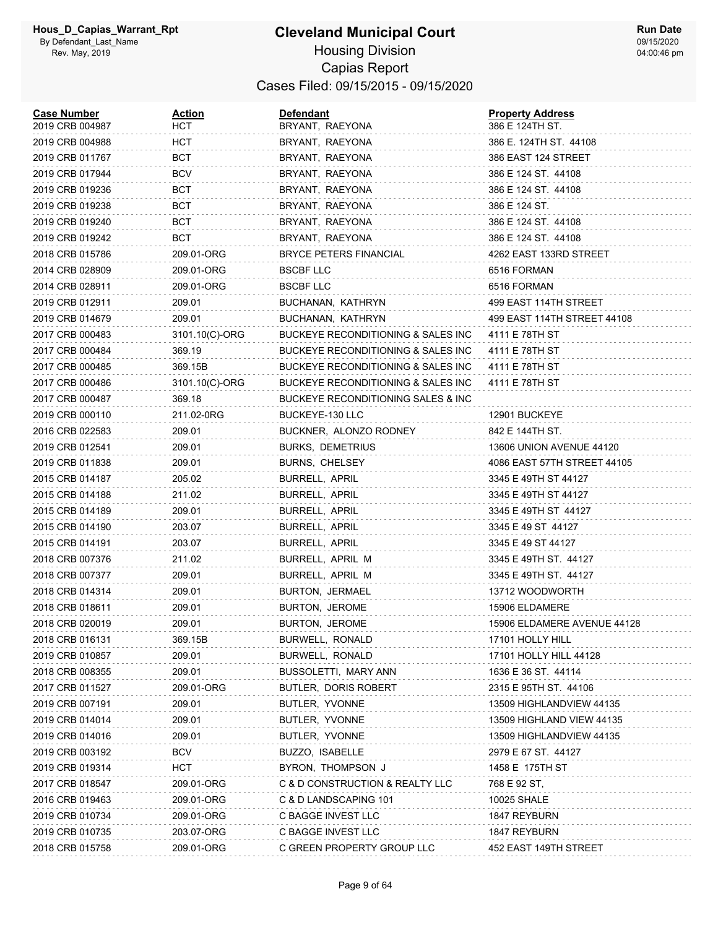#### **Cleveland Municipal Court** Housing Division Capias Report Cases Filed: 09/15/2015 - 09/15/2020

| <b>Case Number</b><br>2019 CRB 004987 | <u>Action</u><br>нст | <b>Defendant</b><br>BRYANT, RAEYONA | <b>Property Address</b><br>386 E 124TH ST. |
|---------------------------------------|----------------------|-------------------------------------|--------------------------------------------|
| 2019 CRB 004988                       | HCT                  | BRYANT, RAEYONA                     | 386 E. 124TH ST. 44108                     |
| 2019 CRB 011767                       | BCT                  | BRYANT, RAEYONA                     | 386 EAST 124 STREET                        |
| 2019 CRB 017944                       | BCV                  | BRYANT, RAEYONA                     | 386 E 124 ST. 44108                        |
| 2019 CRB 019236                       | BCT                  | BRYANT, RAEYONA                     | 386 E 124 ST. 44108                        |
| 2019 CRB 019238                       | BCT                  | BRYANT, RAEYONA                     | 386 E 124 ST.                              |
| 2019 CRB 019240                       | BCT                  | BRYANT, RAEYONA                     | 386 E 124 ST. 44108                        |
| 2019 CRB 019242                       | BCT                  | BRYANT, RAEYONA                     | 386 E 124 ST. 44108                        |
| 2018 CRB 015786                       | 209.01-ORG           | <b>BRYCE PETERS FINANCIAL</b>       | 4262 EAST 133RD STREET                     |
| 2014 CRB 028909                       | 209.01-ORG           | <b>BSCBF LLC</b>                    | 6516 FORMAN                                |
| 2014 CRB 028911                       | 209.01-ORG           | <b>BSCBF LLC</b>                    | 6516 FORMAN                                |
| 2019 CRB 012911                       | 209.01               | BUCHANAN, KATHRYN                   | 499 EAST 114TH STREET                      |
| 2019 CRB 014679                       | 209.01               | BUCHANAN, KATHRYN                   | 499 EAST 114TH STREET 44108                |
| 2017 CRB 000483                       | 3101.10(C)-ORG       | BUCKEYE RECONDITIONING & SALES INC  | 4111 E 78TH ST                             |
| 2017 CRB 000484                       | 369.19               | BUCKEYE RECONDITIONING & SALES INC  | 4111 E 78TH ST                             |
| 2017 CRB 000485                       | 369.15B              | BUCKEYE RECONDITIONING & SALES INC  | 4111 E 78TH ST                             |
| 2017 CRB 000486                       | 3101.10(C)-ORG       | BUCKEYE RECONDITIONING & SALES INC  | 4111 E 78TH ST                             |
| 2017 CRB 000487                       | 369.18               | BUCKEYE RECONDITIONING SALES & INC  |                                            |
| 2019 CRB 000110                       | 211.02-0RG           | BUCKEYE-130 LLC                     | 12901 BUCKEYE                              |
| 2016 CRB 022583                       | 209.01               | BUCKNER, ALONZO RODNEY              | 842 E 144TH ST.                            |
| 2019 CRB 012541                       | 209.01               | <b>BURKS, DEMETRIUS</b>             | 13606 UNION AVENUE 44120                   |
| 2019 CRB 011838                       | 209.01               | BURNS, CHELSEY                      | 4086 EAST 57TH STREET 44105                |
| 2015 CRB 014187                       | 205.02               | BURRELL, APRIL                      | 3345 E 49TH ST 44127                       |
| 2015 CRB 014188                       | 211.02               | BURRELL, APRIL                      | 3345 E 49TH ST 44127                       |
| 2015 CRB 014189                       | 209.01               | BURRELL, APRIL                      | 3345 E 49TH ST 44127                       |
| 2015 CRB 014190                       | 203.07               | BURRELL, APRIL                      | 3345 E 49 ST 44127                         |
| 2015 CRB 014191                       | 203.07               | BURRELL, APRIL                      | 3345 E 49 ST 44127                         |
| 2018 CRB 007376                       | 211.02               | BURRELL, APRIL M                    | 3345 E 49TH ST. 44127                      |
| 2018 CRB 007377                       | 209.01               | BURRELL, APRIL M                    | 3345 E 49TH ST. 44127                      |
| 2018 CRB 014314                       | 209.01               | BURTON, JERMAEL                     | 13712 WOODWORTH                            |
| 2018 CRB 018611                       | 209.01               | BURTON, JEROME                      | 15906 ELDAMERE                             |
| 2018 CRB 020019                       | 209.01               | BURTON, JEROME                      | 15906 ELDAMERE AVENUE 44128                |
| 2018 CRB 016131                       | 369.15B              | BURWELL, RONALD                     | 17101 HOLLY HILL                           |
| 2019 CRB 010857                       | 209.01               | BURWELL, RONALD                     | 17101 HOLLY HILL 44128                     |
| 2018 CRB 008355                       | 209.01               | BUSSOLETTI, MARY ANN                | 1636 E 36 ST. 44114                        |
| 2017 CRB 011527                       | 209.01-ORG           | BUTLER, DORIS ROBERT                | 2315 E 95TH ST. 44106                      |
| 2019 CRB 007191                       | 209.01               | BUTLER, YVONNE                      | 13509 HIGHLANDVIEW 44135                   |
| 2019 CRB 014014                       | 209.01               | BUTLER, YVONNE                      | 13509 HIGHLAND VIEW 44135                  |
| 2019 CRB 014016                       | 209.01               | BUTLER, YVONNE                      | 13509 HIGHLANDVIEW 44135                   |
| 2019 CRB 003192                       | <b>BCV</b>           | BUZZO, ISABELLE                     | 2979 E 67 ST. 44127                        |
| 2019 CRB 019314                       | HCT                  | BYRON, THOMPSON J                   | 1458 E 175TH ST                            |
| 2017 CRB 018547                       | 209.01-ORG           | C & D CONSTRUCTION & REALTY LLC     | 768 E 92 ST,                               |
| 2016 CRB 019463                       | 209.01-ORG           | C & D LANDSCAPING 101               | 10025 SHALE                                |
| 2019 CRB 010734                       | 209.01-ORG           | C BAGGE INVEST LLC                  | 1847 REYBURN                               |
| 2019 CRB 010735                       | 203.07-ORG           | C BAGGE INVEST LLC                  | 1847 REYBURN                               |
| 2018 CRB 015758                       | 209.01-ORG           | C GREEN PROPERTY GROUP LLC          | 452 EAST 149TH STREET                      |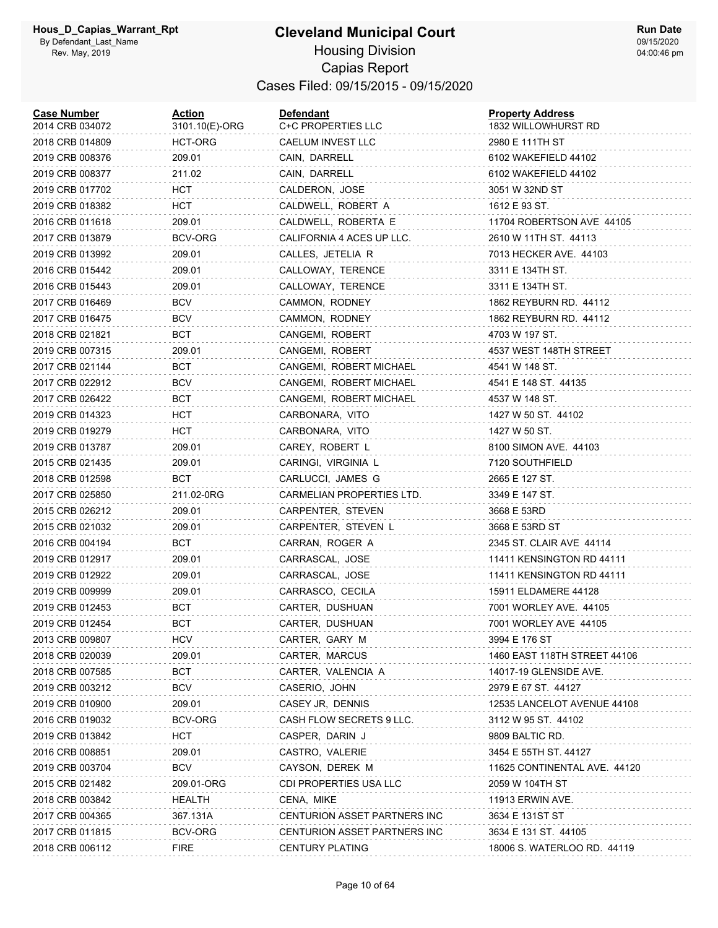#### **Cleveland Municipal Court** Housing Division Capias Report

Cases Filed: 09/15/2015 - 09/15/2020

| <b>Case Number</b><br>2014 CRB 034072 | <b>Action</b><br>3101.10(E)-ORG | <b>Defendant</b><br>C+C PROPERTIES LLC | <b>Property Address</b><br>1832 WILLOWHURST RD |
|---------------------------------------|---------------------------------|----------------------------------------|------------------------------------------------|
| 2018 CRB 014809                       | HCT-ORG                         | CAELUM INVEST LLC                      | 2980 E 111TH ST                                |
| 2019 CRB 008376                       | 209.01                          | CAIN, DARRELL                          | 6102 WAKEFIELD 44102                           |
| 2019 CRB 008377                       | 211.02                          | CAIN, DARRELL                          | 6102 WAKEFIELD 44102                           |
| 2019 CRB 017702                       | <b>HCT</b>                      | CALDERON, JOSE                         | 3051 W 32ND ST                                 |
| 2019 CRB 018382                       | HCT                             | CALDWELL, ROBERT A                     | 1612 E 93 ST.                                  |
| 2016 CRB 011618                       | 209.01                          | CALDWELL, ROBERTA E                    | 11704 ROBERTSON AVE 44105                      |
| 2017 CRB 013879                       | BCV-ORG                         | CALIFORNIA 4 ACES UP LLC.              | 2610 W 11TH ST. 44113                          |
| 2019 CRB 013992                       | 209.01                          | CALLES, JETELIA R                      | 7013 HECKER AVE. 44103                         |
| 2016 CRB 015442                       | 209.01                          | CALLOWAY, TERENCE                      | 3311 E 134TH ST.                               |
| 2016 CRB 015443                       | 209.01                          | CALLOWAY, TERENCE                      | 3311 E 134TH ST.                               |
| 2017 CRB 016469                       | <b>BCV</b>                      | CAMMON, RODNEY                         | 1862 REYBURN RD. 44112                         |
| 2017 CRB 016475                       | <b>BCV</b>                      | CAMMON, RODNEY                         | 1862 REYBURN RD. 44112                         |
| 2018 CRB 021821                       | BCT                             | CANGEMI, ROBERT                        | 4703 W 197 ST.                                 |
| 2019 CRB 007315                       | 209.01                          | CANGEMI, ROBERT                        | 4537 WEST 148TH STREET                         |
| 2017 CRB 021144                       | BCT                             | CANGEMI, ROBERT MICHAEL                | 4541 W 148 ST.                                 |
| 2017 CRB 022912                       | <b>BCV</b>                      | CANGEMI, ROBERT MICHAEL                | 4541 E 148 ST. 44135                           |
| 2017 CRB 026422                       | BCT                             | CANGEMI, ROBERT MICHAEL                | 4537 W 148 ST.                                 |
| 2019 CRB 014323                       | HCT                             | CARBONARA, VITO                        | 1427 W 50 ST. 44102                            |
| 2019 CRB 019279                       | HCT                             | CARBONARA, VITO                        | 1427 W 50 ST.                                  |
| 2019 CRB 013787                       | 209.01                          | CAREY, ROBERT L                        | 8100 SIMON AVE. 44103                          |
| 2015 CRB 021435                       | 209.01                          | CARINGI, VIRGINIA L                    | 7120 SOUTHFIELD                                |
| 2018 CRB 012598                       | BCT                             | CARLUCCI, JAMES G                      | 2665 E 127 ST.                                 |
| 2017 CRB 025850                       | 211.02-0RG                      | CARMELIAN PROPERTIES LTD.              | 3349 E 147 ST.                                 |
| 2015 CRB 026212                       | 209.01                          | CARPENTER, STEVEN                      | 3668 E 53RD                                    |
| 2015 CRB 021032                       | 209.01                          | CARPENTER, STEVEN L                    | 3668 E 53RD ST                                 |
| 2016 CRB 004194                       | BCT                             | CARRAN, ROGER A                        | 2345 ST. CLAIR AVE 44114                       |
| 2019 CRB 012917                       | 209.01                          | CARRASCAL, JOSE                        | 11411 KENSINGTON RD 44111                      |
| 2019 CRB 012922                       | 209.01                          | CARRASCAL, JOSE                        | 11411 KENSINGTON RD 44111                      |
| 2019 CRB 009999                       | 209.01                          | CARRASCO, CECILA                       | 15911 ELDAMERE 44128                           |
| 2019 CRB 012453                       | BCT                             | CARTER, DUSHUAN                        | 7001 WORLEY AVE. 44105                         |
| 2019 CRB 012454                       | BCT                             | CARTER, DUSHUAN                        | 7001 WORLEY AVE 44105                          |
| 2013 CRB 009807                       | <b>HCV</b>                      | CARTER, GARY M                         | 3994 E 176 ST                                  |
| 2018 CRB 020039                       | 209.01                          | CARTER, MARCUS                         | 1460 EAST 118TH STREET 44106                   |
| 2018 CRB 007585                       | <b>BCT</b>                      | CARTER, VALENCIA A                     | 14017-19 GLENSIDE AVE.                         |
| 2019 CRB 003212                       | <b>BCV</b>                      | CASERIO, JOHN                          | 2979 E 67 ST. 44127                            |
| 2019 CRB 010900                       | 209.01                          | CASEY JR, DENNIS                       | 12535 LANCELOT AVENUE 44108                    |
| 2016 CRB 019032                       | BCV-ORG                         | CASH FLOW SECRETS 9 LLC.               | 3112 W 95 ST. 44102                            |
| 2019 CRB 013842                       | <b>HCT</b>                      | CASPER, DARIN J                        | 9809 BALTIC RD.                                |
| 2016 CRB 008851                       | 209.01                          | CASTRO, VALERIE                        | 3454 E 55TH ST. 44127                          |
| 2019 CRB 003704                       | <b>BCV</b>                      | CAYSON, DEREK M                        | 11625 CONTINENTAL AVE. 44120                   |
| 2015 CRB 021482                       | 209.01-ORG                      | CDI PROPERTIES USA LLC                 | 2059 W 104TH ST                                |
| 2018 CRB 003842                       | HEALTH                          | CENA, MIKE                             | <b>11913 ERWIN AVE.</b>                        |
| 2017 CRB 004365                       | 367.131A                        | CENTURION ASSET PARTNERS INC           | 3634 E 131ST ST                                |
| 2017 CRB 011815                       | BCV-ORG                         | CENTURION ASSET PARTNERS INC           | 3634 E 131 ST. 44105                           |
| 2018 CRB 006112                       | <b>FIRE</b>                     | <b>CENTURY PLATING</b>                 | 18006 S. WATERLOO RD. 44119                    |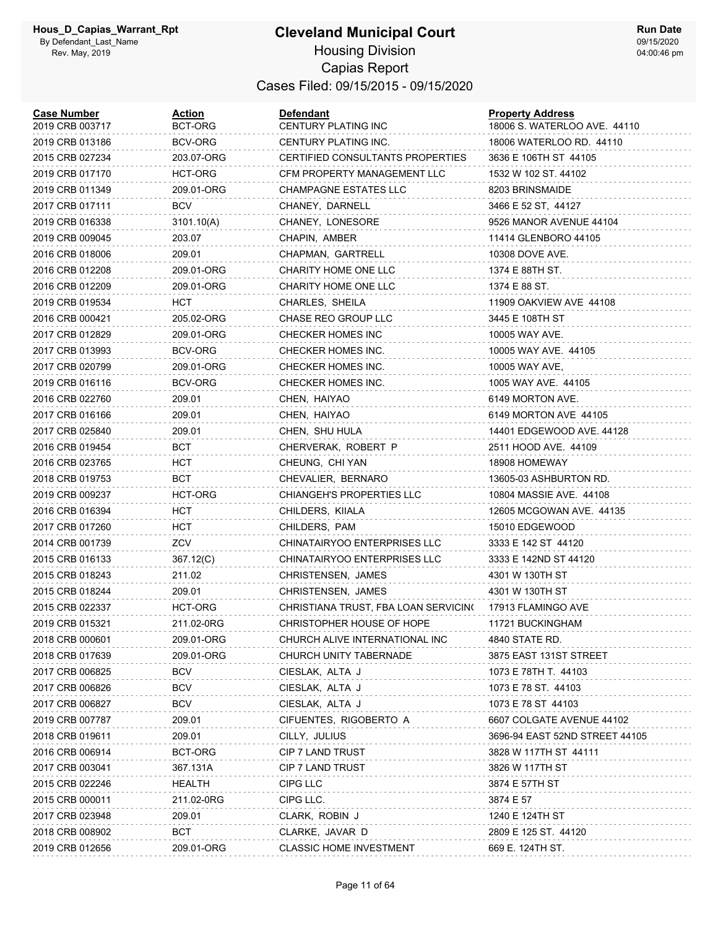# **Cleveland Municipal Court**

**Run Date** 09/15/2020 04:00:46 pm

# Housing Division Capias Report Cases Filed: 09/15/2015 - 09/15/2020

| <b>Case Number</b><br>2019 CRB 003717 | <b>Action</b><br>BCT-ORG | <b>Defendant</b><br>CENTURY PLATING INC | <b>Property Address</b><br>18006 S. WATERLOO AVE. 44110 |
|---------------------------------------|--------------------------|-----------------------------------------|---------------------------------------------------------|
| 2019 CRB 013186                       | BCV-ORG                  | CENTURY PLATING INC.                    | 18006 WATERLOO RD. 44110                                |
| 2015 CRB 027234                       | 203.07-ORG               | CERTIFIED CONSULTANTS PROPERTIES        | 3636 E 106TH ST 44105                                   |
| 2019 CRB 017170                       | HCT-ORG                  | CFM PROPERTY MANAGEMENT LLC             | 1532 W 102 ST. 44102                                    |
| 2019 CRB 011349                       | 209.01-ORG               | <b>CHAMPAGNE ESTATES LLC</b>            | 8203 BRINSMAIDE                                         |
| 2017 CRB 017111                       | BCV                      | CHANEY, DARNELL                         | 3466 E 52 ST, 44127                                     |
| 2019 CRB 016338                       | 3101.10(A)               | CHANEY, LONESORE                        | 9526 MANOR AVENUE 44104                                 |
| 2019 CRB 009045                       | 203.07                   | CHAPIN, AMBER                           | 11414 GLENBORO 44105                                    |
| 2016 CRB 018006                       | 209.01                   | CHAPMAN, GARTRELL                       | 10308 DOVE AVE.                                         |
| 2016 CRB 012208                       | 209.01-ORG               | CHARITY HOME ONE LLC                    | 1374 E 88TH ST.                                         |
| 2016 CRB 012209                       | 209.01-ORG               | CHARITY HOME ONE LLC                    | 1374 E 88 ST.                                           |
| 2019 CRB 019534                       | HCT                      | CHARLES, SHEILA                         | 11909 OAKVIEW AVE 44108                                 |
| 2016 CRB 000421                       | 205.02-ORG               | CHASE REO GROUP LLC                     | 3445 E 108TH ST                                         |
| 2017 CRB 012829                       | 209.01-ORG               | CHECKER HOMES INC                       | 10005 WAY AVE.                                          |
| 2017 CRB 013993                       | BCV-ORG                  | CHECKER HOMES INC.                      | 10005 WAY AVE, 44105                                    |
| 2017 CRB 020799                       | 209.01-ORG               | CHECKER HOMES INC.                      | 10005 WAY AVE,                                          |
| 2019 CRB 016116                       | BCV-ORG                  | CHECKER HOMES INC.                      | 1005 WAY AVE. 44105                                     |
| 2016 CRB 022760                       | 209.01                   | CHEN, HAIYAO                            | 6149 MORTON AVE.                                        |
| 2017 CRB 016166                       | 209.01                   | CHEN, HAIYAO                            | 6149 MORTON AVE 44105                                   |
| 2017 CRB 025840                       | 209.01                   | CHEN, SHU HULA                          | 14401 EDGEWOOD AVE. 44128                               |
| 2016 CRB 019454                       | BCT                      | CHERVERAK, ROBERT P                     | 2511 HOOD AVE. 44109                                    |
| 2016 CRB 023765                       | HCT                      | CHEUNG, CHI YAN                         | 18908 HOMEWAY                                           |
| 2018 CRB 019753                       | BCT                      | CHEVALIER, BERNARO                      | 13605-03 ASHBURTON RD.                                  |
| 2019 CRB 009237                       | HCT-ORG                  | CHIANGEH'S PROPERTIES LLC               | 10804 MASSIE AVE. 44108                                 |
| 2016 CRB 016394                       | HCT                      | CHILDERS, KIIALA                        | 12605 MCGOWAN AVE. 44135                                |
| 2017 CRB 017260                       | HCT                      | CHILDERS, PAM                           | 15010 EDGEWOOD                                          |
| 2014 CRB 001739                       | ZCV                      | CHINATAIRYOO ENTERPRISES LLC            | 3333 E 142 ST 44120                                     |
| 2015 CRB 016133                       | 367.12(C)                | CHINATAIRYOO ENTERPRISES LLC            | 3333 E 142ND ST 44120                                   |
| 2015 CRB 018243                       | 211.02                   | CHRISTENSEN, JAMES                      | 4301 W 130TH ST                                         |
| 2015 CRB 018244                       | 209.01                   | CHRISTENSEN, JAMES                      | 4301 W 130TH ST                                         |
| 2015 CRB 022337                       | HCT-ORG                  | CHRISTIANA TRUST, FBA LOAN SERVICINO    | 17913 FLAMINGO AVE                                      |
| 2019 CRB 015321                       | 211.02-0RG               | CHRISTOPHER HOUSE OF HOPE               | 11721 BUCKINGHAM                                        |
| 2018 CRB 000601                       | 209.01-ORG               | CHURCH ALIVE INTERNATIONAL INC          | 4840 STATE RD.                                          |
| 2018 CRB 017639                       | 209.01-ORG               | CHURCH UNITY TABERNADE                  | 3875 EAST 131ST STREET                                  |
| 2017 CRB 006825                       | <b>BCV</b>               | CIESLAK, ALTA J                         | 1073 E 78TH T. 44103                                    |
| 2017 CRB 006826                       | <b>BCV</b>               | CIESLAK, ALTA J                         | 1073 E 78 ST. 44103                                     |
| 2017 CRB 006827                       | <b>BCV</b>               | CIESLAK, ALTA J                         | 1073 E 78 ST 44103                                      |
| 2019 CRB 007787                       | 209.01                   | CIFUENTES, RIGOBERTO A                  | 6607 COLGATE AVENUE 44102                               |
| 2018 CRB 019611                       | 209.01                   | CILLY, JULIUS                           | 3696-94 EAST 52ND STREET 44105                          |
| 2016 CRB 006914                       | BCT-ORG                  | CIP 7 LAND TRUST                        | 3828 W 117TH ST 44111                                   |
| 2017 CRB 003041                       | 367.131A                 | <b>CIP 7 LAND TRUST</b>                 | 3826 W 117TH ST                                         |
| 2015 CRB 022246                       | HEALTH                   | CIPG LLC                                | 3874 E 57TH ST                                          |
| 2015 CRB 000011                       | 211.02-0RG               | CIPG LLC.                               | 3874 E 57                                               |
| 2017 CRB 023948                       | 209.01                   | CLARK, ROBIN J                          | 1240 E 124TH ST                                         |
| 2018 CRB 008902                       | BCT                      | CLARKE, JAVAR D                         | 2809 E 125 ST. 44120                                    |
| 2019 CRB 012656                       | 209.01-ORG               | <b>CLASSIC HOME INVESTMENT</b>          | 669 E. 124TH ST.                                        |
|                                       |                          |                                         |                                                         |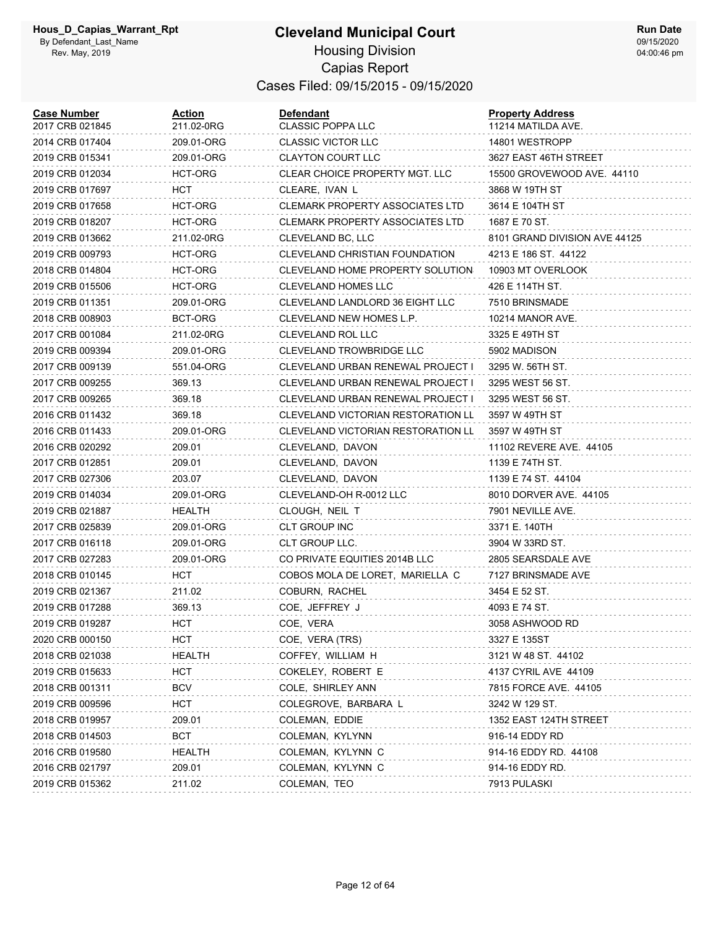#### **Cleveland Municipal Court** Housing Division Capias Report Cases Filed: 09/15/2015 - 09/15/2020

| <b>Case Number</b><br>2017 CRB 021845 | Action<br>211.02-0RG | Defendant<br><b>CLASSIC POPPA LLC</b>  | <b>Property Address</b><br>11214 MATILDA AVE. |
|---------------------------------------|----------------------|----------------------------------------|-----------------------------------------------|
| 2014 CRB 017404                       | 209.01-ORG           | <b>CLASSIC VICTOR LLC</b>              | 14801 WESTROPP                                |
| 2019 CRB 015341                       | 209.01-ORG           | <b>CLAYTON COURT LLC</b>               | 3627 EAST 46TH STREET                         |
| 2019 CRB 012034                       | HCT-ORG              | CLEAR CHOICE PROPERTY MGT. LLC         | 15500 GROVEWOOD AVE. 44110                    |
| 2019 CRB 017697                       | HCT                  | CLEARE, IVAN L                         | 3868 W 19TH ST                                |
| 2019 CRB 017658                       | HCT-ORG              | <b>CLEMARK PROPERTY ASSOCIATES LTD</b> | 3614 E 104TH ST                               |
| 2019 CRB 018207                       | <b>HCT-ORG</b>       | CLEMARK PROPERTY ASSOCIATES LTD        | 1687 E 70 ST.                                 |
| 2019 CRB 013662                       | 211.02-0RG           | CLEVELAND BC, LLC                      | 8101 GRAND DIVISION AVE 44125                 |
| 2019 CRB 009793                       | HCT-ORG              | CLEVELAND CHRISTIAN FOUNDATION         | 4213 E 186 ST. 44122                          |
| 2018 CRB 014804                       | HCT-ORG              | CLEVELAND HOME PROPERTY SOLUTION       | 10903 MT OVERLOOK                             |
| 2019 CRB 015506                       | HCT-ORG              | CLEVELAND HOMES LLC                    | 426 E 114TH ST.                               |
| 2019 CRB 011351                       | 209.01-ORG           | CLEVELAND LANDLORD 36 EIGHT LLC        | 7510 BRINSMADE                                |
| 2018 CRB 008903                       | BCT-ORG              | CLEVELAND NEW HOMES L.P.               | 10214 MANOR AVE.                              |
| 2017 CRB 001084                       | 211.02-0RG           | CLEVELAND ROL LLC                      | 3325 E 49TH ST                                |
| 2019 CRB 009394                       | 209.01-ORG           | <b>CLEVELAND TROWBRIDGE LLC</b>        | 5902 MADISON                                  |
| 2017 CRB 009139                       | 551.04-ORG           | CLEVELAND URBAN RENEWAL PROJECT I      | 3295 W. 56TH ST.                              |
| 2017 CRB 009255                       | 369.13               | CLEVELAND URBAN RENEWAL PROJECT I      | 3295 WEST 56 ST.                              |
| 2017 CRB 009265                       | 369.18               | CLEVELAND URBAN RENEWAL PROJECT I      | 3295 WEST 56 ST.                              |
| 2016 CRB 011432                       | 369.18               | CLEVELAND VICTORIAN RESTORATION LL     | 3597 W 49TH ST                                |
| 2016 CRB 011433                       | 209.01-ORG           | CLEVELAND VICTORIAN RESTORATION LL     | 3597 W 49TH ST                                |
| 2016 CRB 020292                       | 209.01               | CLEVELAND, DAVON                       | 11102 REVERE AVE. 44105                       |
| 2017 CRB 012851                       | 209.01               | CLEVELAND, DAVON                       | 1139 E 74TH ST.                               |
| 2017 CRB 027306                       | 203.07               | CLEVELAND, DAVON                       | 1139 E 74 ST. 44104                           |
| 2019 CRB 014034                       | 209.01-ORG           | CLEVELAND-OH R-0012 LLC                | 8010 DORVER AVE. 44105                        |
| 2019 CRB 021887                       | HEALTH               | CLOUGH, NEIL T                         | 7901 NEVILLE AVE.                             |
| 2017 CRB 025839                       | 209.01-ORG           | CLT GROUP INC                          | 3371 E. 140TH                                 |
| 2017 CRB 016118                       | 209.01-ORG           | CLT GROUP LLC.                         | 3904 W 33RD ST.                               |
| 2017 CRB 027283                       | 209.01-ORG           | CO PRIVATE EQUITIES 2014B LLC          | 2805 SEARSDALE AVE                            |
| 2018 CRB 010145                       | HCT                  | COBOS MOLA DE LORET, MARIELLA C        | 7127 BRINSMADE AVE                            |
| 2019 CRB 021367                       | 211.02               | COBURN, RACHEL                         | 3454 E 52 ST.                                 |
| 2019 CRB 017288                       | 369.13               | COE, JEFFREY J                         | 4093 E 74 ST.                                 |
| 2019 CRB 019287                       | <b>HCT</b>           | COE, VERA                              | 3058 ASHWOOD RD                               |
| 2020 CRB 000150                       | HCT                  | COE, VERA (TRS)                        | 3327 E 135ST                                  |
| 2018 CRB 021038                       | <b>HEALTH</b>        | COFFEY, WILLIAM H                      | 3121 W 48 ST. 44102                           |
| 2019 CRB 015633                       | HCT                  | COKELEY, ROBERT E                      | 4137 CYRIL AVE 44109                          |
| 2018 CRB 001311                       | <b>BCV</b>           | COLE, SHIRLEY ANN                      | 7815 FORCE AVE. 44105                         |
| 2019 CRB 009596                       | HCT                  | COLEGROVE, BARBARA L                   | 3242 W 129 ST.                                |
| 2018 CRB 019957                       | 209.01               | COLEMAN, EDDIE                         | 1352 EAST 124TH STREET                        |
| 2018 CRB 014503                       | BCT                  | COLEMAN, KYLYNN                        | 916-14 EDDY RD                                |
| 2016 CRB 019580                       | HEALTH               | COLEMAN, KYLYNN C                      | 914-16 EDDY RD. 44108                         |
| 2016 CRB 021797                       | 209.01               | COLEMAN, KYLYNN C                      | 914-16 EDDY RD.                               |
| 2019 CRB 015362                       | 211.02               | COLEMAN, TEO                           | 7913 PULASKI                                  |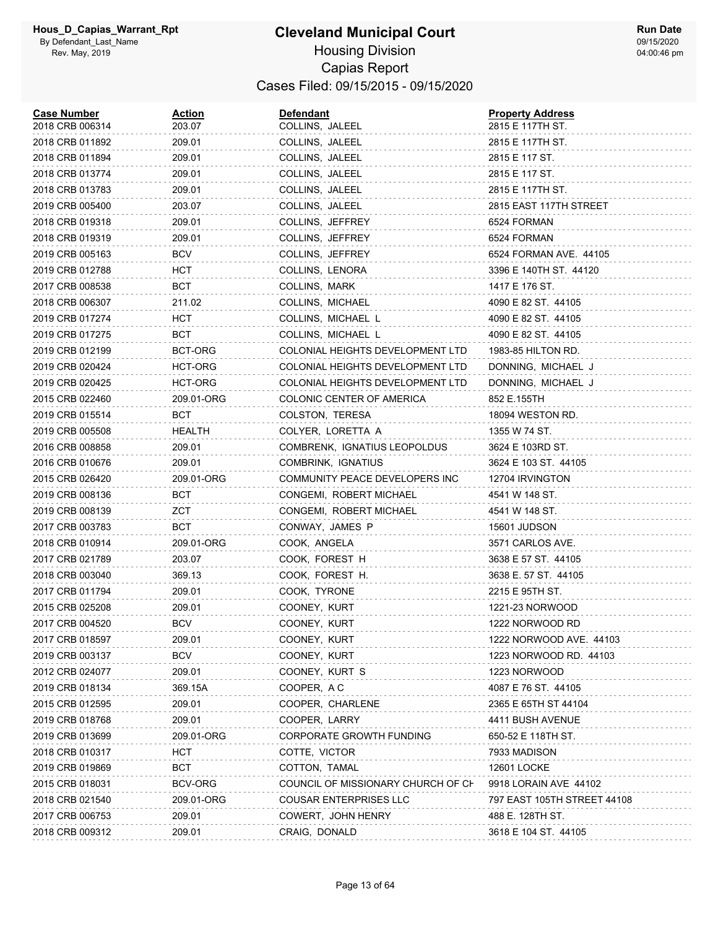#### **Cleveland Municipal Court** Housing Division Capias Report Cases Filed: 09/15/2015 - 09/15/2020

| <b>Case Number</b><br>2018 CRB 006314 | <b>Action</b><br>203.07 | <b>Defendant</b><br>COLLINS, JALEEL | <b>Property Address</b><br>2815 E 117TH ST. |
|---------------------------------------|-------------------------|-------------------------------------|---------------------------------------------|
| 2018 CRB 011892                       | 209.01                  | COLLINS, JALEEL                     | 2815 E 117TH ST.                            |
| 2018 CRB 011894                       | 209.01                  |                                     |                                             |
|                                       |                         | COLLINS, JALEEL                     | 2815 E 117 ST.                              |
| 2018 CRB 013774                       | 209.01                  | COLLINS, JALEEL                     | 2815 E 117 ST.                              |
| 2018 CRB 013783                       | 209.01                  | COLLINS, JALEEL                     | 2815 E 117TH ST.                            |
| 2019 CRB 005400                       | 203.07                  | COLLINS, JALEEL                     | 2815 EAST 117TH STREET                      |
| 2018 CRB 019318                       | 209.01                  | COLLINS, JEFFREY                    | 6524 FORMAN                                 |
| 2018 CRB 019319                       | 209.01                  | COLLINS, JEFFREY                    | 6524 FORMAN                                 |
| 2019 CRB 005163                       | <b>BCV</b>              | COLLINS, JEFFREY                    | 6524 FORMAN AVE. 44105                      |
| 2019 CRB 012788                       | HCT                     | COLLINS, LENORA                     | 3396 E 140TH ST. 44120                      |
| 2017 CRB 008538                       | BCT                     | COLLINS, MARK                       | 1417 E 176 ST.                              |
| 2018 CRB 006307                       | 211.02                  | COLLINS, MICHAEL                    | 4090 E 82 ST. 44105                         |
| 2019 CRB 017274                       | HCT                     | COLLINS, MICHAEL L                  | 4090 E 82 ST. 44105                         |
| 2019 CRB 017275                       | BCT                     | COLLINS, MICHAEL L                  | 4090 E 82 ST. 44105                         |
| 2019 CRB 012199                       | BCT-ORG                 | COLONIAL HEIGHTS DEVELOPMENT LTD    | 1983-85 HILTON RD.                          |
| 2019 CRB 020424                       | HCT-ORG                 | COLONIAL HEIGHTS DEVELOPMENT LTD    | DONNING, MICHAEL J                          |
| 2019 CRB 020425                       | HCT-ORG                 | COLONIAL HEIGHTS DEVELOPMENT LTD    | DONNING, MICHAEL J                          |
| 2015 CRB 022460                       | 209.01-ORG              | COLONIC CENTER OF AMERICA           | 852 E.155TH                                 |
| 2019 CRB 015514                       | BCT                     | COLSTON, TERESA                     | 18094 WESTON RD.                            |
| 2019 CRB 005508                       | HEALTH                  | COLYER, LORETTA A                   | 1355 W 74 ST.                               |
| 2016 CRB 008858                       | 209.01                  | COMBRENK, IGNATIUS LEOPOLDUS        | 3624 E 103RD ST.                            |
| 2016 CRB 010676                       | 209.01                  | COMBRINK, IGNATIUS                  | 3624 E 103 ST. 44105                        |
| 2015 CRB 026420                       | 209.01-ORG              | COMMUNITY PEACE DEVELOPERS INC      | 12704 IRVINGTON                             |
| 2019 CRB 008136                       | BCT                     | CONGEMI, ROBERT MICHAEL             | 4541 W 148 ST.                              |
| 2019 CRB 008139                       | ZCT                     | CONGEMI, ROBERT MICHAEL             | 4541 W 148 ST.                              |
| 2017 CRB 003783                       | BCT                     | CONWAY, JAMES P                     | 15601 JUDSON                                |
| 2018 CRB 010914                       | 209.01-ORG              | COOK, ANGELA                        | 3571 CARLOS AVE.                            |
| 2017 CRB 021789                       | 203.07                  | COOK, FOREST H                      | 3638 E 57 ST. 44105                         |
| 2018 CRB 003040                       | 369.13                  | COOK, FOREST H.                     | 3638 E. 57 ST. 44105                        |
| 2017 CRB 011794                       | 209.01                  | COOK, TYRONE                        | 2215 E 95TH ST.                             |
| 2015 CRB 025208                       | 209.01                  | COONEY, KURT                        | 1221-23 NORWOOD                             |
| 2017 CRB 004520                       | <b>BCV</b>              | COONEY, KURT                        | 1222 NORWOOD RD                             |
| 2017 CRB 018597                       | 209.01                  | COONEY, KURT                        | 1222 NORWOOD AVE. 44103                     |
| 2019 CRB 003137                       | BCV                     | COONEY, KURT                        | 1223 NORWOOD RD. 44103                      |
| 2012 CRB 024077                       | 209.01                  | COONEY, KURT S                      | 1223 NORWOOD                                |
| 2019 CRB 018134                       | 369.15A                 | COOPER, AC                          | 4087 E 76 ST. 44105                         |
| 2015 CRB 012595                       | 209.01                  | COOPER, CHARLENE                    | 2365 E 65TH ST 44104                        |
| 2019 CRB 018768                       | 209.01                  | COOPER, LARRY                       | 4411 BUSH AVENUE                            |
| 2019 CRB 013699                       | 209.01-ORG              | CORPORATE GROWTH FUNDING            | 650-52 E 118TH ST.                          |
| 2018 CRB 010317                       | <b>HCT</b>              | COTTE, VICTOR                       | 7933 MADISON                                |
| 2019 CRB 019869                       | <b>BCT</b>              | COTTON, TAMAL                       | <b>12601 LOCKE</b>                          |
| 2015 CRB 018031                       | BCV-ORG                 | COUNCIL OF MISSIONARY CHURCH OF CH  | 9918 LORAIN AVE 44102                       |
| 2018 CRB 021540                       | 209.01-ORG              | COUSAR ENTERPRISES LLC              | 797 EAST 105TH STREET 44108                 |
| 2017 CRB 006753                       | 209.01                  | COWERT, JOHN HENRY                  | 488 E. 128TH ST.                            |
| 2018 CRB 009312                       | 209.01                  | CRAIG, DONALD                       | 3618 E 104 ST. 44105                        |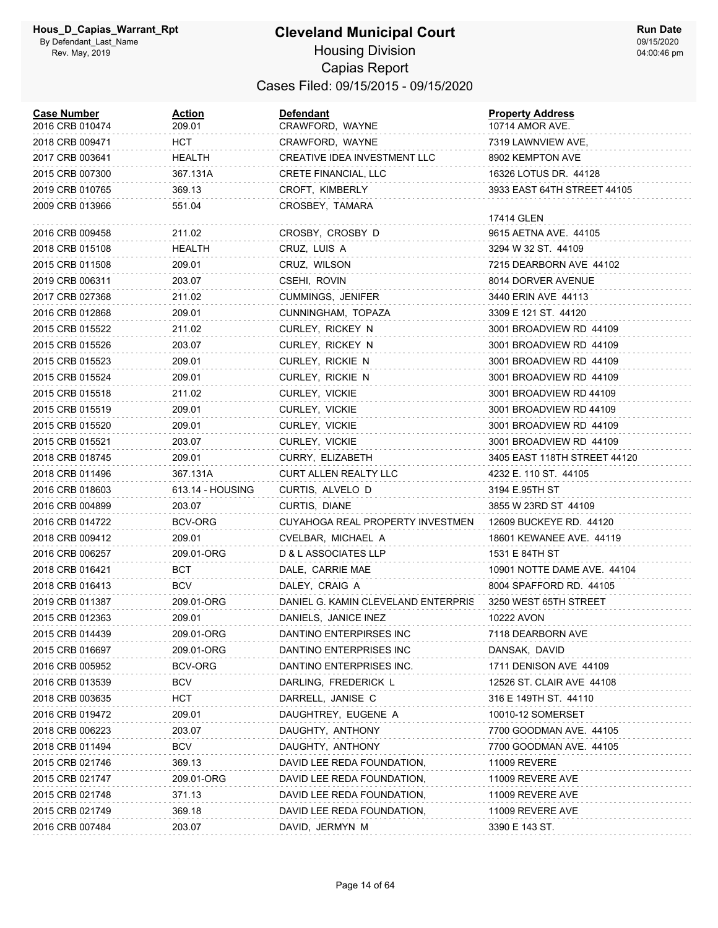| <b>Case Number</b><br>2016 CRB 010474 | Action<br>209.01 | Defendant<br>CRAWFORD, WAYNE        | <b>Property Address</b><br>10714 AMOR AVE. |
|---------------------------------------|------------------|-------------------------------------|--------------------------------------------|
| 2018 CRB 009471                       | HCT.             | CRAWFORD, WAYNE                     | 7319 LAWNVIEW AVE,                         |
| 2017 CRB 003641                       | HEALTH           | CREATIVE IDEA INVESTMENT LLC        | 8902 KEMPTON AVE                           |
| 2015 CRB 007300                       | 367.131A         | CRETE FINANCIAL, LLC                | 16326 LOTUS DR. 44128                      |
| 2019 CRB 010765                       | 369.13           | CROFT, KIMBERLY                     | 3933 EAST 64TH STREET 44105                |
| 2009 CRB 013966                       | 551.04           | CROSBEY, TAMARA                     |                                            |
|                                       |                  |                                     | 17414 GLEN                                 |
| 2016 CRB 009458                       | 211.02           | CROSBY, CROSBY D                    | 9615 AETNA AVE. 44105                      |
| 2018 CRB 015108                       | <b>HEALTH</b>    | CRUZ, LUIS A                        | 3294 W 32 ST. 44109                        |
| 2015 CRB 011508                       | 209.01           | CRUZ, WILSON                        | 7215 DEARBORN AVE 44102                    |
| 2019 CRB 006311                       | 203.07           | CSEHI, ROVIN                        | 8014 DORVER AVENUE                         |
| 2017 CRB 027368                       | 211.02           | CUMMINGS, JENIFER                   | 3440 ERIN AVE 44113                        |
| 2016 CRB 012868                       | 209.01           | CUNNINGHAM, TOPAZA                  | 3309 E 121 ST. 44120                       |
| 2015 CRB 015522                       | 211.02           | CURLEY, RICKEY N                    | 3001 BROADVIEW RD 44109                    |
| 2015 CRB 015526                       | 203.07           | CURLEY, RICKEY N                    | 3001 BROADVIEW RD 44109                    |
| 2015 CRB 015523                       | 209.01           | CURLEY, RICKIE N                    | 3001 BROADVIEW RD 44109                    |
| 2015 CRB 015524                       | 209.01           | CURLEY, RICKIE N                    | 3001 BROADVIEW RD 44109                    |
| 2015 CRB 015518                       | 211.02           | CURLEY, VICKIE                      | 3001 BROADVIEW RD 44109                    |
| 2015 CRB 015519                       | 209.01           | CURLEY, VICKIE                      | 3001 BROADVIEW RD 44109                    |
| 2015 CRB 015520                       | 209.01           | CURLEY, VICKIE                      | 3001 BROADVIEW RD 44109                    |
| 2015 CRB 015521                       | 203.07           | CURLEY, VICKIE                      | 3001 BROADVIEW RD 44109                    |
| 2018 CRB 018745                       | 209.01           | CURRY, ELIZABETH                    | 3405 EAST 118TH STREET 44120               |
| 2018 CRB 011496                       | 367.131A         | <b>CURT ALLEN REALTY LLC</b>        | 4232 E. 110 ST. 44105                      |
| 2016 CRB 018603                       | 613.14 - HOUSING | CURTIS, ALVELO D                    | 3194 E.95TH ST                             |
| 2016 CRB 004899                       | 203.07           | CURTIS, DIANE                       | 3855 W 23RD ST 44109                       |
| 2016 CRB 014722                       | BCV-ORG          | CUYAHOGA REAL PROPERTY INVESTMEN    | 12609 BUCKEYE RD. 44120                    |
| 2018 CRB 009412                       | 209.01           | CVELBAR, MICHAEL A                  | 18601 KEWANEE AVE. 44119                   |
| 2016 CRB 006257                       | 209.01-ORG       | D & L ASSOCIATES LLP                | 1531 E 84TH ST                             |
| 2018 CRB 016421                       | BCT              | DALE, CARRIE MAE                    | 10901 NOTTE DAME AVE. 44104                |
| 2018 CRB 016413                       | <b>BCV</b>       | DALEY, CRAIG A                      | 8004 SPAFFORD RD. 44105                    |
| 2019 CRB 011387                       | 209.01-ORG       | DANIEL G. KAMIN CLEVELAND ENTERPRIS | 3250 WEST 65TH STREET                      |
| 2015 CRB 012363                       | 209.01           | DANIELS, JANICE INEZ                | 10222 AVON                                 |
| 2015 CRB 014439                       | 209.01-ORG       | DANTINO ENTERPIRSES INC             | 7118 DEARBORN AVE                          |
| 2015 CRB 016697                       | 209.01-ORG       | DANTINO ENTERPRISES INC             | DANSAK, DAVID                              |
| 2016 CRB 005952                       | BCV-ORG          | DANTINO ENTERPRISES INC.            | 1711 DENISON AVE 44109                     |
| 2016 CRB 013539                       | <b>BCV</b>       | DARLING, FREDERICK L                | 12526 ST. CLAIR AVE 44108                  |
| 2018 CRB 003635                       | HCT              | DARRELL, JANISE C                   | 316 E 149TH ST. 44110                      |
| 2016 CRB 019472                       | 209.01           | DAUGHTREY, EUGENE A                 | 10010-12 SOMERSET                          |
| 2018 CRB 006223                       | 203.07           | DAUGHTY, ANTHONY                    | 7700 GOODMAN AVE. 44105                    |
| 2018 CRB 011494                       | <b>BCV</b>       | DAUGHTY, ANTHONY                    | 7700 GOODMAN AVE. 44105                    |
| 2015 CRB 021746                       | 369.13           | DAVID LEE REDA FOUNDATION,          | <b>11009 REVERE</b>                        |
| 2015 CRB 021747                       | 209.01-ORG       | DAVID LEE REDA FOUNDATION,          | 11009 REVERE AVE                           |
| 2015 CRB 021748                       | 371.13           | DAVID LEE REDA FOUNDATION,          | 11009 REVERE AVE                           |
| 2015 CRB 021749                       | 369.18           | DAVID LEE REDA FOUNDATION,          | 11009 REVERE AVE                           |
| 2016 CRB 007484                       | 203.07           | DAVID, JERMYN M                     | 3390 E 143 ST.                             |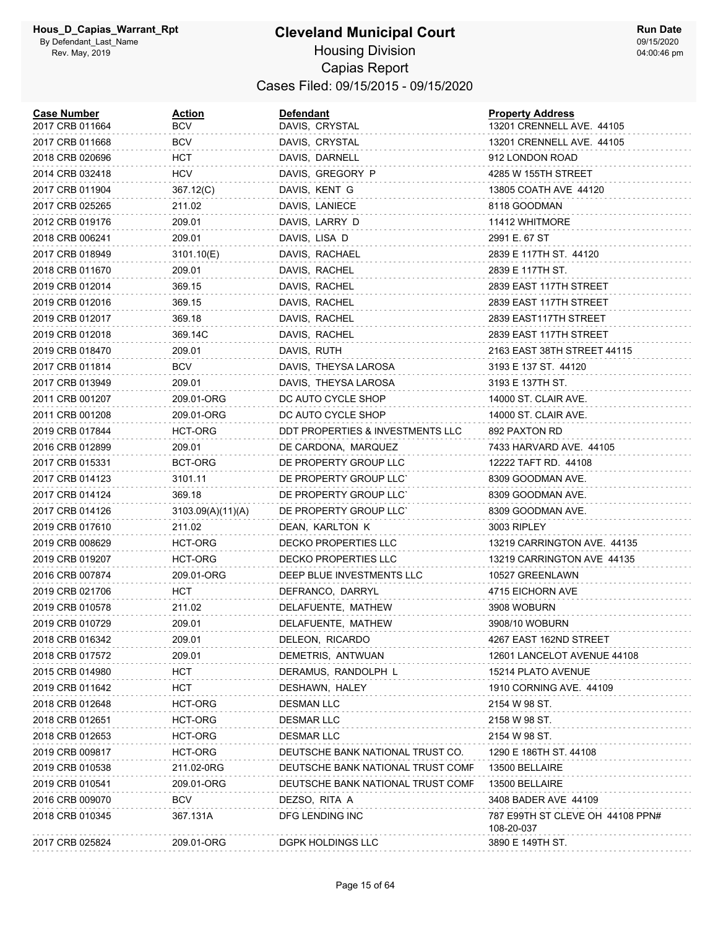| <b>Case Number</b><br>2017 CRB 011664 | <b>Action</b><br>BCV | Defendant<br>DAVIS, CRYSTAL       | <b>Property Address</b><br>13201 CRENNELL AVE. 44105 |
|---------------------------------------|----------------------|-----------------------------------|------------------------------------------------------|
| 2017 CRB 011668                       | <b>BCV</b>           | DAVIS, CRYSTAL                    | 13201 CRENNELL AVE. 44105                            |
| 2018 CRB 020696                       | HCT                  | DAVIS, DARNELL                    | 912 LONDON ROAD                                      |
| 2014 CRB 032418                       | <b>HCV</b>           | DAVIS, GREGORY P                  | 4285 W 155TH STREET                                  |
| 2017 CRB 011904                       | 367.12(C)            | DAVIS, KENT G                     | 13805 COATH AVE 44120                                |
| 2017 CRB 025265                       | 211.02               | DAVIS, LANIECE                    | 8118 GOODMAN                                         |
| 2012 CRB 019176                       | 209.01               | DAVIS, LARRY D                    | 11412 WHITMORE                                       |
| 2018 CRB 006241                       | 209.01               | DAVIS, LISA D                     | 2991 E. 67 ST                                        |
| 2017 CRB 018949                       | 3101.10(E)           | DAVIS, RACHAEL                    | 2839 E 117TH ST. 44120                               |
| 2018 CRB 011670                       | 209.01               | DAVIS, RACHEL                     | 2839 E 117TH ST.                                     |
| 2019 CRB 012014                       | 369.15               | DAVIS, RACHEL                     | 2839 EAST 117TH STREET                               |
| 2019 CRB 012016                       | 369.15               | DAVIS, RACHEL                     | 2839 EAST 117TH STREET                               |
| 2019 CRB 012017                       | 369.18               | DAVIS, RACHEL                     | 2839 EAST117TH STREET                                |
| 2019 CRB 012018                       | 369.14C              | DAVIS, RACHEL                     | 2839 EAST 117TH STREET                               |
| 2019 CRB 018470                       | 209.01               | DAVIS, RUTH                       | 2163 EAST 38TH STREET 44115                          |
| 2017 CRB 011814                       | <b>BCV</b>           | DAVIS, THEYSA LAROSA              | 3193 E 137 ST. 44120                                 |
| 2017 CRB 013949                       | 209.01               | DAVIS, THEYSA LAROSA              | 3193 E 137TH ST.                                     |
| 2011 CRB 001207                       | 209.01-ORG           | DC AUTO CYCLE SHOP                | 14000 ST. CLAIR AVE.                                 |
| 2011 CRB 001208                       | 209.01-ORG           | DC AUTO CYCLE SHOP                | 14000 ST. CLAIR AVE.                                 |
| 2019 CRB 017844                       | HCT-ORG              | DDT PROPERTIES & INVESTMENTS LLC  | 892 PAXTON RD                                        |
| 2016 CRB 012899                       | 209.01               | DE CARDONA, MARQUEZ               | 7433 HARVARD AVE. 44105                              |
| 2017 CRB 015331                       | BCT-ORG              | DE PROPERTY GROUP LLC             | 12222 TAFT RD. 44108                                 |
| 2017 CRB 014123                       | 3101.11              | DE PROPERTY GROUP LLC'            | 8309 GOODMAN AVE.                                    |
| 2017 CRB 014124                       | 369.18               | DE PROPERTY GROUP LLC'            | 8309 GOODMAN AVE.                                    |
| 2017 CRB 014126                       | 3103.09(A)(11)(A)    | DE PROPERTY GROUP LLC'            | 8309 GOODMAN AVE.                                    |
| 2019 CRB 017610                       | 211.02               | DEAN, KARLTON K                   | 3003 RIPLEY                                          |
| 2019 CRB 008629                       | HCT-ORG              | DECKO PROPERTIES LLC              | 13219 CARRINGTON AVE. 44135                          |
| 2019 CRB 019207                       | HCT-ORG              | <b>DECKO PROPERTIES LLC</b>       | 13219 CARRINGTON AVE 44135                           |
| 2016 CRB 007874                       | 209.01-ORG           | DEEP BLUE INVESTMENTS LLC         | 10527 GREENLAWN                                      |
| 2019 CRB 021706                       | HCT                  | DEFRANCO, DARRYL                  | 4715 EICHORN AVE                                     |
| 2019 CRB 010578                       | 211.02               | DELAFUENTE, MATHEW                | 3908 WOBURN                                          |
| 2019 CRB 010729                       | 209.01               | DELAFUENTE, MATHEW                | 3908/10 WOBURN                                       |
| 2018 CRB 016342                       | 209.01               | DELEON, RICARDO                   | 4267 EAST 162ND STREET                               |
| 2018 CRB 017572                       | 209.01               | DEMETRIS, ANTWUAN                 | 12601 LANCELOT AVENUE 44108                          |
| 2015 CRB 014980                       | HCT                  | DERAMUS, RANDOLPH L               | 15214 PLATO AVENUE                                   |
| 2019 CRB 011642                       | HCT                  | DESHAWN, HALEY                    | 1910 CORNING AVE. 44109                              |
| 2018 CRB 012648                       | HCT-ORG              | <b>DESMAN LLC</b>                 | 2154 W 98 ST.                                        |
| 2018 CRB 012651                       | HCT-ORG              | <b>DESMAR LLC</b>                 | 2158 W 98 ST.                                        |
| 2018 CRB 012653                       | HCT-ORG              | <b>DESMAR LLC</b>                 | 2154 W 98 ST.                                        |
| 2019 CRB 009817                       | HCT-ORG              | DEUTSCHE BANK NATIONAL TRUST CO.  | 1290 E 186TH ST. 44108                               |
| 2019 CRB 010538                       | 211.02-0RG           | DEUTSCHE BANK NATIONAL TRUST COMF | 13500 BELLAIRE                                       |
| 2019 CRB 010541                       | 209.01-ORG           | DEUTSCHE BANK NATIONAL TRUST COMF | 13500 BELLAIRE                                       |
| 2016 CRB 009070                       | <b>BCV</b>           | DEZSO, RITA A                     | 3408 BADER AVE 44109                                 |
| 2018 CRB 010345                       | 367.131A             | DFG LENDING INC                   | 787 E99TH ST CLEVE OH 44108 PPN#<br>108-20-037       |
| 2017 CRB 025824                       | 209.01-ORG           | DGPK HOLDINGS LLC                 | 3890 E 149TH ST.                                     |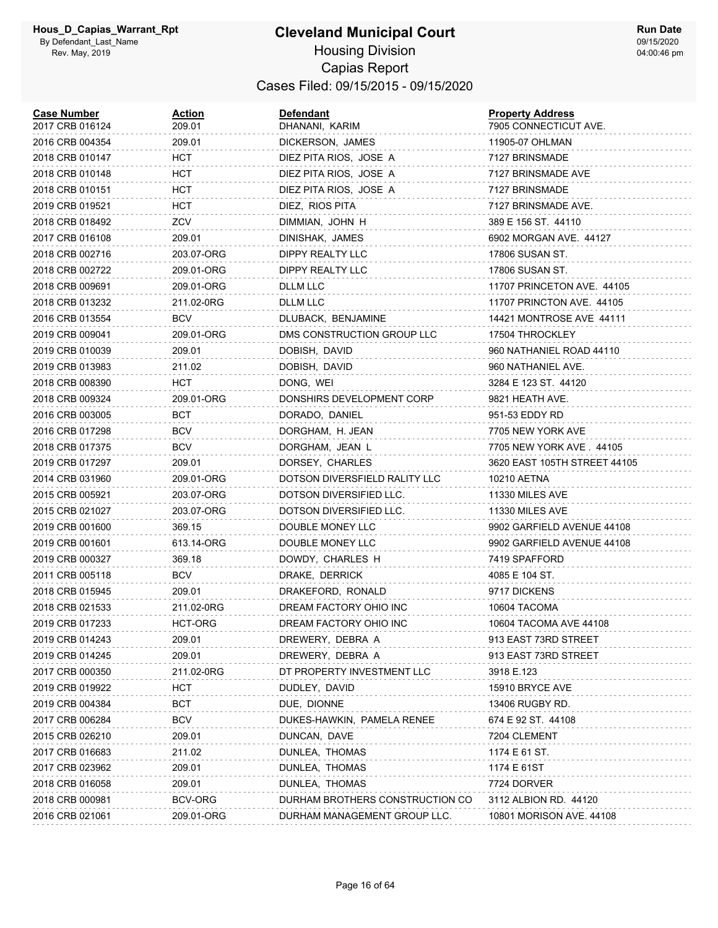| <b>Case Number</b><br>2017 CRB 016124 | <b>Action</b><br>209.01 | <b>Defendant</b><br>DHANANI, KARIM | <b>Property Address</b><br>7905 CONNECTICUT AVE. |
|---------------------------------------|-------------------------|------------------------------------|--------------------------------------------------|
| 2016 CRB 004354                       | 209.01                  | DICKERSON, JAMES                   | 11905-07 OHLMAN                                  |
| 2018 CRB 010147                       | HCT                     | DIEZ PITA RIOS, JOSE A             | 7127 BRINSMADE                                   |
| 2018 CRB 010148                       | HCT                     | DIEZ PITA RIOS, JOSE A             | 7127 BRINSMADE AVE                               |
| 2018 CRB 010151                       | HCT                     | DIEZ PITA RIOS, JOSE A             | 7127 BRINSMADE                                   |
| 2019 CRB 019521                       | HCT                     | DIEZ, RIOS PITA                    | 7127 BRINSMADE AVE.                              |
| 2018 CRB 018492                       | ZCV                     | DIMMIAN, JOHN H                    | 389 E 156 ST. 44110                              |
| 2017 CRB 016108                       | 209.01                  | DINISHAK, JAMES                    | 6902 MORGAN AVE. 44127                           |
| 2018 CRB 002716                       | 203.07-ORG              | DIPPY REALTY LLC                   | 17806 SUSAN ST.                                  |
| 2018 CRB 002722                       | 209.01-ORG              | DIPPY REALTY LLC                   | 17806 SUSAN ST.                                  |
| 2018 CRB 009691                       | 209.01-ORG              | DLLM LLC                           | 11707 PRINCETON AVE. 44105                       |
| 2018 CRB 013232                       | 211.02-0RG              | DLLM LLC                           | 11707 PRINCTON AVE. 44105                        |
| 2016 CRB 013554                       | BCV                     | DLUBACK, BENJAMINE                 | 14421 MONTROSE AVE 44111                         |
| 2019 CRB 009041                       | 209.01-ORG              | DMS CONSTRUCTION GROUP LLC         | 17504 THROCKLEY                                  |
| 2019 CRB 010039                       | 209.01                  | DOBISH, DAVID                      | 960 NATHANIEL ROAD 44110                         |
| 2019 CRB 013983                       | 211.02                  | DOBISH, DAVID                      | 960 NATHANIEL AVE.                               |
| 2018 CRB 008390                       | HCT                     | DONG, WEI                          | 3284 E 123 ST. 44120                             |
| 2018 CRB 009324                       | 209.01-ORG              | DONSHIRS DEVELOPMENT CORP          | 9821 HEATH AVE.                                  |
| 2016 CRB 003005                       | BCT                     | DORADO, DANIEL                     | 951-53 EDDY RD                                   |
| 2016 CRB 017298                       | <b>BCV</b>              | DORGHAM, H. JEAN                   | 7705 NEW YORK AVE                                |
| 2018 CRB 017375                       | <b>BCV</b>              | DORGHAM, JEAN L                    | 7705 NEW YORK AVE . 44105                        |
| 2019 CRB 017297                       | 209.01                  | DORSEY, CHARLES                    | 3620 EAST 105TH STREET 44105                     |
| 2014 CRB 031960                       | 209.01-ORG              | DOTSON DIVERSFIELD RALITY LLC      | 10210 AETNA                                      |
| 2015 CRB 005921                       | 203.07-ORG              | DOTSON DIVERSIFIED LLC.            | 11330 MILES AVE                                  |
| 2015 CRB 021027                       | 203.07-ORG              | DOTSON DIVERSIFIED LLC.            | 11330 MILES AVE                                  |
| 2019 CRB 001600                       | 369.15                  | DOUBLE MONEY LLC                   | 9902 GARFIELD AVENUE 44108                       |
| 2019 CRB 001601                       | 613.14-ORG              | DOUBLE MONEY LLC                   | 9902 GARFIELD AVENUE 44108                       |
| 2019 CRB 000327                       | 369.18                  | DOWDY, CHARLES H                   | 7419 SPAFFORD                                    |
| 2011 CRB 005118                       | <b>BCV</b>              | DRAKE, DERRICK                     | 4085 E 104 ST.                                   |
| 2018 CRB 015945                       | 209.01                  | DRAKEFORD, RONALD                  | 9717 DICKENS                                     |
| 2018 CRB 021533                       | 211.02-0RG              | DREAM FACTORY OHIO INC             | 10604 TACOMA                                     |
| 2019 CRB 017233                       | HCT-ORG                 | DREAM FACTORY OHIO INC             | 10604 TACOMA AVE 44108                           |
| 2019 CRB 014243                       | 209.01                  | DREWERY, DEBRA A                   | 913 EAST 73RD STREET                             |
| 2019 CRB 014245                       | 209.01                  | DREWERY, DEBRA A                   | 913 EAST 73RD STREET                             |
| 2017 CRB 000350                       | 211.02-0RG              | DT PROPERTY INVESTMENT LLC         | 3918 E.123                                       |
| 2019 CRB 019922                       | нст                     | DUDLEY, DAVID                      | 15910 BRYCE AVE                                  |
| 2019 CRB 004384                       | BCT                     | DUE, DIONNE                        | 13406 RUGBY RD.                                  |
| 2017 CRB 006284                       | <b>BCV</b>              | DUKES-HAWKIN, PAMELA RENEE         | 674 E 92 ST. 44108                               |
| 2015 CRB 026210                       | 209.01                  | DUNCAN, DAVE                       | 7204 CLEMENT                                     |
| 2017 CRB 016683                       | 211.02                  | DUNLEA, THOMAS                     | 1174 E 61 ST.                                    |
| 2017 CRB 023962                       | 209.01                  | DUNLEA, THOMAS                     | 1174 E 61ST                                      |
| 2018 CRB 016058                       | 209.01                  | DUNLEA, THOMAS                     | 7724 DORVER                                      |
| 2018 CRB 000981                       | BCV-ORG                 | DURHAM BROTHERS CONSTRUCTION CO    | 3112 ALBION RD. 44120                            |
| 2016 CRB 021061                       | 209.01-ORG              | DURHAM MANAGEMENT GROUP LLC.       | 10801 MORISON AVE. 44108                         |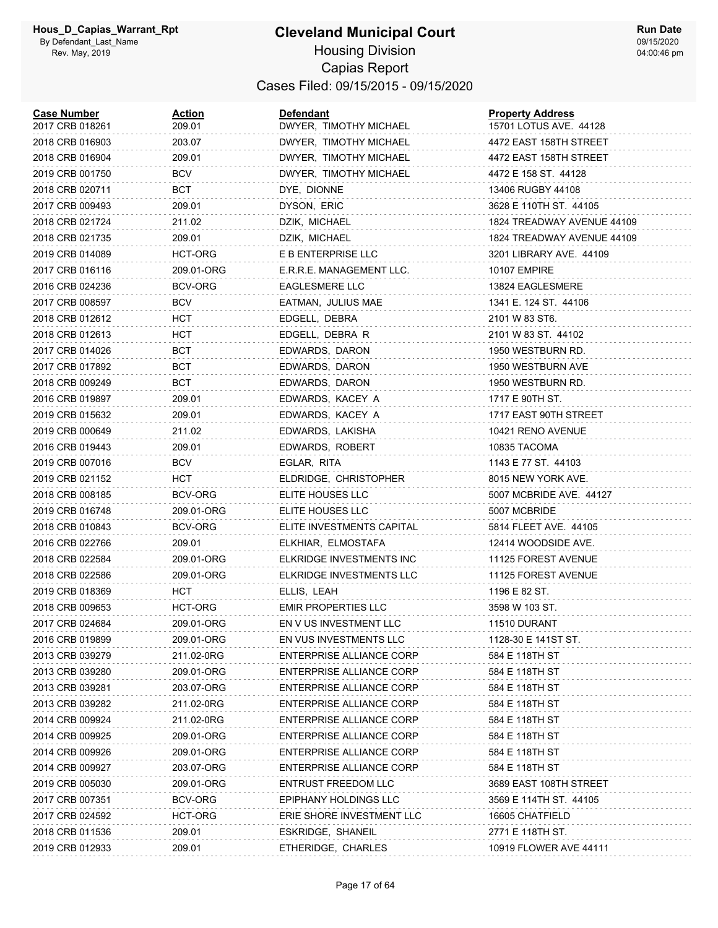| <b>Case Number</b><br>2017 CRB 018261 | <u>Action</u><br>209.01 | <b>Defendant</b><br>DWYER, TIMOTHY MICHAEL | <b>Property Address</b><br>15701 LOTUS AVE. 44128 |
|---------------------------------------|-------------------------|--------------------------------------------|---------------------------------------------------|
| 2018 CRB 016903                       | 203.07                  | DWYER, TIMOTHY MICHAEL                     | 4472 EAST 158TH STREET                            |
| 2018 CRB 016904                       | 209.01                  | DWYER, TIMOTHY MICHAEL                     | 4472 EAST 158TH STREET                            |
| 2019 CRB 001750                       | BCV                     | DWYER, TIMOTHY MICHAEL                     | 4472 E 158 ST. 44128                              |
| 2018 CRB 020711                       | BCT                     | DYE, DIONNE                                | 13406 RUGBY 44108                                 |
| 2017 CRB 009493                       | 209.01                  | DYSON, ERIC                                | 3628 E 110TH ST. 44105                            |
| 2018 CRB 021724                       | 211.02                  | DZIK, MICHAEL                              | 1824 TREADWAY AVENUE 44109                        |
| 2018 CRB 021735                       | 209.01                  | DZIK, MICHAEL                              | 1824 TREADWAY AVENUE 44109                        |
| 2019 CRB 014089                       | <b>HCT-ORG</b>          | E B ENTERPRISE LLC                         | 3201 LIBRARY AVE. 44109                           |
| 2017 CRB 016116                       | 209.01-ORG              | E.R.R.E. MANAGEMENT LLC.                   | <b>10107 EMPIRE</b>                               |
| 2016 CRB 024236                       | <b>BCV-ORG</b>          | <b>EAGLESMERE LLC</b>                      | 13824 EAGLESMERE                                  |
| 2017 CRB 008597                       | <b>BCV</b>              | EATMAN, JULIUS MAE                         | 1341 E. 124 ST. 44106                             |
| 2018 CRB 012612                       | HCT                     | EDGELL, DEBRA                              | 2101 W 83 ST6.                                    |
| 2018 CRB 012613                       | HCT                     | EDGELL, DEBRA R                            | 2101 W 83 ST. 44102                               |
| 2017 CRB 014026                       | BCT                     | EDWARDS, DARON                             | 1950 WESTBURN RD.                                 |
| 2017 CRB 017892                       | BCT                     | EDWARDS, DARON                             | 1950 WESTBURN AVE                                 |
| 2018 CRB 009249                       | BCT                     | EDWARDS, DARON                             | 1950 WESTBURN RD.                                 |
| 2016 CRB 019897                       | 209.01                  | EDWARDS, KACEY A                           | 1717 E 90TH ST.                                   |
| 2019 CRB 015632                       | 209.01                  | EDWARDS, KACEY A                           | 1717 EAST 90TH STREET                             |
| 2019 CRB 000649                       | 211.02                  | EDWARDS, LAKISHA                           | 10421 RENO AVENUE                                 |
| 2016 CRB 019443                       | 209.01                  | EDWARDS, ROBERT                            | 10835 TACOMA                                      |
| 2019 CRB 007016                       | BCV                     | EGLAR, RITA                                | 1143 E 77 ST. 44103                               |
| 2019 CRB 021152                       | HCT                     | ELDRIDGE, CHRISTOPHER                      | 8015 NEW YORK AVE.                                |
| 2018 CRB 008185                       | BCV-ORG                 | ELITE HOUSES LLC                           | 5007 MCBRIDE AVE. 44127                           |
| 2019 CRB 016748                       | 209.01-ORG              | ELITE HOUSES LLC                           | 5007 MCBRIDE                                      |
| 2018 CRB 010843                       | BCV-ORG                 | ELITE INVESTMENTS CAPITAL                  | 5814 FLEET AVE. 44105                             |
| 2016 CRB 022766                       | 209.01                  | ELKHIAR, ELMOSTAFA                         | 12414 WOODSIDE AVE.                               |
| 2018 CRB 022584                       | 209.01-ORG              | ELKRIDGE INVESTMENTS INC                   | 11125 FOREST AVENUE                               |
| 2018 CRB 022586                       | 209.01-ORG              | ELKRIDGE INVESTMENTS LLC                   | 11125 FOREST AVENUE                               |
| 2019 CRB 018369                       | <b>HCT</b>              | ELLIS, LEAH                                | 1196 E 82 ST.                                     |
| 2018 CRB 009653                       | HCT-ORG                 | <b>EMIR PROPERTIES LLC</b>                 | 3598 W 103 ST.                                    |
| 2017 CRB 024684                       | 209.01-ORG              | EN V US INVESTMENT LLC                     | 11510 DURANT                                      |
| 2016 CRB 019899                       | 209.01-ORG              | EN VUS INVESTMENTS LLC                     | 1128-30 E 141ST ST.                               |
| 2013 CRB 039279                       | 211.02-0RG              | ENTERPRISE ALLIANCE CORP                   | 584 E 118TH ST                                    |
| 2013 CRB 039280                       | 209.01-ORG              | <b>ENTERPRISE ALLIANCE CORP</b>            | 584 E 118TH ST                                    |
| 2013 CRB 039281                       | 203.07-ORG              | <b>ENTERPRISE ALLIANCE CORP</b>            | 584 E 118TH ST                                    |
| 2013 CRB 039282                       | 211.02-0RG              | ENTERPRISE ALLIANCE CORP                   | 584 E 118TH ST                                    |
| 2014 CRB 009924                       | 211.02-0RG              | ENTERPRISE ALLIANCE CORP                   | 584 E 118TH ST                                    |
| 2014 CRB 009925                       | 209.01-ORG              | <b>ENTERPRISE ALLIANCE CORP</b>            | 584 E 118TH ST                                    |
| 2014 CRB 009926                       | 209.01-ORG              | ENTERPRISE ALLIANCE CORP                   | 584 E 118TH ST                                    |
| 2014 CRB 009927                       | 203.07-ORG              | <b>ENTERPRISE ALLIANCE CORP</b>            | 584 E 118TH ST                                    |
| 2019 CRB 005030                       | 209.01-ORG              | <b>ENTRUST FREEDOM LLC</b>                 | 3689 EAST 108TH STREET                            |
| 2017 CRB 007351                       | BCV-ORG                 | EPIPHANY HOLDINGS LLC                      | 3569 E 114TH ST. 44105                            |
| 2017 CRB 024592                       | HCT-ORG                 | ERIE SHORE INVESTMENT LLC                  | 16605 CHATFIELD                                   |
| 2018 CRB 011536                       | 209.01                  | ESKRIDGE, SHANEIL                          | 2771 E 118TH ST.                                  |
| 2019 CRB 012933                       | 209.01                  | ETHERIDGE, CHARLES                         | 10919 FLOWER AVE 44111                            |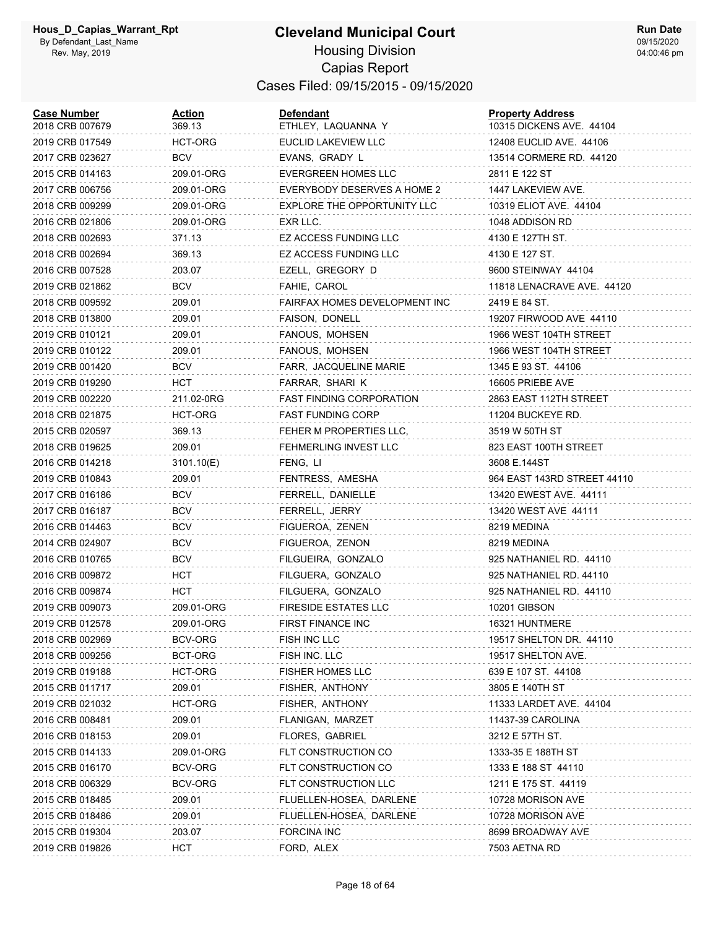# **Cleveland Municipal Court** Housing Division

**Run Date** 09/15/2020 04:00:46 pm

# Capias Report Cases Filed: 09/15/2015 - 09/15/2020

| <b>Case Number</b><br>2018 CRB 007679 | <u>Action</u><br>369.13 | <b>Defendant</b><br>ETHLEY, LAQUANNA Y | <b>Property Address</b><br>10315 DICKENS AVE. 44104 |
|---------------------------------------|-------------------------|----------------------------------------|-----------------------------------------------------|
| 2019 CRB 017549                       | HCT-ORG                 | EUCLID LAKEVIEW LLC                    | 12408 EUCLID AVE, 44106                             |
| 2017 CRB 023627                       | BCV                     | EVANS, GRADY L                         | 13514 CORMERE RD. 44120                             |
| 2015 CRB 014163                       | 209.01-ORG              | EVERGREEN HOMES LLC                    | 2811 E 122 ST                                       |
| 2017 CRB 006756                       | 209.01-ORG              | EVERYBODY DESERVES A HOME 2            | 1447 LAKEVIEW AVE.                                  |
| 2018 CRB 009299                       | 209.01-ORG              | EXPLORE THE OPPORTUNITY LLC            | 10319 ELIOT AVE. 44104                              |
| 2016 CRB 021806                       | 209.01-ORG              | EXR LLC.                               | 1048 ADDISON RD                                     |
| 2018 CRB 002693                       | 371.13                  | EZ ACCESS FUNDING LLC                  | 4130 E 127TH ST.                                    |
| 2018 CRB 002694                       | 369.13                  | EZ ACCESS FUNDING LLC                  | 4130 E 127 ST.                                      |
| 2016 CRB 007528                       | 203.07                  | EZELL, GREGORY D                       | 9600 STEINWAY 44104                                 |
| 2019 CRB 021862                       | BCV                     | FAHIE, CAROL                           | 11818 LENACRAVE AVE. 44120                          |
| 2018 CRB 009592                       | 209.01                  | FAIRFAX HOMES DEVELOPMENT INC          | 2419 E 84 ST.                                       |
| 2018 CRB 013800                       | 209.01                  | FAISON, DONELL                         | 19207 FIRWOOD AVE 44110                             |
| 2019 CRB 010121                       | 209.01                  | FANOUS, MOHSEN                         | 1966 WEST 104TH STREET                              |
| 2019 CRB 010122                       | 209.01                  | FANOUS, MOHSEN                         | 1966 WEST 104TH STREET                              |
| 2019 CRB 001420                       | <b>BCV</b>              | FARR, JACQUELINE MARIE                 | 1345 E 93 ST. 44106                                 |
| 2019 CRB 019290                       | <b>HCT</b>              | FARRAR, SHARI K                        | 16605 PRIEBE AVE                                    |
| 2019 CRB 002220                       | 211.02-0RG              | FAST FINDING CORPORATION               | 2863 EAST 112TH STREET                              |
| 2018 CRB 021875                       | HCT-ORG                 | <b>FAST FUNDING CORP</b>               | 11204 BUCKEYE RD.                                   |
| 2015 CRB 020597                       | 369.13                  | FEHER M PROPERTIES LLC,                | 3519 W 50TH ST                                      |
| 2018 CRB 019625                       | 209.01                  | FEHMERLING INVEST LLC                  | 823 EAST 100TH STREET                               |
| 2016 CRB 014218                       | 3101.10(E)              | FENG, LI                               | 3608 E.144ST                                        |
| 2019 CRB 010843                       | 209.01                  | FENTRESS, AMESHA                       | 964 EAST 143RD STREET 44110                         |
| 2017 CRB 016186                       | <b>BCV</b>              | FERRELL, DANIELLE                      | 13420 EWEST AVE. 44111                              |
| 2017 CRB 016187                       | BCV                     | FERRELL, JERRY                         | 13420 WEST AVE 44111                                |
| 2016 CRB 014463                       | <b>BCV</b>              | FIGUEROA, ZENEN                        | 8219 MEDINA                                         |
| 2014 CRB 024907                       | <b>BCV</b>              | FIGUEROA, ZENON                        | 8219 MEDINA                                         |
| 2016 CRB 010765                       | <b>BCV</b>              | FILGUEIRA, GONZALO                     | 925 NATHANIEL RD. 44110                             |
| 2016 CRB 009872                       | HCT                     | FILGUERA, GONZALO                      | 925 NATHANIEL RD. 44110                             |
| 2016 CRB 009874                       | <b>HCT</b>              | FILGUERA, GONZALO                      | 925 NATHANIEL RD. 44110                             |
| 2019 CRB 009073                       | 209.01-ORG              | <b>FIRESIDE ESTATES LLC</b>            | <b>10201 GIBSON</b>                                 |
| 2019 CRB 012578                       | 209.01-ORG              | FIRST FINANCE INC                      | 16321 HUNTMERE                                      |
| 2018 CRB 002969                       | BCV-ORG                 | FISH INC LLC                           | 19517 SHELTON DR. 44110                             |
| 2018 CRB 009256                       | <b>BCT-ORG</b>          | FISH INC. LLC                          | 19517 SHELTON AVE.                                  |
| 2019 CRB 019188                       | HCT-ORG                 | <b>FISHER HOMES LLC</b>                | 639 E 107 ST. 44108                                 |
| 2015 CRB 011717                       | 209.01                  | FISHER, ANTHONY                        | 3805 E 140TH ST                                     |
| 2019 CRB 021032                       | HCT-ORG                 | FISHER, ANTHONY                        | 11333 LARDET AVE. 44104                             |
| 2016 CRB 008481                       | 209.01                  | FLANIGAN, MARZET                       | 11437-39 CAROLINA                                   |
| 2016 CRB 018153                       | 209.01                  | FLORES, GABRIEL                        | 3212 E 57TH ST.                                     |
| 2015 CRB 014133                       | 209.01-ORG              | FLT CONSTRUCTION CO                    | 1333-35 E 188TH ST                                  |
| 2015 CRB 016170                       | BCV-ORG                 | FLT CONSTRUCTION CO                    | 1333 E 188 ST 44110                                 |
| 2018 CRB 006329                       | BCV-ORG                 | FLT CONSTRUCTION LLC                   | 1211 E 175 ST. 44119                                |
| 2015 CRB 018485                       | 209.01                  | FLUELLEN-HOSEA, DARLENE                | 10728 MORISON AVE                                   |
| 2015 CRB 018486                       | 209.01                  | FLUELLEN-HOSEA, DARLENE                | 10728 MORISON AVE                                   |
| 2015 CRB 019304                       | 203.07                  | <b>FORCINA INC</b>                     | 8699 BROADWAY AVE                                   |
| 2019 CRB 019826                       | HCT                     | FORD, ALEX                             | 7503 AETNA RD                                       |
|                                       |                         |                                        |                                                     |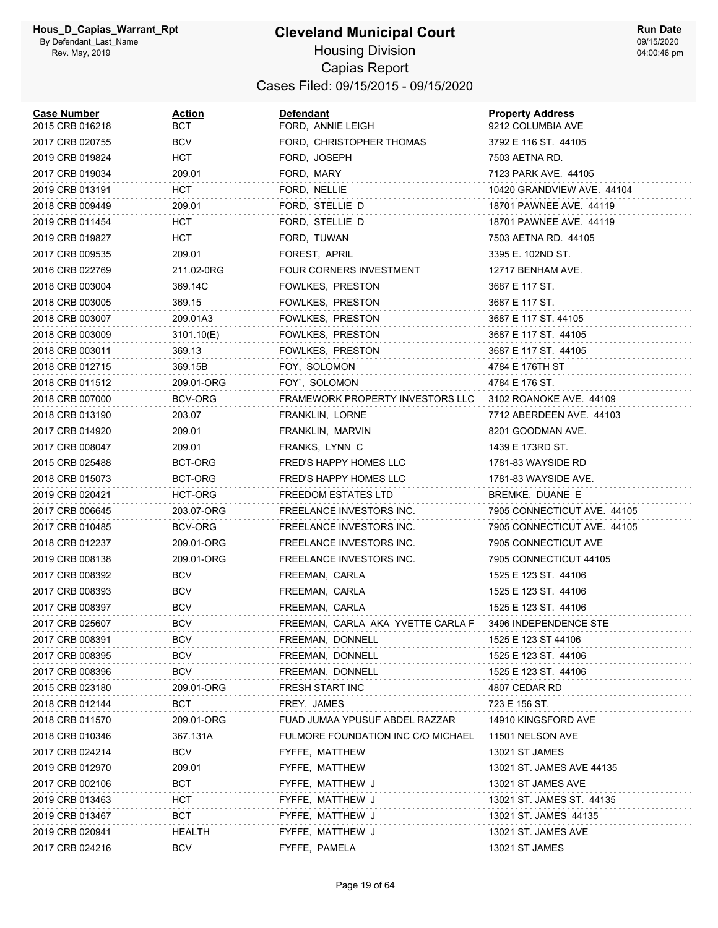| <b>Case Number</b><br>2015 CRB 016218 | <u>Action</u><br>BCT | Defendant<br>FORD, ANNIE LEIGH     | <b>Property Address</b><br>9212 COLUMBIA AVE |
|---------------------------------------|----------------------|------------------------------------|----------------------------------------------|
| 2017 CRB 020755                       | BCV                  | FORD, CHRISTOPHER THOMAS           | 3792 E 116 ST. 44105                         |
| 2019 CRB 019824                       | HCT                  | FORD, JOSEPH                       | 7503 AETNA RD.                               |
| 2017 CRB 019034                       | 209.01               | FORD, MARY                         | 7123 PARK AVE. 44105                         |
| 2019 CRB 013191                       | HCT                  | FORD, NELLIE                       | 10420 GRANDVIEW AVE. 44104                   |
| 2018 CRB 009449                       | 209.01               | FORD, STELLIE D                    | 18701 PAWNEE AVE. 44119                      |
| 2019 CRB 011454                       | HCT                  | FORD, STELLIE D                    | 18701 PAWNEE AVE. 44119                      |
| 2019 CRB 019827                       | HCT                  | FORD, TUWAN                        | 7503 AETNA RD. 44105                         |
| 2017 CRB 009535                       | 209.01               | FOREST, APRIL                      | 3395 E. 102ND ST.                            |
| 2016 CRB 022769                       | 211.02-0RG           | FOUR CORNERS INVESTMENT            | 12717 BENHAM AVE.                            |
| 2018 CRB 003004                       | 369.14C              | FOWLKES, PRESTON                   | 3687 E 117 ST.                               |
| 2018 CRB 003005                       | 369.15               | FOWLKES, PRESTON                   | 3687 E 117 ST.                               |
| 2018 CRB 003007                       | 209.01A3             | FOWLKES, PRESTON                   | 3687 E 117 ST. 44105                         |
| 2018 CRB 003009                       | 3101.10(E)           | FOWLKES, PRESTON                   | 3687 E 117 ST. 44105                         |
| 2018 CRB 003011                       | 369.13               | FOWLKES, PRESTON                   | 3687 E 117 ST. 44105                         |
| 2018 CRB 012715                       | 369.15B              | FOY, SOLOMON                       | 4784 E 176TH ST                              |
| 2018 CRB 011512                       | 209.01-ORG           | FOY', SOLOMON                      | 4784 E 176 ST.                               |
| 2018 CRB 007000                       | BCV-ORG              | FRAMEWORK PROPERTY INVESTORS LLC   | 3102 ROANOKE AVE. 44109                      |
| 2018 CRB 013190                       | 203.07               | FRANKLIN, LORNE                    | 7712 ABERDEEN AVE. 44103                     |
| 2017 CRB 014920                       | 209.01               | FRANKLIN, MARVIN                   | 8201 GOODMAN AVE.                            |
| 2017 CRB 008047                       | 209.01               | FRANKS, LYNN C                     | 1439 E 173RD ST.                             |
| 2015 CRB 025488                       | BCT-ORG              | FRED'S HAPPY HOMES LLC             | 1781-83 WAYSIDE RD                           |
| 2018 CRB 015073                       | BCT-ORG              | FRED'S HAPPY HOMES LLC             | 1781-83 WAYSIDE AVE.                         |
| 2019 CRB 020421                       | HCT-ORG              | FREEDOM ESTATES LTD                | BREMKE, DUANE E                              |
| 2017 CRB 006645                       | 203.07-ORG           | FREELANCE INVESTORS INC.           | 7905 CONNECTICUT AVE. 44105                  |
| 2017 CRB 010485                       | BCV-ORG              | FREELANCE INVESTORS INC.           | 7905 CONNECTICUT AVE. 44105                  |
| 2018 CRB 012237                       | 209.01-ORG           | FREELANCE INVESTORS INC.           | 7905 CONNECTICUT AVE                         |
| 2019 CRB 008138                       | 209.01-ORG           | FREELANCE INVESTORS INC.           | 7905 CONNECTICUT 44105                       |
| 2017 CRB 008392                       | BCV                  | FREEMAN, CARLA                     | 1525 E 123 ST. 44106                         |
| 2017 CRB 008393                       | <b>BCV</b>           | FREEMAN, CARLA                     | 1525 E 123 ST. 44106                         |
| 2017 CRB 008397                       | <b>BCV</b>           | FREEMAN, CARLA                     | 1525 E 123 ST. 44106                         |
| 2017 CRB 025607                       | <b>BCV</b>           | FREEMAN, CARLA AKA YVETTE CARLA F  | 3496 INDEPENDENCE STE                        |
| 2017 CRB 008391                       | BCV                  | FREEMAN, DONNELL                   | 1525 E 123 ST 44106                          |
| 2017 CRB 008395                       | BCV                  | FREEMAN, DONNELL                   | 1525 E 123 ST. 44106                         |
| 2017 CRB 008396                       | <b>BCV</b>           | FREEMAN, DONNELL                   | 1525 E 123 ST. 44106                         |
| 2015 CRB 023180                       | 209.01-ORG           | <b>FRESH START INC</b>             | 4807 CEDAR RD                                |
| 2018 CRB 012144                       | <b>BCT</b>           | FREY, JAMES                        | 723 E 156 ST.                                |
| 2018 CRB 011570                       | 209.01-ORG           | FUAD JUMAA YPUSUF ABDEL RAZZAR     | 14910 KINGSFORD AVE                          |
| 2018 CRB 010346                       | 367.131A             | FULMORE FOUNDATION INC C/O MICHAEL | 11501 NELSON AVE                             |
| 2017 CRB 024214                       | <b>BCV</b>           | FYFFE, MATTHEW                     | 13021 ST JAMES                               |
| 2019 CRB 012970                       | 209.01               | FYFFE, MATTHEW                     | 13021 ST. JAMES AVE 44135                    |
| 2017 CRB 002106                       | BCT                  | FYFFE, MATTHEW J                   | 13021 ST JAMES AVE                           |
| 2019 CRB 013463                       | HCT                  | FYFFE, MATTHEW J                   | 13021 ST. JAMES ST. 44135                    |
| 2019 CRB 013467                       | <b>BCT</b>           | FYFFE, MATTHEW J                   | 13021 ST. JAMES 44135                        |
| 2019 CRB 020941                       | <b>HEALTH</b>        | FYFFE, MATTHEW J                   | 13021 ST. JAMES AVE                          |
| 2017 CRB 024216                       | BCV                  | FYFFE, PAMELA                      | 13021 ST JAMES                               |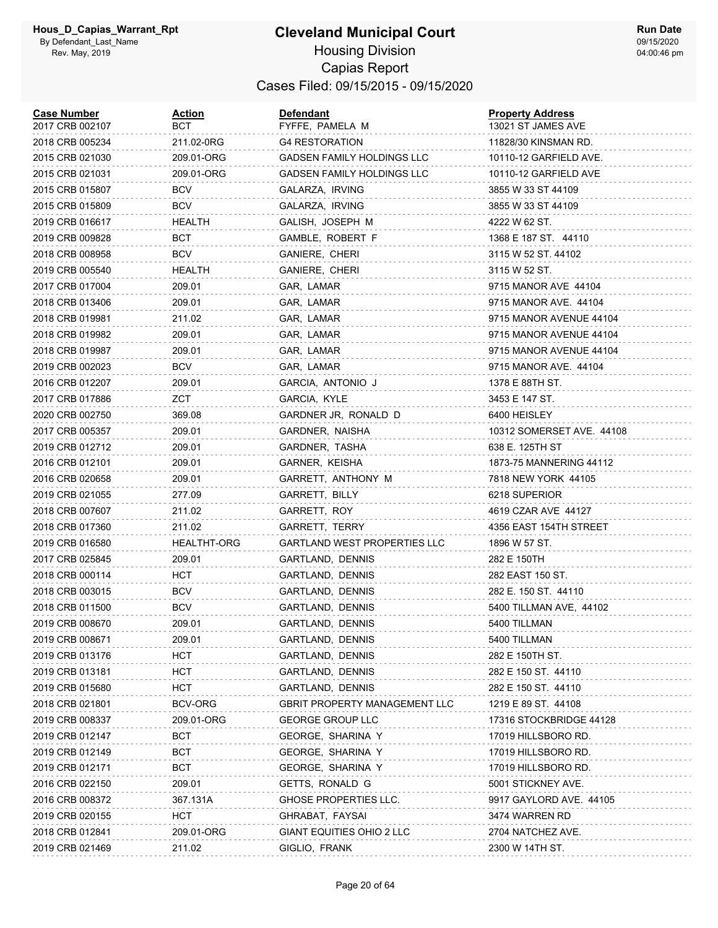#### **Cleveland Municipal Court** Housing Division Capias Report Cases Filed: 09/15/2015 - 09/15/2020

| <b>Case Number</b><br>2017 CRB 002107 | <u>Action</u><br>вст | <b>Defendant</b><br>FYFFE, PAMELA M  | <b>Property Address</b><br>13021 ST JAMES AVE |
|---------------------------------------|----------------------|--------------------------------------|-----------------------------------------------|
| 2018 CRB 005234                       | 211.02-0RG           | <b>G4 RESTORATION</b>                | 11828/30 KINSMAN RD.                          |
| 2015 CRB 021030                       | 209.01-ORG           | <b>GADSEN FAMILY HOLDINGS LLC</b>    | 10110-12 GARFIELD AVE.                        |
| 2015 CRB 021031                       | 209.01-ORG           | <b>GADSEN FAMILY HOLDINGS LLC</b>    | 10110-12 GARFIELD AVE                         |
| 2015 CRB 015807                       | <b>BCV</b>           | GALARZA, IRVING                      | 3855 W 33 ST 44109                            |
| 2015 CRB 015809                       | <b>BCV</b>           | GALARZA, IRVING                      | 3855 W 33 ST 44109                            |
| 2019 CRB 016617                       | <b>HEALTH</b>        | GALISH, JOSEPH M                     | 4222 W 62 ST.                                 |
| 2019 CRB 009828                       | BCT                  | GAMBLE, ROBERT F                     | 1368 E 187 ST. 44110                          |
| 2018 CRB 008958                       | <b>BCV</b>           | GANIERE, CHERI                       | 3115 W 52 ST. 44102                           |
| 2019 CRB 005540                       | HEALTH               | GANIERE, CHERI                       | 3115 W 52 ST.                                 |
| 2017 CRB 017004                       | 209.01               | GAR, LAMAR                           | 9715 MANOR AVE 44104                          |
| 2018 CRB 013406                       | 209.01               | GAR, LAMAR                           | 9715 MANOR AVE. 44104                         |
| 2018 CRB 019981                       | 211.02               | GAR, LAMAR                           | 9715 MANOR AVENUE 44104                       |
| 2018 CRB 019982                       | 209.01               | GAR, LAMAR                           | 9715 MANOR AVENUE 44104                       |
| 2018 CRB 019987                       | 209.01               | GAR, LAMAR                           | 9715 MANOR AVENUE 44104                       |
| 2019 CRB 002023                       | BCV                  | GAR, LAMAR                           | 9715 MANOR AVE. 44104                         |
| 2016 CRB 012207                       | 209.01               | GARCIA, ANTONIO J                    | 1378 E 88TH ST.                               |
| 2017 CRB 017886                       | ZCT                  | GARCIA, KYLE                         | 3453 E 147 ST.                                |
| 2020 CRB 002750                       | 369.08               | GARDNER JR, RONALD D                 | 6400 HEISLEY                                  |
| 2017 CRB 005357                       | 209.01               | GARDNER, NAISHA                      | 10312 SOMERSET AVE. 44108                     |
| 2019 CRB 012712                       | 209.01               | GARDNER, TASHA                       | 638 E. 125TH ST                               |
| 2016 CRB 012101                       | 209.01               | GARNER, KEISHA                       | 1873-75 MANNERING 44112                       |
| 2016 CRB 020658                       | 209.01               | GARRETT, ANTHONY M                   | 7818 NEW YORK 44105                           |
| 2019 CRB 021055                       | 277.09               | GARRETT, BILLY                       | 6218 SUPERIOR                                 |
| 2018 CRB 007607                       | 211.02               | GARRETT, ROY                         | 4619 CZAR AVE 44127                           |
| 2018 CRB 017360                       | 211.02               | GARRETT, TERRY                       | 4356 EAST 154TH STREET                        |
| 2019 CRB 016580                       | <b>HEALTHT-ORG</b>   | <b>GARTLAND WEST PROPERTIES LLC</b>  | 1896 W 57 ST.                                 |
| 2017 CRB 025845                       | 209.01               | GARTLAND, DENNIS                     | 282 E 150TH                                   |
| 2018 CRB 000114                       | HCT                  | GARTLAND, DENNIS                     | 282 EAST 150 ST.                              |
| 2018 CRB 003015                       | <b>BCV</b>           | GARTLAND, DENNIS                     | 282 E. 150 ST. 44110                          |
| 2018 CRB 011500                       | <b>BCV</b>           | GARTLAND, DENNIS                     | 5400 TILLMAN AVE, 44102                       |
| 2019 CRB 008670                       | 209.01               | GARTLAND, DENNIS                     | 5400 TILLMAN                                  |
| 2019 CRB 008671                       | 209.01               | GARTLAND, DENNIS                     | 5400 TILLMAN                                  |
| 2019 CRB 013176                       | HCT                  | GARTLAND, DENNIS                     | 282 E 150TH ST.                               |
| 2019 CRB 013181                       | HCT                  | GARTLAND, DENNIS                     | 282 E 150 ST. 44110                           |
| 2019 CRB 015680                       | HCT                  | GARTLAND, DENNIS                     | 282 E 150 ST. 44110                           |
| 2018 CRB 021801                       | BCV-ORG              | <b>GBRIT PROPERTY MANAGEMENT LLC</b> | 1219 E 89 ST. 44108                           |
| 2019 CRB 008337                       | 209.01-ORG           | <b>GEORGE GROUP LLC</b>              | 17316 STOCKBRIDGE 44128                       |
| 2019 CRB 012147                       | BCT                  | GEORGE, SHARINA Y                    | 17019 HILLSBORO RD.                           |
| 2019 CRB 012149                       | BCT                  | GEORGE, SHARINA Y                    | 17019 HILLSBORO RD.                           |
| 2019 CRB 012171                       | BCT                  | GEORGE, SHARINA Y                    | 17019 HILLSBORO RD.                           |
| 2016 CRB 022150                       | 209.01               | GETTS, RONALD G                      | 5001 STICKNEY AVE.                            |
| 2016 CRB 008372                       | 367.131A             | <b>GHOSE PROPERTIES LLC.</b>         | 9917 GAYLORD AVE. 44105                       |
| 2019 CRB 020155                       | HCT                  | GHRABAT, FAYSAI                      | 3474 WARREN RD                                |
| 2018 CRB 012841                       | 209.01-ORG           | GIANT EQUITIES OHIO 2 LLC            | 2704 NATCHEZ AVE.                             |
| 2019 CRB 021469                       | 211.02               | GIGLIO, FRANK                        | 2300 W 14TH ST.                               |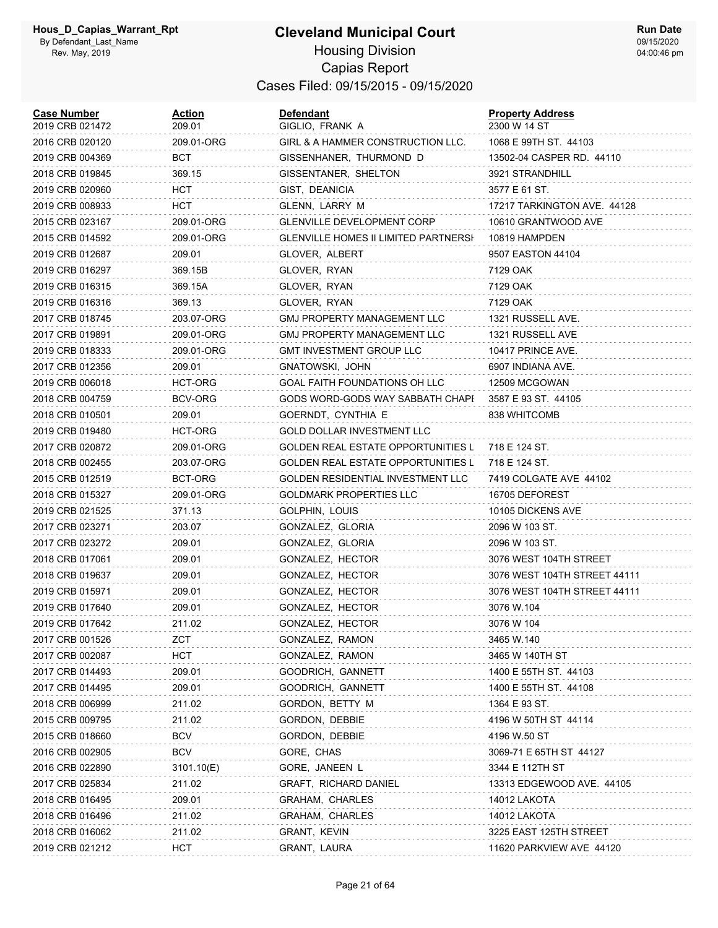| <b>Case Number</b><br>2019 CRB 021472 | Action<br>209.01 | Defendant<br>GIGLIO, FRANK A         | <b>Property Address</b><br>2300 W 14 ST |
|---------------------------------------|------------------|--------------------------------------|-----------------------------------------|
| 2016 CRB 020120                       | 209.01-ORG       | GIRL & A HAMMER CONSTRUCTION LLC.    | 1068 E 99TH ST. 44103                   |
| 2019 CRB 004369                       | BCT              | GISSENHANER, THURMOND D              | 13502-04 CASPER RD. 44110               |
| 2018 CRB 019845                       | 369.15           | GISSENTANER, SHELTON                 | 3921 STRANDHILL                         |
| 2019 CRB 020960                       | HCT              | GIST, DEANICIA                       | 3577 E 61 ST.                           |
| 2019 CRB 008933                       | HCT              | GLENN, LARRY M                       | 17217 TARKINGTON AVE. 44128             |
| 2015 CRB 023167                       | 209.01-ORG       | <b>GLENVILLE DEVELOPMENT CORP</b>    | 10610 GRANTWOOD AVE                     |
| 2015 CRB 014592                       | 209.01-ORG       | GLENVILLE HOMES II LIMITED PARTNERSH | 10819 HAMPDEN                           |
| 2019 CRB 012687                       | 209.01           | GLOVER, ALBERT                       | 9507 EASTON 44104                       |
| 2019 CRB 016297                       | 369.15B          | GLOVER, RYAN                         | 7129 OAK                                |
| 2019 CRB 016315                       | 369.15A          | GLOVER, RYAN                         | 7129 OAK                                |
| 2019 CRB 016316                       | 369.13           | GLOVER, RYAN                         | 7129 OAK                                |
| 2017 CRB 018745                       | 203.07-ORG       | GMJ PROPERTY MANAGEMENT LLC          | 1321 RUSSELL AVE.                       |
| 2017 CRB 019891                       | 209.01-ORG       | <b>GMJ PROPERTY MANAGEMENT LLC</b>   | 1321 RUSSELL AVE                        |
| 2019 CRB 018333                       | 209.01-ORG       | GMT INVESTMENT GROUP LLC             | 10417 PRINCE AVE.                       |
| 2017 CRB 012356                       | 209.01           | GNATOWSKI, JOHN                      | 6907 INDIANA AVE.                       |
| 2019 CRB 006018                       | HCT-ORG          | GOAL FAITH FOUNDATIONS OH LLC        | 12509 MCGOWAN                           |
| 2018 CRB 004759                       | BCV-ORG          | GODS WORD-GODS WAY SABBATH CHAPI     | 3587 E 93 ST. 44105                     |
| 2018 CRB 010501                       | 209.01           | GOERNDT, CYNTHIA E                   | 838 WHITCOMB                            |
| 2019 CRB 019480                       | HCT-ORG          | <b>GOLD DOLLAR INVESTMENT LLC</b>    |                                         |
| 2017 CRB 020872                       | 209.01-ORG       | GOLDEN REAL ESTATE OPPORTUNITIES L   | 718 E 124 ST.                           |
| 2018 CRB 002455                       | 203.07-ORG       | GOLDEN REAL ESTATE OPPORTUNITIES L   | 718 E 124 ST.                           |
| 2015 CRB 012519                       | BCT-ORG          | GOLDEN RESIDENTIAL INVESTMENT LLC    | 7419 COLGATE AVE 44102                  |
| 2018 CRB 015327                       | 209.01-ORG       | GOLDMARK PROPERTIES LLC              | 16705 DEFOREST                          |
| 2019 CRB 021525                       | 371.13           | GOLPHIN, LOUIS                       | 10105 DICKENS AVE                       |
| 2017 CRB 023271                       | 203.07           | GONZALEZ, GLORIA                     | 2096 W 103 ST.                          |
| 2017 CRB 023272                       | 209.01           | GONZALEZ, GLORIA                     | 2096 W 103 ST.                          |
| 2018 CRB 017061                       | 209.01           | GONZALEZ, HECTOR                     | 3076 WEST 104TH STREET                  |
| 2018 CRB 019637                       | 209.01           | GONZALEZ, HECTOR                     | 3076 WEST 104TH STREET 44111            |
| 2019 CRB 015971                       | 209.01           | GONZALEZ, HECTOR                     | 3076 WEST 104TH STREET 44111            |
| 2019 CRB 017640                       | 209.01           | GONZALEZ, HECTOR                     | 3076 W.104                              |
| 2019 CRB 017642                       | 211.02           | GONZALEZ, HECTOR                     | 3076 W 104                              |
| 2017 CRB 001526                       | ZCT              | GONZALEZ, RAMON                      | 3465 W.140                              |
| 2017 CRB 002087                       | HCT              | GONZALEZ, RAMON                      | 3465 W 140TH ST                         |
| 2017 CRB 014493                       | 209.01           | GOODRICH, GANNETT                    | 1400 E 55TH ST. 44103                   |
| 2017 CRB 014495                       | 209.01           | GOODRICH, GANNETT                    | 1400 E 55TH ST. 44108                   |
| 2018 CRB 006999                       | 211.02           | GORDON, BETTY M                      | 1364 E 93 ST.                           |
| 2015 CRB 009795                       | 211.02           | GORDON, DEBBIE                       | 4196 W 50TH ST 44114                    |
| 2015 CRB 018660                       | BCV              | GORDON, DEBBIE                       | 4196 W.50 ST                            |
| 2016 CRB 002905                       | <b>BCV</b>       | GORE, CHAS                           | 3069-71 E 65TH ST 44127                 |
| 2016 CRB 022890                       | 3101.10(E)       | GORE, JANEEN L                       | 3344 E 112TH ST                         |
| 2017 CRB 025834                       | 211.02           | GRAFT, RICHARD DANIEL                | 13313 EDGEWOOD AVE. 44105               |
| 2018 CRB 016495                       | 209.01           | GRAHAM, CHARLES                      | 14012 LAKOTA                            |
| 2018 CRB 016496                       | 211.02           | GRAHAM, CHARLES                      | 14012 LAKOTA                            |
| 2018 CRB 016062                       | 211.02           | GRANT, KEVIN                         | 3225 EAST 125TH STREET                  |
| 2019 CRB 021212                       | HCT              | GRANT, LAURA                         | 11620 PARKVIEW AVE 44120                |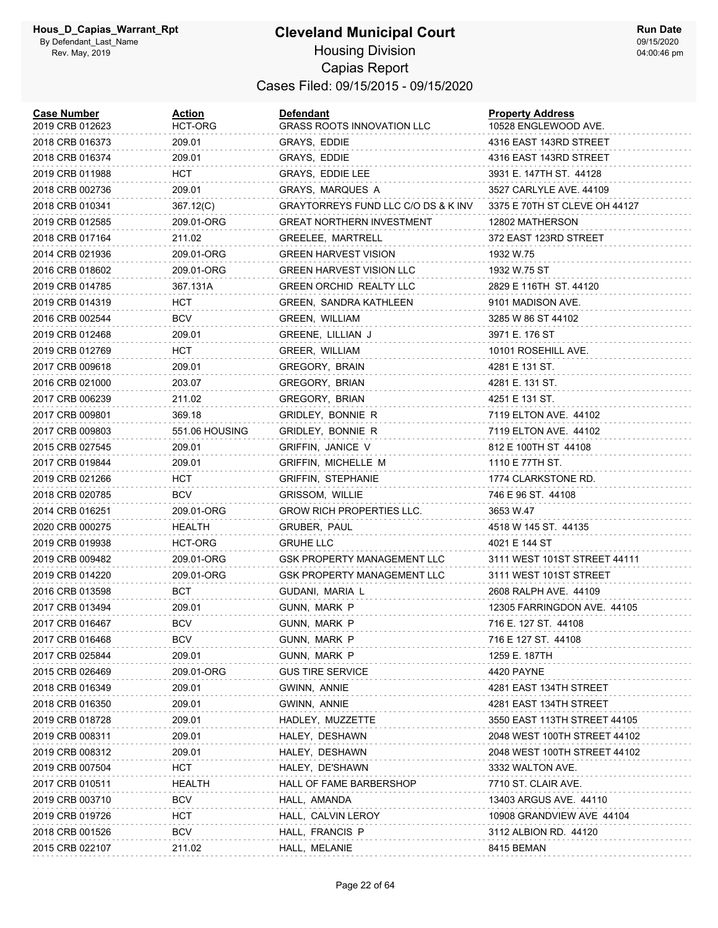#### **Cleveland Municipal Court** Housing Division Capias Report Cases Filed: 09/15/2015 - 09/15/2020

| <b>Case Number</b><br>2019 CRB 012623 | <u>Action</u><br>HCT-ORG | Defendant<br><b>GRASS ROOTS INNOVATION LLC</b> | <b>Property Address</b><br>10528 ENGLEWOOD AVE. |
|---------------------------------------|--------------------------|------------------------------------------------|-------------------------------------------------|
| 2018 CRB 016373                       | 209.01                   | GRAYS, EDDIE                                   | 4316 EAST 143RD STREET                          |
| 2018 CRB 016374                       | 209.01                   | GRAYS, EDDIE                                   | 4316 EAST 143RD STREET                          |
| 2019 CRB 011988                       | <b>HCT</b>               | GRAYS, EDDIE LEE                               | 3931 E. 147TH ST. 44128                         |
| 2018 CRB 002736                       | 209.01                   | <b>GRAYS, MARQUES A</b>                        | 3527 CARLYLE AVE. 44109                         |
| 2018 CRB 010341                       | 367.12(C)                | GRAYTORREYS FUND LLC C/O DS & K INV            | 3375 E 70TH ST CLEVE OH 44127                   |
| 2019 CRB 012585                       | 209.01-ORG               | GREAT NORTHERN INVESTMENT                      | 12802 MATHERSON                                 |
| 2018 CRB 017164                       | 211.02                   | GREELEE, MARTRELL                              | 372 EAST 123RD STREET                           |
| 2014 CRB 021936                       | 209.01-ORG               | <b>GREEN HARVEST VISION</b>                    | 1932 W.75                                       |
| 2016 CRB 018602                       | 209.01-ORG               | <b>GREEN HARVEST VISION LLC</b>                | 1932 W.75 ST                                    |
| 2019 CRB 014785                       | 367.131A                 | <b>GREEN ORCHID REALTY LLC</b>                 | 2829 E 116TH ST. 44120                          |
| 2019 CRB 014319                       | HCT                      | GREEN, SANDRA KATHLEEN                         | 9101 MADISON AVE.                               |
| 2016 CRB 002544                       | <b>BCV</b>               | GREEN, WILLIAM                                 | 3285 W 86 ST 44102                              |
| 2019 CRB 012468                       | 209.01                   | GREENE, LILLIAN J                              | 3971 E. 176 ST                                  |
| 2019 CRB 012769                       | HCT                      | GREER, WILLIAM                                 | 10101 ROSEHILL AVE.                             |
| 2017 CRB 009618                       | 209.01                   | GREGORY, BRAIN                                 | 4281 E 131 ST.                                  |
| 2016 CRB 021000                       | 203.07                   | <b>GREGORY, BRIAN</b>                          | 4281 E. 131 ST.                                 |
| 2017 CRB 006239                       | 211.02                   | GREGORY, BRIAN                                 | 4251 E 131 ST.                                  |
| 2017 CRB 009801                       | 369.18                   | GRIDLEY, BONNIE R                              | 7119 ELTON AVE. 44102                           |
| 2017 CRB 009803                       | 551.06 HOUSING           | GRIDLEY, BONNIE R                              | 7119 ELTON AVE. 44102                           |
| 2015 CRB 027545                       | 209.01                   | <b>GRIFFIN, JANICE V</b>                       | 812 E 100TH ST 44108                            |
| 2017 CRB 019844                       | 209.01                   | GRIFFIN, MICHELLE M                            | 1110 E 77TH ST.                                 |
| 2019 CRB 021266                       | HCT                      | <b>GRIFFIN, STEPHANIE</b>                      | 1774 CLARKSTONE RD.                             |
| 2018 CRB 020785                       | BCV                      | GRISSOM, WILLIE                                | 746 E 96 ST. 44108                              |
| 2014 CRB 016251                       | 209.01-ORG               | <b>GROW RICH PROPERTIES LLC.</b>               | 3653 W.47                                       |
| 2020 CRB 000275                       | HEALTH                   | GRUBER, PAUL                                   | 4518 W 145 ST. 44135                            |
| 2019 CRB 019938                       | HCT-ORG                  | <b>GRUHE LLC</b>                               | 4021 E 144 ST                                   |
| 2019 CRB 009482                       | 209.01-ORG               | GSK PROPERTY MANAGEMENT LLC                    | 3111 WEST 101ST STREET 44111                    |
| 2019 CRB 014220                       | 209.01-ORG               | <b>GSK PROPERTY MANAGEMENT LLC</b>             | 3111 WEST 101ST STREET                          |
| 2016 CRB 013598                       | BCT                      | GUDANI, MARIA L                                | 2608 RALPH AVE. 44109                           |
| 2017 CRB 013494                       | 209.01                   | GUNN, MARK P                                   | 12305 FARRINGDON AVE. 44105                     |
| 2017 CRB 016467                       | <b>BCV</b>               | GUNN, MARK P                                   | 716 E. 127 ST. 44108                            |
| 2017 CRB 016468                       | <b>BCV</b>               | GUNN, MARK P                                   | 716 E 127 ST. 44108                             |
| 2017 CRB 025844                       | 209.01                   | GUNN, MARK P                                   | 1259 E. 187TH                                   |
| 2015 CRB 026469                       | 209.01-ORG               | <b>GUS TIRE SERVICE</b>                        | 4420 PAYNE                                      |
| 2018 CRB 016349                       | 209.01                   | GWINN, ANNIE                                   | 4281 EAST 134TH STREET                          |
| 2018 CRB 016350                       | 209.01                   | GWINN, ANNIE                                   | 4281 EAST 134TH STREET                          |
| 2019 CRB 018728                       | 209.01                   | HADLEY, MUZZETTE                               | 3550 EAST 113TH STREET 44105                    |
| 2019 CRB 008311                       | 209.01                   | HALEY, DESHAWN                                 | 2048 WEST 100TH STREET 44102                    |
| 2019 CRB 008312                       | 209.01                   | HALEY, DESHAWN                                 | 2048 WEST 100TH STREET 44102                    |
| 2019 CRB 007504                       | HCT                      | HALEY, DE'SHAWN                                | 3332 WALTON AVE.                                |
| 2017 CRB 010511                       | HEALTH                   | HALL OF FAME BARBERSHOP                        | 7710 ST. CLAIR AVE.                             |
| 2019 CRB 003710                       | <b>BCV</b>               | HALL, AMANDA                                   | 13403 ARGUS AVE. 44110                          |
| 2019 CRB 019726                       | HCT.                     | HALL, CALVIN LEROY                             | 10908 GRANDVIEW AVE 44104                       |
| 2018 CRB 001526                       | <b>BCV</b>               | HALL, FRANCIS P                                | 3112 ALBION RD. 44120                           |
| 2015 CRB 022107                       | 211.02                   | HALL, MELANIE                                  | 8415 BEMAN                                      |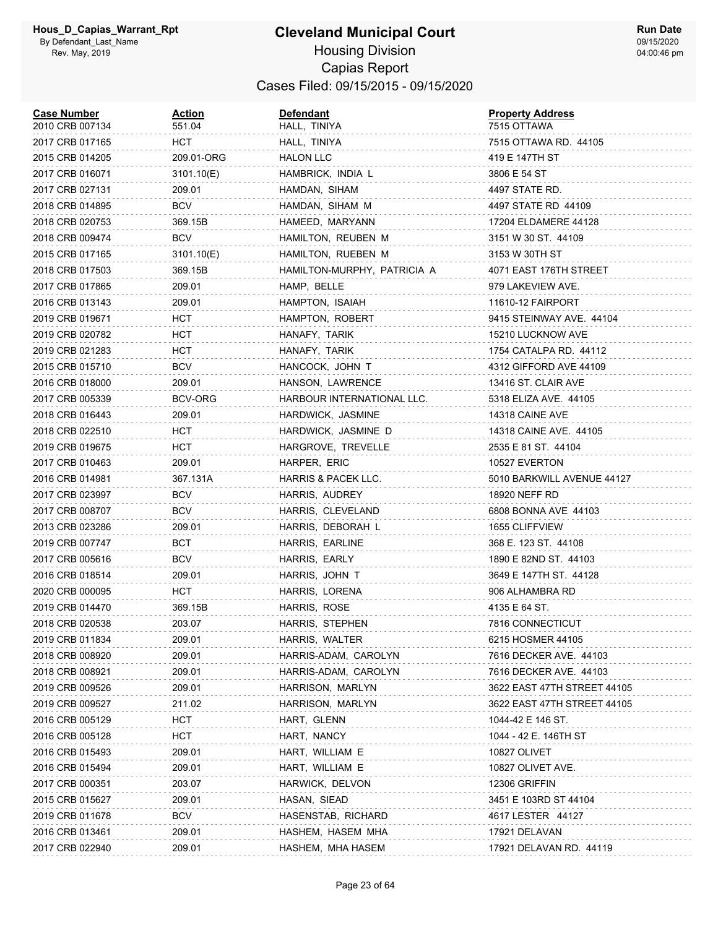#### **Cleveland Municipal Court** Housing Division Capias Report Cases Filed: 09/15/2015 - 09/15/2020

| <b>Case Number</b><br>2010 CRB 007134 | <u>Action</u><br>551.04 | <b>Defendant</b><br>HALL, TINIYA | <b>Property Address</b><br>7515 OTTAWA |
|---------------------------------------|-------------------------|----------------------------------|----------------------------------------|
| 2017 CRB 017165                       | HCT                     | HALL, TINIYA                     | 7515 OTTAWA RD. 44105                  |
| 2015 CRB 014205                       | 209.01-ORG              | <b>HALON LLC</b>                 | 419 E 147TH ST                         |
| 2017 CRB 016071                       | 3101.10(E)              | HAMBRICK, INDIA L                | 3806 E 54 ST                           |
| 2017 CRB 027131                       | 209.01                  | HAMDAN, SIHAM                    | 4497 STATE RD.                         |
| 2018 CRB 014895                       | <b>BCV</b>              | HAMDAN, SIHAM M                  | 4497 STATE RD 44109                    |
| 2018 CRB 020753                       | 369.15B                 | HAMEED, MARYANN                  | 17204 ELDAMERE 44128                   |
| 2018 CRB 009474                       | BCV                     | HAMILTON, REUBEN M               | 3151 W 30 ST. 44109                    |
| 2015 CRB 017165                       | 3101.10(E)              | HAMILTON, RUEBEN M               | 3153 W 30TH ST                         |
| 2018 CRB 017503                       | 369.15B                 | HAMILTON-MURPHY, PATRICIA A      | 4071 EAST 176TH STREET                 |
| 2017 CRB 017865                       | 209.01                  | HAMP, BELLE                      | 979 LAKEVIEW AVE.                      |
| 2016 CRB 013143                       | 209.01                  | HAMPTON, ISAIAH                  | 11610-12 FAIRPORT                      |
| 2019 CRB 019671                       | HCT                     | HAMPTON, ROBERT                  | 9415 STEINWAY AVE. 44104               |
| 2019 CRB 020782                       | HCT                     | HANAFY, TARIK                    | 15210 LUCKNOW AVE                      |
| 2019 CRB 021283                       | HCT                     | HANAFY, TARIK                    | 1754 CATALPA RD. 44112                 |
| 2015 CRB 015710                       | <b>BCV</b>              | HANCOCK, JOHN T                  | 4312 GIFFORD AVE 44109                 |
| 2016 CRB 018000                       | 209.01                  | HANSON, LAWRENCE                 | 13416 ST. CLAIR AVE                    |
| 2017 CRB 005339                       | <b>BCV-ORG</b>          | HARBOUR INTERNATIONAL LLC.       | 5318 ELIZA AVE. 44105                  |
| 2018 CRB 016443                       | 209.01                  | HARDWICK, JASMINE                | 14318 CAINE AVE                        |
| 2018 CRB 022510                       | HCT                     | HARDWICK, JASMINE D              | 14318 CAINE AVE. 44105                 |
| 2019 CRB 019675                       | HCT                     | HARGROVE, TREVELLE               | 2535 E 81 ST. 44104                    |
| 2017 CRB 010463                       | 209.01                  | HARPER, ERIC                     | 10527 EVERTON                          |
| 2016 CRB 014981                       | 367.131A                | HARRIS & PACEK LLC.              | 5010 BARKWILL AVENUE 44127             |
| 2017 CRB 023997                       | BCV                     | HARRIS, AUDREY                   | 18920 NEFF RD                          |
| 2017 CRB 008707                       | BCV                     | HARRIS, CLEVELAND                | 6808 BONNA AVE 44103                   |
| 2013 CRB 023286                       | 209.01                  | HARRIS, DEBORAH L                | 1655 CLIFFVIEW                         |
| 2019 CRB 007747                       | BCT                     | HARRIS, EARLINE                  | 368 E. 123 ST. 44108                   |
| 2017 CRB 005616                       | BCV                     | HARRIS, EARLY                    | 1890 E 82ND ST. 44103                  |
| 2016 CRB 018514                       | 209.01                  | HARRIS, JOHN T                   | 3649 E 147TH ST. 44128                 |
| 2020 CRB 000095                       | HCT.                    | HARRIS, LORENA                   | 906 ALHAMBRA RD                        |
| 2019 CRB 014470                       | 369.15B                 | HARRIS, ROSE                     | 4135 E 64 ST.                          |
| 2018 CRB 020538                       | 203.07                  | HARRIS, STEPHEN                  | 7816 CONNECTICUT                       |
| 2019 CRB 011834                       | 209.01                  | HARRIS, WALTER                   | 6215 HOSMER 44105                      |
| 2018 CRB 008920                       | 209.01                  | HARRIS-ADAM, CAROLYN             | 7616 DECKER AVE. 44103                 |
| 2018 CRB 008921                       | 209.01                  | HARRIS-ADAM, CAROLYN             | 7616 DECKER AVE. 44103                 |
| 2019 CRB 009526                       | 209.01                  | HARRISON, MARLYN                 | 3622 EAST 47TH STREET 44105            |
| 2019 CRB 009527                       | 211.02                  | HARRISON, MARLYN                 | 3622 EAST 47TH STREET 44105            |
| 2016 CRB 005129                       | <b>HCT</b>              | HART, GLENN                      | 1044-42 E 146 ST.                      |
| 2016 CRB 005128                       | <b>HCT</b>              | HART, NANCY                      | 1044 - 42 E. 146TH ST                  |
| 2016 CRB 015493                       | 209.01                  | HART, WILLIAM E                  | 10827 OLIVET                           |
| 2016 CRB 015494                       | 209.01                  | HART, WILLIAM E                  | 10827 OLIVET AVE.                      |
| 2017 CRB 000351                       | 203.07                  | HARWICK, DELVON                  | 12306 GRIFFIN                          |
| 2015 CRB 015627                       | 209.01                  | HASAN, SIEAD                     | 3451 E 103RD ST 44104                  |
| 2019 CRB 011678                       | BCV                     | HASENSTAB, RICHARD               | 4617 LESTER 44127                      |
| 2016 CRB 013461                       | 209.01                  | HASHEM, HASEM MHA                | 17921 DELAVAN                          |
| 2017 CRB 022940                       | 209.01                  | HASHEM, MHA HASEM                | 17921 DELAVAN RD. 44119                |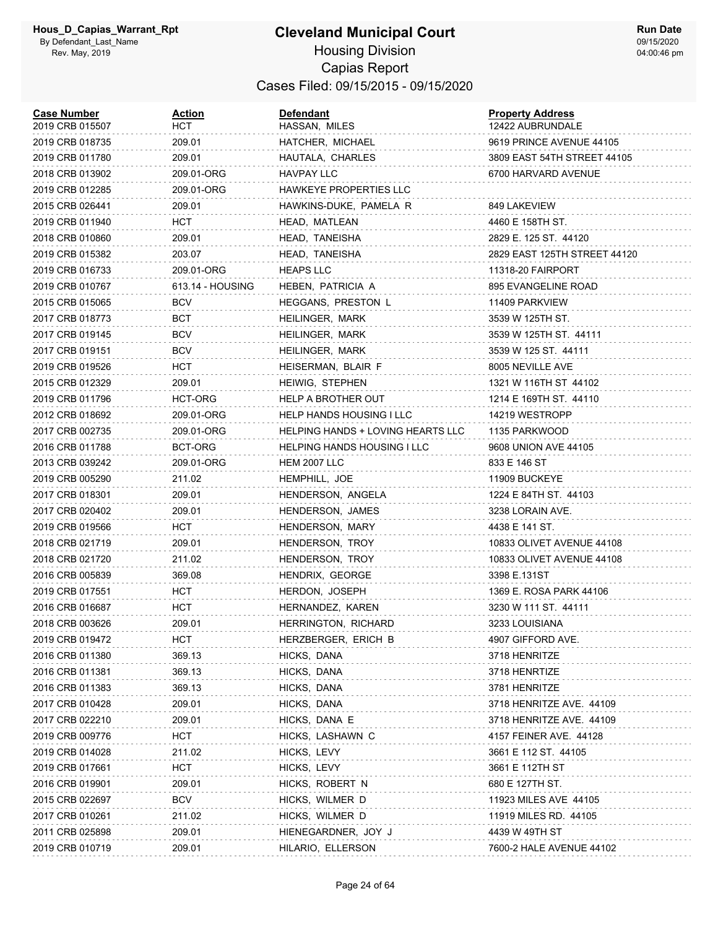| <b>Case Number</b><br>2019 CRB 015507 | Action<br>нст    | <b>Defendant</b><br>HASSAN, MILES  | <b>Property Address</b><br>12422 AUBRUNDALE |
|---------------------------------------|------------------|------------------------------------|---------------------------------------------|
| 2019 CRB 018735                       | 209.01           | HATCHER, MICHAEL                   | 9619 PRINCE AVENUE 44105                    |
| 2019 CRB 011780                       | 209.01           | HAUTALA, CHARLES                   | 3809 EAST 54TH STREET 44105                 |
| 2018 CRB 013902                       | 209.01-ORG       | HAVPAY LLC                         | 6700 HARVARD AVENUE                         |
| 2019 CRB 012285                       | 209.01-ORG       | HAWKEYE PROPERTIES LLC             |                                             |
| 2015 CRB 026441                       | 209.01           | HAWKINS-DUKE, PAMELA R             | 849 LAKEVIEW                                |
| 2019 CRB 011940                       | HCT.             | HEAD, MATLEAN                      | 4460 E 158TH ST.                            |
| 2018 CRB 010860                       | 209.01           | HEAD, TANEISHA                     | 2829 E. 125 ST. 44120                       |
| 2019 CRB 015382                       | 203.07           | HEAD, TANEISHA                     | 2829 EAST 125TH STREET 44120                |
| 2019 CRB 016733                       | 209.01-ORG       | <b>HEAPS LLC</b>                   | 11318-20 FAIRPORT                           |
| 2019 CRB 010767                       | 613.14 - HOUSING | HEBEN, PATRICIA A                  | 895 EVANGELINE ROAD                         |
| 2015 CRB 015065                       | <b>BCV</b>       | HEGGANS, PRESTON L                 | 11409 PARKVIEW                              |
| 2017 CRB 018773                       | BCT              | HEILINGER, MARK                    | 3539 W 125TH ST.                            |
| 2017 CRB 019145                       | BCV              | HEILINGER, MARK                    | 3539 W 125TH ST. 44111                      |
| 2017 CRB 019151                       | <b>BCV</b>       | HEILINGER, MARK                    | 3539 W 125 ST. 44111                        |
| 2019 CRB 019526                       | HCT              | HEISERMAN, BLAIR F                 | 8005 NEVILLE AVE                            |
| 2015 CRB 012329                       | 209.01           | HEIWIG, STEPHEN                    | 1321 W 116TH ST 44102                       |
| 2019 CRB 011796                       | HCT-ORG          | HELP A BROTHER OUT                 | 1214 E 169TH ST. 44110                      |
| 2012 CRB 018692                       | 209.01-ORG       | HELP HANDS HOUSING I LLC           | 14219 WESTROPP                              |
| 2017 CRB 002735                       | 209.01-ORG       | HELPING HANDS + LOVING HEARTS LLC  | 1135 PARKWOOD                               |
| 2016 CRB 011788                       | BCT-ORG          | <b>HELPING HANDS HOUSING I LLC</b> | 9608 UNION AVE 44105                        |
| 2013 CRB 039242                       | 209.01-ORG       | <b>HEM 2007 LLC</b>                | 833 E 146 ST                                |
| 2019 CRB 005290                       | 211.02           | HEMPHILL, JOE                      | 11909 BUCKEYE                               |
| 2017 CRB 018301                       | 209.01           | HENDERSON, ANGELA                  | 1224 E 84TH ST. 44103                       |
| 2017 CRB 020402                       | 209.01           | HENDERSON, JAMES                   | 3238 LORAIN AVE.                            |
| 2019 CRB 019566                       | HCT              | HENDERSON, MARY                    | 4438 E 141 ST.                              |
| 2018 CRB 021719                       | 209.01           | HENDERSON, TROY                    | 10833 OLIVET AVENUE 44108                   |
| 2018 CRB 021720                       | 211.02           | HENDERSON, TROY                    | 10833 OLIVET AVENUE 44108                   |
| 2016 CRB 005839                       | 369.08           | HENDRIX, GEORGE                    | 3398 E.131ST                                |
| 2019 CRB 017551                       | HCT              | HERDON, JOSEPH                     | 1369 E. ROSA PARK 44106                     |
| 2016 CRB 016687                       | HCT              | HERNANDEZ, KAREN                   | 3230 W 111 ST. 44111                        |
| 2018 CRB 003626                       | 209.01           | HERRINGTON, RICHARD                | 3233 LOUISIANA                              |
| 2019 CRB 019472                       | нст              | HERZBERGER, ERICH B                | 4907 GIFFORD AVE.                           |
| 2016 CRB 011380                       | 369.13           | HICKS, DANA                        | 3718 HENRITZE                               |
| 2016 CRB 011381                       | 369.13           | HICKS, DANA                        | 3718 HENRTIZE                               |
| 2016 CRB 011383                       | 369.13           | HICKS, DANA                        | 3781 HENRITZE                               |
| 2017 CRB 010428                       | 209.01           | HICKS, DANA                        | 3718 HENRITZE AVE. 44109                    |
| 2017 CRB 022210                       | 209.01           | HICKS, DANA E                      | 3718 HENRITZE AVE. 44109                    |
| 2019 CRB 009776                       | <b>HCT</b>       | HICKS, LASHAWN C                   | 4157 FEINER AVE. 44128                      |
| 2019 CRB 014028                       | 211.02           | HICKS, LEVY                        | 3661 E 112 ST. 44105                        |
| 2019 CRB 017661                       | <b>HCT</b>       | HICKS, LEVY                        | 3661 E 112TH ST                             |
| 2016 CRB 019901                       | 209.01           | HICKS, ROBERT N                    | 680 E 127TH ST.                             |
| 2015 CRB 022697                       | <b>BCV</b>       | HICKS, WILMER D                    | 11923 MILES AVE 44105                       |
| 2017 CRB 010261                       | 211.02           | HICKS, WILMER D                    | 11919 MILES RD. 44105                       |
| 2011 CRB 025898                       | 209.01           | HIENEGARDNER, JOY J                | 4439 W 49TH ST                              |
| 2019 CRB 010719                       | 209.01           | HILARIO, ELLERSON                  | 7600-2 HALE AVENUE 44102                    |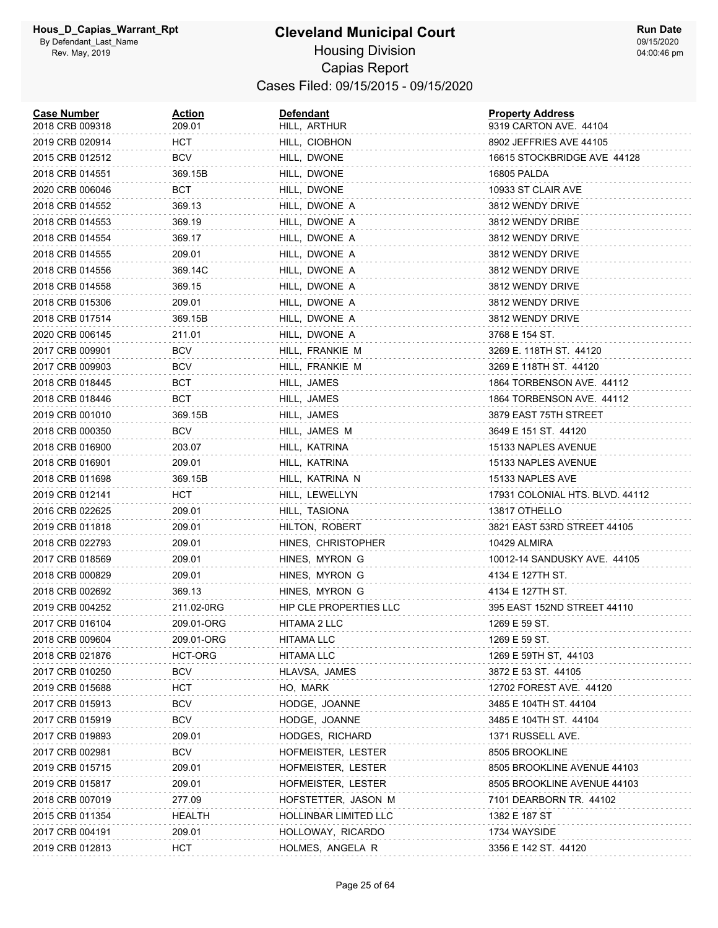#### **Cleveland Municipal Court** Housing Division Capias Report Cases Filed: 09/15/2015 - 09/15/2020

| <b>Case Number</b><br>2018 CRB 009318 | <u>Action</u><br>209.01 | <b>Defendant</b><br>HILL, ARTHUR | <b>Property Address</b><br>9319 CARTON AVE. 44104 |
|---------------------------------------|-------------------------|----------------------------------|---------------------------------------------------|
| 2019 CRB 020914                       | HCT                     | HILL, CIOBHON                    | 8902 JEFFRIES AVE 44105                           |
| 2015 CRB 012512                       | BCV                     | HILL, DWONE                      | 16615 STOCKBRIDGE AVE 44128                       |
| 2018 CRB 014551                       | 369.15B                 | HILL, DWONE                      | 16805 PALDA                                       |
| 2020 CRB 006046                       | BCT                     | HILL, DWONE                      | 10933 ST CLAIR AVE                                |
| 2018 CRB 014552                       | 369.13                  | HILL, DWONE A                    | 3812 WENDY DRIVE                                  |
| 2018 CRB 014553                       | 369.19                  | HILL, DWONE A                    | 3812 WENDY DRIBE                                  |
| 2018 CRB 014554                       | 369.17                  | HILL, DWONE A                    | 3812 WENDY DRIVE                                  |
| 2018 CRB 014555                       | 209.01                  | HILL, DWONE A                    | 3812 WENDY DRIVE                                  |
| 2018 CRB 014556                       | 369.14C                 | HILL, DWONE A                    | 3812 WENDY DRIVE                                  |
| 2018 CRB 014558                       | 369.15                  | HILL, DWONE A                    | 3812 WENDY DRIVE                                  |
| 2018 CRB 015306                       | 209.01                  | HILL, DWONE A                    | 3812 WENDY DRIVE                                  |
| 2018 CRB 017514                       | 369.15B                 | HILL, DWONE A                    | 3812 WENDY DRIVE                                  |
| 2020 CRB 006145                       | 211.01                  | HILL, DWONE A                    | 3768 E 154 ST.                                    |
| 2017 CRB 009901                       | BCV                     | HILL, FRANKIE M                  | 3269 E. 118TH ST. 44120                           |
| 2017 CRB 009903                       | <b>BCV</b>              | HILL, FRANKIE M                  | 3269 E 118TH ST. 44120                            |
| 2018 CRB 018445                       | вст                     | HILL, JAMES                      | 1864 TORBENSON AVE. 44112                         |
| 2018 CRB 018446                       | BCT                     | HILL, JAMES                      | 1864 TORBENSON AVE. 44112                         |
| 2019 CRB 001010                       | 369.15B                 | HILL, JAMES                      | 3879 EAST 75TH STREET                             |
| 2018 CRB 000350                       | <b>BCV</b>              | HILL, JAMES M                    | 3649 E 151 ST. 44120                              |
| 2018 CRB 016900                       | 203.07                  | HILL, KATRINA                    | 15133 NAPLES AVENUE                               |
| 2018 CRB 016901                       | 209.01                  | HILL, KATRINA                    | 15133 NAPLES AVENUE                               |
| 2018 CRB 011698                       | 369.15B                 | HILL, KATRINA N                  | 15133 NAPLES AVE                                  |
| 2019 CRB 012141                       | HCT                     | HILL, LEWELLYN                   | 17931 COLONIAL HTS. BLVD. 44112                   |
| 2016 CRB 022625                       | 209.01                  | HILL, TASIONA                    | 13817 OTHELLO                                     |
| 2019 CRB 011818                       | 209.01                  | HILTON, ROBERT                   | 3821 EAST 53RD STREET 44105                       |
| 2018 CRB 022793                       | 209.01                  | HINES, CHRISTOPHER               | 10429 ALMIRA                                      |
| 2017 CRB 018569                       | 209.01                  | HINES, MYRON G                   | 10012-14 SANDUSKY AVE. 44105                      |
| 2018 CRB 000829                       | 209.01                  | HINES, MYRON G                   | 4134 E 127TH ST.                                  |
| 2018 CRB 002692                       | 369.13                  | HINES, MYRON G                   | 4134 E 127TH ST.                                  |
| 2019 CRB 004252                       | 211.02-0RG              | HIP CLE PROPERTIES LLC           | 395 EAST 152ND STREET 44110                       |
| 2017 CRB 016104                       | 209.01-ORG              | HITAMA 2 LLC                     | 1269 E 59 ST.                                     |
| 2018 CRB 009604                       | 209.01-ORG              | <b>HITAMA LLC</b>                | 1269 E 59 ST.                                     |
| 2018 CRB 021876                       | HCT-ORG                 | <b>HITAMA LLC</b>                | 1269 E 59TH ST, 44103                             |
| 2017 CRB 010250                       | <b>BCV</b>              | HLAVSA, JAMES                    | 3872 E 53 ST. 44105                               |
| 2019 CRB 015688                       | HCT                     | HO, MARK                         | 12702 FOREST AVE. 44120                           |
| 2017 CRB 015913                       | <b>BCV</b>              | HODGE, JOANNE                    | 3485 E 104TH ST. 44104                            |
| 2017 CRB 015919                       | <b>BCV</b>              | HODGE, JOANNE                    | 3485 E 104TH ST. 44104                            |
| 2017 CRB 019893                       | 209.01                  | HODGES, RICHARD                  | 1371 RUSSELL AVE.                                 |
| 2017 CRB 002981                       | BCV                     | HOFMEISTER, LESTER               | 8505 BROOKLINE                                    |
| 2019 CRB 015715                       | 209.01                  | HOFMEISTER, LESTER               | 8505 BROOKLINE AVENUE 44103                       |
| 2019 CRB 015817                       | 209.01                  | HOFMEISTER, LESTER               | 8505 BROOKLINE AVENUE 44103                       |
| 2018 CRB 007019                       | 277.09                  | HOFSTETTER, JASON M              | 7101 DEARBORN TR. 44102                           |
| 2015 CRB 011354                       | HEALTH                  | HOLLINBAR LIMITED LLC            | 1382 E 187 ST                                     |
| 2017 CRB 004191                       | 209.01                  | HOLLOWAY, RICARDO                | 1734 WAYSIDE                                      |
| 2019 CRB 012813                       | <b>HCT</b>              | HOLMES, ANGELA R                 | 3356 E 142 ST. 44120                              |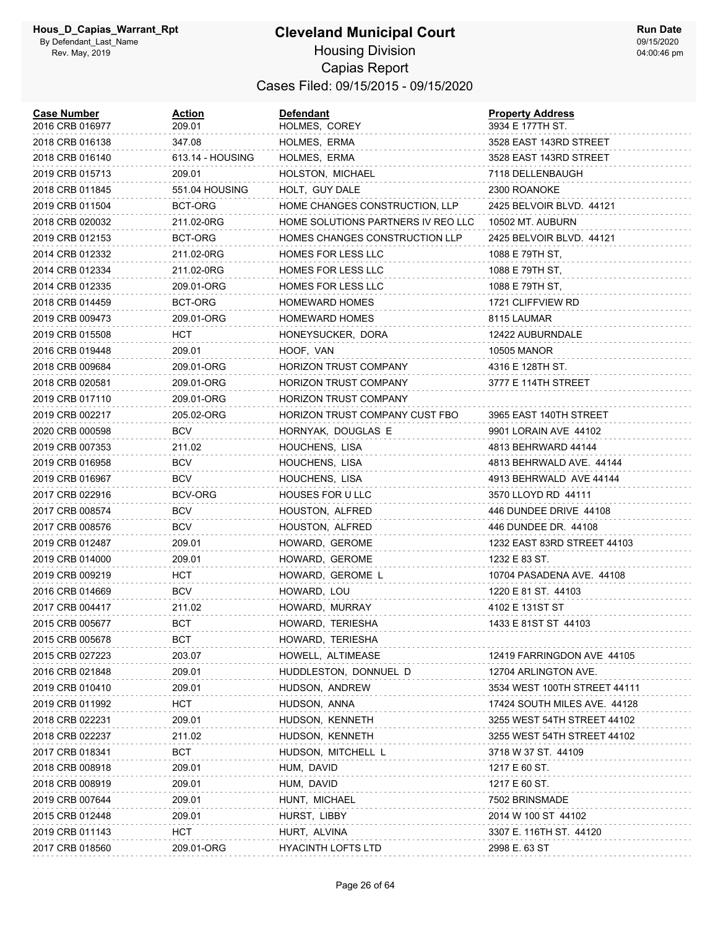| <b>Case Number</b><br>2016 CRB 016977 | <u>Action</u><br>209.01 | <b>Defendant</b><br>HOLMES, COREY  | <b>Property Address</b><br>3934 E 177TH ST. |
|---------------------------------------|-------------------------|------------------------------------|---------------------------------------------|
| 2018 CRB 016138                       | 347.08                  | HOLMES, ERMA                       | 3528 EAST 143RD STREET                      |
| 2018 CRB 016140                       | 613.14 - HOUSING        | HOLMES, ERMA                       | 3528 EAST 143RD STREET                      |
| 2019 CRB 015713                       | 209.01                  | HOLSTON, MICHAEL                   | 7118 DELLENBAUGH                            |
| 2018 CRB 011845                       | 551.04 HOUSING          | HOLT, GUY DALE                     | 2300 ROANOKE                                |
| 2019 CRB 011504                       | BCT-ORG                 | HOME CHANGES CONSTRUCTION, LLP     | 2425 BELVOIR BLVD. 44121                    |
| 2018 CRB 020032                       | 211.02-0RG              | HOME SOLUTIONS PARTNERS IV REO LLC | 10502 MT. AUBURN                            |
| 2019 CRB 012153                       | BCT-ORG                 | HOMES CHANGES CONSTRUCTION LLP     | 2425 BELVOIR BLVD. 44121                    |
| 2014 CRB 012332                       | 211.02-0RG              | <b>HOMES FOR LESS LLC</b>          | 1088 E 79TH ST,                             |
| 2014 CRB 012334                       | 211.02-0RG              | HOMES FOR LESS LLC                 | 1088 E 79TH ST,                             |
| 2014 CRB 012335                       | 209.01-ORG              | HOMES FOR LESS LLC                 | 1088 E 79TH ST,                             |
| 2018 CRB 014459                       | BCT-ORG                 | <b>HOMEWARD HOMES</b>              | 1721 CLIFFVIEW RD                           |
| 2019 CRB 009473                       | 209.01-ORG              | <b>HOMEWARD HOMES</b>              | 8115 LAUMAR                                 |
| 2019 CRB 015508                       | HCT                     | HONEYSUCKER, DORA                  | 12422 AUBURNDALE                            |
| 2016 CRB 019448                       | 209.01                  | HOOF, VAN                          | 10505 MANOR                                 |
| 2018 CRB 009684                       | 209.01-ORG              | HORIZON TRUST COMPANY              | 4316 E 128TH ST.                            |
| 2018 CRB 020581                       | 209.01-ORG              | <b>HORIZON TRUST COMPANY</b>       | 3777 E 114TH STREET                         |
| 2019 CRB 017110                       | 209.01-ORG              | HORIZON TRUST COMPANY              |                                             |
| 2019 CRB 002217                       | 205.02-ORG              | HORIZON TRUST COMPANY CUST FBO     | 3965 EAST 140TH STREET                      |
| 2020 CRB 000598                       | <b>BCV</b>              | HORNYAK, DOUGLAS E                 | 9901 LORAIN AVE 44102                       |
| 2019 CRB 007353                       | 211.02                  | HOUCHENS, LISA                     | 4813 BEHRWARD 44144                         |
| 2019 CRB 016958                       | BCV                     | HOUCHENS, LISA                     | 4813 BEHRWALD AVE. 44144                    |
| 2019 CRB 016967                       | <b>BCV</b>              | HOUCHENS, LISA                     | 4913 BEHRWALD AVE 44144                     |
| 2017 CRB 022916                       | BCV-ORG                 | HOUSES FOR ULLC                    | 3570 LLOYD RD 44111                         |
| 2017 CRB 008574                       | <b>BCV</b>              | HOUSTON, ALFRED                    | 446 DUNDEE DRIVE 44108                      |
| 2017 CRB 008576                       | <b>BCV</b>              | HOUSTON, ALFRED                    | 446 DUNDEE DR. 44108                        |
| 2019 CRB 012487                       | 209.01                  | HOWARD, GEROME                     | 1232 EAST 83RD STREET 44103                 |
| 2019 CRB 014000                       | 209.01                  | HOWARD, GEROME                     | 1232 E 83 ST.                               |
| 2019 CRB 009219                       | HCT.                    | HOWARD, GEROME L                   | 10704 PASADENA AVE. 44108                   |
| 2016 CRB 014669                       | BCV                     | HOWARD, LOU                        | 1220 E 81 ST. 44103                         |
| 2017 CRB 004417                       | 211.02                  | HOWARD, MURRAY                     | 4102 E 131ST ST                             |
| 2015 CRB 005677                       | BCT                     | HOWARD, TERIESHA                   | 1433 E 81ST ST 44103                        |
| 2015 CRB 005678                       | <b>BCT</b>              | HOWARD, TERIESHA                   |                                             |
| 2015 CRB 027223                       | 203.07                  | HOWELL, ALTIMEASE                  | 12419 FARRINGDON AVE 44105                  |
| 2016 CRB 021848                       | 209.01                  | HUDDLESTON, DONNUEL D              | 12704 ARLINGTON AVE.                        |
| 2019 CRB 010410                       | 209.01                  | HUDSON, ANDREW                     | 3534 WEST 100TH STREET 44111                |
| 2019 CRB 011992                       | <b>HCT</b>              | HUDSON, ANNA                       | 17424 SOUTH MILES AVE. 44128                |
| 2018 CRB 022231                       | 209.01                  | HUDSON, KENNETH                    | 3255 WEST 54TH STREET 44102                 |
| 2018 CRB 022237                       | 211.02                  | HUDSON, KENNETH                    | 3255 WEST 54TH STREET 44102                 |
| 2017 CRB 018341                       | <b>BCT</b>              | HUDSON, MITCHELL L                 | 3718 W 37 ST. 44109                         |
| 2018 CRB 008918                       | 209.01                  | HUM, DAVID                         | 1217 E 60 ST.                               |
| 2018 CRB 008919                       | 209.01                  | HUM, DAVID                         | 1217 E 60 ST.                               |
| 2019 CRB 007644                       | 209.01                  | HUNT, MICHAEL                      | 7502 BRINSMADE                              |
| 2015 CRB 012448                       | 209.01                  | HURST, LIBBY                       | 2014 W 100 ST 44102                         |
| 2019 CRB 011143                       | <b>HCT</b>              | HURT, ALVINA                       | 3307 E. 116TH ST. 44120                     |
| 2017 CRB 018560                       | 209.01-ORG              | <b>HYACINTH LOFTS LTD</b>          | 2998 E. 63 ST                               |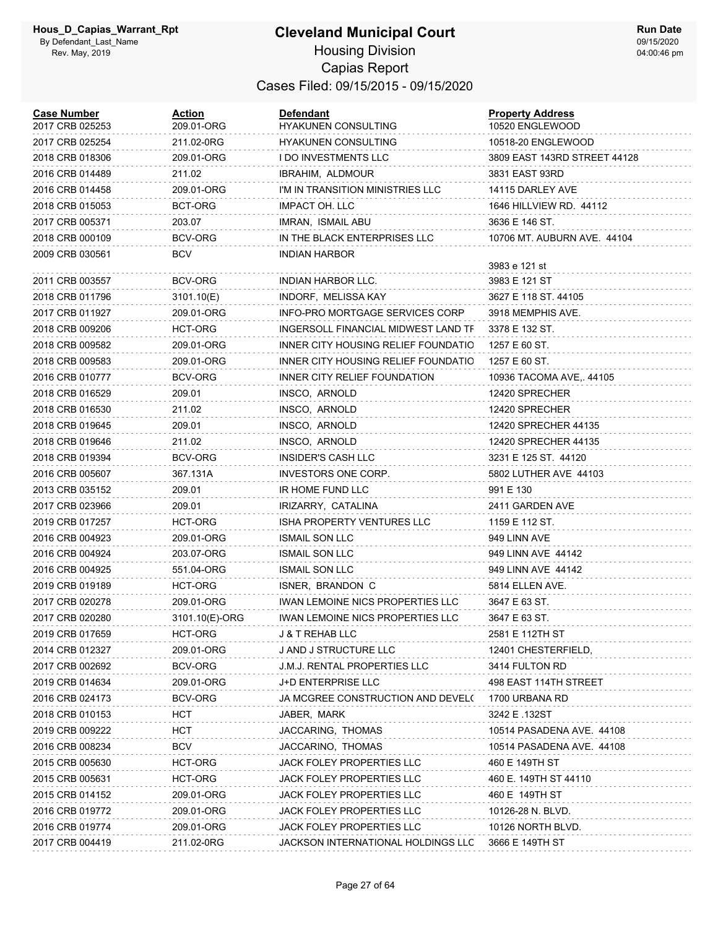| <b>Case Number</b><br>2017 CRB 025253 | Action<br>209.01-ORG | <b>Defendant</b><br>HYAKUNEN CONSULTING | <b>Property Address</b><br>10520 ENGLEWOOD |
|---------------------------------------|----------------------|-----------------------------------------|--------------------------------------------|
| 2017 CRB 025254                       | 211.02-0RG           | <b>HYAKUNEN CONSULTING</b>              | 10518-20 ENGLEWOOD                         |
| 2018 CRB 018306                       | 209.01-ORG           | <b>I DO INVESTMENTS LLC</b>             | 3809 EAST 143RD STREET 44128               |
| 2016 CRB 014489                       | 211.02               | <b>IBRAHIM, ALDMOUR</b>                 | 3831 EAST 93RD                             |
| 2016 CRB 014458                       | 209.01-ORG           | I'M IN TRANSITION MINISTRIES LLC        | 14115 DARLEY AVE                           |
| 2018 CRB 015053                       | BCT-ORG              | IMPACT OH. LLC                          | 1646 HILLVIEW RD. 44112                    |
| 2017 CRB 005371                       | 203.07               | IMRAN, ISMAIL ABU                       | 3636 E 146 ST.                             |
| 2018 CRB 000109                       | BCV-ORG              | IN THE BLACK ENTERPRISES LLC            | 10706 MT. AUBURN AVE. 44104                |
| 2009 CRB 030561                       | <b>BCV</b>           | <b>INDIAN HARBOR</b>                    | 3983 e 121 st                              |
| 2011 CRB 003557                       | BCV-ORG              | INDIAN HARBOR LLC.                      | 3983 E 121 ST                              |
| 2018 CRB 011796                       | 3101.10(E)           | INDORF, MELISSA KAY                     | 3627 E 118 ST. 44105                       |
| 2017 CRB 011927                       | 209.01-ORG           | INFO-PRO MORTGAGE SERVICES CORP         | 3918 MEMPHIS AVE.                          |
| 2018 CRB 009206                       | HCT-ORG              | INGERSOLL FINANCIAL MIDWEST LAND TF     | 3378 E 132 ST.                             |
| 2018 CRB 009582                       | 209.01-ORG           | INNER CITY HOUSING RELIEF FOUNDATIO     | 1257 E 60 ST.                              |
| 2018 CRB 009583                       | 209.01-ORG           | INNER CITY HOUSING RELIEF FOUNDATIO     | 1257 E 60 ST.                              |
| 2016 CRB 010777                       | BCV-ORG              | INNER CITY RELIEF FOUNDATION            | 10936 TACOMA AVE,. 44105                   |
| 2018 CRB 016529                       | 209.01               | INSCO, ARNOLD                           | 12420 SPRECHER                             |
| 2018 CRB 016530                       | 211.02               | INSCO, ARNOLD                           | 12420 SPRECHER                             |
| 2018 CRB 019645                       | 209.01               | INSCO, ARNOLD                           | 12420 SPRECHER 44135                       |
| 2018 CRB 019646                       | 211.02               | INSCO, ARNOLD                           | 12420 SPRECHER 44135                       |
| 2018 CRB 019394                       | BCV-ORG              | INSIDER'S CASH LLC                      | 3231 E 125 ST. 44120                       |
| 2016 CRB 005607                       | 367.131A             | INVESTORS ONE CORP.                     | 5802 LUTHER AVE 44103                      |
| 2013 CRB 035152                       | 209.01               | IR HOME FUND LLC                        | 991 E 130                                  |
| 2017 CRB 023966                       | 209.01               | IRIZARRY, CATALINA                      | 2411 GARDEN AVE                            |
| 2019 CRB 017257                       | HCT-ORG              | ISHA PROPERTY VENTURES LLC              | 1159 E 112 ST.                             |
| 2016 CRB 004923                       | 209.01-ORG           | <b>ISMAIL SON LLC</b>                   | 949 LINN AVE                               |
| 2016 CRB 004924                       | 203.07-ORG           | <b>ISMAIL SON LLC</b>                   | 949 LINN AVE 44142                         |
| 2016 CRB 004925                       | 551.04-ORG           | <b>ISMAIL SON LLC</b>                   | 949 LINN AVE 44142                         |
| 2019 CRB 019189                       | HCT-ORG              | ISNER, BRANDON C                        | 5814 ELLEN AVE.                            |
| 2017 CRB 020278                       | 209.01-ORG           | <b>IWAN LEMOINE NICS PROPERTIES LLC</b> | 3647 E 63 ST.                              |
| 2017 CRB 020280                       | 3101.10(E)-ORG       | IWAN LEMOINE NICS PROPERTIES LLC        | 3647 E 63 ST.                              |
| 2019 CRB 017659                       | HCT-ORG              | J & T REHAB LLC                         | 2581 E 112TH ST                            |
| 2014 CRB 012327                       | 209.01-ORG           | J AND J STRUCTURE LLC                   | 12401 CHESTERFIELD,                        |
| 2017 CRB 002692                       | BCV-ORG              | J.M.J. RENTAL PROPERTIES LLC            | 3414 FULTON RD                             |
| 2019 CRB 014634                       | 209.01-ORG           | J+D ENTERPRISE LLC                      | 498 EAST 114TH STREET                      |
| 2016 CRB 024173                       | BCV-ORG              | JA MCGREE CONSTRUCTION AND DEVEL(       | 1700 URBANA RD                             |
| 2018 CRB 010153                       | HCT                  | JABER, MARK                             | 3242 E .132ST                              |
| 2019 CRB 009222                       | <b>HCT</b>           | JACCARING, THOMAS                       | 10514 PASADENA AVE. 44108                  |
| 2016 CRB 008234                       | <b>BCV</b>           | JACCARINO, THOMAS                       | 10514 PASADENA AVE. 44108                  |
| 2015 CRB 005630                       | HCT-ORG              | JACK FOLEY PROPERTIES LLC               | 460 E 149TH ST                             |
| 2015 CRB 005631                       | HCT-ORG              | JACK FOLEY PROPERTIES LLC               | 460 E. 149TH ST 44110                      |
| 2015 CRB 014152                       | 209.01-ORG           | JACK FOLEY PROPERTIES LLC               | 460 E 149TH ST                             |
| 2016 CRB 019772                       | 209.01-ORG           | JACK FOLEY PROPERTIES LLC               | 10126-28 N. BLVD.                          |
| 2016 CRB 019774                       | 209.01-ORG           | JACK FOLEY PROPERTIES LLC               | 10126 NORTH BLVD.                          |
| 2017 CRB 004419                       | 211.02-0RG           | JACKSON INTERNATIONAL HOLDINGS LLC      | 3666 E 149TH ST                            |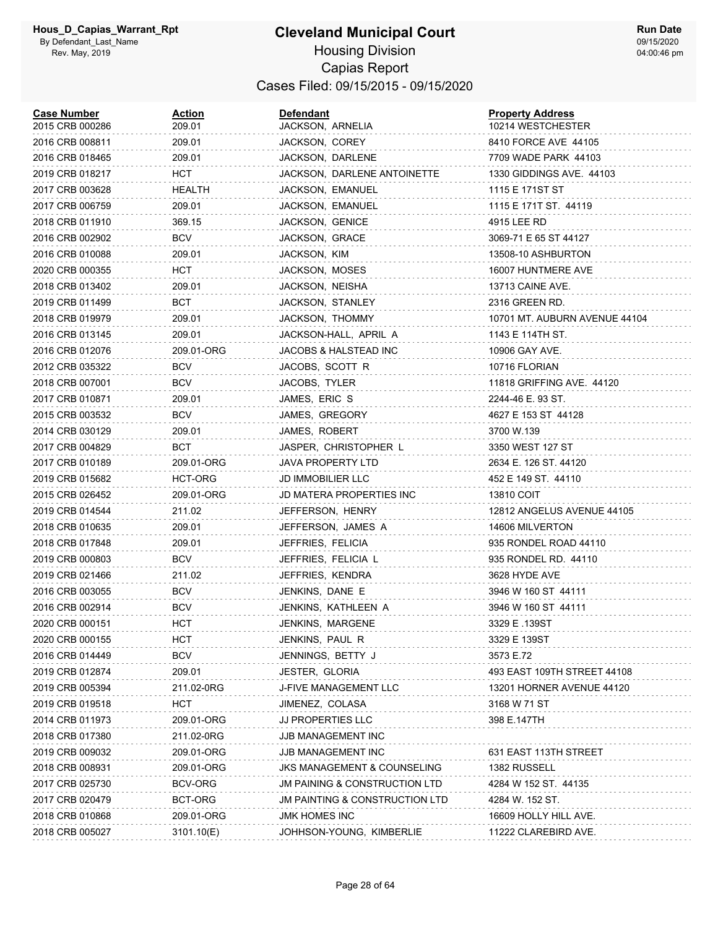| <b>Case Number</b><br>2015 CRB 000286 | <u>Action</u><br>209.01 | <b>Defendant</b><br>JACKSON, ARNELIA      | <b>Property Address</b><br>10214 WESTCHESTER |
|---------------------------------------|-------------------------|-------------------------------------------|----------------------------------------------|
| 2016 CRB 008811                       | 209.01                  | JACKSON, COREY                            | 8410 FORCE AVE 44105                         |
| 2016 CRB 018465                       | 209.01                  | JACKSON, DARLENE                          | 7709 WADE PARK 44103                         |
| 2019 CRB 018217                       | HCT                     | JACKSON, DARLENE ANTOINETTE               | 1330 GIDDINGS AVE. 44103                     |
| 2017 CRB 003628                       | HEALTH                  | JACKSON, EMANUEL                          | 1115 E 171ST ST                              |
| 2017 CRB 006759                       | 209.01                  | JACKSON, EMANUEL                          | 1115 E 171T ST. 44119                        |
| 2018 CRB 011910                       | 369.15                  | JACKSON, GENICE                           | 4915 LEE RD                                  |
| 2016 CRB 002902                       | <b>BCV</b>              | JACKSON, GRACE                            | 3069-71 E 65 ST 44127                        |
| 2016 CRB 010088                       | 209.01                  | JACKSON, KIM                              | 13508-10 ASHBURTON                           |
| 2020 CRB 000355                       | HCT                     | JACKSON, MOSES                            | 16007 HUNTMERE AVE                           |
| 2018 CRB 013402                       | 209.01                  | JACKSON, NEISHA                           | 13713 CAINE AVE.                             |
| 2019 CRB 011499                       | BCT                     | JACKSON, STANLEY                          | 2316 GREEN RD.                               |
| 2018 CRB 019979                       | 209.01                  | JACKSON, THOMMY                           | 10701 MT. AUBURN AVENUE 44104                |
| 2016 CRB 013145                       | 209.01                  | JACKSON-HALL, APRIL A                     | 1143 E 114TH ST.                             |
| 2016 CRB 012076                       | 209.01-ORG              | JACOBS & HALSTEAD INC                     | 10906 GAY AVE.                               |
| 2012 CRB 035322                       | <b>BCV</b>              | JACOBS, SCOTT R                           | 10716 FLORIAN                                |
| 2018 CRB 007001                       | <b>BCV</b>              | JACOBS, TYLER                             | 11818 GRIFFING AVE. 44120                    |
| 2017 CRB 010871                       | 209.01                  | JAMES, ERIC S                             | 2244-46 E. 93 ST.                            |
| 2015 CRB 003532                       | <b>BCV</b>              | JAMES, GREGORY                            | 4627 E 153 ST 44128                          |
| 2014 CRB 030129                       | 209.01                  | JAMES, ROBERT                             | 3700 W.139                                   |
| 2017 CRB 004829                       | BCT                     | JASPER, CHRISTOPHER L                     | 3350 WEST 127 ST                             |
| 2017 CRB 010189                       | 209.01-ORG              | JAVA PROPERTY LTD                         | 2634 E. 126 ST. 44120                        |
| 2019 CRB 015682                       | HCT-ORG                 | <b>JD IMMOBILIER LLC</b>                  | 452 E 149 ST. 44110                          |
| 2015 CRB 026452                       | 209.01-ORG              | JD MATERA PROPERTIES INC                  | 13810 COIT                                   |
| 2019 CRB 014544                       | 211.02                  | JEFFERSON, HENRY                          | 12812 ANGELUS AVENUE 44105                   |
| 2018 CRB 010635                       | 209.01                  | JEFFERSON, JAMES A                        | 14606 MILVERTON                              |
| 2018 CRB 017848                       | 209.01                  | JEFFRIES, FELICIA                         | 935 RONDEL ROAD 44110                        |
| 2019 CRB 000803                       | BCV                     | JEFFRIES, FELICIA L                       | 935 RONDEL RD. 44110                         |
| 2019 CRB 021466                       | 211.02                  | JEFFRIES, KENDRA                          | 3628 HYDE AVE                                |
| 2016 CRB 003055                       | <b>BCV</b>              | JENKINS, DANE E                           | 3946 W 160 ST 44111                          |
| 2016 CRB 002914                       | <b>BCV</b>              | JENKINS, KATHLEEN A                       | 3946 W 160 ST 44111                          |
| 2020 CRB 000151                       | HCT                     | JENKINS, MARGENE                          | 3329 E .139ST                                |
| 2020 CRB 000155                       | HCT                     | JENKINS, PAUL R                           | 3329 E 139ST                                 |
| 2016 CRB 014449                       | BCV                     | JENNINGS, BETTY J                         | 3573 E.72                                    |
| 2019 CRB 012874                       | 209.01                  | JESTER, GLORIA                            | 493 EAST 109TH STREET 44108                  |
| 2019 CRB 005394                       | 211.02-0RG              | J-FIVE MANAGEMENT LLC                     | 13201 HORNER AVENUE 44120                    |
| 2019 CRB 019518                       | <b>HCT</b>              | JIMENEZ, COLASA                           | 3168 W 71 ST                                 |
| 2014 CRB 011973                       | 209.01-ORG              | JJ PROPERTIES LLC                         | 398 E.147TH                                  |
| 2018 CRB 017380                       | 211.02-0RG              | JJB MANAGEMENT INC                        |                                              |
| 2019 CRB 009032                       | 209.01-ORG              | JJB MANAGEMENT INC                        | 631 EAST 113TH STREET                        |
| 2018 CRB 008931                       | 209.01-ORG              | JKS MANAGEMENT & COUNSELING               | 1382 RUSSELL                                 |
| 2017 CRB 025730                       | BCV-ORG                 | JM PAINING & CONSTRUCTION LTD             | 4284 W 152 ST. 44135                         |
| 2017 CRB 020479                       | BCT-ORG                 | <b>JM PAINTING &amp; CONSTRUCTION LTD</b> | 4284 W. 152 ST.                              |
| 2018 CRB 010868                       | 209.01-ORG              | JMK HOMES INC                             | 16609 HOLLY HILL AVE.                        |
| 2018 CRB 005027                       | 3101.10(E)              | JOHHSON-YOUNG, KIMBERLIE                  | 11222 CLAREBIRD AVE.                         |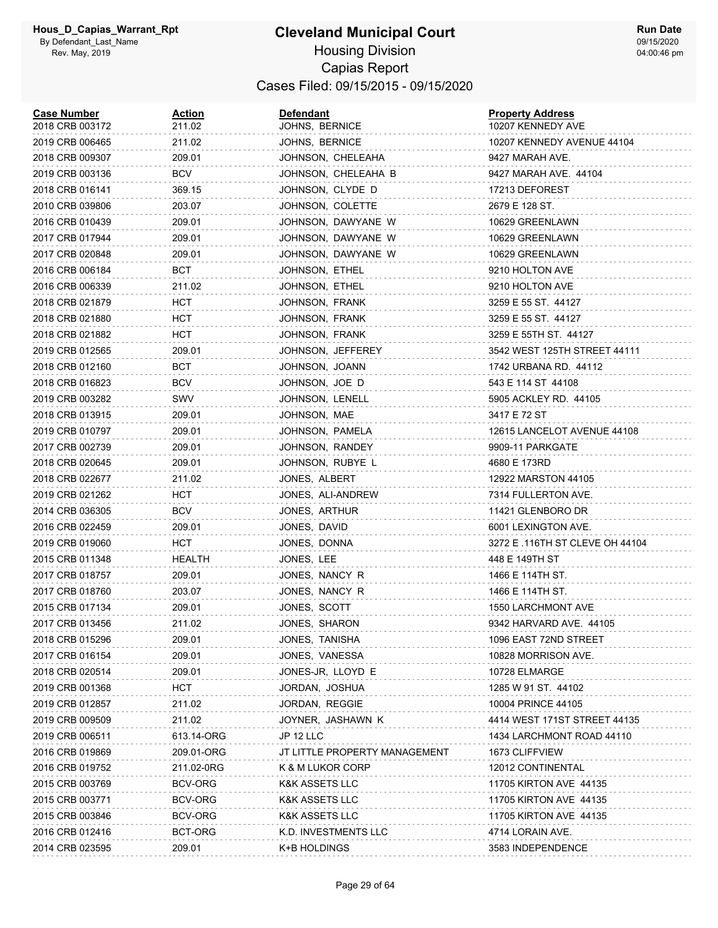#### **Cleveland Municipal Court** Housing Division Capias Report Cases Filed: 09/15/2015 - 09/15/2020

| <b>Case Number</b><br>2018 CRB 003172 | Action<br>211.02 | <b>Defendant</b><br>JOHNS, BERNICE | <b>Property Address</b><br>10207 KENNEDY AVE |
|---------------------------------------|------------------|------------------------------------|----------------------------------------------|
| 2019 CRB 006465                       | 211.02           | JOHNS, BERNICE                     | 10207 KENNEDY AVENUE 44104                   |
| 2018 CRB 009307                       | 209.01           | JOHNSON, CHELEAHA                  | 9427 MARAH AVE.                              |
| 2019 CRB 003136                       | <b>BCV</b>       | JOHNSON, CHELEAHA B                | 9427 MARAH AVE. 44104                        |
| 2018 CRB 016141                       | 369.15           | JOHNSON, CLYDE D                   | 17213 DEFOREST                               |
| 2010 CRB 039806                       | 203.07           | JOHNSON, COLETTE                   | 2679 E 128 ST.                               |
| 2016 CRB 010439                       | 209.01           | JOHNSON, DAWYANE W                 | 10629 GREENLAWN                              |
| 2017 CRB 017944                       | 209.01           | JOHNSON, DAWYANE W                 | 10629 GREENLAWN                              |
| 2017 CRB 020848                       | 209.01           | JOHNSON, DAWYANE W                 | 10629 GREENLAWN                              |
| 2016 CRB 006184                       | вст              | JOHNSON, ETHEL                     | 9210 HOLTON AVE                              |
| 2016 CRB 006339                       | 211.02           | JOHNSON, ETHEL                     | 9210 HOLTON AVE                              |
| 2018 CRB 021879                       | HCT              | JOHNSON, FRANK                     | 3259 E 55 ST. 44127                          |
| 2018 CRB 021880                       | HCT              | JOHNSON, FRANK                     | 3259 E 55 ST. 44127                          |
| 2018 CRB 021882                       | HCT              | JOHNSON, FRANK                     | 3259 E 55TH ST. 44127                        |
| 2019 CRB 012565                       | 209.01           | JOHNSON, JEFFEREY                  | 3542 WEST 125TH STREET 44111                 |
| 2018 CRB 012160                       | BCT              | JOHNSON, JOANN                     | 1742 URBANA RD. 44112                        |
| 2018 CRB 016823                       | <b>BCV</b>       | JOHNSON, JOE D                     | 543 E 114 ST 44108                           |
| 2019 CRB 003282                       | SWV              | JOHNSON, LENELL                    | 5905 ACKLEY RD. 44105                        |
| 2018 CRB 013915                       | 209.01           | JOHNSON, MAE                       | 3417 E 72 ST                                 |
| 2019 CRB 010797                       | 209.01           | JOHNSON, PAMELA                    | 12615 LANCELOT AVENUE 44108                  |
| 2017 CRB 002739                       | 209.01           | JOHNSON, RANDEY                    | 9909-11 PARKGATE                             |
| 2018 CRB 020645                       | 209.01           | JOHNSON, RUBYE L                   | 4680 E 173RD                                 |
| 2018 CRB 022677                       | 211.02           | JONES, ALBERT                      | 12922 MARSTON 44105                          |
| 2019 CRB 021262                       | HCT              | JONES, ALI-ANDREW                  | 7314 FULLERTON AVE.                          |
| 2014 CRB 036305                       | BCV              | JONES, ARTHUR                      | 11421 GLENBORO DR                            |
| 2016 CRB 022459                       | 209.01           | JONES, DAVID                       | 6001 LEXINGTON AVE.                          |
| 2019 CRB 019060                       | HCT              | JONES, DONNA                       | 3272 E .116TH ST CLEVE OH 44104              |
| 2015 CRB 011348                       | HEALTH           | JONES, LEE                         | 448 E 149TH ST                               |
| 2017 CRB 018757                       | 209.01           | JONES, NANCY R                     | 1466 E 114TH ST.                             |
| 2017 CRB 018760                       | 203.07           | JONES, NANCY R                     | 1466 E 114TH ST.                             |
| 2015 CRB 017134                       | 209.01           | JONES, SCOTT                       | 1550 LARCHMONT AVE                           |
| 2017 CRB 013456                       | 211.02           | JONES, SHARON                      | 9342 HARVARD AVE. 44105                      |
| 2018 CRB 015296                       | 209.01           | JONES, TANISHA                     | 1096 EAST 72ND STREET                        |
| 2017 CRB 016154                       | 209.01           | JONES, VANESSA                     | 10828 MORRISON AVE.                          |
| 2018 CRB 020514                       | 209.01           | JONES-JR, LLOYD E                  | 10728 ELMARGE                                |
| 2019 CRB 001368                       | <b>HCT</b>       | JORDAN, JOSHUA                     | 1285 W 91 ST. 44102                          |
| 2019 CRB 012857                       | 211.02           | JORDAN, REGGIE                     | 10004 PRINCE 44105                           |
| 2019 CRB 009509                       | 211.02           | JOYNER, JASHAWN K                  | 4414 WEST 171ST STREET 44135                 |
| 2019 CRB 006511                       | 613.14-ORG       | JP 12 LLC                          | 1434 LARCHMONT ROAD 44110                    |
| 2016 CRB 019869                       | 209.01-ORG       | JT LITTLE PROPERTY MANAGEMENT      | 1673 CLIFFVIEW                               |
| 2016 CRB 019752                       | 211.02-0RG       | K & M LUKOR CORP                   | 12012 CONTINENTAL                            |
| 2015 CRB 003769                       | BCV-ORG          | <b>K&amp;K ASSETS LLC</b>          | 11705 KIRTON AVE 44135                       |
| 2015 CRB 003771                       | BCV-ORG          | <b>K&amp;K ASSETS LLC</b>          | 11705 KIRTON AVE 44135                       |
| 2015 CRB 003846                       | BCV-ORG          | <b>K&amp;K ASSETS LLC</b>          | 11705 KIRTON AVE 44135                       |
| 2016 CRB 012416                       | BCT-ORG          | K.D. INVESTMENTS LLC               | 4714 LORAIN AVE.                             |
| 2014 CRB 023595                       | 209.01           | K+B HOLDINGS                       | 3583 INDEPENDENCE                            |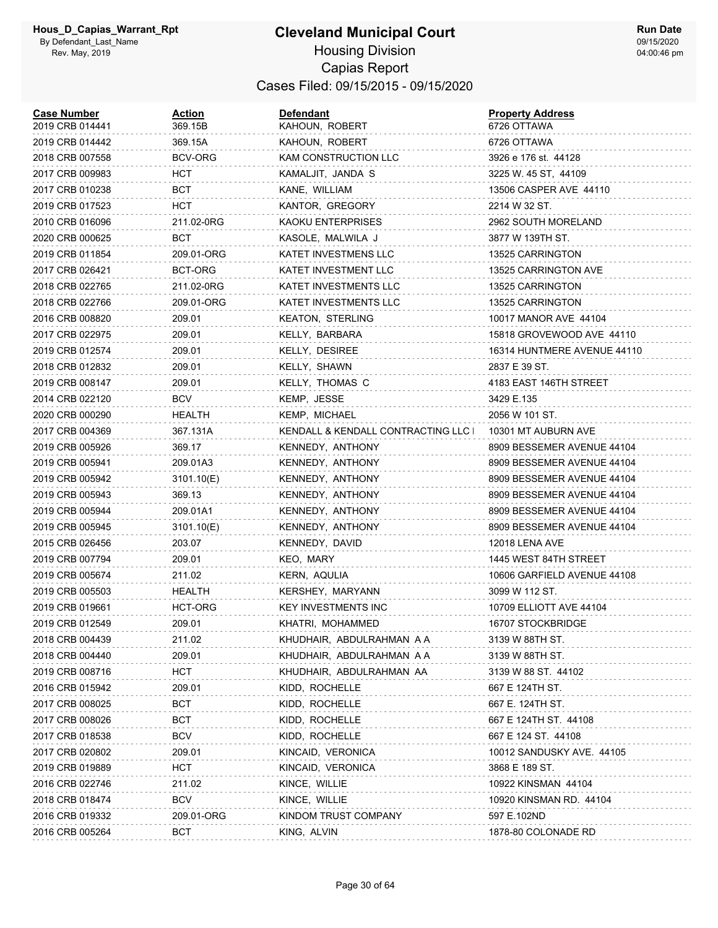#### **Cleveland Municipal Court** Housing Division Capias Report Cases Filed: 09/15/2015 - 09/15/2020

| <b>Case Number</b><br>2019 CRB 014441 | Action<br>369.15B | Defendant<br>KAHOUN, ROBERT       | <b>Property Address</b><br>6726 OTTAWA |
|---------------------------------------|-------------------|-----------------------------------|----------------------------------------|
| 2019 CRB 014442                       | 369.15A           | KAHOUN, ROBERT                    | 6726 OTTAWA                            |
| 2018 CRB 007558                       | BCV-ORG           | KAM CONSTRUCTION LLC              | 3926 e 176 st. 44128                   |
| 2017 CRB 009983                       | HCT.              | KAMALJIT, JANDA S                 | 3225 W. 45 ST, 44109                   |
| 2017 CRB 010238                       | BCT               | KANE, WILLIAM                     | 13506 CASPER AVE 44110                 |
| 2019 CRB 017523                       | HCT               | KANTOR, GREGORY                   | 2214 W 32 ST.                          |
| 2010 CRB 016096                       | 211.02-0RG        | KAOKU ENTERPRISES                 | 2962 SOUTH MORELAND                    |
| 2020 CRB 000625                       | BCT               | KASOLE, MALWILA J                 | 3877 W 139TH ST.                       |
| 2019 CRB 011854                       | 209.01-ORG        | KATET INVESTMENS LLC              | 13525 CARRINGTON                       |
| 2017 CRB 026421                       | BCT-ORG           | KATET INVESTMENT LLC              | 13525 CARRINGTON AVE                   |
| 2018 CRB 022765                       | 211.02-0RG        | KATET INVESTMENTS LLC             | 13525 CARRINGTON                       |
| 2018 CRB 022766                       | 209.01-ORG        | KATET INVESTMENTS LLC             | 13525 CARRINGTON                       |
| 2016 CRB 008820                       | 209.01            | <b>KEATON, STERLING</b>           | 10017 MANOR AVE 44104                  |
| 2017 CRB 022975                       | 209.01            | KELLY, BARBARA                    | 15818 GROVEWOOD AVE 44110              |
| 2019 CRB 012574                       | 209.01            | KELLY, DESIREE                    | 16314 HUNTMERE AVENUE 44110            |
| 2018 CRB 012832                       | 209.01            | KELLY, SHAWN                      | 2837 E 39 ST.                          |
| 2019 CRB 008147                       | 209.01            | KELLY, THOMAS C                   | 4183 EAST 146TH STREET                 |
| 2014 CRB 022120                       | BCV               | KEMP, JESSE                       | 3429 E.135                             |
| 2020 CRB 000290                       | HEALTH            | KEMP, MICHAEL                     | 2056 W 101 ST.                         |
| 2017 CRB 004369                       | 367.131A          | KENDALL & KENDALL CONTRACTING LLC | 10301 MT AUBURN AVE                    |
| 2019 CRB 005926                       | 369.17            | KENNEDY, ANTHONY                  | 8909 BESSEMER AVENUE 44104             |
| 2019 CRB 005941                       | 209.01A3          | KENNEDY, ANTHONY                  | 8909 BESSEMER AVENUE 44104             |
| 2019 CRB 005942                       | 3101.10(E)        | KENNEDY, ANTHONY                  | 8909 BESSEMER AVENUE 44104             |
| 2019 CRB 005943                       | 369.13            | KENNEDY, ANTHONY                  | 8909 BESSEMER AVENUE 44104             |
| 2019 CRB 005944                       | 209.01A1          | KENNEDY, ANTHONY                  | 8909 BESSEMER AVENUE 44104             |
| 2019 CRB 005945                       | 3101.10(E)        | KENNEDY, ANTHONY                  | 8909 BESSEMER AVENUE 44104             |
| 2015 CRB 026456                       | 203.07            | KENNEDY, DAVID                    | 12018 LENA AVE                         |
| 2019 CRB 007794                       | 209.01            | KEO, MARY                         | 1445 WEST 84TH STREET                  |
| 2019 CRB 005674                       | 211.02            | KERN, AQULIA                      | 10606 GARFIELD AVENUE 44108            |
| 2019 CRB 005503                       | HEALTH            | KERSHEY, MARYANN                  | 3099 W 112 ST.                         |
| 2019 CRB 019661                       | HCT-ORG           | <b>KEY INVESTMENTS INC</b>        | 10709 ELLIOTT AVE 44104                |
| 2019 CRB 012549                       | 209.01            | KHATRI, MOHAMMED                  | 16707 STOCKBRIDGE                      |
| 2018 CRB 004439                       | 211.02            | KHUDHAIR, ABDULRAHMAN A A         | 3139 W 88TH ST.                        |
| 2018 CRB 004440                       | 209.01            | KHUDHAIR, ABDULRAHMAN A A         | 3139 W 88TH ST.                        |
| 2019 CRB 008716                       | HCT               | KHUDHAIR, ABDULRAHMAN AA          | 3139 W 88 ST. 44102                    |
| 2016 CRB 015942                       | 209.01            | KIDD, ROCHELLE                    | 667 E 124TH ST.                        |
| 2017 CRB 008025                       | <b>BCT</b>        | KIDD, ROCHELLE                    | 667 E. 124TH ST.                       |
| 2017 CRB 008026                       | BCT               | KIDD, ROCHELLE                    | 667 E 124TH ST. 44108                  |
| 2017 CRB 018538                       | <b>BCV</b>        | KIDD, ROCHELLE                    | 667 E 124 ST. 44108                    |
| 2017 CRB 020802                       | 209.01            | KINCAID, VERONICA                 | 10012 SANDUSKY AVE. 44105              |
| 2019 CRB 019889                       | HCT               | KINCAID, VERONICA                 | 3868 E 189 ST.                         |
| 2016 CRB 022746                       | 211.02            | KINCE, WILLIE                     | 10922 KINSMAN 44104                    |
| 2018 CRB 018474                       | <b>BCV</b>        | KINCE, WILLIE                     | 10920 KINSMAN RD. 44104                |
| 2016 CRB 019332                       | 209.01-ORG        | KINDOM TRUST COMPANY              | 597 E.102ND                            |
| 2016 CRB 005264                       | <b>BCT</b>        | KING, ALVIN                       | 1878-80 COLONADE RD                    |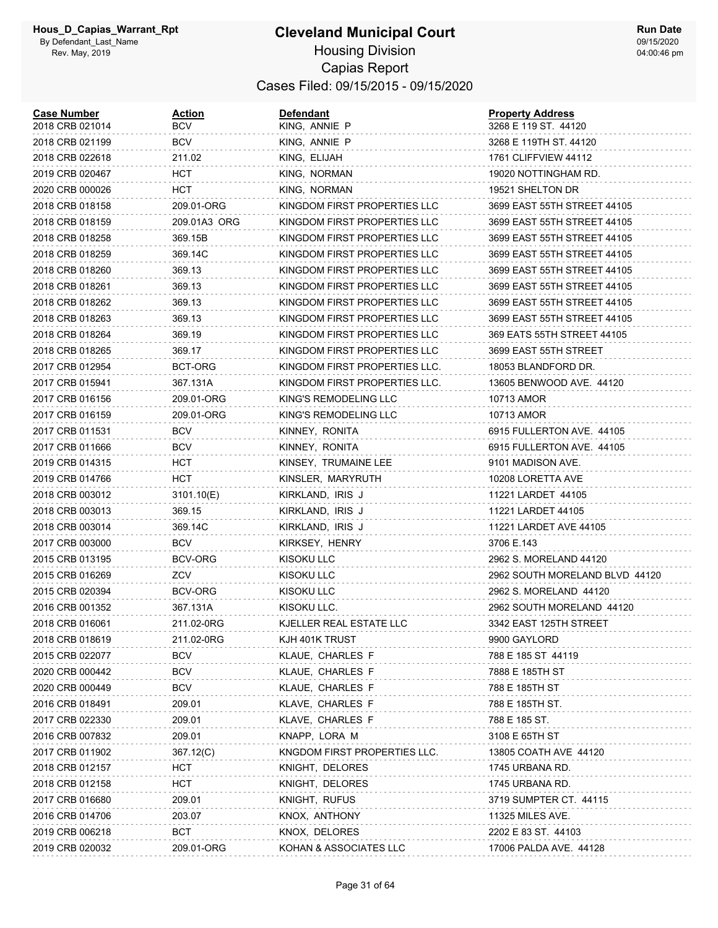| <b>Case Number</b><br>2018 CRB 021014 | <b>Action</b><br>BCV | <b>Defendant</b><br>KING, ANNIE P | <b>Property Address</b><br>3268 E 119 ST. 44120 |
|---------------------------------------|----------------------|-----------------------------------|-------------------------------------------------|
| 2018 CRB 021199                       | BCV                  | KING, ANNIE P                     | 3268 E 119TH ST. 44120                          |
| 2018 CRB 022618                       | 211.02               | KING, ELIJAH                      | 1761 CLIFFVIEW 44112                            |
| 2019 CRB 020467                       | нст                  | KING, NORMAN                      | 19020 NOTTINGHAM RD.                            |
| 2020 CRB 000026                       | нст                  | KING, NORMAN                      | 19521 SHELTON DR                                |
| 2018 CRB 018158                       | 209.01-ORG           | KINGDOM FIRST PROPERTIES LLC      | 3699 EAST 55TH STREET 44105                     |
| 2018 CRB 018159                       | 209.01A3 ORG         | KINGDOM FIRST PROPERTIES LLC      | 3699 EAST 55TH STREET 44105                     |
| 2018 CRB 018258                       | 369.15B              | KINGDOM FIRST PROPERTIES LLC      | 3699 EAST 55TH STREET 44105                     |
| 2018 CRB 018259                       | 369.14C              | KINGDOM FIRST PROPERTIES LLC      | 3699 EAST 55TH STREET 44105                     |
| 2018 CRB 018260                       | 369.13               | KINGDOM FIRST PROPERTIES LLC      | 3699 EAST 55TH STREET 44105                     |
| 2018 CRB 018261                       | 369.13               | KINGDOM FIRST PROPERTIES LLC      | 3699 EAST 55TH STREET 44105                     |
| 2018 CRB 018262                       | 369.13               | KINGDOM FIRST PROPERTIES LLC      | 3699 EAST 55TH STREET 44105                     |
| 2018 CRB 018263                       | 369.13               | KINGDOM FIRST PROPERTIES LLC      | 3699 EAST 55TH STREET 44105                     |
| 2018 CRB 018264                       | 369.19               | KINGDOM FIRST PROPERTIES LLC      | 369 EATS 55TH STREET 44105                      |
| 2018 CRB 018265                       | 369.17               | KINGDOM FIRST PROPERTIES LLC      | 3699 EAST 55TH STREET                           |
| 2017 CRB 012954                       | BCT-ORG              | KINGDOM FIRST PROPERTIES LLC.     | 18053 BLANDFORD DR.                             |
| 2017 CRB 015941                       | 367.131A             | KINGDOM FIRST PROPERTIES LLC.     | 13605 BENWOOD AVE. 44120                        |
| 2017 CRB 016156                       | 209.01-ORG           | KING'S REMODELING LLC             | 10713 AMOR                                      |
| 2017 CRB 016159                       | 209.01-ORG           | KING'S REMODELING LLC             | 10713 AMOR                                      |
| 2017 CRB 011531                       | <b>BCV</b>           | KINNEY, RONITA                    | 6915 FULLERTON AVE. 44105                       |
| 2017 CRB 011666                       | <b>BCV</b>           | KINNEY, RONITA                    | 6915 FULLERTON AVE. 44105                       |
| 2019 CRB 014315                       | нст                  | KINSEY, TRUMAINE LEE              | 9101 MADISON AVE.                               |
| 2019 CRB 014766                       | нст                  | KINSLER, MARYRUTH                 | 10208 LORETTA AVE                               |
| 2018 CRB 003012                       | 3101.10(E)           | KIRKLAND, IRIS J                  | 11221 LARDET 44105                              |
| 2018 CRB 003013                       | 369.15               | KIRKLAND, IRIS J                  | 11221 LARDET 44105                              |
| 2018 CRB 003014                       | 369.14C              | KIRKLAND, IRIS J                  | 11221 LARDET AVE 44105                          |
| 2017 CRB 003000                       | BCV                  | KIRKSEY, HENRY                    | 3706 E.143                                      |
| 2015 CRB 013195                       | BCV-ORG              | <b>KISOKU LLC</b>                 | 2962 S. MORELAND 44120                          |
| 2015 CRB 016269                       | ZCV                  | KISOKU LLC                        | 2962 SOUTH MORELAND BLVD 44120                  |
| 2015 CRB 020394                       | BCV-ORG              | KISOKU LLC                        | 2962 S. MORELAND 44120                          |
| 2016 CRB 001352                       | 367.131A             | KISOKU LLC.                       | 2962 SOUTH MORELAND 44120                       |
| 2018 CRB 016061                       | 211.02-0RG           | KJELLER REAL ESTATE LLC           | 3342 EAST 125TH STREET                          |
| 2018 CRB 018619                       | 211.02-0RG           | KJH 401K TRUST                    | 9900 GAYLORD                                    |
| 2015 CRB 022077                       | <b>BCV</b>           | KLAUE, CHARLES F                  | 788 E 185 ST 44119                              |
| 2020 CRB 000442                       | BCV                  | KLAUE, CHARLES F                  | 7888 E 185TH ST                                 |
| 2020 CRB 000449                       | BCV                  | KLAUE, CHARLES F                  | 788 E 185TH ST                                  |
| 2016 CRB 018491                       | 209.01               | KLAVE, CHARLES F                  | 788 E 185TH ST.                                 |
| 2017 CRB 022330                       | 209.01               | KLAVE, CHARLES F                  | 788 E 185 ST.                                   |
| 2016 CRB 007832                       | 209.01               | KNAPP, LORA M                     | 3108 E 65TH ST                                  |
| 2017 CRB 011902                       | 367.12(C)            | KNGDOM FIRST PROPERTIES LLC.      | 13805 COATH AVE 44120                           |
| 2018 CRB 012157                       | нст                  | KNIGHT, DELORES                   | 1745 URBANA RD.                                 |
| 2018 CRB 012158                       | <b>HCT</b>           | KNIGHT, DELORES                   | 1745 URBANA RD.                                 |
| 2017 CRB 016680                       | 209.01               | KNIGHT, RUFUS                     | 3719 SUMPTER CT. 44115                          |
| 2016 CRB 014706                       | 203.07               | KNOX, ANTHONY                     | 11325 MILES AVE.                                |
| 2019 CRB 006218                       | <b>BCT</b>           | KNOX, DELORES                     | 2202 E 83 ST. 44103                             |
| 2019 CRB 020032                       | 209.01-ORG           | KOHAN & ASSOCIATES LLC            | 17006 PALDA AVE. 44128                          |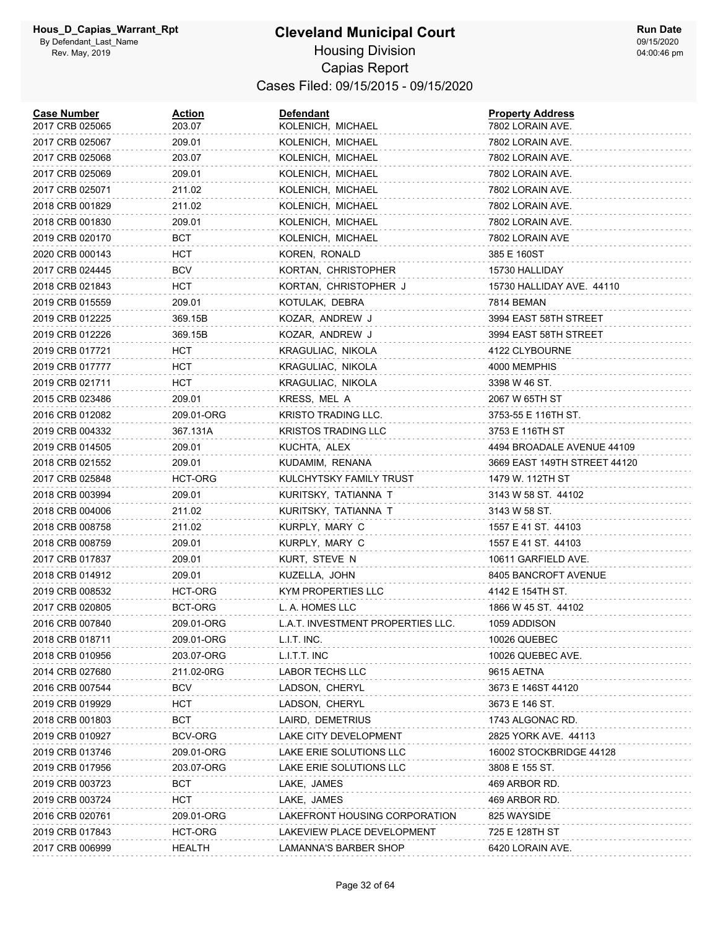| <b>Case Number</b><br>2017 CRB 025065 | <b>Action</b><br>203.07 | <b>Defendant</b><br>KOLENICH, MICHAEL | <b>Property Address</b><br>7802 LORAIN AVE. |
|---------------------------------------|-------------------------|---------------------------------------|---------------------------------------------|
| 2017 CRB 025067                       | 209.01                  | KOLENICH, MICHAEL                     | 7802 LORAIN AVE.                            |
| 2017 CRB 025068                       | 203.07                  | KOLENICH, MICHAEL                     | 7802 LORAIN AVE.                            |
| 2017 CRB 025069                       | 209.01                  | KOLENICH, MICHAEL                     | 7802 LORAIN AVE.                            |
| 2017 CRB 025071                       | 211.02                  | KOLENICH, MICHAEL                     | 7802 LORAIN AVE.                            |
| 2018 CRB 001829                       | 211.02                  | KOLENICH, MICHAEL                     | 7802 LORAIN AVE.                            |
| 2018 CRB 001830                       | 209.01                  | KOLENICH, MICHAEL                     | 7802 LORAIN AVE.                            |
| 2019 CRB 020170                       | BCT                     | KOLENICH, MICHAEL                     | 7802 LORAIN AVE                             |
| 2020 CRB 000143                       | HCT.                    | KOREN, RONALD                         | 385 E 160ST                                 |
| 2017 CRB 024445                       | <b>BCV</b>              | KORTAN, CHRISTOPHER                   | 15730 HALLIDAY                              |
| 2018 CRB 021843                       | нст                     | KORTAN, CHRISTOPHER J                 | 15730 HALLIDAY AVE. 44110                   |
| 2019 CRB 015559                       | 209.01                  | KOTULAK, DEBRA                        | 7814 BEMAN                                  |
| 2019 CRB 012225                       | 369.15B                 | KOZAR, ANDREW J                       | 3994 EAST 58TH STREET                       |
| 2019 CRB 012226                       | 369.15B                 | KOZAR, ANDREW J                       | 3994 EAST 58TH STREET                       |
| 2019 CRB 017721                       | нст                     | KRAGULIAC, NIKOLA                     | 4122 CLYBOURNE                              |
| 2019 CRB 017777                       | нст                     | KRAGULIAC, NIKOLA                     | 4000 MEMPHIS                                |
| 2019 CRB 021711                       | <b>HCT</b>              | KRAGULIAC, NIKOLA                     | 3398 W 46 ST.                               |
| 2015 CRB 023486                       | 209.01                  | KRESS, MEL A                          | 2067 W 65TH ST                              |
| 2016 CRB 012082                       | 209.01-ORG              | KRISTO TRADING LLC.                   | 3753-55 E 116TH ST.                         |
| 2019 CRB 004332                       | 367.131A                | <b>KRISTOS TRADING LLC</b>            | 3753 E 116TH ST                             |
| 2019 CRB 014505                       | 209.01                  | KUCHTA, ALEX                          | 4494 BROADALE AVENUE 44109                  |
| 2018 CRB 021552                       | 209.01                  | KUDAMIM, RENANA                       | 3669 EAST 149TH STREET 44120                |
| 2017 CRB 025848                       | HCT-ORG                 | KULCHYTSKY FAMILY TRUST               | 1479 W. 112TH ST                            |
| 2018 CRB 003994                       | 209.01                  | KURITSKY, TATIANNA T                  | 3143 W 58 ST. 44102                         |
| 2018 CRB 004006                       | 211.02                  | KURITSKY, TATIANNA T                  | 3143 W 58 ST.                               |
| 2018 CRB 008758                       | 211.02                  | KURPLY, MARY C                        | 1557 E 41 ST. 44103                         |
| 2018 CRB 008759                       | 209.01                  | KURPLY, MARY C                        | 1557 E 41 ST. 44103                         |
| 2017 CRB 017837                       | 209.01                  | KURT, STEVE N                         | 10611 GARFIELD AVE.                         |
| 2018 CRB 014912                       | 209.01                  | KUZELLA, JOHN                         | 8405 BANCROFT AVENUE                        |
| 2019 CRB 008532                       | HCT-ORG                 | KYM PROPERTIES LLC                    | 4142 E 154TH ST.                            |
| 2017 CRB 020805                       | BCT-ORG                 | L. A. HOMES LLC                       | 1866 W 45 ST. 44102                         |
| 2016 CRB 007840                       | 209.01-ORG              | L.A.T. INVESTMENT PROPERTIES LLC.     | 1059 ADDISON                                |
| 2018 CRB 018711                       | 209.01-ORG              | L.I.T. INC.                           | <b>10026 QUEBEC</b>                         |
| 2018 CRB 010956                       | 203.07-ORG              | L.I.T.T. INC                          | 10026 QUEBEC AVE.                           |
| 2014 CRB 027680                       | 211.02-0RG              | LABOR TECHS LLC                       | 9615 AETNA                                  |
| 2016 CRB 007544                       | <b>BCV</b>              | LADSON, CHERYL                        | 3673 E 146ST 44120                          |
| 2019 CRB 019929                       | HCT                     | LADSON, CHERYL                        | 3673 E 146 ST.                              |
| 2018 CRB 001803                       | BCT                     | LAIRD, DEMETRIUS                      | 1743 ALGONAC RD.                            |
| 2019 CRB 010927                       | BCV-ORG                 | LAKE CITY DEVELOPMENT                 | 2825 YORK AVE. 44113                        |
| 2019 CRB 013746                       | 209.01-ORG              | LAKE ERIE SOLUTIONS LLC               | 16002 STOCKBRIDGE 44128                     |
| 2019 CRB 017956                       | 203.07-ORG              | LAKE ERIE SOLUTIONS LLC               | 3808 E 155 ST.                              |
| 2019 CRB 003723                       | <b>BCT</b>              | LAKE, JAMES                           | 469 ARBOR RD.                               |
| 2019 CRB 003724                       | HCT                     | LAKE, JAMES                           | 469 ARBOR RD.                               |
| 2016 CRB 020761                       | 209.01-ORG              | LAKEFRONT HOUSING CORPORATION         | 825 WAYSIDE                                 |
| 2019 CRB 017843                       | HCT-ORG                 | LAKEVIEW PLACE DEVELOPMENT            | 725 E 128TH ST                              |
| 2017 CRB 006999                       | <b>HEALTH</b>           | LAMANNA'S BARBER SHOP                 | 6420 LORAIN AVE.                            |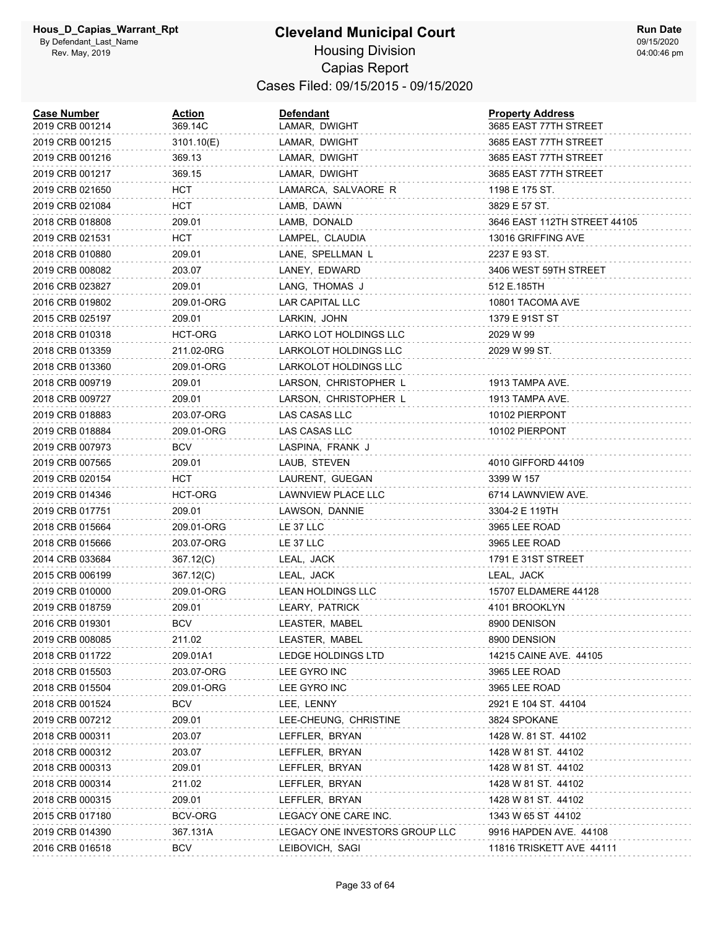#### **Cleveland Municipal Court** Housing Division Capias Report Cases Filed: 09/15/2015 - 09/15/2020

| <b>Case Number</b><br>2019 CRB 001214 | <b>Action</b><br>369.14C | <b>Defendant</b><br>LAMAR, DWIGHT | <b>Property Address</b><br>3685 EAST 77TH STREET |
|---------------------------------------|--------------------------|-----------------------------------|--------------------------------------------------|
| 2019 CRB 001215                       | 3101.10(E)               | LAMAR, DWIGHT                     | 3685 EAST 77TH STREET                            |
| 2019 CRB 001216                       | 369.13                   | LAMAR, DWIGHT                     | 3685 EAST 77TH STREET                            |
| 2019 CRB 001217                       | 369.15                   | LAMAR, DWIGHT                     | 3685 EAST 77TH STREET                            |
| 2019 CRB 021650                       | HCT                      | LAMARCA, SALVAORE R               | 1198 E 175 ST.                                   |
| 2019 CRB 021084                       | HCT                      | LAMB, DAWN                        | 3829 E 57 ST.                                    |
| 2018 CRB 018808                       | 209.01                   | LAMB, DONALD                      | 3646 EAST 112TH STREET 44105                     |
| 2019 CRB 021531                       | HCT                      | LAMPEL, CLAUDIA                   | 13016 GRIFFING AVE                               |
| 2018 CRB 010880                       | 209.01                   | LANE, SPELLMAN L                  | 2237 E 93 ST.                                    |
| 2019 CRB 008082                       | 203.07                   | LANEY, EDWARD                     | 3406 WEST 59TH STREET                            |
| 2016 CRB 023827                       | 209.01                   | LANG, THOMAS J                    | 512 E.185TH                                      |
| 2016 CRB 019802                       | 209.01-ORG               | LAR CAPITAL LLC                   | 10801 TACOMA AVE                                 |
| 2015 CRB 025197                       | 209.01                   | LARKIN, JOHN                      | 1379 E 91ST ST                                   |
| 2018 CRB 010318                       | HCT-ORG                  | LARKO LOT HOLDINGS LLC            | 2029 W 99                                        |
| 2018 CRB 013359                       | 211.02-0RG               | LARKOLOT HOLDINGS LLC             | 2029 W 99 ST.                                    |
| 2018 CRB 013360                       | 209.01-ORG               | LARKOLOT HOLDINGS LLC             |                                                  |
| 2018 CRB 009719                       | 209.01                   | LARSON, CHRISTOPHER L             | 1913 TAMPA AVE.                                  |
| 2018 CRB 009727                       | 209.01                   | LARSON, CHRISTOPHER L             | 1913 TAMPA AVE.                                  |
| 2019 CRB 018883                       | 203.07-ORG               | LAS CASAS LLC                     | 10102 PIERPONT                                   |
| 2019 CRB 018884                       | 209.01-ORG               | LAS CASAS LLC                     | 10102 PIERPONT                                   |
| 2019 CRB 007973                       | BCV                      | LASPINA, FRANK J                  |                                                  |
| 2019 CRB 007565                       | 209.01                   | LAUB, STEVEN                      | 4010 GIFFORD 44109                               |
| 2019 CRB 020154                       | HCT                      | LAURENT, GUEGAN                   | 3399 W 157                                       |
| 2019 CRB 014346                       | HCT-ORG                  | LAWNVIEW PLACE LLC                | 6714 LAWNVIEW AVE.                               |
| 2019 CRB 017751                       | 209.01                   | LAWSON, DANNIE                    | 3304-2 E 119TH                                   |
| 2018 CRB 015664                       | 209.01-ORG               | LE 37 LLC                         | 3965 LEE ROAD                                    |
| 2018 CRB 015666                       | 203.07-ORG               | LE 37 LLC                         | 3965 LEE ROAD                                    |
| 2014 CRB 033684                       | 367.12(C)                | LEAL, JACK                        | 1791 E 31ST STREET                               |
| 2015 CRB 006199                       | 367.12(C)                | LEAL, JACK                        | LEAL, JACK                                       |
| 2019 CRB 010000                       | 209.01-ORG               | LEAN HOLDINGS LLC                 | 15707 ELDAMERE 44128                             |
| 2019 CRB 018759                       | 209.01                   | LEARY, PATRICK                    | 4101 BROOKLYN                                    |
| 2016 CRB 019301                       | <b>BCV</b>               | LEASTER, MABEL                    | 8900 DENISON                                     |
| 2019 CRB 008085                       | 211.02                   | LEASTER, MABEL                    | 8900 DENSION                                     |
| 2018 CRB 011722                       | 209.01A1                 | LEDGE HOLDINGS LTD                | 14215 CAINE AVE. 44105                           |
| 2018 CRB 015503                       | 203.07-ORG               | LEE GYRO INC                      | 3965 LEE ROAD                                    |
| 2018 CRB 015504                       | 209.01-ORG               | LEE GYRO INC                      | 3965 LEE ROAD                                    |
| 2018 CRB 001524                       | <b>BCV</b>               | LEE, LENNY                        | 2921 E 104 ST. 44104                             |
| 2019 CRB 007212                       | 209.01                   | LEE-CHEUNG, CHRISTINE             | 3824 SPOKANE                                     |
| 2018 CRB 000311                       | 203.07                   | LEFFLER, BRYAN                    | 1428 W. 81 ST. 44102                             |
| 2018 CRB 000312                       | 203.07                   | LEFFLER, BRYAN                    | 1428 W 81 ST. 44102                              |
| 2018 CRB 000313                       | 209.01                   | LEFFLER, BRYAN                    | 1428 W 81 ST. 44102                              |
| 2018 CRB 000314                       | 211.02                   | LEFFLER, BRYAN                    | 1428 W 81 ST. 44102                              |
| 2018 CRB 000315                       | 209.01                   | LEFFLER, BRYAN                    | 1428 W 81 ST. 44102                              |
| 2015 CRB 017180                       | BCV-ORG                  | LEGACY ONE CARE INC.              | 1343 W 65 ST 44102                               |
| 2019 CRB 014390                       | 367.131A                 | LEGACY ONE INVESTORS GROUP LLC    | 9916 HAPDEN AVE. 44108                           |
| 2016 CRB 016518                       | <b>BCV</b>               | LEIBOVICH, SAGI                   | 11816 TRISKETT AVE 44111                         |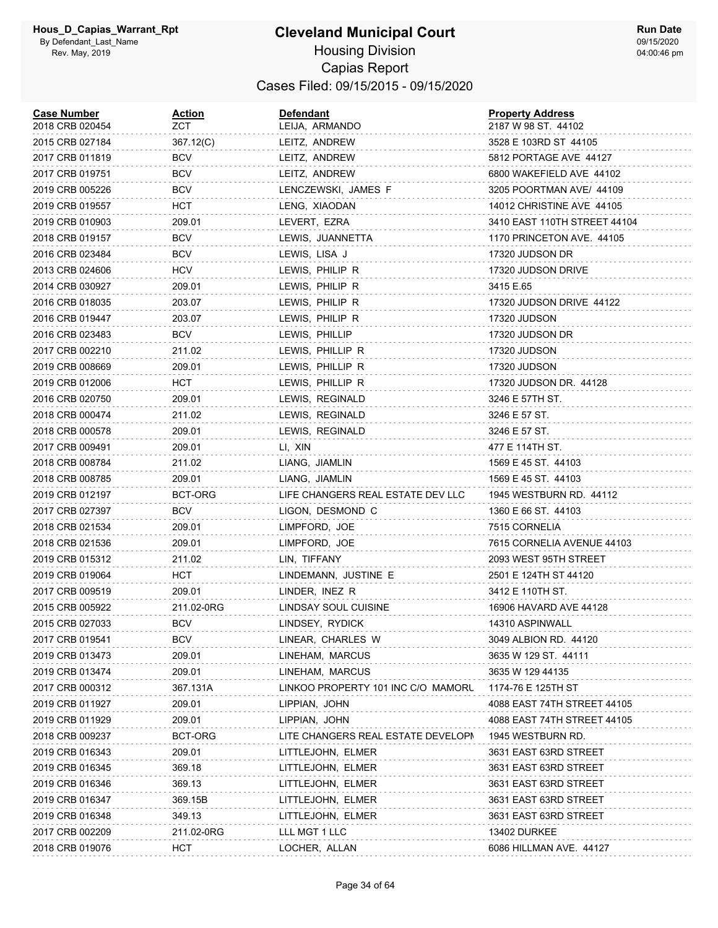#### **Cleveland Municipal Court** Housing Division Capias Report Cases Filed: 09/15/2015 - 09/15/2020

| <b>Case Number</b><br>2018 CRB 020454 | <u>Action</u><br>ZCT. | <b>Defendant</b><br>LEIJA, ARMANDO | <b>Property Address</b><br>2187 W 98 ST. 44102 |
|---------------------------------------|-----------------------|------------------------------------|------------------------------------------------|
| 2015 CRB 027184                       | 367.12(C)             | LEITZ, ANDREW                      | 3528 E 103RD ST 44105                          |
| 2017 CRB 011819                       | <b>BCV</b>            | LEITZ, ANDREW                      | 5812 PORTAGE AVE 44127                         |
| 2017 CRB 019751                       | <b>BCV</b>            | LEITZ, ANDREW                      | 6800 WAKEFIELD AVE 44102                       |
| 2019 CRB 005226                       | <b>BCV</b>            | LENCZEWSKI, JAMES F                | 3205 POORTMAN AVE/ 44109                       |
| 2019 CRB 019557                       | HCT                   | LENG, XIAODAN                      | 14012 CHRISTINE AVE 44105                      |
| 2019 CRB 010903                       | 209.01                | LEVERT, EZRA                       | 3410 EAST 110TH STREET 44104                   |
| 2018 CRB 019157                       | BCV                   | LEWIS, JUANNETTA                   | 1170 PRINCETON AVE. 44105                      |
| 2016 CRB 023484                       | BCV                   | LEWIS, LISA J                      | 17320 JUDSON DR                                |
| 2013 CRB 024606                       | <b>HCV</b>            | LEWIS, PHILIP R                    | 17320 JUDSON DRIVE                             |
| 2014 CRB 030927                       | 209.01                | LEWIS, PHILIP R                    | 3415 E.65                                      |
| 2016 CRB 018035                       | 203.07                | LEWIS, PHILIP R                    | 17320 JUDSON DRIVE 44122                       |
| 2016 CRB 019447                       | 203.07                | LEWIS, PHILIP R                    | 17320 JUDSON                                   |
| 2016 CRB 023483                       | <b>BCV</b>            | LEWIS, PHILLIP                     | 17320 JUDSON DR                                |
| 2017 CRB 002210                       | 211.02                | LEWIS, PHILLIP R                   | 17320 JUDSON                                   |
| 2019 CRB 008669                       | 209.01                | LEWIS, PHILLIP R                   | 17320 JUDSON                                   |
| 2019 CRB 012006                       | HCT                   | LEWIS, PHILLIP R                   | 17320 JUDSON DR. 44128                         |
| 2016 CRB 020750                       | 209.01                | LEWIS, REGINALD                    | 3246 E 57TH ST.                                |
| 2018 CRB 000474                       | 211.02                | LEWIS, REGINALD                    | 3246 E 57 ST.                                  |
| 2018 CRB 000578                       | 209.01                | LEWIS, REGINALD                    | 3246 E 57 ST.                                  |
| 2017 CRB 009491                       | 209.01                | LI, XIN                            | 477 E 114TH ST.                                |
| 2018 CRB 008784                       | 211.02                | LIANG, JIAMLIN                     | 1569 E 45 ST. 44103                            |
| 2018 CRB 008785                       | 209.01                | LIANG, JIAMLIN                     | 1569 E 45 ST. 44103                            |
| 2019 CRB 012197                       | BCT-ORG               | LIFE CHANGERS REAL ESTATE DEV LLC  | 1945 WESTBURN RD. 44112                        |
| 2017 CRB 027397                       | <b>BCV</b>            | LIGON, DESMOND C                   | 1360 E 66 ST. 44103                            |
| 2018 CRB 021534                       | 209.01                | LIMPFORD, JOE                      | 7515 CORNELIA                                  |
| 2018 CRB 021536                       | 209.01                | LIMPFORD, JOE                      | 7615 CORNELIA AVENUE 44103                     |
| 2019 CRB 015312                       | 211.02                | LIN, TIFFANY                       | 2093 WEST 95TH STREET                          |
| 2019 CRB 019064                       | HCT                   | LINDEMANN, JUSTINE E               | 2501 E 124TH ST 44120                          |
| 2017 CRB 009519                       | 209.01                | LINDER, INEZ R                     | 3412 E 110TH ST.                               |
| 2015 CRB 005922                       | 211.02-0RG            | LINDSAY SOUL CUISINE               | 16906 HAVARD AVE 44128                         |
| 2015 CRB 027033                       | <b>BCV</b>            | LINDSEY, RYDICK                    | 14310 ASPINWALL                                |
| 2017 CRB 019541                       | <b>BCV</b>            | LINEAR, CHARLES W                  | 3049 ALBION RD. 44120                          |
| 2019 CRB 013473                       | 209.01                | LINEHAM, MARCUS                    | 3635 W 129 ST. 44111                           |
| 2019 CRB 013474                       | 209.01                | LINEHAM, MARCUS                    | 3635 W 129 44135                               |
| 2017 CRB 000312                       | 367.131A              | LINKOO PROPERTY 101 INC C/O MAMORU | 1174-76 E 125TH ST                             |
| 2019 CRB 011927                       | 209.01                | LIPPIAN, JOHN                      | 4088 EAST 74TH STREET 44105                    |
| 2019 CRB 011929                       | 209.01                | LIPPIAN, JOHN                      | 4088 EAST 74TH STREET 44105                    |
| 2018 CRB 009237                       | BCT-ORG               | LITE CHANGERS REAL ESTATE DEVELOPI | 1945 WESTBURN RD.                              |
| 2019 CRB 016343                       | 209.01                | LITTLEJOHN, ELMER                  | 3631 EAST 63RD STREET                          |
| 2019 CRB 016345                       | 369.18                | LITTLEJOHN, ELMER                  | 3631 EAST 63RD STREET                          |
| 2019 CRB 016346                       | 369.13                | LITTLEJOHN, ELMER                  | 3631 EAST 63RD STREET                          |
| 2019 CRB 016347                       | 369.15B               | LITTLEJOHN, ELMER                  | 3631 EAST 63RD STREET                          |
| 2019 CRB 016348                       | 349.13                | LITTLEJOHN, ELMER                  | 3631 EAST 63RD STREET                          |
| 2017 CRB 002209                       | 211.02-0RG            | LLL MGT 1 LLC                      | 13402 DURKEE                                   |
| 2018 CRB 019076                       | <b>HCT</b>            | LOCHER, ALLAN                      | 6086 HILLMAN AVE. 44127                        |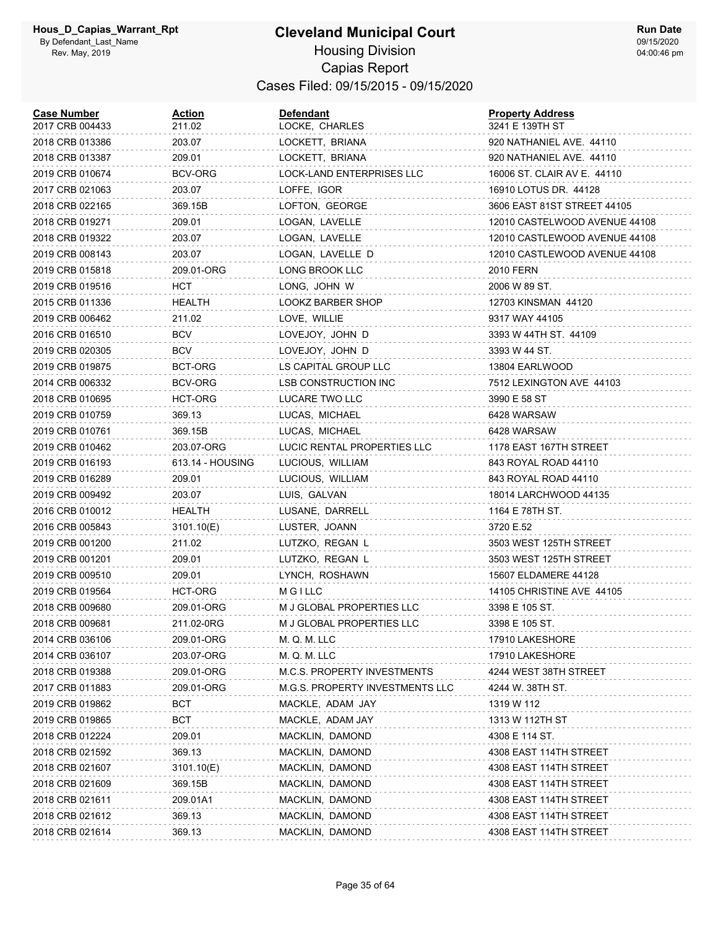#### **Cleveland Municipal Court** Housing Division Capias Report Cases Filed: 09/15/2015 - 09/15/2020

| <b>Case Number</b><br>2017 CRB 004433 | <u>Action</u><br>211.02 | <b>Defendant</b><br>LOCKE, CHARLES | <b>Property Address</b><br>3241 E 139TH ST |
|---------------------------------------|-------------------------|------------------------------------|--------------------------------------------|
| 2018 CRB 013386                       | 203.07                  | LOCKETT, BRIANA                    | 920 NATHANIEL AVE. 44110                   |
| 2018 CRB 013387                       | 209.01                  | LOCKETT, BRIANA                    | 920 NATHANIEL AVE. 44110                   |
| 2019 CRB 010674                       | <b>BCV-ORG</b>          | LOCK-LAND ENTERPRISES LLC          | 16006 ST. CLAIR AV E. 44110                |
| 2017 CRB 021063                       | 203.07                  | LOFFE, IGOR                        | 16910 LOTUS DR. 44128                      |
| 2018 CRB 022165                       | 369.15B                 | LOFTON, GEORGE                     | 3606 EAST 81ST STREET 44105                |
| 2018 CRB 019271                       | 209.01                  | LOGAN, LAVELLE                     | 12010 CASTELWOOD AVENUE 44108              |
| 2018 CRB 019322                       | 203.07                  | LOGAN, LAVELLE                     | 12010 CASTLEWOOD AVENUE 44108              |
| 2019 CRB 008143                       | 203.07                  | LOGAN, LAVELLE D                   | 12010 CASTLEWOOD AVENUE 44108              |
| 2019 CRB 015818                       | 209.01-ORG              | LONG BROOK LLC                     | 2010 FERN                                  |
| 2019 CRB 019516                       | HCT                     | LONG, JOHN W                       | 2006 W 89 ST.                              |
| 2015 CRB 011336                       | HEALTH                  | LOOKZ BARBER SHOP                  | 12703 KINSMAN 44120                        |
| 2019 CRB 006462                       | 211.02                  | LOVE, WILLIE                       | 9317 WAY 44105                             |
| 2016 CRB 016510                       | BCV                     | LOVEJOY, JOHN D                    | 3393 W 44TH ST. 44109                      |
| 2019 CRB 020305                       | BCV                     | LOVEJOY, JOHN D                    | 3393 W 44 ST.                              |
| 2019 CRB 019875                       | BCT-ORG                 | LS CAPITAL GROUP LLC               | 13804 EARLWOOD                             |
| 2014 CRB 006332                       | BCV-ORG                 | LSB CONSTRUCTION INC               | 7512 LEXINGTON AVE 44103                   |
| 2018 CRB 010695                       | HCT-ORG                 | LUCARE TWO LLC                     | 3990 E 58 ST                               |
| 2019 CRB 010759                       | 369.13                  | LUCAS, MICHAEL                     | 6428 WARSAW                                |
| 2019 CRB 010761                       | 369.15B                 | LUCAS, MICHAEL                     | 6428 WARSAW                                |
| 2019 CRB 010462                       | 203.07-ORG              | LUCIC RENTAL PROPERTIES LLC        | 1178 EAST 167TH STREET                     |
| 2019 CRB 016193                       | 613.14 - HOUSING        | LUCIOUS, WILLIAM                   | 843 ROYAL ROAD 44110                       |
| 2019 CRB 016289                       | 209.01                  | LUCIOUS, WILLIAM                   | 843 ROYAL ROAD 44110                       |
| 2019 CRB 009492                       | 203.07                  | LUIS, GALVAN                       | 18014 LARCHWOOD 44135                      |
| 2016 CRB 010012                       | <b>HEALTH</b>           | LUSANE, DARRELL                    | 1164 E 78TH ST.                            |
| 2016 CRB 005843                       | 3101.10(E)              | LUSTER, JOANN                      | 3720 E.52                                  |
| 2019 CRB 001200                       | 211.02                  | LUTZKO, REGAN L                    | 3503 WEST 125TH STREET                     |
| 2019 CRB 001201                       | 209.01                  | LUTZKO, REGAN L                    | 3503 WEST 125TH STREET                     |
| 2019 CRB 009510                       | 209.01                  | LYNCH, ROSHAWN                     | 15607 ELDAMERE 44128                       |
| 2019 CRB 019564                       | HCT-ORG                 | <b>MGILLC</b>                      | 14105 CHRISTINE AVE 44105                  |
| 2018 CRB 009680                       | 209.01-ORG              | M J GLOBAL PROPERTIES LLC          | 3398 E 105 ST.                             |
| 2018 CRB 009681                       | 211.02-0RG              | M J GLOBAL PROPERTIES LLC          | 3398 E 105 ST.                             |
| 2014 CRB 036106                       | 209.01-ORG              | M. Q. M. LLC                       | 17910 LAKESHORE                            |
| 2014 CRB 036107                       | 203.07-ORG              | M. Q. M. LLC                       | 17910 LAKESHORE                            |
| 2018 CRB 019388                       | 209.01-ORG              | M.C.S. PROPERTY INVESTMENTS        | 4244 WEST 38TH STREET                      |
| 2017 CRB 011883                       | 209.01-ORG              | M.G.S. PROPERTY INVESTMENTS LLC    | 4244 W. 38TH ST.                           |
| 2019 CRB 019862                       | BCT                     | MACKLE, ADAM JAY                   | 1319 W 112                                 |
| 2019 CRB 019865                       | BCT                     | MACKLE, ADAM JAY                   | 1313 W 112TH ST                            |
| 2018 CRB 012224                       | 209.01                  | MACKLIN, DAMOND                    | 4308 E 114 ST.                             |
| 2018 CRB 021592                       | 369.13                  | MACKLIN, DAMOND                    | 4308 EAST 114TH STREET                     |
| 2018 CRB 021607                       | 3101.10(E)              | MACKLIN, DAMOND                    | 4308 EAST 114TH STREET                     |
| 2018 CRB 021609                       | 369.15B                 | MACKLIN, DAMOND                    | 4308 EAST 114TH STREET                     |
| 2018 CRB 021611                       | 209.01A1                | MACKLIN, DAMOND                    | 4308 EAST 114TH STREET                     |
| 2018 CRB 021612                       | 369.13                  | MACKLIN, DAMOND                    | 4308 EAST 114TH STREET                     |
| 2018 CRB 021614                       | 369.13                  | MACKLIN, DAMOND                    | 4308 EAST 114TH STREET                     |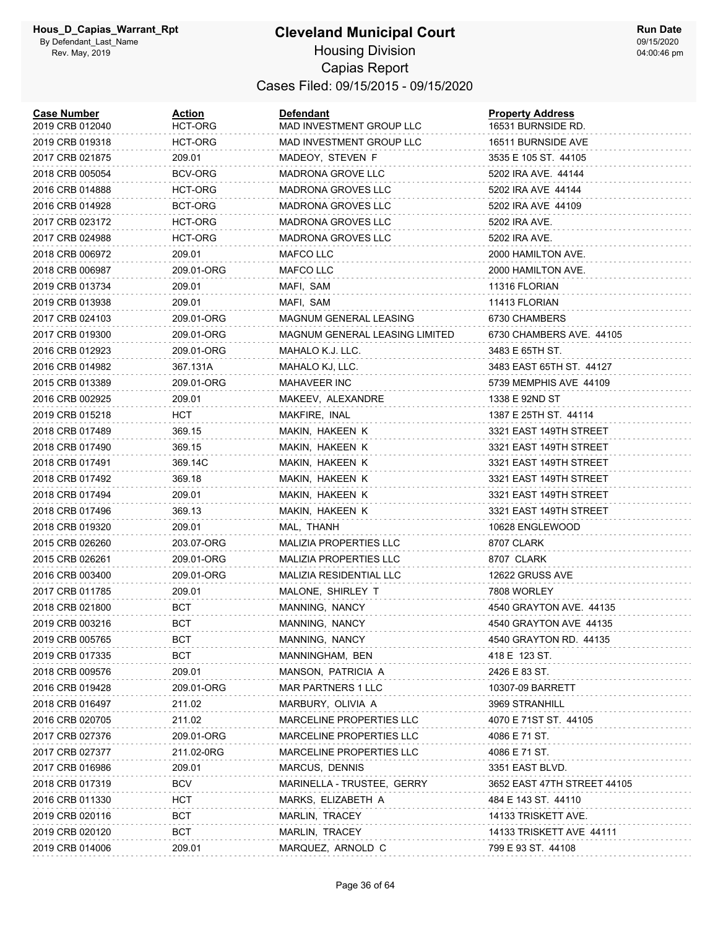#### **Cleveland Municipal Court** Housing Division Capias Report Cases Filed: 09/15/2015 - 09/15/2020

| <b>Case Number</b><br>2019 CRB 012040 | Action<br>HCT-ORG | <b>Defendant</b><br>MAD INVESTMENT GROUP LLC | <b>Property Address</b><br>16531 BURNSIDE RD. |
|---------------------------------------|-------------------|----------------------------------------------|-----------------------------------------------|
| 2019 CRB 019318                       | HCT-ORG           | MAD INVESTMENT GROUP LLC                     | 16511 BURNSIDE AVE                            |
| 2017 CRB 021875                       | 209.01            | MADEOY, STEVEN F                             | 3535 E 105 ST. 44105                          |
| 2018 CRB 005054                       | BCV-ORG           | MADRONA GROVE LLC                            | 5202 IRA AVE. 44144                           |
| 2016 CRB 014888                       | HCT-ORG           | <b>MADRONA GROVES LLC</b>                    | 5202 IRA AVE 44144                            |
| 2016 CRB 014928                       | BCT-ORG           | <b>MADRONA GROVES LLC</b>                    | 5202 IRA AVE 44109                            |
| 2017 CRB 023172                       | HCT-ORG           | <b>MADRONA GROVES LLC</b>                    | 5202 IRA AVE.                                 |
| 2017 CRB 024988                       | HCT-ORG           | <b>MADRONA GROVES LLC</b>                    | 5202 IRA AVE.                                 |
| 2018 CRB 006972                       | 209.01            | MAFCO LLC                                    | 2000 HAMILTON AVE.                            |
| 2018 CRB 006987                       | 209.01-ORG        | MAFCO LLC                                    | 2000 HAMILTON AVE.                            |
| 2019 CRB 013734                       | 209.01            | MAFI, SAM                                    | 11316 FLORIAN                                 |
| 2019 CRB 013938                       | 209.01            | MAFI, SAM                                    | 11413 FLORIAN                                 |
| 2017 CRB 024103                       | 209.01-ORG        | MAGNUM GENERAL LEASING                       | 6730 CHAMBERS                                 |
| 2017 CRB 019300                       | 209.01-ORG        | MAGNUM GENERAL LEASING LIMITED               | 6730 CHAMBERS AVE. 44105                      |
| 2016 CRB 012923                       | 209.01-ORG        | MAHALO K.J. LLC.                             | 3483 E 65TH ST.                               |
| 2016 CRB 014982                       | 367.131A          | MAHALO KJ, LLC.                              | 3483 EAST 65TH ST. 44127                      |
| 2015 CRB 013389                       | 209.01-ORG        | <b>MAHAVEER INC</b>                          | 5739 MEMPHIS AVE 44109                        |
| 2016 CRB 002925                       | 209.01            | MAKEEV, ALEXANDRE                            | 1338 E 92ND ST                                |
| 2019 CRB 015218                       | HCT               | MAKFIRE, INAL                                | 1387 E 25TH ST. 44114                         |
| 2018 CRB 017489                       | 369.15            | MAKIN, HAKEEN K                              | 3321 EAST 149TH STREET                        |
| 2018 CRB 017490                       | 369.15            | MAKIN, HAKEEN K                              | 3321 EAST 149TH STREET                        |
| 2018 CRB 017491                       | 369.14C           | MAKIN, HAKEEN K                              | 3321 EAST 149TH STREET                        |
| 2018 CRB 017492                       | 369.18            | MAKIN, HAKEEN K                              | 3321 EAST 149TH STREET                        |
| 2018 CRB 017494                       | 209.01            | MAKIN, HAKEEN K                              | 3321 EAST 149TH STREET                        |
| 2018 CRB 017496                       | 369.13            | MAKIN, HAKEEN K                              | 3321 EAST 149TH STREET                        |
| 2018 CRB 019320                       | 209.01            | MAL, THANH                                   | 10628 ENGLEWOOD                               |
| 2015 CRB 026260                       | 203.07-ORG        | MALIZIA PROPERTIES LLC                       | 8707 CLARK                                    |
| 2015 CRB 026261                       | 209.01-ORG        | <b>MALIZIA PROPERTIES LLC</b>                | 8707 CLARK                                    |
| 2016 CRB 003400                       | 209.01-ORG        | MALIZIA RESIDENTIAL LLC                      | 12622 GRUSS AVE                               |
| 2017 CRB 011785                       | 209.01            | MALONE, SHIRLEY T                            | 7808 WORLEY                                   |
| 2018 CRB 021800                       | BCT               | MANNING, NANCY                               | 4540 GRAYTON AVE. 44135                       |
| 2019 CRB 003216                       | <b>BCT</b>        | MANNING, NANCY                               | 4540 GRAYTON AVE 44135                        |
| 2019 CRB 005765                       | <b>BCT</b>        | MANNING, NANCY                               | 4540 GRAYTON RD. 44135                        |
| 2019 CRB 017335                       | <b>BCT</b>        | MANNINGHAM, BEN                              | 418 E 123 ST.                                 |
| 2018 CRB 009576                       | 209.01            | MANSON, PATRICIA A                           | 2426 E 83 ST.                                 |
| 2016 CRB 019428                       | 209.01-ORG        | MAR PARTNERS 1 LLC                           | 10307-09 BARRETT                              |
| 2018 CRB 016497                       | 211.02            | MARBURY, OLIVIA A                            | 3969 STRANHILL                                |
| 2016 CRB 020705                       | 211.02            | <b>MARCELINE PROPERTIES LLC</b>              | 4070 E 71ST ST. 44105                         |
| 2017 CRB 027376                       | 209.01-ORG        | <b>MARCELINE PROPERTIES LLC</b>              | 4086 E 71 ST.                                 |
| 2017 CRB 027377                       | 211.02-0RG        | MARCELINE PROPERTIES LLC                     | 4086 E 71 ST.                                 |
| 2017 CRB 016986                       | 209.01            | MARCUS, DENNIS                               | 3351 EAST BLVD.                               |
| 2018 CRB 017319                       | <b>BCV</b>        | MARINELLA - TRUSTEE, GERRY                   | 3652 EAST 47TH STREET 44105                   |
| 2016 CRB 011330                       | HCT               | MARKS, ELIZABETH A                           | 484 E 143 ST. 44110                           |
| 2019 CRB 020116                       | <b>BCT</b>        | MARLIN, TRACEY                               | 14133 TRISKETT AVE.                           |
| 2019 CRB 020120                       | <b>BCT</b>        | MARLIN, TRACEY                               | 14133 TRISKETT AVE 44111                      |
| 2019 CRB 014006                       | 209.01            | MARQUEZ, ARNOLD C                            | 799 E 93 ST. 44108                            |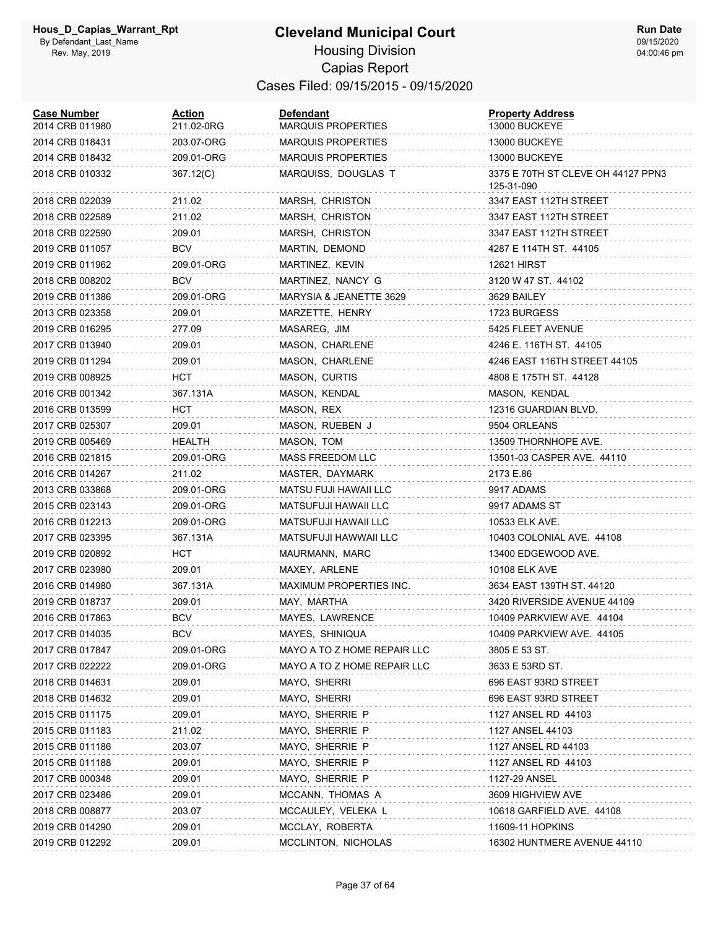### **Cleveland Municipal Court**

**Run Date** 09/15/2020 04:00:46 pm

#### Housing Division Capias Report Cases Filed: 09/15/2015 - 09/15/2020

| <b>Case Number</b><br>2014 CRB 011980 | <b>Action</b><br>211.02-0RG | <b>Defendant</b><br>MARQUIS PROPERTIES | <b>Property Address</b><br>13000 BUCKEYE         |
|---------------------------------------|-----------------------------|----------------------------------------|--------------------------------------------------|
| 2014 CRB 018431                       | 203.07-ORG                  | <b>MARQUIS PROPERTIES</b>              | 13000 BUCKEYE                                    |
| 2014 CRB 018432                       | 209.01-ORG                  | <b>MARQUIS PROPERTIES</b>              | 13000 BUCKEYE                                    |
| 2018 CRB 010332                       | 367.12(C)                   | MARQUISS, DOUGLAS T                    | 3375 E 70TH ST CLEVE OH 44127 PPN3<br>125-31-090 |
| 2018 CRB 022039                       | 211.02                      | MARSH, CHRISTON                        | 3347 EAST 112TH STREET                           |
| 2018 CRB 022589                       | 211.02                      | MARSH, CHRISTON                        | 3347 EAST 112TH STREET                           |
| 2018 CRB 022590                       | 209.01                      | MARSH, CHRISTON                        | 3347 EAST 112TH STREET                           |
| 2019 CRB 011057                       | <b>BCV</b>                  | MARTIN, DEMOND                         | 4287 E 114TH ST. 44105                           |
| 2019 CRB 011962                       | 209.01-ORG                  | MARTINEZ, KEVIN                        | 12621 HIRST                                      |
| 2018 CRB 008202                       | <b>BCV</b>                  | MARTINEZ, NANCY G                      | 3120 W 47 ST. 44102                              |
| 2019 CRB 011386                       | 209.01-ORG                  | MARYSIA & JEANETTE 3629                | 3629 BAILEY                                      |
| 2013 CRB 023358                       | 209.01                      | MARZETTE, HENRY                        | 1723 BURGESS                                     |
| 2019 CRB 016295                       | 277.09                      | MASAREG, JIM                           | 5425 FLEET AVENUE                                |
| 2017 CRB 013940                       | 209.01                      | MASON, CHARLENE                        | 4246 E. 116TH ST. 44105                          |
| 2019 CRB 011294                       | 209.01                      | MASON, CHARLENE                        | 4246 EAST 116TH STREET 44105                     |
| 2019 CRB 008925                       | HCT                         | MASON, CURTIS                          | 4808 E 175TH ST. 44128                           |
| 2016 CRB 001342                       | 367.131A                    | MASON, KENDAL                          | MASON, KENDAL                                    |
| 2016 CRB 013599                       | <b>HCT</b>                  | MASON, REX                             | 12316 GUARDIAN BLVD.                             |
| 2017 CRB 025307                       | 209.01                      | MASON, RUEBEN J                        | 9504 ORLEANS                                     |
| 2019 CRB 005469                       | HEALTH                      | MASON, TOM                             | 13509 THORNHOPE AVE.                             |
| 2016 CRB 021815                       | 209.01-ORG                  | MASS FREEDOM LLC                       | 13501-03 CASPER AVE. 44110                       |
| 2016 CRB 014267                       | 211.02                      | MASTER, DAYMARK                        | 2173 E.86                                        |
| 2013 CRB 033868                       | 209.01-ORG                  | MATSU FUJI HAWAII LLC                  | 9917 ADAMS                                       |
| 2015 CRB 023143                       | 209.01-ORG                  | MATSUFUJI HAWAII LLC                   | 9917 ADAMS ST                                    |
| 2016 CRB 012213                       | 209.01-ORG                  | MATSUFUJI HAWAII LLC                   | 10533 ELK AVE.                                   |
| 2017 CRB 023395                       | 367.131A                    | MATSUFUJI HAWWAII LLC                  | 10403 COLONIAL AVE. 44108                        |
| 2019 CRB 020892                       | HCT                         | MAURMANN, MARC                         | 13400 EDGEWOOD AVE.                              |
| 2017 CRB 023980                       | 209.01                      | MAXEY, ARLENE                          | 10108 ELK AVE                                    |
| 2016 CRB 014980                       | 367.131A                    | MAXIMUM PROPERTIES INC.                | 3634 EAST 139TH ST. 44120                        |
| 2019 CRB 018737                       | 209.01                      | MAY, MARTHA                            | 3420 RIVERSIDE AVENUE 44109                      |
| 2016 CRB 017863                       | <b>BCV</b>                  | MAYES, LAWRENCE                        | 10409 PARKVIEW AVE. 44104                        |
| 2017 CRB 014035                       | <b>BCV</b>                  | MAYES, SHINIQUA                        | 10409 PARKVIEW AVE. 44105                        |
| 2017 CRB 017847                       | 209.01-ORG                  | MAYO A TO Z HOME REPAIR LLC            | 3805 E 53 ST.                                    |
| 2017 CRB 022222                       | 209.01-ORG                  | MAYO A TO Z HOME REPAIR LLC            | 3633 E 53RD ST.                                  |
| 2018 CRB 014631                       | 209.01                      | MAYO, SHERRI                           | 696 EAST 93RD STREET                             |
| 2018 CRB 014632                       | 209.01                      | MAYO, SHERRI                           | 696 EAST 93RD STREET                             |
| 2015 CRB 011175                       | 209.01                      | MAYO, SHERRIE P                        | 1127 ANSEL RD 44103                              |
| 2015 CRB 011183                       | 211.02                      | MAYO, SHERRIE P                        | 1127 ANSEL 44103                                 |
| 2015 CRB 011186                       | 203.07                      | MAYO, SHERRIE P                        | 1127 ANSEL RD 44103                              |
| 2015 CRB 011188                       | 209.01                      | MAYO, SHERRIE P                        | 1127 ANSEL RD 44103                              |
| 2017 CRB 000348                       | 209.01                      | MAYO, SHERRIE P                        | 1127-29 ANSEL                                    |
| 2017 CRB 023486                       | 209.01                      | MCCANN, THOMAS A                       | 3609 HIGHVIEW AVE                                |
| 2018 CRB 008877                       | 203.07                      | MCCAULEY, VELEKA L                     | 10618 GARFIELD AVE. 44108                        |
| 2019 CRB 014290                       | 209.01                      | MCCLAY, ROBERTA                        | 11609-11 HOPKINS                                 |
| 2019 CRB 012292                       | 209.01                      | MCCLINTON, NICHOLAS                    | 16302 HUNTMERE AVENUE 44110                      |
|                                       |                             |                                        |                                                  |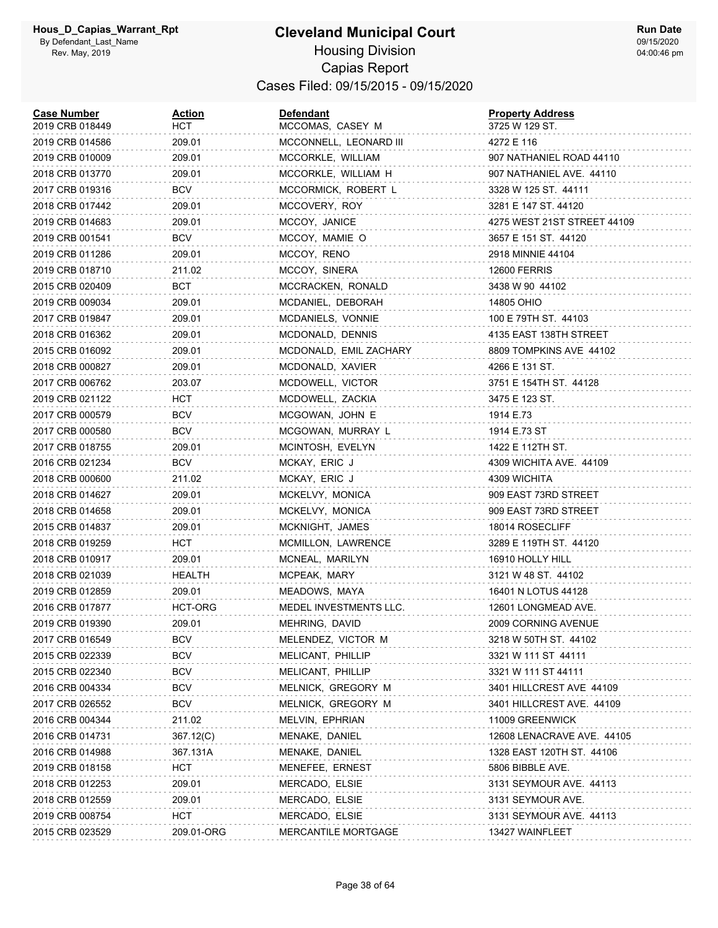#### **Cleveland Municipal Court** Housing Division Capias Report Cases Filed: 09/15/2015 - 09/15/2020

| <b>Case Number</b><br>2019 CRB 018449 | Action<br>HCT | <b>Defendant</b><br>MCCOMAS, CASEY M | <b>Property Address</b><br>3725 W 129 ST. |
|---------------------------------------|---------------|--------------------------------------|-------------------------------------------|
| 2019 CRB 014586                       | 209.01        | MCCONNELL, LEONARD III               | 4272 E 116                                |
| 2019 CRB 010009                       | 209.01        | MCCORKLE, WILLIAM                    | 907 NATHANIEL ROAD 44110                  |
| 2018 CRB 013770                       | 209.01        | MCCORKLE, WILLIAM H                  | 907 NATHANIEL AVE. 44110                  |
| 2017 CRB 019316                       | <b>BCV</b>    | MCCORMICK, ROBERT L                  | 3328 W 125 ST. 44111                      |
| 2018 CRB 017442                       | 209.01        | MCCOVERY, ROY                        | 3281 E 147 ST. 44120                      |
| 2019 CRB 014683                       | 209.01        | MCCOY, JANICE                        | 4275 WEST 21ST STREET 44109               |
| 2019 CRB 001541                       | BCV           | MCCOY, MAMIE O                       | 3657 E 151 ST. 44120                      |
| 2019 CRB 011286                       | 209.01        | MCCOY, RENO                          | 2918 MINNIE 44104                         |
| 2019 CRB 018710                       | 211.02        | MCCOY, SINERA                        | <b>12600 FERRIS</b>                       |
| 2015 CRB 020409                       | BCT           | MCCRACKEN, RONALD                    | 3438 W 90 44102                           |
| 2019 CRB 009034                       | 209.01        | MCDANIEL, DEBORAH                    | 14805 OHIO                                |
| 2017 CRB 019847                       | 209.01        | MCDANIELS, VONNIE                    | 100 E 79TH ST. 44103                      |
| 2018 CRB 016362                       | 209.01        | MCDONALD, DENNIS                     | 4135 EAST 138TH STREET                    |
| 2015 CRB 016092                       | 209.01        | MCDONALD, EMIL ZACHARY               | 8809 TOMPKINS AVE 44102                   |
| 2018 CRB 000827                       | 209.01        | MCDONALD, XAVIER                     | 4266 E 131 ST.                            |
| 2017 CRB 006762                       | 203.07        | MCDOWELL, VICTOR                     | 3751 E 154TH ST. 44128                    |
| 2019 CRB 021122                       | HCT           | MCDOWELL, ZACKIA                     | 3475 E 123 ST.                            |
| 2017 CRB 000579                       | <b>BCV</b>    | MCGOWAN, JOHN E                      | 1914 E.73                                 |
| 2017 CRB 000580                       | <b>BCV</b>    | MCGOWAN, MURRAY L                    | 1914 E.73 ST                              |
| 2017 CRB 018755                       | 209.01        | MCINTOSH, EVELYN                     | 1422 E 112TH ST.                          |
| 2016 CRB 021234                       | BCV           | MCKAY, ERIC J                        | 4309 WICHITA AVE. 44109                   |
| 2018 CRB 000600                       | 211.02        | MCKAY, ERIC J                        | 4309 WICHITA                              |
| 2018 CRB 014627                       | 209.01        | MCKELVY, MONICA                      | 909 EAST 73RD STREET                      |
| 2018 CRB 014658                       | 209.01        | MCKELVY, MONICA                      | 909 EAST 73RD STREET                      |
| 2015 CRB 014837                       | 209.01        | MCKNIGHT, JAMES                      | 18014 ROSECLIFF                           |
| 2018 CRB 019259                       | нст           | MCMILLON, LAWRENCE                   | 3289 E 119TH ST. 44120                    |
| 2018 CRB 010917                       | 209.01        | MCNEAL, MARILYN                      | 16910 HOLLY HILL                          |
| 2018 CRB 021039                       | HEALTH        | MCPEAK, MARY                         | 3121 W 48 ST. 44102                       |
| 2019 CRB 012859                       | 209.01        | MEADOWS, MAYA                        | 16401 N LOTUS 44128                       |
| 2016 CRB 017877                       | HCT-ORG       | MEDEL INVESTMENTS LLC.               | 12601 LONGMEAD AVE.                       |
| 2019 CRB 019390                       | 209.01        | MEHRING, DAVID                       | 2009 CORNING AVENUE                       |
| 2017 CRB 016549                       | <b>BCV</b>    | MELENDEZ, VICTOR M                   | 3218 W 50TH ST. 44102                     |
| 2015 CRB 022339                       | <b>BCV</b>    | MELICANT, PHILLIP                    | 3321 W 111 ST 44111                       |
| 2015 CRB 022340                       | <b>BCV</b>    | MELICANT, PHILLIP                    | 3321 W 111 ST 44111                       |
| 2016 CRB 004334                       | <b>BCV</b>    | MELNICK, GREGORY M                   | 3401 HILLCREST AVE 44109                  |
| 2017 CRB 026552                       | <b>BCV</b>    | MELNICK, GREGORY M                   | 3401 HILLCREST AVE. 44109                 |
| 2016 CRB 004344                       | 211.02        | MELVIN, EPHRIAN                      | 11009 GREENWICK                           |
| 2016 CRB 014731                       | 367.12(C)     | MENAKE, DANIEL                       | 12608 LENACRAVE AVE. 44105                |
| 2016 CRB 014988                       | 367.131A      | MENAKE, DANIEL                       | 1328 EAST 120TH ST. 44106                 |
| 2019 CRB 018158                       | HCT           | MENEFEE, ERNEST                      | 5806 BIBBLE AVE.                          |
| 2018 CRB 012253                       | 209.01        | MERCADO, ELSIE                       | 3131 SEYMOUR AVE. 44113                   |
| 2018 CRB 012559                       | 209.01        | MERCADO, ELSIE                       | 3131 SEYMOUR AVE.                         |
| 2019 CRB 008754                       | нст           | MERCADO, ELSIE                       | 3131 SEYMOUR AVE. 44113                   |
| 2015 CRB 023529                       | 209.01-ORG    | MERCANTILE MORTGAGE                  | 13427 WAINFLEET                           |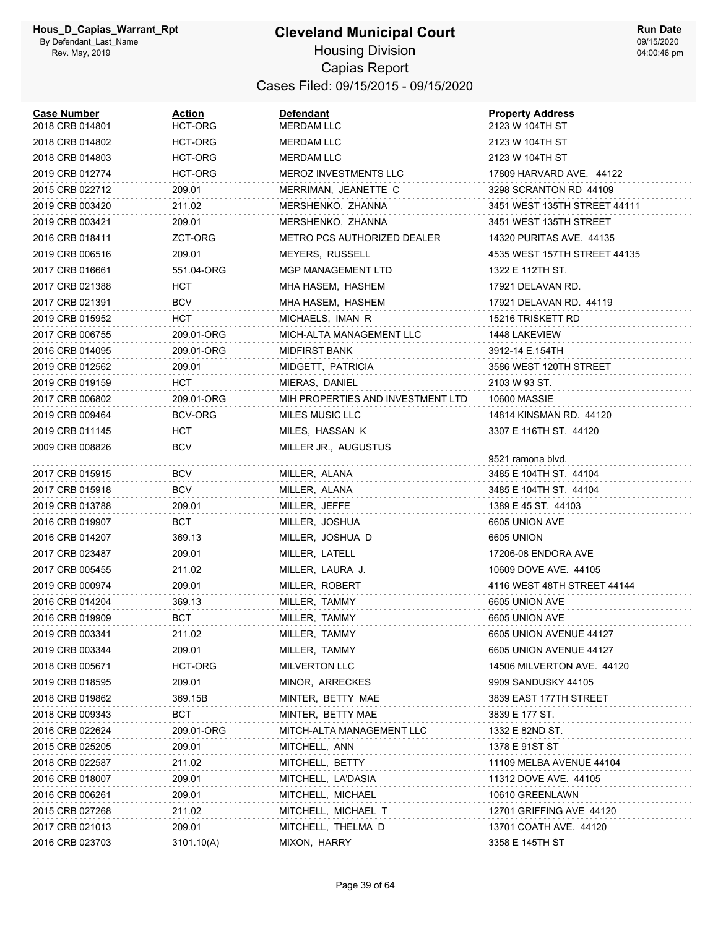#### **Cleveland Municipal Court** Housing Division Capias Report Cases Filed: 09/15/2015 - 09/15/2020

| <b>Case Number</b><br>2018 CRB 014801 | Action<br>HCT-ORG | <b>Defendant</b><br>MERDAM LLC    | <b>Property Address</b><br>2123 W 104TH ST |
|---------------------------------------|-------------------|-----------------------------------|--------------------------------------------|
| 2018 CRB 014802                       | HCT-ORG           | <b>MERDAM LLC</b>                 | 2123 W 104TH ST                            |
| 2018 CRB 014803                       | HCT-ORG           | <b>MERDAM LLC</b>                 | 2123 W 104TH ST                            |
| 2019 CRB 012774                       | HCT-ORG           | <b>MEROZ INVESTMENTS LLC</b>      | 17809 HARVARD AVE. 44122                   |
| 2015 CRB 022712                       | 209.01            | MERRIMAN, JEANETTE C              | 3298 SCRANTON RD 44109                     |
| 2019 CRB 003420                       | 211.02            | MERSHENKO, ZHANNA                 | 3451 WEST 135TH STREET 44111               |
| 2019 CRB 003421                       | 209.01            | MERSHENKO, ZHANNA                 | 3451 WEST 135TH STREET                     |
| 2016 CRB 018411                       | ZCT-ORG           | METRO PCS AUTHORIZED DEALER       | 14320 PURITAS AVE. 44135                   |
| 2019 CRB 006516                       | 209.01            | MEYERS, RUSSELL                   | 4535 WEST 157TH STREET 44135               |
| 2017 CRB 016661                       | 551.04-ORG        | <b>MGP MANAGEMENT LTD</b>         | 1322 E 112TH ST.                           |
| 2017 CRB 021388                       | нст               | MHA HASEM, HASHEM                 | 17921 DELAVAN RD.                          |
| 2017 CRB 021391                       | BCV               | MHA HASEM, HASHEM                 | 17921 DELAVAN RD. 44119                    |
| 2019 CRB 015952                       | нст               | MICHAELS, IMAN R                  | 15216 TRISKETT RD                          |
| 2017 CRB 006755                       | 209.01-ORG        | MICH-ALTA MANAGEMENT LLC          | 1448 LAKEVIEW                              |
| 2016 CRB 014095                       | 209.01-ORG        | <b>MIDFIRST BANK</b>              | 3912-14 E.154TH                            |
| 2019 CRB 012562                       | 209.01            | MIDGETT, PATRICIA                 | 3586 WEST 120TH STREET                     |
| 2019 CRB 019159                       | HCT               | MIERAS, DANIEL                    | 2103 W 93 ST.                              |
| 2017 CRB 006802                       | 209.01-ORG        | MIH PROPERTIES AND INVESTMENT LTD | <b>10600 MASSIE</b>                        |
| 2019 CRB 009464                       | BCV-ORG           | MILES MUSIC LLC                   | 14814 KINSMAN RD. 44120                    |
| 2019 CRB 011145                       | нст               | MILES, HASSAN K                   | 3307 E 116TH ST. 44120                     |
| 2009 CRB 008826                       | BCV               | MILLER JR., AUGUSTUS              |                                            |
|                                       |                   |                                   | 9521 ramona blvd.                          |
| 2017 CRB 015915                       | BCV               | MILLER, ALANA                     | 3485 E 104TH ST. 44104                     |
| 2017 CRB 015918                       | BCV               | MILLER, ALANA                     | 3485 E 104TH ST. 44104                     |
| 2019 CRB 013788                       | 209.01            | MILLER, JEFFE                     | 1389 E 45 ST. 44103                        |
| 2016 CRB 019907                       | BCT               | MILLER, JOSHUA                    | 6605 UNION AVE                             |
| 2016 CRB 014207                       | 369.13            | MILLER, JOSHUA D                  | 6605 UNION                                 |
| 2017 CRB 023487                       | 209.01            | MILLER, LATELL                    | 17206-08 ENDORA AVE                        |
| 2017 CRB 005455                       | 211.02            | MILLER, LAURA J.                  | 10609 DOVE AVE. 44105                      |
| 2019 CRB 000974                       | 209.01            | MILLER, ROBERT                    | 4116 WEST 48TH STREET 44144                |
| 2016 CRB 014204                       | 369.13            | MILLER, TAMMY                     | 6605 UNION AVE                             |
| 2016 CRB 019909                       | вст               | MILLER, TAMMY                     | 6605 UNION AVE                             |
| 2019 CRB 003341                       | 211.02            | MILLER, TAMMY                     | 6605 UNION AVENUE 44127                    |
| 2019 CRB 003344                       | 209.01            | MILLER, TAMMY                     | 6605 UNION AVENUE 44127                    |
| 2018 CRB 005671                       | HCT-ORG           | MILVERTON LLC                     | 14506 MILVERTON AVE. 44120                 |
| 2019 CRB 018595<br>2018 CRB 019862    | 209.01<br>369.15B | MINOR, ARRECKES                   | 9909 SANDUSKY 44105                        |
|                                       | BCT               | MINTER, BETTY MAE                 | 3839 EAST 177TH STREET                     |
| 2018 CRB 009343                       |                   | MINTER, BETTY MAE                 | 3839 E 177 ST.                             |
| 2016 CRB 022624                       | 209.01-ORG        | MITCH-ALTA MANAGEMENT LLC         | 1332 E 82ND ST.                            |
| 2015 CRB 025205                       | 209.01            | MITCHELL, ANN                     | 1378 E 91ST ST                             |
| 2018 CRB 022587                       | 211.02            | MITCHELL, BETTY                   | 11109 MELBA AVENUE 44104                   |
| 2016 CRB 018007                       | 209.01            | MITCHELL, LA'DASIA                | 11312 DOVE AVE. 44105                      |
| 2016 CRB 006261                       | 209.01            | MITCHELL, MICHAEL                 | 10610 GREENLAWN                            |
| 2015 CRB 027268                       | 211.02            | MITCHELL, MICHAEL T               | 12701 GRIFFING AVE 44120                   |
| 2017 CRB 021013                       | 209.01            | MITCHELL, THELMA D                | 13701 COATH AVE. 44120                     |
| 2016 CRB 023703                       | 3101.10(A)        | MIXON, HARRY                      | 3358 E 145TH ST                            |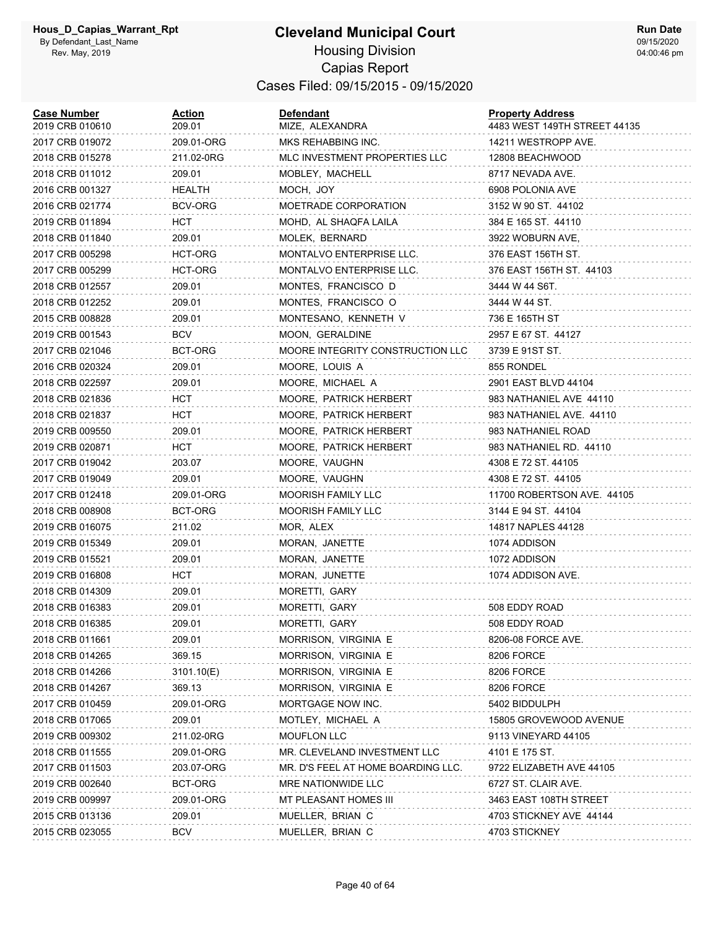#### **Cleveland Municipal Court** Housing Division Capias Report Cases Filed: 09/15/2015 - 09/15/2020

| <b>Case Number</b><br>2019 CRB 010610 | Action<br>209.01 | <b>Defendant</b><br>MIZE, ALEXANDRA | <b>Property Address</b><br>4483 WEST 149TH STREET 44135 |
|---------------------------------------|------------------|-------------------------------------|---------------------------------------------------------|
| 2017 CRB 019072                       | 209.01-ORG       | MKS REHABBING INC.                  | 14211 WESTROPP AVE.                                     |
| 2018 CRB 015278                       | 211.02-0RG       | MLC INVESTMENT PROPERTIES LLC       | 12808 BEACHWOOD                                         |
| 2018 CRB 011012                       | 209.01           | MOBLEY, MACHELL                     | 8717 NEVADA AVE.                                        |
| 2016 CRB 001327                       | HEALTH           | MOCH, JOY                           | 6908 POLONIA AVE                                        |
| 2016 CRB 021774                       | BCV-ORG          | MOETRADE CORPORATION                | 3152 W 90 ST. 44102                                     |
| 2019 CRB 011894                       | нст              | MOHD, AL SHAQFA LAILA               | 384 E 165 ST. 44110                                     |
| 2018 CRB 011840                       | 209.01           | MOLEK, BERNARD                      | 3922 WOBURN AVE,                                        |
| 2017 CRB 005298                       | HCT-ORG          | MONTALVO ENTERPRISE LLC.            | 376 EAST 156TH ST.                                      |
| 2017 CRB 005299                       | HCT-ORG          | MONTALVO ENTERPRISE LLC.            | 376 EAST 156TH ST. 44103                                |
| 2018 CRB 012557                       | 209.01           | MONTES, FRANCISCO D                 | 3444 W 44 S6T.                                          |
| 2018 CRB 012252                       | 209.01           | MONTES, FRANCISCO O                 | 3444 W 44 ST.                                           |
| 2015 CRB 008828                       | 209.01           | MONTESANO, KENNETH V                | 736 E 165TH ST                                          |
| 2019 CRB 001543                       | BCV              | MOON, GERALDINE                     | 2957 E 67 ST. 44127                                     |
| 2017 CRB 021046                       | BCT-ORG          | MOORE INTEGRITY CONSTRUCTION LLC    | 3739 E 91ST ST.                                         |
| 2016 CRB 020324                       | 209.01           | MOORE, LOUIS A                      | 855 RONDEL                                              |
| 2018 CRB 022597                       | 209.01           | MOORE, MICHAEL A                    | 2901 EAST BLVD 44104                                    |
| 2018 CRB 021836                       | HCT              | MOORE, PATRICK HERBERT              | 983 NATHANIEL AVE 44110                                 |
| 2018 CRB 021837                       | нст              | MOORE, PATRICK HERBERT              | 983 NATHANIEL AVE. 44110                                |
| 2019 CRB 009550                       | 209.01           | MOORE, PATRICK HERBERT              | 983 NATHANIEL ROAD                                      |
| 2019 CRB 020871                       | нст              | MOORE, PATRICK HERBERT              | 983 NATHANIEL RD. 44110                                 |
| 2017 CRB 019042                       | 203.07           | MOORE, VAUGHN                       | 4308 E 72 ST. 44105                                     |
| 2017 CRB 019049                       | 209.01           | MOORE, VAUGHN                       | 4308 E 72 ST. 44105                                     |
| 2017 CRB 012418                       | 209.01-ORG       | <b>MOORISH FAMILY LLC</b>           | 11700 ROBERTSON AVE. 44105                              |
| 2018 CRB 008908                       | BCT-ORG          | MOORISH FAMILY LLC                  | 3144 E 94 ST. 44104                                     |
| 2019 CRB 016075                       | 211.02           | MOR, ALEX                           | 14817 NAPLES 44128                                      |
| 2019 CRB 015349                       | 209.01           | MORAN, JANETTE                      | 1074 ADDISON                                            |
| 2019 CRB 015521                       | 209.01           | MORAN, JANETTE                      | 1072 ADDISON                                            |
| 2019 CRB 016808                       | нст              | MORAN, JUNETTE                      | 1074 ADDISON AVE.                                       |
| 2018 CRB 014309                       | 209.01           | MORETTI, GARY                       |                                                         |
| 2018 CRB 016383                       | 209.01           | MORETTI, GARY                       | 508 EDDY ROAD                                           |
| 2018 CRB 016385                       | 209.01           | MORETTI, GARY                       | 508 EDDY ROAD                                           |
| 2018 CRB 011661                       | 209.01           | MORRISON, VIRGINIA E                | 8206-08 FORCE AVE.                                      |
| 2018 CRB 014265                       | 369.15           | MORRISON, VIRGINIA E                | 8206 FORCE                                              |
| 2018 CRB 014266                       | 3101.10(E)       | MORRISON, VIRGINIA E                | 8206 FORCE                                              |
| 2018 CRB 014267                       | 369.13           | MORRISON, VIRGINIA E                | 8206 FORCE                                              |
| 2017 CRB 010459                       | 209.01-ORG       | MORTGAGE NOW INC.                   | 5402 BIDDULPH                                           |
| 2018 CRB 017065                       | 209.01           | MOTLEY, MICHAEL A                   | 15805 GROVEWOOD AVENUE                                  |
| 2019 CRB 009302                       | 211.02-0RG       | <b>MOUFLON LLC</b>                  | 9113 VINEYARD 44105                                     |
| 2018 CRB 011555                       | 209.01-ORG       | MR. CLEVELAND INVESTMENT LLC        | 4101 E 175 ST.                                          |
| 2017 CRB 011503                       | 203.07-ORG       | MR. D'S FEEL AT HOME BOARDING LLC.  | 9722 ELIZABETH AVE 44105                                |
| 2019 CRB 002640                       | BCT-ORG          | MRE NATIONWIDE LLC                  | 6727 ST. CLAIR AVE.                                     |
| 2019 CRB 009997                       | 209.01-ORG       | MT PLEASANT HOMES III               | 3463 EAST 108TH STREET                                  |
| 2015 CRB 013136                       | 209.01           | MUELLER, BRIAN C                    | 4703 STICKNEY AVE 44144                                 |
| 2015 CRB 023055                       | <b>BCV</b>       | MUELLER, BRIAN C                    | 4703 STICKNEY                                           |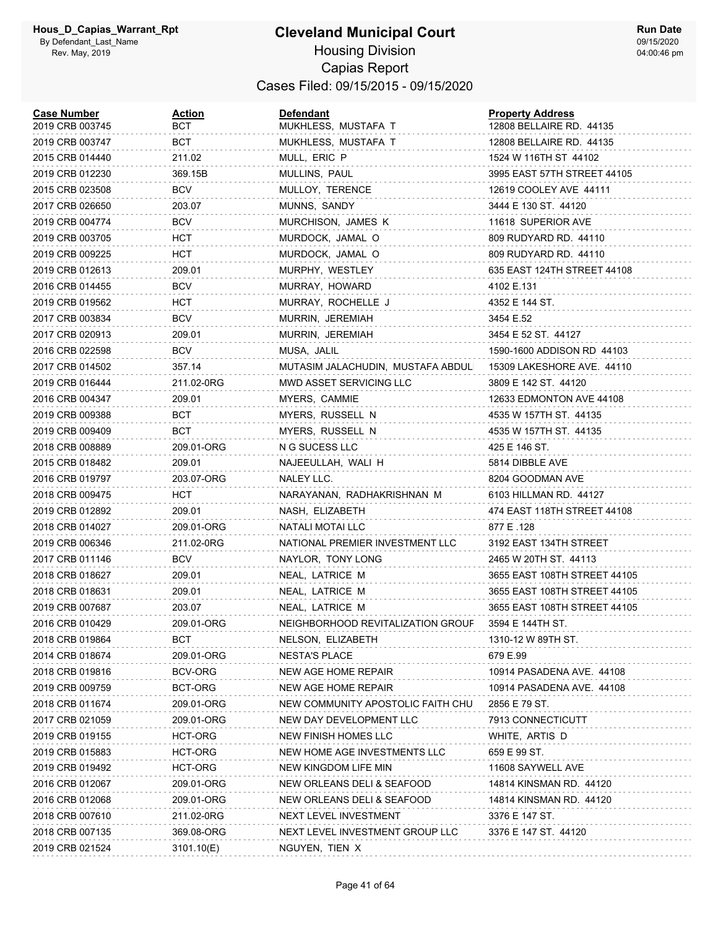#### **Cleveland Municipal Court** Housing Division Capias Report Cases Filed: 09/15/2015 - 09/15/2020

| <b>Case Number</b><br>2019 CRB 003745 | <b>Action</b><br>BCT | <b>Defendant</b><br>MUKHLESS, MUSTAFA T | <b>Property Address</b><br>12808 BELLAIRE RD. 44135 |
|---------------------------------------|----------------------|-----------------------------------------|-----------------------------------------------------|
| 2019 CRB 003747                       | BCT                  | MUKHLESS, MUSTAFA T                     | 12808 BELLAIRE RD. 44135                            |
| 2015 CRB 014440                       | 211.02               | MULL, ERIC P                            | 1524 W 116TH ST 44102                               |
| 2019 CRB 012230                       | 369.15B              | MULLINS, PAUL                           | 3995 EAST 57TH STREET 44105                         |
| 2015 CRB 023508                       | <b>BCV</b>           | MULLOY, TERENCE                         | 12619 COOLEY AVE 44111                              |
| 2017 CRB 026650                       | 203.07               | MUNNS, SANDY                            | 3444 E 130 ST. 44120                                |
| 2019 CRB 004774                       | <b>BCV</b>           | MURCHISON, JAMES K                      | 11618 SUPERIOR AVE                                  |
| 2019 CRB 003705                       | HCT                  | MURDOCK, JAMAL O                        | 809 RUDYARD RD. 44110                               |
| 2019 CRB 009225                       | HCT.                 | MURDOCK, JAMAL O                        | 809 RUDYARD RD. 44110                               |
| 2019 CRB 012613                       | 209.01               | MURPHY, WESTLEY                         | 635 EAST 124TH STREET 44108                         |
| 2016 CRB 014455                       | <b>BCV</b>           | MURRAY, HOWARD                          | 4102 E.131                                          |
| 2019 CRB 019562                       | HCT                  | MURRAY, ROCHELLE J                      | 4352 E 144 ST.                                      |
| 2017 CRB 003834                       | <b>BCV</b>           | MURRIN, JEREMIAH                        | 3454 E.52                                           |
| 2017 CRB 020913                       | 209.01               | MURRIN, JEREMIAH                        | 3454 E 52 ST. 44127                                 |
| 2016 CRB 022598                       | BCV                  | MUSA, JALIL                             | 1590-1600 ADDISON RD 44103                          |
| 2017 CRB 014502                       | 357.14               | MUTASIM JALACHUDIN, MUSTAFA ABDULI      | 15309 LAKESHORE AVE. 44110                          |
| 2019 CRB 016444                       | 211.02-0RG           | MWD ASSET SERVICING LLC                 | 3809 E 142 ST. 44120                                |
| 2016 CRB 004347                       | 209.01               | MYERS, CAMMIE                           | 12633 EDMONTON AVE 44108                            |
| 2019 CRB 009388                       | BCT                  | MYERS, RUSSELL N                        | 4535 W 157TH ST. 44135                              |
| 2019 CRB 009409                       | BCT                  | MYERS, RUSSELL N                        | 4535 W 157TH ST. 44135                              |
| 2018 CRB 008889                       | 209.01-ORG           | N G SUCESS LLC                          | 425 E 146 ST.                                       |
| 2015 CRB 018482                       | 209.01               | NAJEEULLAH, WALI H                      | 5814 DIBBLE AVE                                     |
| 2016 CRB 019797                       | 203.07-ORG           | NALEY LLC.                              | 8204 GOODMAN AVE                                    |
| 2018 CRB 009475                       | нст                  | NARAYANAN, RADHAKRISHNAN M              | 6103 HILLMAN RD. 44127                              |
| 2019 CRB 012892                       | 209.01               | NASH, ELIZABETH                         | 474 EAST 118TH STREET 44108                         |
| 2018 CRB 014027                       | 209.01-ORG           | NATALI MOTAI LLC                        | 877 E .128                                          |
| 2019 CRB 006346                       | 211.02-0RG           | NATIONAL PREMIER INVESTMENT LLC         | 3192 EAST 134TH STREET                              |
| 2017 CRB 011146                       | <b>BCV</b>           | NAYLOR, TONY LONG                       | 2465 W 20TH ST. 44113                               |
| 2018 CRB 018627                       | 209.01               | NEAL, LATRICE M                         | 3655 EAST 108TH STREET 44105                        |
| 2018 CRB 018631                       | 209.01               | NEAL, LATRICE M                         | 3655 EAST 108TH STREET 44105                        |
| 2019 CRB 007687                       | 203.07               | NEAL, LATRICE M                         | 3655 EAST 108TH STREET 44105                        |
| 2016 CRB 010429                       | 209.01-ORG           | NEIGHBORHOOD REVITALIZATION GROUF       | 3594 E 144TH ST.                                    |
| 2018 CRB 019864                       | BCT                  | NELSON, ELIZABETH                       | 1310-12 W 89TH ST.                                  |
| 2014 CRB 018674                       | 209.01-ORG           | <b>NESTA'S PLACE</b>                    | 679 E.99                                            |
| 2018 CRB 019816                       | <b>BCV-ORG</b>       | NEW AGE HOME REPAIR                     | 10914 PASADENA AVE. 44108                           |
| 2019 CRB 009759                       | BCT-ORG              | NEW AGE HOME REPAIR                     | 10914 PASADENA AVE. 44108                           |
| 2018 CRB 011674                       | 209.01-ORG           | NEW COMMUNITY APOSTOLIC FAITH CHU       | 2856 E 79 ST.                                       |
| 2017 CRB 021059                       | 209.01-ORG           | NEW DAY DEVELOPMENT LLC                 | 7913 CONNECTICUTT                                   |
| 2019 CRB 019155                       | HCT-ORG              | NEW FINISH HOMES LLC                    | WHITE, ARTIS D                                      |
| 2019 CRB 015883                       | HCT-ORG              | NEW HOME AGE INVESTMENTS LLC            | 659 E 99 ST.                                        |
| 2019 CRB 019492                       | HCT-ORG              | NEW KINGDOM LIFE MIN                    | 11608 SAYWELL AVE                                   |
| 2016 CRB 012067                       | 209.01-ORG           | NEW ORLEANS DELI & SEAFOOD              | 14814 KINSMAN RD. 44120                             |
| 2016 CRB 012068                       | 209.01-ORG           | NEW ORLEANS DELI & SEAFOOD              | 14814 KINSMAN RD. 44120                             |
| 2018 CRB 007610                       | 211.02-0RG           | NEXT LEVEL INVESTMENT                   | 3376 E 147 ST.                                      |
| 2018 CRB 007135                       | 369.08-ORG           | NEXT LEVEL INVESTMENT GROUP LLC         | 3376 E 147 ST. 44120                                |
| 2019 CRB 021524                       | 3101.10(E)           | NGUYEN, TIEN X                          |                                                     |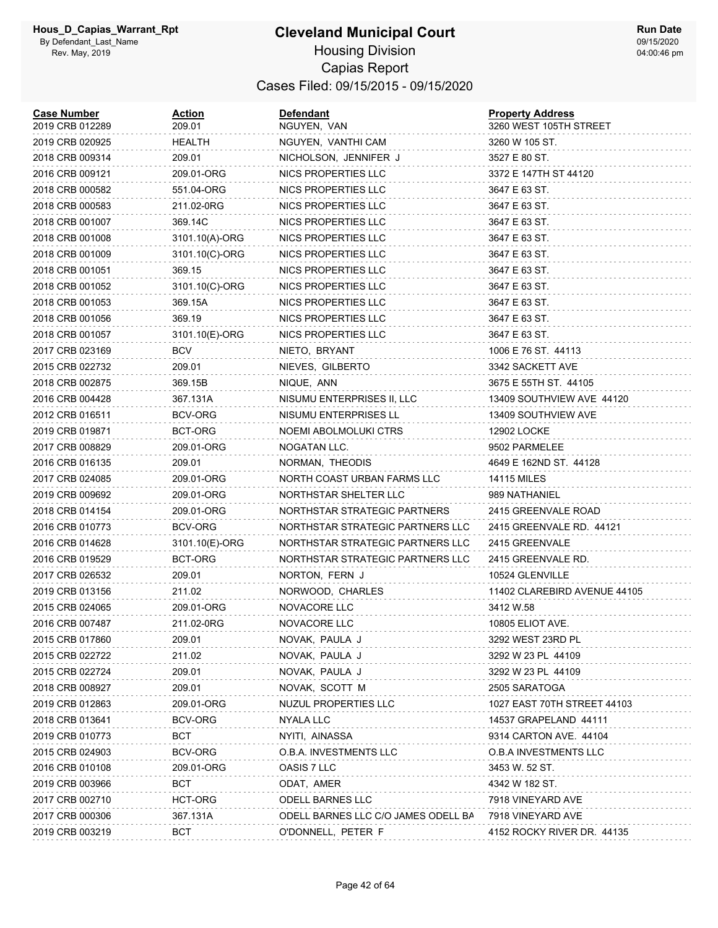| <b>Case Number</b><br>2019 CRB 012289 | Action<br>209.01 | <b>Defendant</b><br>NGUYEN, VAN     | <b>Property Address</b><br>3260 WEST 105TH STREET |
|---------------------------------------|------------------|-------------------------------------|---------------------------------------------------|
| 2019 CRB 020925                       | HEALTH           | NGUYEN, VANTHI CAM                  | 3260 W 105 ST.                                    |
| 2018 CRB 009314                       | 209.01           | NICHOLSON, JENNIFER J               | 3527 E 80 ST.                                     |
| 2016 CRB 009121                       | 209.01-ORG       | NICS PROPERTIES LLC                 | 3372 E 147TH ST 44120                             |
| 2018 CRB 000582                       | 551.04-ORG       | NICS PROPERTIES LLC                 | 3647 E 63 ST.                                     |
| 2018 CRB 000583                       | 211.02-0RG       | NICS PROPERTIES LLC                 | 3647 E 63 ST.                                     |
| 2018 CRB 001007                       | 369.14C          | NICS PROPERTIES LLC                 | 3647 E 63 ST.                                     |
| 2018 CRB 001008                       | 3101.10(A)-ORG   | NICS PROPERTIES LLC                 | 3647 E 63 ST.                                     |
| 2018 CRB 001009                       | 3101.10(C)-ORG   | NICS PROPERTIES LLC                 | 3647 E 63 ST.                                     |
| 2018 CRB 001051                       | 369.15           | NICS PROPERTIES LLC                 | 3647 E 63 ST.                                     |
| 2018 CRB 001052                       | 3101.10(C)-ORG   | NICS PROPERTIES LLC                 | 3647 E 63 ST.                                     |
| 2018 CRB 001053                       | 369.15A          | NICS PROPERTIES LLC                 | 3647 E 63 ST.                                     |
| 2018 CRB 001056                       | 369.19           | NICS PROPERTIES LLC                 | 3647 E 63 ST.                                     |
| 2018 CRB 001057                       | 3101.10(E)-ORG   | NICS PROPERTIES LLC                 | 3647 E 63 ST.                                     |
| 2017 CRB 023169                       | BCV              | NIETO, BRYANT                       | 1006 E 76 ST. 44113                               |
| 2015 CRB 022732                       | 209.01           | NIEVES, GILBERTO                    | 3342 SACKETT AVE                                  |
| 2018 CRB 002875                       | 369.15B          | NIQUE, ANN                          | 3675 E 55TH ST. 44105                             |
| 2016 CRB 004428                       | 367.131A         | NISUMU ENTERPRISES II, LLC          | 13409 SOUTHVIEW AVE 44120                         |
| 2012 CRB 016511                       | BCV-ORG          | NISUMU ENTERPRISES LL               | 13409 SOUTHVIEW AVE                               |
| 2019 CRB 019871                       | <b>BCT-ORG</b>   | NOEMI ABOLMOLUKI CTRS               | 12902 LOCKE                                       |
| 2017 CRB 008829                       | 209.01-ORG       | NOGATAN LLC.                        | 9502 PARMELEE                                     |
| 2016 CRB 016135                       | 209.01           | NORMAN, THEODIS                     | 4649 E 162ND ST. 44128                            |
| 2017 CRB 024085                       | 209.01-ORG       | NORTH COAST URBAN FARMS LLC         | <b>14115 MILES</b>                                |
| 2019 CRB 009692                       | 209.01-ORG       | NORTHSTAR SHELTER LLC               | 989 NATHANIEL                                     |
| 2018 CRB 014154                       | 209.01-ORG       | NORTHSTAR STRATEGIC PARTNERS        | 2415 GREENVALE ROAD                               |
| 2016 CRB 010773                       | BCV-ORG          | NORTHSTAR STRATEGIC PARTNERS LLC    | 2415 GREENVALE RD. 44121                          |
| 2016 CRB 014628                       | 3101.10(E)-ORG   | NORTHSTAR STRATEGIC PARTNERS LLC    | 2415 GREENVALE                                    |
| 2016 CRB 019529                       | BCT-ORG          | NORTHSTAR STRATEGIC PARTNERS LLC    | 2415 GREENVALE RD.                                |
| 2017 CRB 026532                       | 209.01           | NORTON, FERN J                      | 10524 GLENVILLE                                   |
| 2019 CRB 013156                       | 211.02           | NORWOOD, CHARLES                    | 11402 CLAREBIRD AVENUE 44105                      |
| 2015 CRB 024065                       | 209.01-ORG       | NOVACORE LLC                        | 3412 W.58                                         |
| 2016 CRB 007487                       | 211.02-0RG       | NOVACORE LLC                        | 10805 ELIOT AVE.                                  |
| 2015 CRB 017860                       | 209.01           | NOVAK, PAULA J                      | 3292 WEST 23RD PL                                 |
| 2015 CRB 022722                       | 211.02           | NOVAK, PAULA J                      | 3292 W 23 PL 44109                                |
| 2015 CRB 022724                       | 209.01           | NOVAK, PAULA J                      | 3292 W 23 PL 44109                                |
| 2018 CRB 008927                       | 209.01           | NOVAK, SCOTT M                      | 2505 SARATOGA                                     |
| 2019 CRB 012863                       | 209.01-ORG       | <b>NUZUL PROPERTIES LLC</b>         | 1027 EAST 70TH STREET 44103                       |
| 2018 CRB 013641                       | BCV-ORG          | NYALA LLC                           | 14537 GRAPELAND 44111                             |
| 2019 CRB 010773                       | <b>BCT</b>       | NYITI, AINASSA                      | 9314 CARTON AVE. 44104                            |
| 2015 CRB 024903                       | BCV-ORG          | O.B.A. INVESTMENTS LLC              | O.B.A INVESTMENTS LLC                             |
| 2016 CRB 010108                       | 209.01-ORG       | OASIS 7 LLC                         | 3453 W. 52 ST.                                    |
| 2019 CRB 003966                       | <b>BCT</b>       | ODAT, AMER                          | 4342 W 182 ST.                                    |
| 2017 CRB 002710                       | HCT-ORG          | ODELL BARNES LLC                    | 7918 VINEYARD AVE                                 |
| 2017 CRB 000306                       | 367.131A         | ODELL BARNES LLC C/O JAMES ODELL BA | 7918 VINEYARD AVE                                 |
| 2019 CRB 003219                       | BCT              | O'DONNELL, PETER F                  | 4152 ROCKY RIVER DR. 44135                        |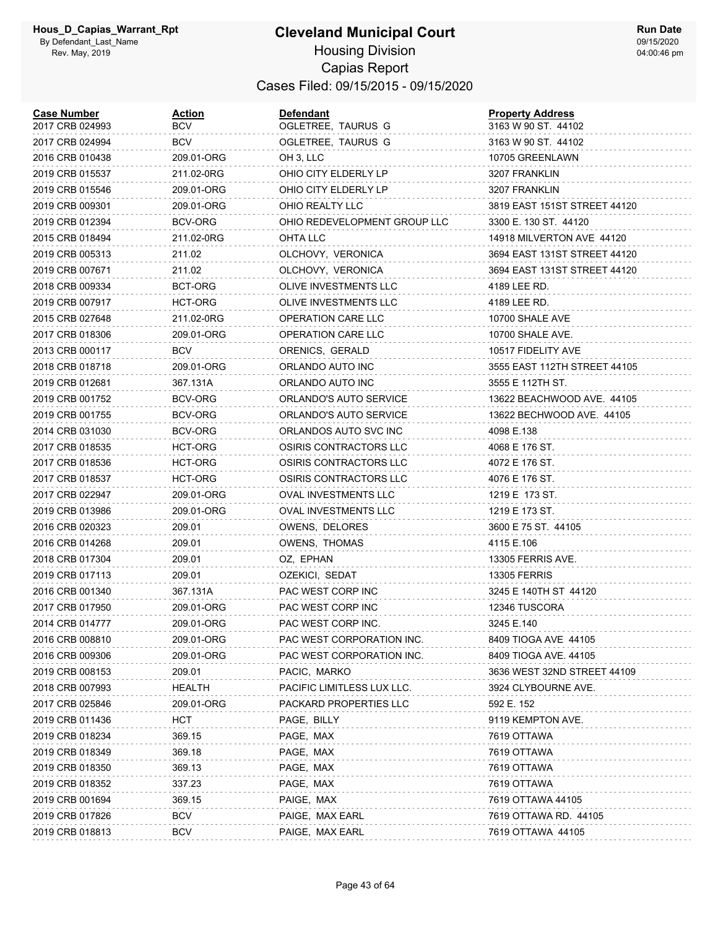| <b>Case Number</b><br>2017 CRB 024993 | <u>Action</u><br>BCV | Defendant<br>OGLETREE, TAURUS G | <b>Property Address</b><br>3163 W 90 ST. 44102 |
|---------------------------------------|----------------------|---------------------------------|------------------------------------------------|
| 2017 CRB 024994                       | <b>BCV</b>           | OGLETREE, TAURUS G              | 3163 W 90 ST. 44102                            |
| 2016 CRB 010438                       | 209.01-ORG           | OH 3, LLC                       | 10705 GREENLAWN                                |
| 2019 CRB 015537                       | 211.02-0RG           | OHIO CITY ELDERLY LP            | 3207 FRANKLIN                                  |
| 2019 CRB 015546                       | 209.01-ORG           | OHIO CITY ELDERLY LP            | 3207 FRANKLIN                                  |
| 2019 CRB 009301                       | 209.01-ORG           | OHIO REALTY LLC                 | 3819 EAST 151ST STREET 44120                   |
| 2019 CRB 012394                       | BCV-ORG              | OHIO REDEVELOPMENT GROUP LLC    | 3300 E. 130 ST. 44120                          |
| 2015 CRB 018494                       | 211.02-0RG           | <b>OHTA LLC</b>                 | 14918 MILVERTON AVE 44120                      |
| 2019 CRB 005313                       | 211.02               | OLCHOVY, VERONICA               | 3694 EAST 131ST STREET 44120                   |
| 2019 CRB 007671                       | 211.02               | OLCHOVY, VERONICA               | 3694 EAST 131ST STREET 44120                   |
| 2018 CRB 009334                       | BCT-ORG              | OLIVE INVESTMENTS LLC           | 4189 LEE RD.                                   |
| 2019 CRB 007917                       | HCT-ORG              | OLIVE INVESTMENTS LLC           | 4189 LEE RD.                                   |
| 2015 CRB 027648                       | 211.02-0RG           | OPERATION CARE LLC              | 10700 SHALE AVE                                |
| 2017 CRB 018306                       | 209.01-ORG           | <b>OPERATION CARE LLC</b>       | 10700 SHALE AVE.                               |
| 2013 CRB 000117                       | <b>BCV</b>           | ORENICS, GERALD                 | 10517 FIDELITY AVE                             |
| 2018 CRB 018718                       | 209.01-ORG           | ORLANDO AUTO INC                | 3555 EAST 112TH STREET 44105                   |
| 2019 CRB 012681                       | 367.131A             | ORLANDO AUTO INC                | 3555 E 112TH ST.                               |
| 2019 CRB 001752                       | <b>BCV-ORG</b>       | ORLANDO'S AUTO SERVICE          | 13622 BEACHWOOD AVE. 44105                     |
| 2019 CRB 001755                       | BCV-ORG              | ORLANDO'S AUTO SERVICE          | 13622 BECHWOOD AVE. 44105                      |
| 2014 CRB 031030                       | BCV-ORG              | ORLANDOS AUTO SVC INC           | 4098 E.138                                     |
| 2017 CRB 018535                       | HCT-ORG              | OSIRIS CONTRACTORS LLC          | 4068 E 176 ST.                                 |
| 2017 CRB 018536                       | HCT-ORG              | OSIRIS CONTRACTORS LLC          | 4072 E 176 ST.                                 |
| 2017 CRB 018537                       | HCT-ORG              | OSIRIS CONTRACTORS LLC          | 4076 E 176 ST.                                 |
| 2017 CRB 022947                       | 209.01-ORG           | OVAL INVESTMENTS LLC            | 1219 E 173 ST.                                 |
| 2019 CRB 013986                       | 209.01-ORG           | OVAL INVESTMENTS LLC            | 1219 E 173 ST.                                 |
| 2016 CRB 020323                       | 209.01               | OWENS, DELORES                  | 3600 E 75 ST. 44105                            |
| 2016 CRB 014268                       | 209.01               | OWENS, THOMAS                   | 4115 E.106                                     |
| 2018 CRB 017304                       | 209.01               | OZ, EPHAN                       | 13305 FERRIS AVE.                              |
| 2019 CRB 017113                       | 209.01               | OZEKICI, SEDAT                  | <b>13305 FERRIS</b>                            |
| 2016 CRB 001340                       | 367.131A             | PAC WEST CORP INC               | 3245 E 140TH ST 44120                          |
| 2017 CRB 017950                       | 209.01-ORG           | PAC WEST CORP INC               | 12346 TUSCORA                                  |
| 2014 CRB 014777                       | 209.01-ORG           | PAC WEST CORP INC.              | 3245 E.140                                     |
| 2016 CRB 008810                       | 209.01-ORG           | PAC WEST CORPORATION INC.       | 8409 TIOGA AVE 44105                           |
| 2016 CRB 009306                       | 209.01-ORG           | PAC WEST CORPORATION INC.       | 8409 TIOGA AVE. 44105                          |
| 2019 CRB 008153                       | 209.01               | PACIC, MARKO                    | 3636 WEST 32ND STREET 44109                    |
| 2018 CRB 007993                       | <b>HEALTH</b>        | PACIFIC LIMITLESS LUX LLC.      | 3924 CLYBOURNE AVE.                            |
| 2017 CRB 025846                       | 209.01-ORG           | PACKARD PROPERTIES LLC          | 592 E. 152                                     |
| 2019 CRB 011436                       | <b>HCT</b>           | PAGE, BILLY                     | 9119 KEMPTON AVE.                              |
| 2019 CRB 018234                       | 369.15               | PAGE, MAX                       | 7619 OTTAWA                                    |
| 2019 CRB 018349                       | 369.18               | PAGE, MAX                       | 7619 OTTAWA                                    |
| 2019 CRB 018350                       | 369.13               | PAGE, MAX                       | 7619 OTTAWA                                    |
| 2019 CRB 018352                       | 337.23               | PAGE, MAX                       | 7619 OTTAWA                                    |
| 2019 CRB 001694                       | 369.15               | PAIGE, MAX                      | 7619 OTTAWA 44105                              |
| 2019 CRB 017826                       | <b>BCV</b>           | PAIGE, MAX EARL                 | 7619 OTTAWA RD. 44105                          |
| 2019 CRB 018813                       | <b>BCV</b>           | PAIGE, MAX EARL                 | 7619 OTTAWA 44105                              |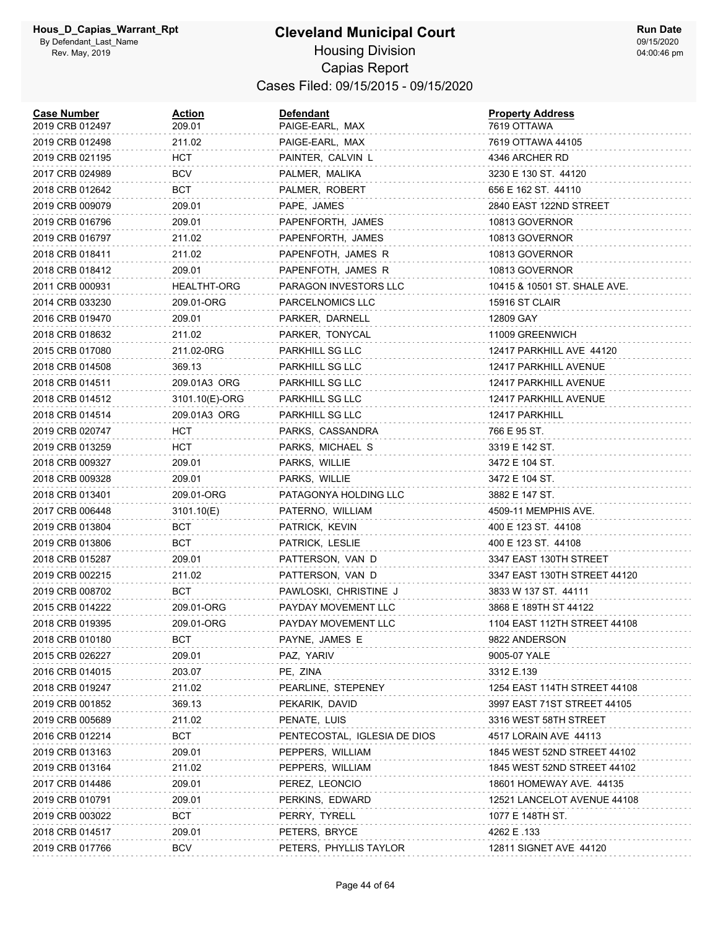| <b>Case Number</b><br>2019 CRB 012497 | <u>Action</u><br>209.01 | <b>Defendant</b><br>PAIGE-EARL, MAX | <b>Property Address</b><br>7619 OTTAWA |
|---------------------------------------|-------------------------|-------------------------------------|----------------------------------------|
| 2019 CRB 012498                       | 211.02                  | PAIGE-EARL, MAX                     | 7619 OTTAWA 44105                      |
| 2019 CRB 021195                       | HCT                     | PAINTER, CALVIN L                   | 4346 ARCHER RD                         |
| 2017 CRB 024989                       | BCV                     | PALMER, MALIKA                      | 3230 E 130 ST. 44120                   |
| 2018 CRB 012642                       | BCT                     | PALMER, ROBERT                      | 656 E 162 ST. 44110                    |
| 2019 CRB 009079                       | 209.01                  | PAPE, JAMES                         | 2840 EAST 122ND STREET                 |
| 2019 CRB 016796                       | 209.01                  | PAPENFORTH, JAMES                   | 10813 GOVERNOR                         |
| 2019 CRB 016797                       | 211.02                  | PAPENFORTH, JAMES                   | 10813 GOVERNOR                         |
| 2018 CRB 018411                       | 211.02                  | PAPENFOTH, JAMES R                  | 10813 GOVERNOR                         |
| 2018 CRB 018412                       | 209.01                  | PAPENFOTH, JAMES R                  | 10813 GOVERNOR                         |
| 2011 CRB 000931                       | <b>HEALTHT-ORG</b>      | PARAGON INVESTORS LLC               | 10415 & 10501 ST. SHALE AVE.           |
| 2014 CRB 033230                       | 209.01-ORG              | PARCELNOMICS LLC                    | 15916 ST CLAIR                         |
| 2016 CRB 019470                       | 209.01                  | PARKER, DARNELL                     | 12809 GAY                              |
| 2018 CRB 018632                       | 211.02                  | PARKER, TONYCAL                     | 11009 GREENWICH                        |
| 2015 CRB 017080                       | 211.02-0RG              | PARKHILL SG LLC                     | 12417 PARKHILL AVE 44120               |
| 2018 CRB 014508                       | 369.13                  | PARKHILL SG LLC                     | 12417 PARKHILL AVENUE                  |
| 2018 CRB 014511                       | 209.01A3 ORG            | PARKHILL SG LLC                     | 12417 PARKHILL AVENUE                  |
| 2018 CRB 014512                       | 3101.10(E)-ORG          | PARKHILL SG LLC                     | 12417 PARKHILL AVENUE                  |
| 2018 CRB 014514                       | 209.01A3 ORG            | PARKHILL SG LLC                     | 12417 PARKHILL                         |
| 2019 CRB 020747                       | HCT                     | PARKS, CASSANDRA                    | 766 E 95 ST.                           |
| 2019 CRB 013259                       | HCT                     | PARKS, MICHAEL S                    | 3319 E 142 ST.                         |
| 2018 CRB 009327                       | 209.01                  | PARKS, WILLIE                       | 3472 E 104 ST.                         |
| 2018 CRB 009328                       | 209.01                  | PARKS, WILLIE                       | 3472 E 104 ST.                         |
| 2018 CRB 013401                       | 209.01-ORG              | PATAGONYA HOLDING LLC               | 3882 E 147 ST.                         |
| 2017 CRB 006448                       | 3101.10(E)              | PATERNO, WILLIAM                    | 4509-11 MEMPHIS AVE.                   |
| 2019 CRB 013804                       | BCT                     | PATRICK, KEVIN                      | 400 E 123 ST. 44108                    |
| 2019 CRB 013806                       | BCT                     | PATRICK, LESLIE                     | 400 E 123 ST. 44108                    |
| 2018 CRB 015287                       | 209.01                  | PATTERSON, VAN D                    | 3347 EAST 130TH STREET                 |
| 2019 CRB 002215                       | 211.02                  | PATTERSON, VAN D                    | 3347 EAST 130TH STREET 44120           |
| 2019 CRB 008702                       | BCT                     | PAWLOSKI, CHRISTINE J               | 3833 W 137 ST. 44111                   |
| 2015 CRB 014222                       | 209.01-ORG              | PAYDAY MOVEMENT LLC                 | 3868 E 189TH ST 44122                  |
| 2018 CRB 019395                       | 209.01-ORG              | PAYDAY MOVEMENT LLC                 | 1104 EAST 112TH STREET 44108           |
| 2018 CRB 010180                       | BCT                     | PAYNE, JAMES E                      | 9822 ANDERSON                          |
| 2015 CRB 026227                       | 209.01                  | PAZ, YARIV                          | 9005-07 YALE                           |
| 2016 CRB 014015                       | 203.07                  | PE, ZINA                            | 3312 E.139                             |
| 2018 CRB 019247                       | 211.02                  | PEARLINE, STEPENEY                  | 1254 EAST 114TH STREET 44108           |
| 2019 CRB 001852                       | 369.13                  | PEKARIK, DAVID                      | 3997 EAST 71ST STREET 44105            |
| 2019 CRB 005689                       | 211.02                  | PENATE, LUIS                        | 3316 WEST 58TH STREET                  |
| 2016 CRB 012214                       | BCT                     | PENTECOSTAL, IGLESIA DE DIOS        | 4517 LORAIN AVE 44113                  |
| 2019 CRB 013163                       | 209.01                  | PEPPERS, WILLIAM                    | 1845 WEST 52ND STREET 44102            |
| 2019 CRB 013164                       | 211.02                  | PEPPERS, WILLIAM                    | 1845 WEST 52ND STREET 44102            |
| 2017 CRB 014486                       | 209.01                  | PEREZ, LEONCIO                      | 18601 HOMEWAY AVE. 44135               |
| 2019 CRB 010791                       | 209.01                  | PERKINS, EDWARD                     | 12521 LANCELOT AVENUE 44108            |
| 2019 CRB 003022                       | BCT                     | PERRY, TYRELL                       | 1077 E 148TH ST.                       |
| 2018 CRB 014517                       | 209.01                  | PETERS, BRYCE                       | 4262 E .133                            |
| 2019 CRB 017766                       | BCV                     | PETERS, PHYLLIS TAYLOR              | 12811 SIGNET AVE 44120                 |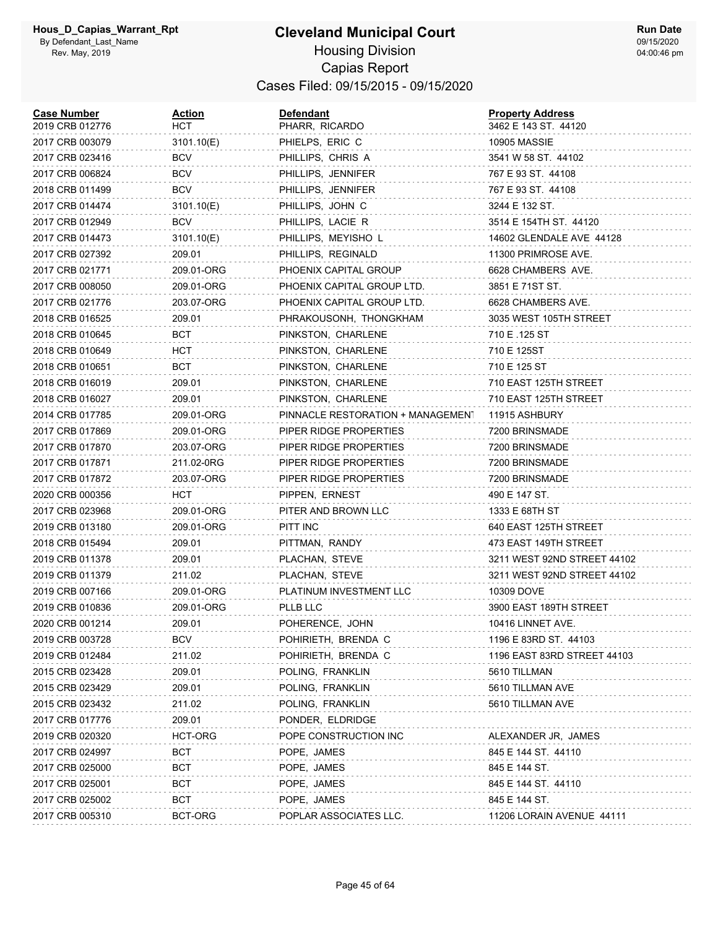#### **Cleveland Municipal Court** Housing Division Capias Report Cases Filed: 09/15/2015 - 09/15/2020

| <b>Case Number</b><br>2019 CRB 012776 | <u>Action</u><br>нст | <b>Defendant</b><br>PHARR, RICARDO | <b>Property Address</b><br>3462 E 143 ST. 44120 |
|---------------------------------------|----------------------|------------------------------------|-------------------------------------------------|
| 2017 CRB 003079                       | 3101.10(E)           | PHIELPS, ERIC C                    | <b>10905 MASSIE</b>                             |
| 2017 CRB 023416                       | BCV                  | PHILLIPS, CHRIS A                  | 3541 W 58 ST. 44102                             |
| 2017 CRB 006824                       | BCV                  | PHILLIPS, JENNIFER                 | 767 E 93 ST. 44108                              |
| 2018 CRB 011499                       | BCV                  | PHILLIPS, JENNIFER                 | 767 E 93 ST. 44108                              |
| 2017 CRB 014474                       | 3101.10(E)           | PHILLIPS, JOHN C                   | 3244 E 132 ST.                                  |
| 2017 CRB 012949                       | BCV                  | PHILLIPS, LACIE R                  | 3514 E 154TH ST. 44120                          |
| 2017 CRB 014473                       | 3101.10(E)           | PHILLIPS, MEYISHO L                | 14602 GLENDALE AVE 44128                        |
| 2017 CRB 027392                       | 209.01               | PHILLIPS, REGINALD                 | 11300 PRIMROSE AVE.                             |
| 2017 CRB 021771                       | 209.01-ORG           | PHOENIX CAPITAL GROUP              | 6628 CHAMBERS AVE.                              |
| 2017 CRB 008050                       | 209.01-ORG           | PHOENIX CAPITAL GROUP LTD.         | 3851 E 71ST ST.                                 |
| 2017 CRB 021776                       | 203.07-ORG           | PHOENIX CAPITAL GROUP LTD.         | 6628 CHAMBERS AVE.                              |
| 2018 CRB 016525                       | 209.01               | PHRAKOUSONH, THONGKHAM             | 3035 WEST 105TH STREET                          |
| 2018 CRB 010645                       | BCT                  | PINKSTON, CHARLENE                 | 710 E .125 ST                                   |
| 2018 CRB 010649                       | HCT                  | PINKSTON, CHARLENE                 | 710 E 125ST                                     |
| 2018 CRB 010651                       | BCT                  | PINKSTON, CHARLENE                 | 710 E 125 ST                                    |
| 2018 CRB 016019                       | 209.01               | PINKSTON, CHARLENE                 | 710 EAST 125TH STREET                           |
| 2018 CRB 016027                       | 209.01               | PINKSTON, CHARLENE                 | 710 EAST 125TH STREET                           |
| 2014 CRB 017785                       | 209.01-ORG           | PINNACLE RESTORATION + MANAGEMENT  | 11915 ASHBURY                                   |
| 2017 CRB 017869                       | 209.01-ORG           | PIPER RIDGE PROPERTIES             | 7200 BRINSMADE                                  |
| 2017 CRB 017870                       | 203.07-ORG           | PIPER RIDGE PROPERTIES             | 7200 BRINSMADE                                  |
| 2017 CRB 017871                       | 211.02-0RG           | PIPER RIDGE PROPERTIES             | 7200 BRINSMADE                                  |
| 2017 CRB 017872                       | 203.07-ORG           | PIPER RIDGE PROPERTIES             | 7200 BRINSMADE                                  |
| 2020 CRB 000356                       | нст                  | PIPPEN, ERNEST                     | 490 E 147 ST.                                   |
| 2017 CRB 023968                       | 209.01-ORG           | PITER AND BROWN LLC                | 1333 E 68TH ST                                  |
| 2019 CRB 013180                       | 209.01-ORG           | PITT INC                           | 640 EAST 125TH STREET                           |
| 2018 CRB 015494                       | 209.01               | PITTMAN, RANDY                     | 473 EAST 149TH STREET                           |
| 2019 CRB 011378                       | 209.01               | PLACHAN, STEVE                     | 3211 WEST 92ND STREET 44102                     |
| 2019 CRB 011379                       | 211.02               | PLACHAN, STEVE                     | 3211 WEST 92ND STREET 44102                     |
| 2019 CRB 007166                       | 209.01-ORG           | PLATINUM INVESTMENT LLC            | 10309 DOVE                                      |
| 2019 CRB 010836                       | 209.01-ORG           | <b>PLLB LLC</b>                    | 3900 EAST 189TH STREET                          |
| 2020 CRB 001214                       | 209.01               | POHERENCE, JOHN                    | 10416 LINNET AVE.                               |
| 2019 CRB 003728                       | BCV                  | POHIRIETH, BRENDA C                | 1196 E 83RD ST. 44103                           |
| 2019 CRB 012484                       | 211.02               | POHIRIETH, BRENDA C                | 1196 EAST 83RD STREET 44103                     |
| 2015 CRB 023428                       | 209.01               | POLING, FRANKLIN                   | 5610 TILLMAN                                    |
| 2015 CRB 023429                       | 209.01               | POLING, FRANKLIN                   | 5610 TILLMAN AVE                                |
| 2015 CRB 023432                       | 211.02               | POLING, FRANKLIN                   | 5610 TILLMAN AVE                                |
| 2017 CRB 017776                       | 209.01               | PONDER, ELDRIDGE                   |                                                 |
| 2019 CRB 020320                       | HCT-ORG              | POPE CONSTRUCTION INC              | ALEXANDER JR, JAMES                             |
| 2017 CRB 024997                       | вст                  | POPE, JAMES                        | 845 E 144 ST. 44110                             |
| 2017 CRB 025000                       | BCT.                 | POPE, JAMES                        | 845 E 144 ST.                                   |
| 2017 CRB 025001                       | BCT                  | POPE, JAMES                        | 845 E 144 ST. 44110                             |
| 2017 CRB 025002                       | вст                  | POPE, JAMES                        | 845 E 144 ST.                                   |
| 2017 CRB 005310                       | BCT-ORG              | POPLAR ASSOCIATES LLC.             | 11206 LORAIN AVENUE 44111                       |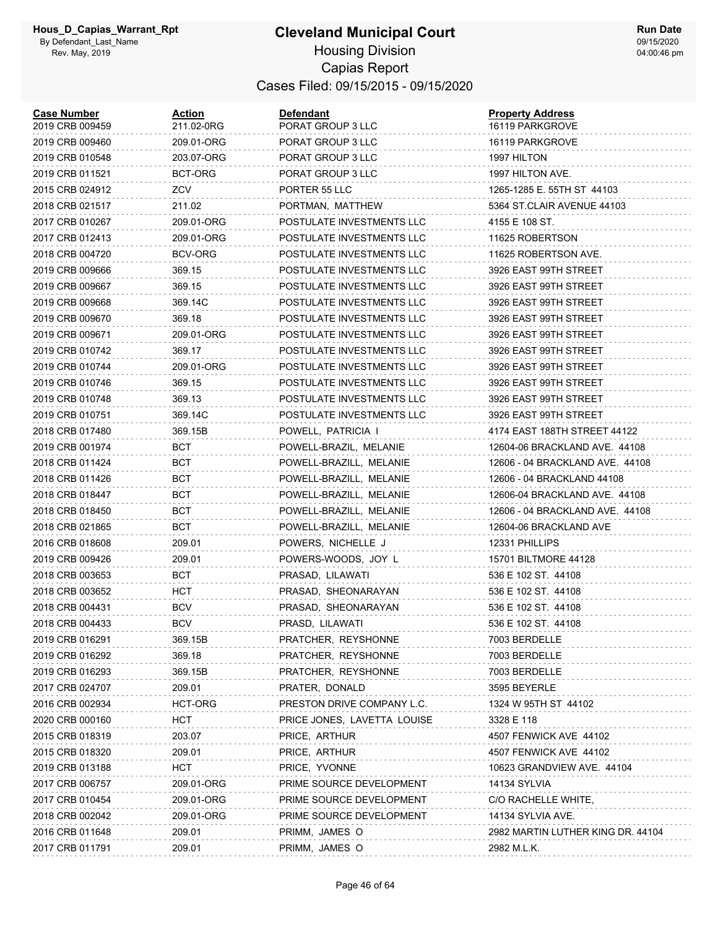| <b>Case Number</b><br>2019 CRB 009459 | Action<br>211.02-0RG | Defendant<br>PORAT GROUP 3 LLC | <b>Property Address</b><br>16119 PARKGROVE |
|---------------------------------------|----------------------|--------------------------------|--------------------------------------------|
| 2019 CRB 009460                       | 209.01-ORG           | PORAT GROUP 3 LLC              | 16119 PARKGROVE                            |
| 2019 CRB 010548                       | 203.07-ORG           | PORAT GROUP 3 LLC              | 1997 HILTON                                |
| 2019 CRB 011521                       | BCT-ORG              | PORAT GROUP 3 LLC              | 1997 HILTON AVE.                           |
| 2015 CRB 024912                       | ZCV                  | PORTER 55 LLC                  | 1265-1285 E. 55TH ST 44103                 |
| 2018 CRB 021517                       | 211.02               | PORTMAN, MATTHEW               | 5364 ST CLAIR AVENUE 44103                 |
| 2017 CRB 010267                       | 209.01-ORG           | POSTULATE INVESTMENTS LLC      | 4155 E 108 ST.                             |
| 2017 CRB 012413                       | 209.01-ORG           | POSTULATE INVESTMENTS LLC      | 11625 ROBERTSON                            |
| 2018 CRB 004720                       | BCV-ORG              | POSTULATE INVESTMENTS LLC      | 11625 ROBERTSON AVE.                       |
| 2019 CRB 009666                       | 369.15               | POSTULATE INVESTMENTS LLC      | 3926 EAST 99TH STREET                      |
| 2019 CRB 009667                       | 369.15               | POSTULATE INVESTMENTS LLC      | 3926 EAST 99TH STREET                      |
| 2019 CRB 009668                       | 369.14C              | POSTULATE INVESTMENTS LLC      | 3926 EAST 99TH STREET                      |
| 2019 CRB 009670                       | 369.18               | POSTULATE INVESTMENTS LLC      | 3926 EAST 99TH STREET                      |
| 2019 CRB 009671                       | 209.01-ORG           | POSTULATE INVESTMENTS LLC      | 3926 EAST 99TH STREET                      |
| 2019 CRB 010742                       | 369.17               | POSTULATE INVESTMENTS LLC      | 3926 EAST 99TH STREET                      |
| 2019 CRB 010744                       | 209.01-ORG           | POSTULATE INVESTMENTS LLC      | 3926 EAST 99TH STREET                      |
| 2019 CRB 010746                       | 369.15               | POSTULATE INVESTMENTS LLC      | 3926 EAST 99TH STREET                      |
| 2019 CRB 010748                       | 369.13               | POSTULATE INVESTMENTS LLC      | 3926 EAST 99TH STREET                      |
| 2019 CRB 010751                       | 369.14C              | POSTULATE INVESTMENTS LLC      | 3926 EAST 99TH STREET                      |
| 2018 CRB 017480                       | 369.15B              | POWELL, PATRICIA I             | 4174 EAST 188TH STREET 44122               |
| 2019 CRB 001974                       | BCT                  | POWELL-BRAZIL, MELANIE         | 12604-06 BRACKLAND AVE. 44108              |
| 2018 CRB 011424                       | BCT                  | POWELL-BRAZILL, MELANIE        | 12606 - 04 BRACKLAND AVE. 44108            |
| 2018 CRB 011426                       | BCT                  | POWELL-BRAZILL, MELANIE        | 12606 - 04 BRACKLAND 44108                 |
| 2018 CRB 018447                       | BCT                  | POWELL-BRAZILL, MELANIE        | 12606-04 BRACKLAND AVE. 44108              |
| 2018 CRB 018450                       | BCT                  | POWELL-BRAZILL, MELANIE        | 12606 - 04 BRACKLAND AVE. 44108            |
| 2018 CRB 021865                       | BCT                  | POWELL-BRAZILL, MELANIE        | 12604-06 BRACKLAND AVE                     |
| 2016 CRB 018608                       | 209.01               | POWERS, NICHELLE J             | 12331 PHILLIPS                             |
| 2019 CRB 009426                       | 209.01               | POWERS-WOODS, JOY L            | 15701 BILTMORE 44128                       |
| 2018 CRB 003653                       | BCT                  | PRASAD, LILAWATI               | 536 E 102 ST. 44108                        |
| 2018 CRB 003652                       | нст                  | PRASAD, SHEONARAYAN            | 536 E 102 ST. 44108                        |
| 2018 CRB 004431                       | <b>BCV</b>           | PRASAD, SHEONARAYAN            | 536 E 102 ST. 44108                        |
| 2018 CRB 004433                       | <b>BCV</b>           | PRASD, LILAWATI                | 536 E 102 ST. 44108                        |
| 2019 CRB 016291                       | 369.15B              | PRATCHER, REYSHONNE            | 7003 BERDELLE                              |
| 2019 CRB 016292                       | 369.18               | PRATCHER, REYSHONNE            | 7003 BERDELLE                              |
| 2019 CRB 016293                       | 369.15B              | PRATCHER, REYSHONNE            | 7003 BERDELLE                              |
| 2017 CRB 024707                       | 209.01               | PRATER, DONALD                 | 3595 BEYERLE                               |
| 2016 CRB 002934                       | HCT-ORG              | PRESTON DRIVE COMPANY L.C.     | 1324 W 95TH ST 44102                       |
| 2020 CRB 000160                       | <b>HCT</b>           | PRICE JONES, LAVETTA LOUISE    | 3328 E 118                                 |
| 2015 CRB 018319                       | 203.07               | PRICE, ARTHUR                  | 4507 FENWICK AVE 44102                     |
| 2015 CRB 018320                       | 209.01               | PRICE, ARTHUR                  | 4507 FENWICK AVE 44102                     |
| 2019 CRB 013188                       | HCT                  | PRICE, YVONNE                  | 10623 GRANDVIEW AVE. 44104                 |
| 2017 CRB 006757                       | 209.01-ORG           | PRIME SOURCE DEVELOPMENT       | 14134 SYLVIA                               |
| 2017 CRB 010454                       | 209.01-ORG           | PRIME SOURCE DEVELOPMENT       | C/O RACHELLE WHITE,                        |
| 2018 CRB 002042                       | 209.01-ORG           | PRIME SOURCE DEVELOPMENT       | 14134 SYLVIA AVE.                          |
| 2016 CRB 011648                       | 209.01               | PRIMM, JAMES O                 | 2982 MARTIN LUTHER KING DR. 44104          |
| 2017 CRB 011791                       | 209.01               | PRIMM, JAMES O                 | 2982 M.L.K.                                |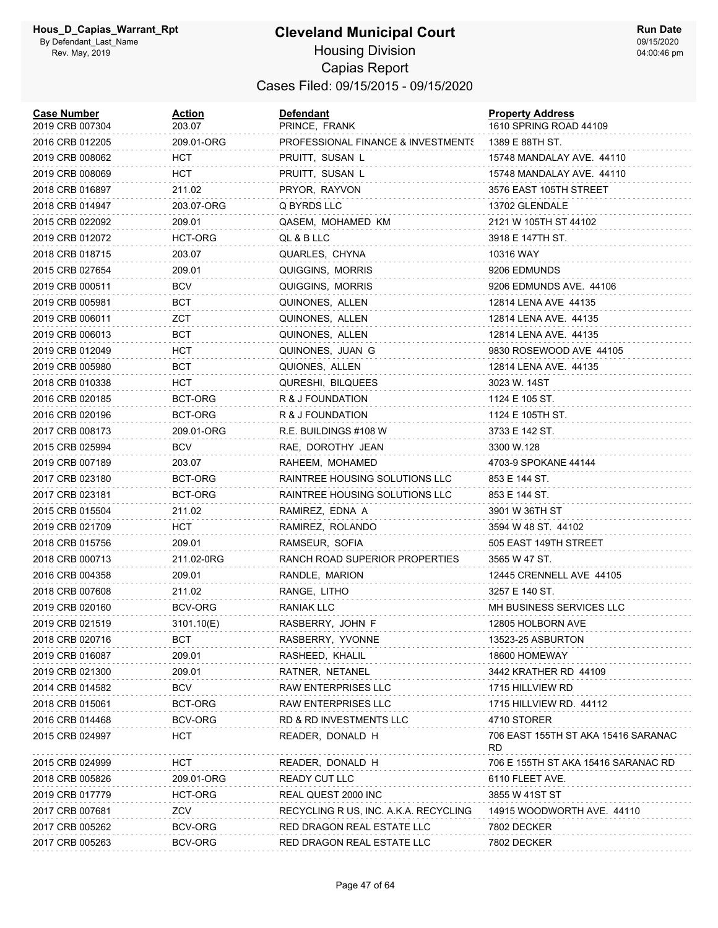#### **Cleveland Municipal Court** Housing Division Capias Report Cases Filed: 09/15/2015 - 09/15/2020

| <b>Case Number</b><br>2019 CRB 007304 | <b>Action</b><br>203.07 | <b>Defendant</b><br>PRINCE, FRANK     | <b>Property Address</b><br>1610 SPRING ROAD 44109 |
|---------------------------------------|-------------------------|---------------------------------------|---------------------------------------------------|
| 2016 CRB 012205                       | 209.01-ORG              | PROFESSIONAL FINANCE & INVESTMENTS    | 1389 E 88TH ST.                                   |
| 2019 CRB 008062                       | нст                     | PRUITT, SUSAN L                       | 15748 MANDALAY AVE. 44110                         |
| 2019 CRB 008069                       | нст                     | PRUITT, SUSAN L                       | 15748 MANDALAY AVE. 44110                         |
| 2018 CRB 016897                       | 211.02                  | PRYOR, RAYVON                         | 3576 EAST 105TH STREET                            |
| 2018 CRB 014947                       | 203.07-ORG              | Q BYRDS LLC                           | 13702 GLENDALE                                    |
| 2015 CRB 022092                       | 209.01                  | QASEM, MOHAMED KM                     | 2121 W 105TH ST 44102                             |
| 2019 CRB 012072                       | HCT-ORG                 | QL & B LLC                            | 3918 E 147TH ST.                                  |
| 2018 CRB 018715                       | 203.07                  | QUARLES, CHYNA                        | 10316 WAY                                         |
| 2015 CRB 027654                       | 209.01                  | QUIGGINS, MORRIS                      | 9206 EDMUNDS                                      |
| 2019 CRB 000511                       | <b>BCV</b>              | QUIGGINS, MORRIS                      | 9206 EDMUNDS AVE. 44106                           |
| 2019 CRB 005981                       | BCT                     | QUINONES, ALLEN                       | 12814 LENA AVE 44135                              |
| 2019 CRB 006011                       | ZCT                     | QUINONES, ALLEN                       | 12814 LENA AVE. 44135                             |
| 2019 CRB 006013                       | BCT                     | QUINONES, ALLEN                       | 12814 LENA AVE. 44135                             |
| 2019 CRB 012049                       | нст                     | QUINONES, JUAN G                      | 9830 ROSEWOOD AVE 44105                           |
| 2019 CRB 005980                       | BCT                     | QUIONES, ALLEN                        | 12814 LENA AVE. 44135                             |
| 2018 CRB 010338                       | <b>HCT</b>              | QURESHI, BILQUEES                     | 3023 W. 14ST                                      |
| 2016 CRB 020185                       | BCT-ORG                 | R & J FOUNDATION                      | 1124 E 105 ST.                                    |
| 2016 CRB 020196                       | BCT-ORG                 | R & J FOUNDATION                      | 1124 E 105TH ST.                                  |
| 2017 CRB 008173                       | 209.01-ORG              | R.E. BUILDINGS #108 W                 | 3733 E 142 ST.                                    |
| 2015 CRB 025994                       | BCV                     | RAE, DOROTHY JEAN                     | 3300 W.128                                        |
| 2019 CRB 007189                       | 203.07                  | RAHEEM, MOHAMED                       | 4703-9 SPOKANE 44144                              |
| 2017 CRB 023180                       | BCT-ORG                 | RAINTREE HOUSING SOLUTIONS LLC        | 853 E 144 ST.                                     |
| 2017 CRB 023181                       | BCT-ORG                 | RAINTREE HOUSING SOLUTIONS LLC        | 853 E 144 ST.                                     |
| 2015 CRB 015504                       | 211.02                  | RAMIREZ, EDNA A                       | 3901 W 36TH ST                                    |
| 2019 CRB 021709                       | нст                     | RAMIREZ, ROLANDO                      | 3594 W 48 ST. 44102                               |
| 2018 CRB 015756                       | 209.01                  | RAMSEUR, SOFIA                        | 505 EAST 149TH STREET                             |
| 2018 CRB 000713                       | 211.02-0RG              | RANCH ROAD SUPERIOR PROPERTIES        | 3565 W 47 ST.                                     |
| 2016 CRB 004358                       | 209.01                  | RANDLE, MARION                        | 12445 CRENNELL AVE 44105                          |
| 2018 CRB 007608                       | 211.02                  | RANGE, LITHO                          | 3257 E 140 ST.                                    |
| 2019 CRB 020160                       | BCV-ORG                 | RANIAK LLC                            | MH BUSINESS SERVICES LLC                          |
| 2019 CRB 021519                       | 3101.10(E)              | RASBERRY, JOHN F                      | 12805 HOLBORN AVE                                 |
| 2018 CRB 020716                       | BCT                     | RASBERRY, YVONNE                      | 13523-25 ASBURTON                                 |
| 2019 CRB 016087                       | 209.01                  | RASHEED, KHALIL                       | 18600 HOMEWAY                                     |
| 2019 CRB 021300                       | 209.01                  | RATNER, NETANEL                       | 3442 KRATHER RD 44109                             |
| 2014 CRB 014582                       | BCV                     | RAW ENTERPRISES LLC                   | 1715 HILLVIEW RD                                  |
| 2018 CRB 015061                       | BCT-ORG                 | <b>RAW ENTERPRISES LLC</b>            | 1715 HILLVIEW RD. 44112                           |
| 2016 CRB 014468                       | BCV-ORG                 | RD & RD INVESTMENTS LLC               | 4710 STORER                                       |
| 2015 CRB 024997                       | HCT                     | READER, DONALD H                      | 706 EAST 155TH ST AKA 15416 SARANAC<br><b>RD</b>  |
| 2015 CRB 024999                       | HCT                     | READER, DONALD H                      | 706 E 155TH ST AKA 15416 SARANAC RD               |
| 2018 CRB 005826                       | 209.01-ORG              | READY CUT LLC                         | 6110 FLEET AVE.                                   |
| 2019 CRB 017779                       | HCT-ORG                 | REAL QUEST 2000 INC                   | 3855 W 41ST ST                                    |
| 2017 CRB 007681                       | ZCV                     | RECYCLING R US, INC. A.K.A. RECYCLING | 14915 WOODWORTH AVE. 44110                        |
| 2017 CRB 005262                       | BCV-ORG                 | RED DRAGON REAL ESTATE LLC            | 7802 DECKER                                       |
| 2017 CRB 005263                       | BCV-ORG                 | RED DRAGON REAL ESTATE LLC            | 7802 DECKER                                       |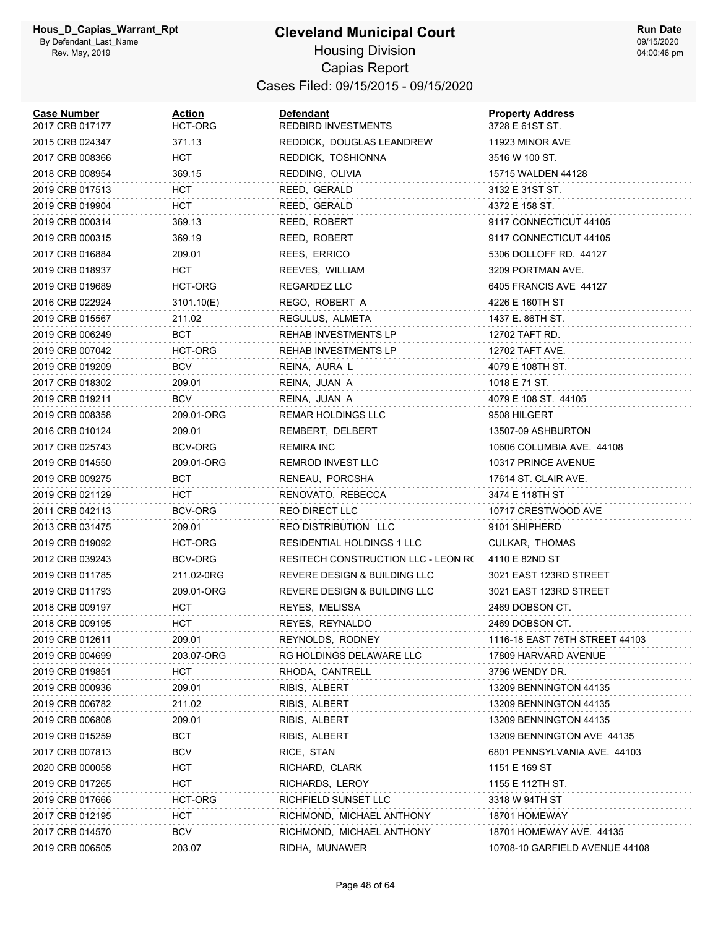| <b>Case Number</b><br>2017 CRB 017177 | <b>Action</b><br>HCT-ORG | <b>Defendant</b><br><b>REDBIRD INVESTMENTS</b> | <b>Property Address</b><br>3728 E 61ST ST. |
|---------------------------------------|--------------------------|------------------------------------------------|--------------------------------------------|
| 2015 CRB 024347                       | 371.13                   | REDDICK, DOUGLAS LEANDREW                      | 11923 MINOR AVE                            |
| 2017 CRB 008366                       | HCT                      | REDDICK, TOSHIONNA                             | 3516 W 100 ST.                             |
| 2018 CRB 008954                       | 369.15                   | REDDING, OLIVIA                                | 15715 WALDEN 44128                         |
| 2019 CRB 017513                       | HCT                      | REED, GERALD                                   | 3132 E 31ST ST.                            |
| 2019 CRB 019904                       | HCT                      | REED, GERALD                                   | 4372 E 158 ST.                             |
| 2019 CRB 000314                       | 369.13                   | REED, ROBERT                                   | 9117 CONNECTICUT 44105                     |
| 2019 CRB 000315                       | 369.19                   | REED, ROBERT                                   | 9117 CONNECTICUT 44105                     |
| 2017 CRB 016884                       | 209.01                   | REES, ERRICO                                   | 5306 DOLLOFF RD. 44127                     |
| 2019 CRB 018937                       | HCT                      | REEVES, WILLIAM                                | 3209 PORTMAN AVE.                          |
| 2019 CRB 019689                       | HCT-ORG                  | REGARDEZ LLC                                   | 6405 FRANCIS AVE 44127                     |
| 2016 CRB 022924                       | 3101.10(E)               | REGO, ROBERT A                                 | 4226 E 160TH ST                            |
| 2019 CRB 015567                       | 211.02                   | REGULUS, ALMETA                                | 1437 E. 86TH ST.                           |
| 2019 CRB 006249                       | BCT                      | REHAB INVESTMENTS LP                           | 12702 TAFT RD.                             |
| 2019 CRB 007042                       | HCT-ORG                  | REHAB INVESTMENTS LP                           | 12702 TAFT AVE.                            |
| 2019 CRB 019209                       | <b>BCV</b>               | REINA, AURA L                                  | 4079 E 108TH ST.                           |
| 2017 CRB 018302                       | 209.01                   | REINA, JUAN A                                  | 1018 E 71 ST.                              |
| 2019 CRB 019211                       | <b>BCV</b>               | REINA, JUAN A                                  | 4079 E 108 ST. 44105                       |
| 2019 CRB 008358                       | 209.01-ORG               | REMAR HOLDINGS LLC                             | 9508 HILGERT                               |
| 2016 CRB 010124                       | 209.01                   | REMBERT, DELBERT                               | 13507-09 ASHBURTON                         |
| 2017 CRB 025743                       | BCV-ORG                  | REMIRA INC                                     | 10606 COLUMBIA AVE. 44108                  |
| 2019 CRB 014550                       | 209.01-ORG               | REMROD INVEST LLC                              | 10317 PRINCE AVENUE                        |
| 2019 CRB 009275                       | BCT                      | RENEAU, PORCSHA                                | 17614 ST. CLAIR AVE.                       |
| 2019 CRB 021129                       | HCT                      | RENOVATO, REBECCA                              | 3474 E 118TH ST                            |
| 2011 CRB 042113                       | BCV-ORG                  | <b>REO DIRECT LLC</b>                          | 10717 CRESTWOOD AVE                        |
| 2013 CRB 031475                       | 209.01                   | REO DISTRIBUTION LLC                           | 9101 SHIPHERD                              |
| 2019 CRB 019092                       | HCT-ORG                  | RESIDENTIAL HOLDINGS 1 LLC                     | CULKAR, THOMAS                             |
| 2012 CRB 039243                       | BCV-ORG                  | RESITECH CONSTRUCTION LLC - LEON R(            | 4110 E 82ND ST                             |
| 2019 CRB 011785                       | 211.02-0RG               | REVERE DESIGN & BUILDING LLC                   | 3021 EAST 123RD STREET                     |
| 2019 CRB 011793                       | 209.01-ORG               | REVERE DESIGN & BUILDING LLC                   | 3021 EAST 123RD STREET                     |
| 2018 CRB 009197                       | HCT                      | REYES, MELISSA                                 | 2469 DOBSON CT.                            |
| 2018 CRB 009195                       | HCT                      | REYES, REYNALDO                                | 2469 DOBSON CT.                            |
| 2019 CRB 012611                       | 209.01                   | REYNOLDS, RODNEY                               | 1116-18 EAST 76TH STREET 44103             |
| 2019 CRB 004699                       | 203.07-ORG               | RG HOLDINGS DELAWARE LLC                       | 17809 HARVARD AVENUE                       |
| 2019 CRB 019851                       | <b>HCT</b>               | RHODA, CANTRELL                                | 3796 WENDY DR.                             |
| 2019 CRB 000936                       | 209.01                   | RIBIS, ALBERT                                  | 13209 BENNINGTON 44135                     |
| 2019 CRB 006782                       | 211.02                   | RIBIS, ALBERT                                  | 13209 BENNINGTON 44135                     |
| 2019 CRB 006808                       | 209.01                   | RIBIS, ALBERT                                  | 13209 BENNINGTON 44135                     |
| 2019 CRB 015259                       | <b>BCT</b>               | RIBIS, ALBERT                                  | 13209 BENNINGTON AVE 44135                 |
| 2017 CRB 007813                       | <b>BCV</b>               | RICE, STAN                                     | 6801 PENNSYLVANIA AVE. 44103               |
| 2020 CRB 000058                       | HCT                      | RICHARD, CLARK                                 | 1151 E 169 ST                              |
| 2019 CRB 017265                       | HCT                      | RICHARDS, LEROY                                | 1155 E 112TH ST.                           |
| 2019 CRB 017666                       | HCT-ORG                  | RICHFIELD SUNSET LLC                           | 3318 W 94TH ST                             |
| 2017 CRB 012195                       | HCT                      | RICHMOND, MICHAEL ANTHONY                      | 18701 HOMEWAY                              |
| 2017 CRB 014570                       | <b>BCV</b>               | RICHMOND, MICHAEL ANTHONY                      | 18701 HOMEWAY AVE. 44135                   |
| 2019 CRB 006505                       | 203.07                   | RIDHA, MUNAWER                                 | 10708-10 GARFIELD AVENUE 44108             |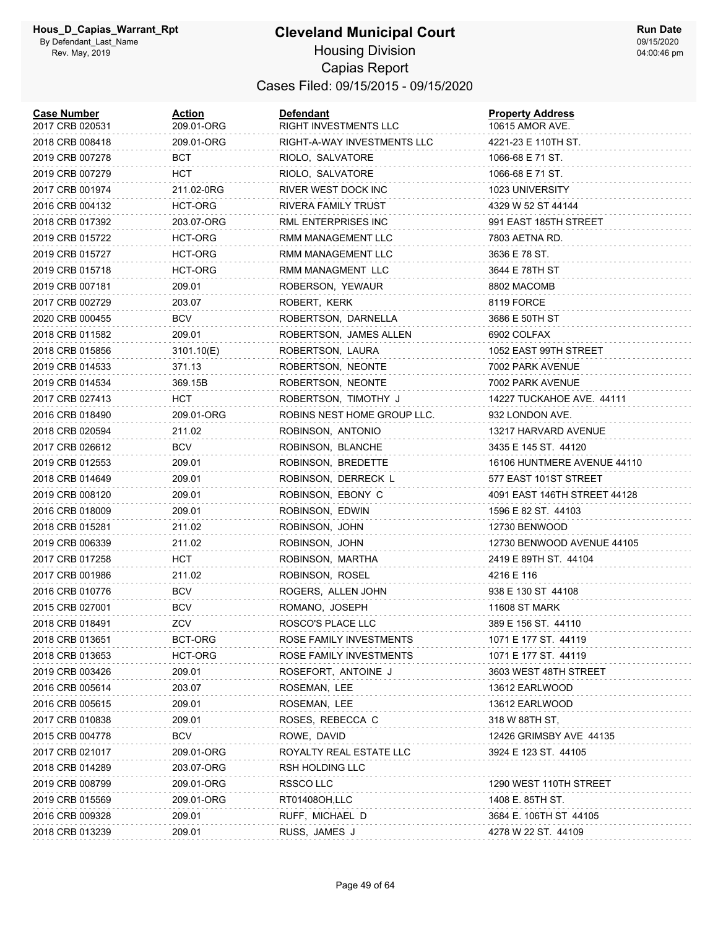#### **Cleveland Municipal Court** Housing Division Capias Report Cases Filed: 09/15/2015 - 09/15/2020

| <b>Case Number</b><br>2017 CRB 020531 | <b>Action</b><br>209.01-ORG | <b>Defendant</b><br>RIGHT INVESTMENTS LLC | <b>Property Address</b><br>10615 AMOR AVE. |
|---------------------------------------|-----------------------------|-------------------------------------------|--------------------------------------------|
| 2018 CRB 008418                       | 209.01-ORG                  | RIGHT-A-WAY INVESTMENTS LLC               | 4221-23 E 110TH ST.                        |
| 2019 CRB 007278                       | BCT                         | RIOLO, SALVATORE                          | 1066-68 E 71 ST.                           |
| 2019 CRB 007279                       | HCT                         | RIOLO, SALVATORE                          | 1066-68 E 71 ST.                           |
| 2017 CRB 001974                       | 211.02-0RG                  | RIVER WEST DOCK INC                       | 1023 UNIVERSITY                            |
| 2016 CRB 004132                       | HCT-ORG                     | RIVERA FAMILY TRUST                       | 4329 W 52 ST 44144                         |
| 2018 CRB 017392                       | 203.07-ORG                  | RML ENTERPRISES INC                       | 991 EAST 185TH STREET                      |
| 2019 CRB 015722                       | HCT-ORG                     | RMM MANAGEMENT LLC                        | 7803 AETNA RD.                             |
| 2019 CRB 015727                       | HCT-ORG                     | RMM MANAGEMENT LLC                        | 3636 E 78 ST.                              |
| 2019 CRB 015718                       | HCT-ORG                     | RMM MANAGMENT LLC                         | 3644 E 78TH ST                             |
| 2019 CRB 007181                       | 209.01                      | ROBERSON, YEWAUR                          | 8802 MACOMB                                |
| 2017 CRB 002729                       | 203.07                      | ROBERT, KERK                              | 8119 FORCE                                 |
| 2020 CRB 000455                       | <b>BCV</b>                  | ROBERTSON, DARNELLA                       | 3686 E 50TH ST                             |
| 2018 CRB 011582                       | 209.01                      | ROBERTSON, JAMES ALLEN                    | 6902 COLFAX                                |
| 2018 CRB 015856                       | 3101.10(E)                  | ROBERTSON, LAURA                          | 1052 EAST 99TH STREET                      |
| 2019 CRB 014533                       | 371.13                      | ROBERTSON, NEONTE                         | 7002 PARK AVENUE                           |
| 2019 CRB 014534                       | 369.15B                     | ROBERTSON, NEONTE                         | 7002 PARK AVENUE                           |
| 2017 CRB 027413                       | HCT                         | ROBERTSON, TIMOTHY J                      | 14227 TUCKAHOE AVE. 44111                  |
| 2016 CRB 018490                       | 209.01-ORG                  | ROBINS NEST HOME GROUP LLC.               | 932 LONDON AVE.                            |
| 2018 CRB 020594                       | 211.02                      | ROBINSON, ANTONIO                         | 13217 HARVARD AVENUE                       |
| 2017 CRB 026612                       | BCV                         | ROBINSON, BLANCHE                         | 3435 E 145 ST. 44120                       |
| 2019 CRB 012553                       | 209.01                      | ROBINSON, BREDETTE                        | 16106 HUNTMERE AVENUE 44110                |
| 2018 CRB 014649                       | 209.01                      | ROBINSON, DERRECK L                       | 577 EAST 101ST STREET                      |
| 2019 CRB 008120                       | 209.01                      | ROBINSON, EBONY C                         | 4091 EAST 146TH STREET 44128               |
| 2016 CRB 018009                       | 209.01                      | ROBINSON, EDWIN                           | 1596 E 82 ST. 44103                        |
| 2018 CRB 015281                       | 211.02                      | ROBINSON, JOHN                            | 12730 BENWOOD                              |
| 2019 CRB 006339                       | 211.02                      | ROBINSON, JOHN                            | 12730 BENWOOD AVENUE 44105                 |
| 2017 CRB 017258                       | HCT                         | ROBINSON, MARTHA                          | 2419 E 89TH ST. 44104                      |
| 2017 CRB 001986                       | 211.02                      | ROBINSON, ROSEL                           | 4216 E 116                                 |
| 2016 CRB 010776                       | <b>BCV</b>                  | ROGERS, ALLEN JOHN                        | 938 E 130 ST 44108                         |
| 2015 CRB 027001                       | <b>BCV</b>                  | ROMANO, JOSEPH                            | <b>11608 ST MARK</b>                       |
| 2018 CRB 018491                       | ZCV                         | ROSCO'S PLACE LLC                         | 389 E 156 ST. 44110                        |
| 2018 CRB 013651                       | BCT-ORG                     | ROSE FAMILY INVESTMENTS                   | 1071 E 177 ST. 44119                       |
| 2018 CRB 013653                       | HCT-ORG                     | ROSE FAMILY INVESTMENTS                   | 1071 E 177 ST. 44119                       |
| 2019 CRB 003426                       | 209.01                      | ROSEFORT, ANTOINE J                       | 3603 WEST 48TH STREET                      |
| 2016 CRB 005614                       | 203.07                      | ROSEMAN, LEE                              | 13612 EARLWOOD                             |
| 2016 CRB 005615                       | 209.01                      | ROSEMAN, LEE                              | 13612 EARLWOOD                             |
| 2017 CRB 010838                       | 209.01                      | ROSES, REBECCA C                          | 318 W 88TH ST,                             |
| 2015 CRB 004778                       | <b>BCV</b>                  | ROWE, DAVID                               | 12426 GRIMSBY AVE 44135                    |
| 2017 CRB 021017                       | 209.01-ORG                  | ROYALTY REAL ESTATE LLC                   | 3924 E 123 ST. 44105                       |
| 2018 CRB 014289                       | 203.07-ORG                  | RSH HOLDING LLC                           |                                            |
| 2019 CRB 008799                       | 209.01-ORG                  | RSSCO LLC                                 | 1290 WEST 110TH STREET                     |
| 2019 CRB 015569                       | 209.01-ORG                  | RT01408OH,LLC                             | 1408 E. 85TH ST.                           |
| 2016 CRB 009328                       | 209.01                      | RUFF, MICHAEL D                           | 3684 E. 106TH ST 44105                     |
| 2018 CRB 013239                       | 209.01                      | RUSS, JAMES J                             | 4278 W 22 ST. 44109                        |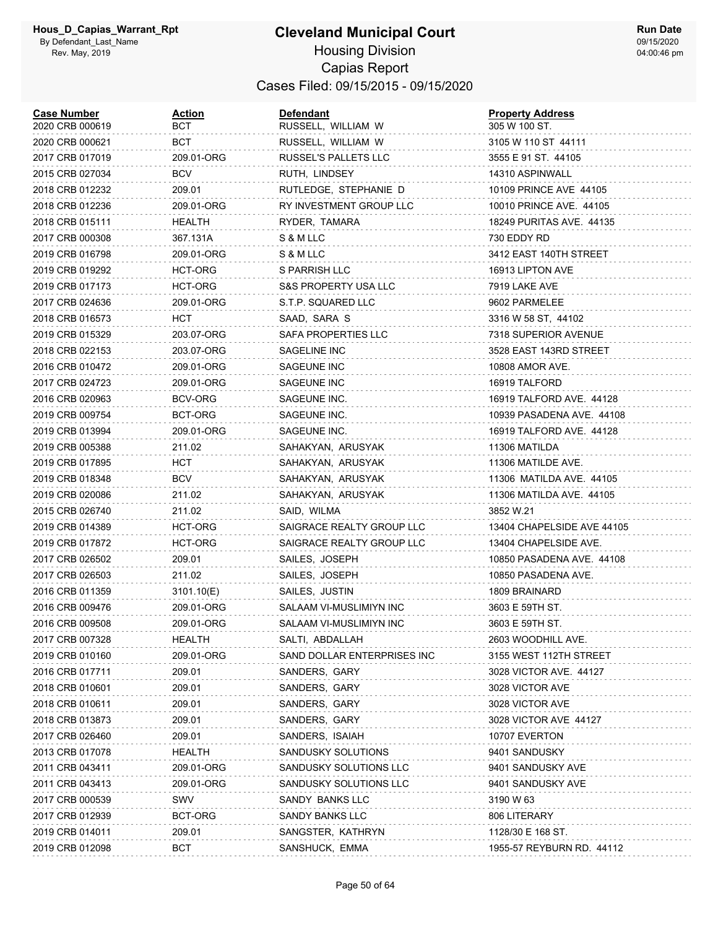| <b>Case Number</b><br>2020 CRB 000619 | <u>Action</u><br>вст | Defendant<br>RUSSELL, WILLIAM W | <b>Property Address</b><br>305 W 100 ST. |
|---------------------------------------|----------------------|---------------------------------|------------------------------------------|
| 2020 CRB 000621                       | BCT                  | RUSSELL, WILLIAM W              | 3105 W 110 ST 44111                      |
| 2017 CRB 017019                       | 209.01-ORG           | RUSSEL'S PALLETS LLC            | 3555 E 91 ST. 44105                      |
| 2015 CRB 027034                       | BCV                  | RUTH, LINDSEY                   | 14310 ASPINWALL                          |
| 2018 CRB 012232                       | 209.01               | RUTLEDGE, STEPHANIE D           | 10109 PRINCE AVE 44105                   |
| 2018 CRB 012236                       | 209.01-ORG           | RY INVESTMENT GROUP LLC         | 10010 PRINCE AVE. 44105                  |
| 2018 CRB 015111                       | <b>HEALTH</b>        | RYDER, TAMARA                   | 18249 PURITAS AVE. 44135                 |
| 2017 CRB 000308                       | 367.131A             | S & M LLC                       | 730 EDDY RD                              |
| 2019 CRB 016798                       | 209.01-ORG           | S & M LLC                       | 3412 EAST 140TH STREET                   |
| 2019 CRB 019292                       | HCT-ORG              | S PARRISH LLC                   | 16913 LIPTON AVE                         |
| 2019 CRB 017173                       | HCT-ORG              | S&S PROPERTY USA LLC            | 7919 LAKE AVE                            |
| 2017 CRB 024636                       | 209.01-ORG           | S.T.P. SQUARED LLC              | 9602 PARMELEE                            |
| 2018 CRB 016573                       | HCT                  | SAAD, SARA S                    | 3316 W 58 ST, 44102                      |
| 2019 CRB 015329                       | 203.07-ORG           | SAFA PROPERTIES LLC             | 7318 SUPERIOR AVENUE                     |
| 2018 CRB 022153                       | 203.07-ORG           | SAGELINE INC                    | 3528 EAST 143RD STREET                   |
| 2016 CRB 010472                       | 209.01-ORG           | SAGEUNE INC                     | 10808 AMOR AVE.                          |
| 2017 CRB 024723                       | 209.01-ORG           | SAGEUNE INC                     | 16919 TALFORD                            |
| 2016 CRB 020963                       | BCV-ORG              | SAGEUNE INC.                    | 16919 TALFORD AVE. 44128                 |
| 2019 CRB 009754                       | BCT-ORG              | SAGEUNE INC.                    | 10939 PASADENA AVE. 44108                |
| 2019 CRB 013994                       | 209.01-ORG           | SAGEUNE INC.                    | 16919 TALFORD AVE. 44128                 |
| 2019 CRB 005388                       | 211.02               | SAHAKYAN, ARUSYAK               | 11306 MATILDA                            |
| 2019 CRB 017895                       | HCT                  | SAHAKYAN, ARUSYAK               | 11306 MATILDE AVE.                       |
| 2019 CRB 018348                       | <b>BCV</b>           | SAHAKYAN, ARUSYAK               | 11306 MATILDA AVE. 44105                 |
| 2019 CRB 020086                       | 211.02               | SAHAKYAN, ARUSYAK               | 11306 MATILDA AVE. 44105                 |
| 2015 CRB 026740                       | 211.02               | SAID, WILMA                     | 3852 W.21                                |
| 2019 CRB 014389                       | HCT-ORG              | SAIGRACE REALTY GROUP LLC       | 13404 CHAPELSIDE AVE 44105               |
| 2019 CRB 017872                       | HCT-ORG              | SAIGRACE REALTY GROUP LLC       | 13404 CHAPELSIDE AVE.                    |
| 2017 CRB 026502                       | 209.01               | SAILES, JOSEPH                  | 10850 PASADENA AVE. 44108                |
| 2017 CRB 026503                       | 211.02               | SAILES, JOSEPH                  | 10850 PASADENA AVE.                      |
| 2016 CRB 011359                       | 3101.10(E)           | SAILES, JUSTIN                  | 1809 BRAINARD                            |
| 2016 CRB 009476                       | 209.01-ORG           | SALAAM VI-MUSLIMIYN INC         | 3603 E 59TH ST.                          |
| 2016 CRB 009508                       | 209.01-ORG           | SALAAM VI-MUSLIMIYN INC         | 3603 E 59TH ST.                          |
| 2017 CRB 007328                       | HEALTH               | SALTI, ABDALLAH                 | 2603 WOODHILL AVE.                       |
| 2019 CRB 010160                       | 209.01-ORG           | SAND DOLLAR ENTERPRISES INC     | 3155 WEST 112TH STREET                   |
| 2016 CRB 017711                       | 209.01               | SANDERS, GARY                   | 3028 VICTOR AVE. 44127                   |
| 2018 CRB 010601                       | 209.01               | SANDERS, GARY                   | 3028 VICTOR AVE                          |
| 2018 CRB 010611                       | 209.01               | SANDERS, GARY                   | 3028 VICTOR AVE                          |
| 2018 CRB 013873                       | 209.01               | SANDERS, GARY                   | 3028 VICTOR AVE 44127                    |
| 2017 CRB 026460                       | 209.01               | SANDERS, ISAIAH                 | 10707 EVERTON                            |
| 2013 CRB 017078                       | <b>HEALTH</b>        | SANDUSKY SOLUTIONS              | 9401 SANDUSKY                            |
| 2011 CRB 043411                       | 209.01-ORG           | SANDUSKY SOLUTIONS LLC          | 9401 SANDUSKY AVE                        |
| 2011 CRB 043413                       | 209.01-ORG           | SANDUSKY SOLUTIONS LLC          | 9401 SANDUSKY AVE                        |
| 2017 CRB 000539                       | SWV                  | SANDY BANKS LLC                 | 3190 W 63                                |
| 2017 CRB 012939                       | BCT-ORG              | SANDY BANKS LLC                 | 806 LITERARY                             |
| 2019 CRB 014011                       | 209.01               | SANGSTER, KATHRYN               | 1128/30 E 168 ST.                        |
| 2019 CRB 012098                       | BCT                  | SANSHUCK, EMMA                  | 1955-57 REYBURN RD. 44112                |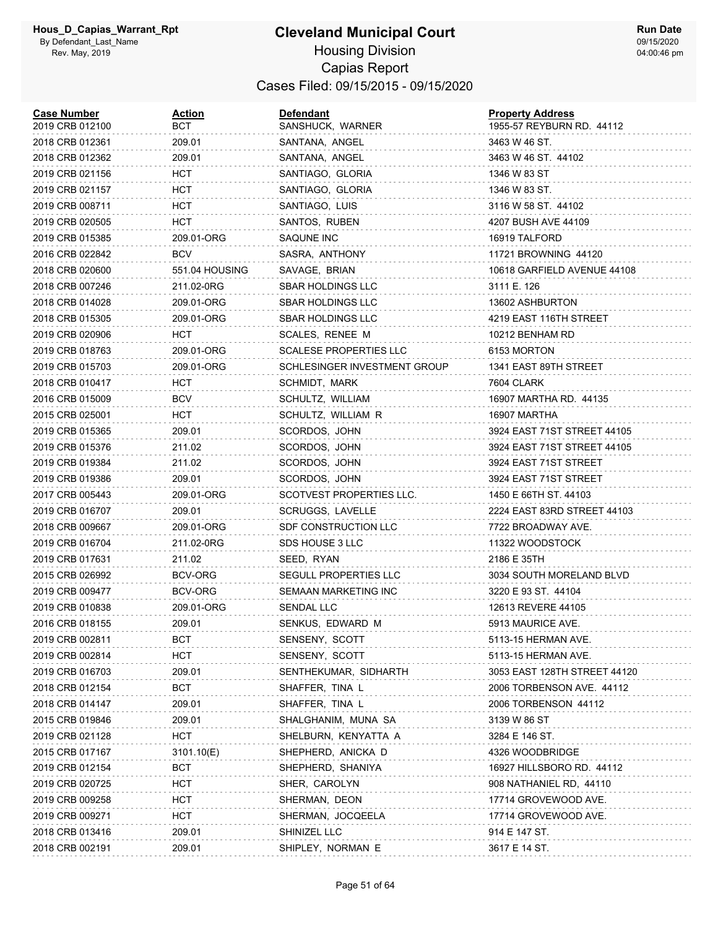#### **Cleveland Municipal Court** Housing Division Capias Report Cases Filed: 09/15/2015 - 09/15/2020

| <b>Case Number</b><br>2019 CRB 012100 | <u>Action</u><br>BCT | <b>Defendant</b><br>SANSHUCK, WARNER | <b>Property Address</b><br>1955-57 REYBURN RD. 44112 |
|---------------------------------------|----------------------|--------------------------------------|------------------------------------------------------|
| 2018 CRB 012361                       | 209.01               | SANTANA, ANGEL                       | 3463 W 46 ST.                                        |
| 2018 CRB 012362                       | 209.01               | SANTANA, ANGEL                       | 3463 W 46 ST. 44102                                  |
| 2019 CRB 021156                       | HCT                  | SANTIAGO, GLORIA                     | 1346 W 83 ST                                         |
| 2019 CRB 021157                       | HCT                  | SANTIAGO, GLORIA                     | 1346 W 83 ST.                                        |
| 2019 CRB 008711                       | HCT                  | SANTIAGO, LUIS                       | 3116 W 58 ST. 44102                                  |
| 2019 CRB 020505                       | HCT                  | SANTOS, RUBEN                        | 4207 BUSH AVE 44109                                  |
| 2019 CRB 015385                       | 209.01-ORG           | SAQUNE INC                           | 16919 TALFORD                                        |
| 2016 CRB 022842                       | <b>BCV</b>           | SASRA, ANTHONY                       | 11721 BROWNING 44120                                 |
| 2018 CRB 020600                       | 551.04 HOUSING       | SAVAGE, BRIAN                        | 10618 GARFIELD AVENUE 44108                          |
| 2018 CRB 007246                       | 211.02-0RG           | <b>SBAR HOLDINGS LLC</b>             | 3111 E. 126                                          |
| 2018 CRB 014028                       | 209.01-ORG           | <b>SBAR HOLDINGS LLC</b>             | 13602 ASHBURTON                                      |
| 2018 CRB 015305                       | 209.01-ORG           | <b>SBAR HOLDINGS LLC</b>             | 4219 EAST 116TH STREET                               |
| 2019 CRB 020906                       | HCT                  | SCALES, RENEE M                      | 10212 BENHAM RD                                      |
| 2019 CRB 018763                       | 209.01-ORG           | <b>SCALESE PROPERTIES LLC</b>        | 6153 MORTON                                          |
| 2019 CRB 015703                       | 209.01-ORG           | SCHLESINGER INVESTMENT GROUP         | 1341 EAST 89TH STREET                                |
| 2018 CRB 010417                       | HCT                  | SCHMIDT, MARK                        | 7604 CLARK                                           |
| 2016 CRB 015009                       | <b>BCV</b>           | SCHULTZ, WILLIAM                     | 16907 MARTHA RD. 44135                               |
| 2015 CRB 025001                       | HCT                  | SCHULTZ, WILLIAM R                   | 16907 MARTHA                                         |
| 2019 CRB 015365                       | 209.01               | SCORDOS, JOHN                        | 3924 EAST 71ST STREET 44105                          |
| 2019 CRB 015376                       | 211.02               | SCORDOS, JOHN                        | 3924 EAST 71ST STREET 44105                          |
| 2019 CRB 019384                       | 211.02               | SCORDOS, JOHN                        | 3924 EAST 71ST STREET                                |
| 2019 CRB 019386                       | 209.01               | SCORDOS, JOHN                        | 3924 EAST 71ST STREET                                |
| 2017 CRB 005443                       | 209.01-ORG           | SCOTVEST PROPERTIES LLC.             | 1450 E 66TH ST. 44103                                |
| 2019 CRB 016707                       | 209.01               | <b>SCRUGGS, LAVELLE</b>              | 2224 EAST 83RD STREET 44103                          |
| 2018 CRB 009667                       | 209.01-ORG           | SDF CONSTRUCTION LLC                 | 7722 BROADWAY AVE.                                   |
| 2019 CRB 016704                       | 211.02-0RG           | SDS HOUSE 3 LLC                      | 11322 WOODSTOCK                                      |
| 2019 CRB 017631                       | 211.02               | SEED, RYAN                           | 2186 E 35TH                                          |
| 2015 CRB 026992                       | BCV-ORG              | SEGULL PROPERTIES LLC                | 3034 SOUTH MORELAND BLVD                             |
| 2019 CRB 009477                       | BCV-ORG              | SEMAAN MARKETING INC                 | 3220 E 93 ST. 44104                                  |
| 2019 CRB 010838                       | 209.01-ORG           | SENDAL LLC                           | 12613 REVERE 44105                                   |
| 2016 CRB 018155                       | 209.01               | SENKUS, EDWARD M                     | 5913 MAURICE AVE.                                    |
| 2019 CRB 002811                       | BCT                  | SENSENY, SCOTT                       | 5113-15 HERMAN AVE.                                  |
| 2019 CRB 002814                       | <b>HCT</b>           | SENSENY, SCOTT                       | 5113-15 HERMAN AVE.                                  |
| 2019 CRB 016703                       | 209.01               | SENTHEKUMAR, SIDHARTH                | 3053 EAST 128TH STREET 44120                         |
| 2018 CRB 012154                       | BCT                  | SHAFFER, TINA L                      | 2006 TORBENSON AVE. 44112                            |
| 2018 CRB 014147                       | 209.01               | SHAFFER, TINA L                      | 2006 TORBENSON 44112                                 |
| 2015 CRB 019846                       | 209.01               | SHALGHANIM, MUNA SA                  | 3139 W 86 ST                                         |
| 2019 CRB 021128                       | <b>HCT</b>           | SHELBURN, KENYATTA A                 | 3284 E 146 ST.                                       |
| 2015 CRB 017167                       | 3101.10(E)           | SHEPHERD, ANICKA D                   | 4326 WOODBRIDGE                                      |
| 2019 CRB 012154                       | <b>BCT</b>           | SHEPHERD, SHANIYA                    | 16927 HILLSBORO RD. 44112                            |
| 2019 CRB 020725                       | <b>HCT</b>           | SHER, CAROLYN                        | 908 NATHANIEL RD, 44110                              |
| 2019 CRB 009258                       | HCT                  | SHERMAN, DEON                        | 17714 GROVEWOOD AVE.                                 |
| 2019 CRB 009271                       | HCT                  | SHERMAN, JOCQEELA                    | 17714 GROVEWOOD AVE.                                 |
| 2018 CRB 013416                       | 209.01               | SHINIZEL LLC                         | 914 E 147 ST.                                        |
| 2018 CRB 002191                       | 209.01               | SHIPLEY, NORMAN E                    | 3617 E 14 ST.                                        |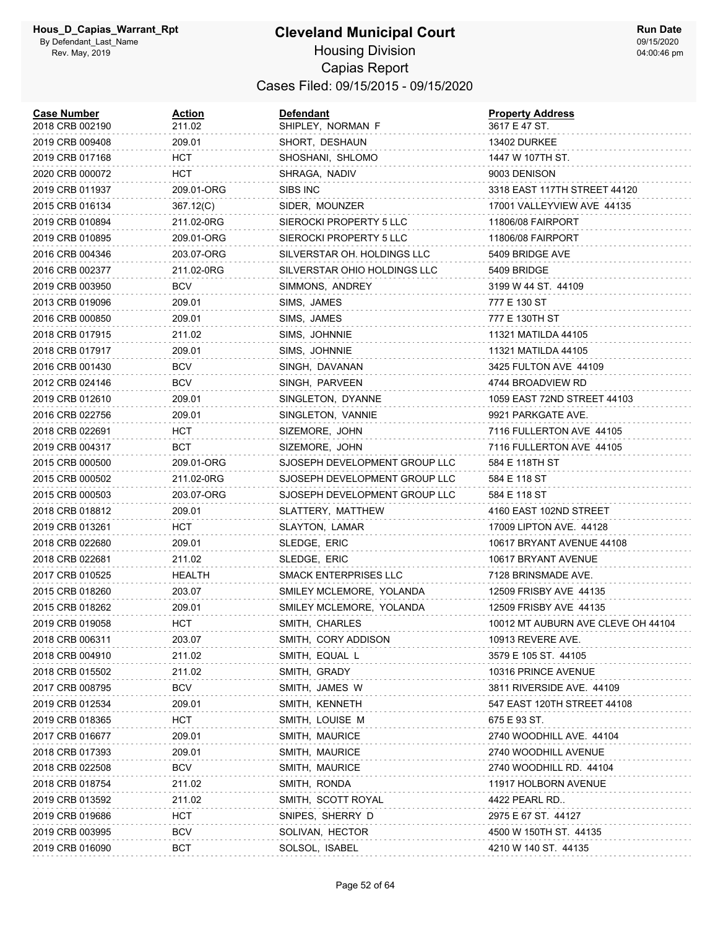| <b>Case Number</b><br>2018 CRB 002190 | <u>Action</u><br>211.02 | <b>Defendant</b><br>SHIPLEY, NORMAN F | <b>Property Address</b><br>3617 E 47 ST. |
|---------------------------------------|-------------------------|---------------------------------------|------------------------------------------|
| 2019 CRB 009408                       | 209.01                  | SHORT, DESHAUN                        | <b>13402 DURKEE</b>                      |
| 2019 CRB 017168                       | HCT.                    | SHOSHANI, SHLOMO                      | 1447 W 107TH ST.                         |
| 2020 CRB 000072                       | нст                     | SHRAGA, NADIV                         | 9003 DENISON                             |
| 2019 CRB 011937                       | 209.01-ORG              | SIBS INC                              | 3318 EAST 117TH STREET 44120             |
| 2015 CRB 016134                       | 367.12(C)               | SIDER, MOUNZER                        | 17001 VALLEYVIEW AVE 44135               |
| 2019 CRB 010894                       | 211.02-0RG              | SIEROCKI PROPERTY 5 LLC               | 11806/08 FAIRPORT                        |
| 2019 CRB 010895                       | 209.01-ORG              | SIEROCKI PROPERTY 5 LLC               | 11806/08 FAIRPORT                        |
| 2016 CRB 004346                       | 203.07-ORG              | SILVERSTAR OH. HOLDINGS LLC           | 5409 BRIDGE AVE                          |
| 2016 CRB 002377                       | 211.02-0RG              | SILVERSTAR OHIO HOLDINGS LLC          | 5409 BRIDGE                              |
| 2019 CRB 003950                       | <b>BCV</b>              | SIMMONS, ANDREY                       | 3199 W 44 ST. 44109                      |
| 2013 CRB 019096                       | 209.01                  | SIMS, JAMES                           | 777 E 130 ST                             |
| 2016 CRB 000850                       | 209.01                  | SIMS, JAMES                           | 777 E 130TH ST                           |
| 2018 CRB 017915                       | 211.02                  | SIMS, JOHNNIE                         | 11321 MATILDA 44105                      |
| 2018 CRB 017917                       | 209.01                  | SIMS, JOHNNIE                         | 11321 MATILDA 44105                      |
| 2016 CRB 001430                       | BCV                     | SINGH, DAVANAN                        | 3425 FULTON AVE 44109                    |
| 2012 CRB 024146                       | <b>BCV</b>              | SINGH, PARVEEN                        | 4744 BROADVIEW RD                        |
| 2019 CRB 012610                       | 209.01                  | SINGLETON, DYANNE                     | 1059 EAST 72ND STREET 44103              |
| 2016 CRB 022756                       | 209.01                  | SINGLETON, VANNIE                     | 9921 PARKGATE AVE.                       |
| 2018 CRB 022691                       | нст                     | SIZEMORE, JOHN                        | 7116 FULLERTON AVE 44105                 |
| 2019 CRB 004317                       | BCT                     | SIZEMORE, JOHN                        | 7116 FULLERTON AVE 44105                 |
| 2015 CRB 000500                       | 209.01-ORG              | SJOSEPH DEVELOPMENT GROUP LLC         | 584 E 118TH ST                           |
| 2015 CRB 000502                       | 211.02-0RG              | SJOSEPH DEVELOPMENT GROUP LLC         | 584 E 118 ST                             |
| 2015 CRB 000503                       | 203.07-ORG              | SJOSEPH DEVELOPMENT GROUP LLC         | 584 E 118 ST                             |
| 2018 CRB 018812                       | 209.01                  | SLATTERY, MATTHEW                     | 4160 EAST 102ND STREET                   |
| 2019 CRB 013261                       | HCT                     | SLAYTON, LAMAR                        | 17009 LIPTON AVE. 44128                  |
| 2018 CRB 022680                       | 209.01                  | SLEDGE, ERIC                          | 10617 BRYANT AVENUE 44108                |
| 2018 CRB 022681                       | 211.02                  | SLEDGE, ERIC                          | 10617 BRYANT AVENUE                      |
| 2017 CRB 010525                       | HEALTH                  | SMACK ENTERPRISES LLC                 | 7128 BRINSMADE AVE.                      |
| 2015 CRB 018260                       | 203.07                  | SMILEY MCLEMORE, YOLANDA              | 12509 FRISBY AVE 44135                   |
| 2015 CRB 018262                       | 209.01                  | SMILEY MCLEMORE, YOLANDA              | 12509 FRISBY AVE 44135                   |
| 2019 CRB 019058                       | <b>HCT</b>              | SMITH, CHARLES                        | 10012 MT AUBURN AVE CLEVE OH 44104       |
| 2018 CRB 006311                       | 203.07                  | SMITH, CORY ADDISON                   | 10913 REVERE AVE.                        |
| 2018 CRB 004910                       | 211.02                  | SMITH, EQUAL L                        | 3579 E 105 ST. 44105                     |
| 2018 CRB 015502                       | 211.02                  | SMITH, GRADY                          | 10316 PRINCE AVENUE                      |
| 2017 CRB 008795                       | <b>BCV</b>              | SMITH, JAMES W                        | 3811 RIVERSIDE AVE. 44109                |
| 2019 CRB 012534                       | 209.01                  | SMITH, KENNETH                        | 547 EAST 120TH STREET 44108              |
| 2019 CRB 018365                       | нст                     | SMITH, LOUISE M                       | 675 E 93 ST.                             |
| 2017 CRB 016677                       | 209.01                  | SMITH, MAURICE                        | 2740 WOODHILL AVE. 44104                 |
| 2018 CRB 017393                       | 209.01                  | SMITH, MAURICE                        | 2740 WOODHILL AVENUE                     |
| 2018 CRB 022508                       | BCV                     | SMITH, MAURICE                        | 2740 WOODHILL RD. 44104                  |
| 2018 CRB 018754                       | 211.02                  | SMITH, RONDA                          | 11917 HOLBORN AVENUE                     |
| 2019 CRB 013592                       | 211.02                  | SMITH, SCOTT ROYAL                    | 4422 PEARL RD                            |
| 2019 CRB 019686                       | <b>HCT</b>              | SNIPES, SHERRY D                      | 2975 E 67 ST. 44127                      |
| 2019 CRB 003995                       | <b>BCV</b>              | SOLIVAN, HECTOR                       | 4500 W 150TH ST. 44135                   |
| 2019 CRB 016090                       | <b>BCT</b>              | SOLSOL, ISABEL                        | 4210 W 140 ST. 44135                     |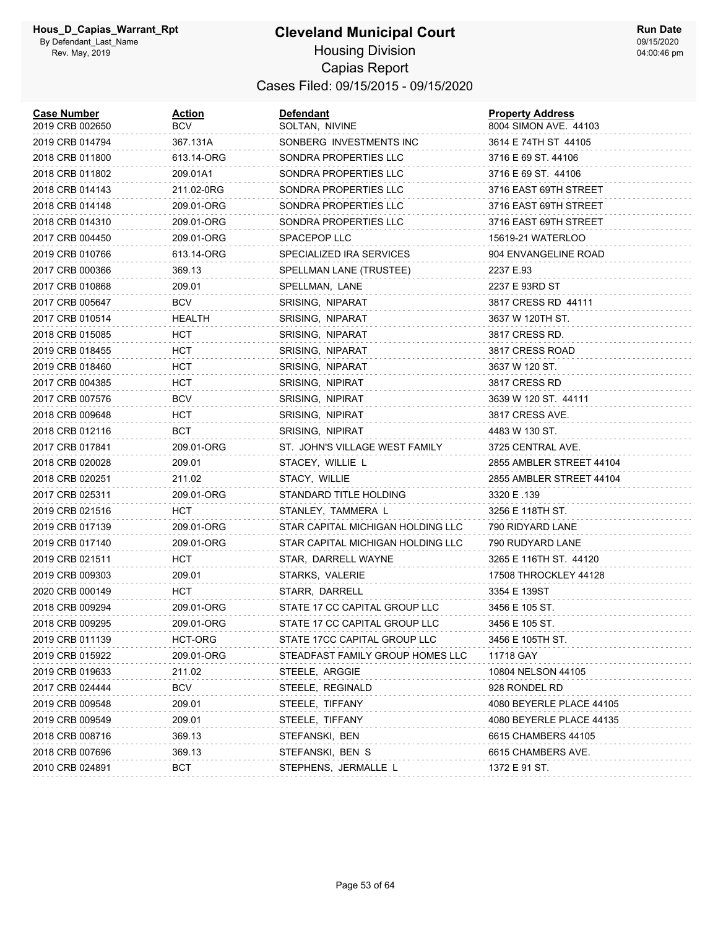| <b>Case Number</b><br>2019 CRB 002650 | <u>Action</u><br>BCV | Defendant<br>SOLTAN, NIVINE       | <b>Property Address</b><br>8004 SIMON AVE. 44103 |
|---------------------------------------|----------------------|-----------------------------------|--------------------------------------------------|
| 2019 CRB 014794                       | 367.131A             | SONBERG INVESTMENTS INC           | 3614 E 74TH ST 44105                             |
| 2018 CRB 011800                       | 613.14-ORG           | SONDRA PROPERTIES LLC             | 3716 E 69 ST. 44106                              |
| 2018 CRB 011802                       | 209.01A1             | SONDRA PROPERTIES LLC             | 3716 E 69 ST. 44106                              |
| 2018 CRB 014143                       | 211.02-0RG           | SONDRA PROPERTIES LLC             | 3716 EAST 69TH STREET                            |
| 2018 CRB 014148                       | 209.01-ORG           | SONDRA PROPERTIES LLC             | 3716 EAST 69TH STREET                            |
| 2018 CRB 014310                       | 209.01-ORG           | SONDRA PROPERTIES LLC             | 3716 EAST 69TH STREET                            |
| 2017 CRB 004450                       | 209.01-ORG           | SPACEPOP LLC                      | 15619-21 WATERLOO                                |
| 2019 CRB 010766                       | 613.14-ORG           | SPECIALIZED IRA SERVICES          | 904 ENVANGELINE ROAD                             |
| 2017 CRB 000366                       | 369.13               | SPELLMAN LANE (TRUSTEE)           | 2237 E.93                                        |
| 2017 CRB 010868                       | 209.01               | SPELLMAN, LANE                    | 2237 E 93RD ST                                   |
| 2017 CRB 005647                       | <b>BCV</b>           | SRISING, NIPARAT                  | 3817 CRESS RD 44111                              |
| 2017 CRB 010514                       | HEALTH               | SRISING, NIPARAT                  | 3637 W 120TH ST.                                 |
| 2018 CRB 015085                       | HCT                  | SRISING, NIPARAT                  | 3817 CRESS RD.                                   |
| 2019 CRB 018455                       | <b>HCT</b>           | SRISING, NIPARAT                  | 3817 CRESS ROAD                                  |
| 2019 CRB 018460                       | HCT                  | SRISING, NIPARAT                  | 3637 W 120 ST.                                   |
| 2017 CRB 004385                       | HCT                  | SRISING, NIPIRAT                  | 3817 CRESS RD                                    |
| 2017 CRB 007576                       | <b>BCV</b>           | SRISING, NIPIRAT                  | 3639 W 120 ST. 44111                             |
| 2018 CRB 009648                       | HCT                  | SRISING, NIPIRAT                  | 3817 CRESS AVE.                                  |
| 2018 CRB 012116                       | BCT                  | SRISING, NIPIRAT                  | 4483 W 130 ST.                                   |
| 2017 CRB 017841                       | 209.01-ORG           | ST. JOHN'S VILLAGE WEST FAMILY    | 3725 CENTRAL AVE.                                |
| 2018 CRB 020028                       | 209.01               | STACEY, WILLIE L                  | 2855 AMBLER STREET 44104                         |
| 2018 CRB 020251                       | 211.02               | STACY, WILLIE                     | 2855 AMBLER STREET 44104                         |
| 2017 CRB 025311                       | 209.01-ORG           | STANDARD TITLE HOLDING            | 3320 E .139                                      |
| 2019 CRB 021516                       | HCT                  | STANLEY, TAMMERA L                | 3256 E 118TH ST.                                 |
| 2019 CRB 017139                       | 209.01-ORG           | STAR CAPITAL MICHIGAN HOLDING LLC | 790 RIDYARD LANE                                 |
| 2019 CRB 017140                       | 209.01-ORG           | STAR CAPITAL MICHIGAN HOLDING LLC | 790 RUDYARD LANE                                 |
| 2019 CRB 021511                       | <b>HCT</b>           | STAR, DARRELL WAYNE               | 3265 E 116TH ST. 44120                           |
| 2019 CRB 009303                       | 209.01               | STARKS, VALERIE                   | 17508 THROCKLEY 44128                            |
| 2020 CRB 000149                       | HCT                  | STARR, DARRELL                    | 3354 E 139ST                                     |
| 2018 CRB 009294                       | 209.01-ORG           | STATE 17 CC CAPITAL GROUP LLC     | 3456 E 105 ST.                                   |
| 2018 CRB 009295                       | 209.01-ORG           | STATE 17 CC CAPITAL GROUP LLC     | 3456 E 105 ST.                                   |
| 2019 CRB 011139                       | HCT-ORG              | STATE 17CC CAPITAL GROUP LLC      | 3456 E 105TH ST.                                 |
| 2019 CRB 015922                       | 209.01-ORG           | STEADFAST FAMILY GROUP HOMES LLC  | 11718 GAY                                        |
| 2019 CRB 019633                       | 211.02               | STEELE, ARGGIE                    | 10804 NELSON 44105                               |
| 2017 CRB 024444                       | <b>BCV</b>           | STEELE, REGINALD                  | 928 RONDEL RD                                    |
| 2019 CRB 009548                       | 209.01               | STEELE, TIFFANY                   | 4080 BEYERLE PLACE 44105                         |
| 2019 CRB 009549                       | 209.01               | STEELE, TIFFANY                   | 4080 BEYERLE PLACE 44135                         |
| 2018 CRB 008716                       | 369.13               | STEFANSKI, BEN                    | 6615 CHAMBERS 44105                              |
| 2018 CRB 007696                       | 369.13               | STEFANSKI, BEN S                  | 6615 CHAMBERS AVE.                               |
| 2010 CRB 024891                       | BCT                  | STEPHENS, JERMALLE L              | 1372 E 91 ST.                                    |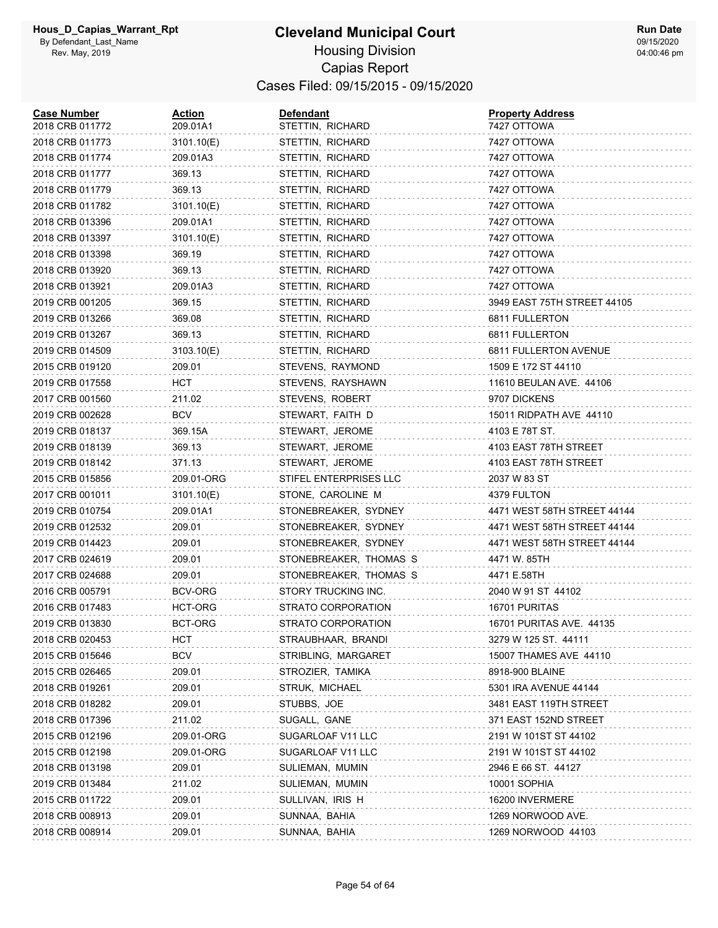#### **Cleveland Municipal Court** Housing Division Capias Report Cases Filed: 09/15/2015 - 09/15/2020

| <b>Case Number</b><br>2018 CRB 011772 | Action<br>209.01A1 | Defendant<br>STETTIN, RICHARD | <b>Property Address</b><br>7427 OTTOWA |
|---------------------------------------|--------------------|-------------------------------|----------------------------------------|
| 2018 CRB 011773                       | 3101.10(E)         | STETTIN, RICHARD              | 7427 OTTOWA                            |
| 2018 CRB 011774                       | 209.01A3           | STETTIN, RICHARD              | 7427 OTTOWA                            |
| 2018 CRB 011777                       | 369.13             | STETTIN, RICHARD              | 7427 OTTOWA                            |
| 2018 CRB 011779                       | 369.13             | STETTIN, RICHARD              | 7427 OTTOWA                            |
| 2018 CRB 011782                       | 3101.10(E)         | STETTIN, RICHARD              | 7427 OTTOWA                            |
| 2018 CRB 013396                       | 209.01A1           | STETTIN, RICHARD              | 7427 OTTOWA                            |
| 2018 CRB 013397                       | 3101.10(E)         | STETTIN, RICHARD              | 7427 OTTOWA                            |
| 2018 CRB 013398                       | 369.19             | STETTIN, RICHARD              | 7427 OTTOWA                            |
| 2018 CRB 013920                       | 369.13             | STETTIN, RICHARD              | 7427 OTTOWA                            |
| 2018 CRB 013921                       | 209.01A3           | STETTIN, RICHARD              | 7427 OTTOWA                            |
| 2019 CRB 001205                       | 369.15             | STETTIN, RICHARD              | 3949 EAST 75TH STREET 44105            |
| 2019 CRB 013266                       | 369.08             | STETTIN, RICHARD              | 6811 FULLERTON                         |
| 2019 CRB 013267                       | 369.13             | STETTIN, RICHARD              | 6811 FULLERTON                         |
| 2019 CRB 014509                       | 3103.10(E)         | STETTIN, RICHARD              | 6811 FULLERTON AVENUE                  |
| 2015 CRB 019120                       | 209.01             | STEVENS, RAYMOND              | 1509 E 172 ST 44110                    |
| 2019 CRB 017558                       | HCT                | STEVENS, RAYSHAWN             | 11610 BEULAN AVE. 44106                |
| 2017 CRB 001560                       | 211.02             | STEVENS, ROBERT               | 9707 DICKENS                           |
| 2019 CRB 002628                       | <b>BCV</b>         | STEWART, FAITH D              | 15011 RIDPATH AVE 44110                |
| 2019 CRB 018137                       | 369.15A            | STEWART, JEROME               | 4103 E 78T ST.                         |
| 2019 CRB 018139                       | 369.13             | STEWART, JEROME               | 4103 EAST 78TH STREET                  |
| 2019 CRB 018142                       | 371.13             | STEWART, JEROME               | 4103 EAST 78TH STREET                  |
| 2015 CRB 015856                       | 209.01-ORG         | STIFEL ENTERPRISES LLC        | 2037 W 83 ST                           |
| 2017 CRB 001011                       | 3101.10(E)         | STONE, CAROLINE M             | 4379 FULTON                            |
| 2019 CRB 010754                       | 209.01A1           | STONEBREAKER, SYDNEY          | 4471 WEST 58TH STREET 44144            |
| 2019 CRB 012532                       | 209.01             | STONEBREAKER, SYDNEY          | 4471 WEST 58TH STREET 44144            |
| 2019 CRB 014423                       | 209.01             | STONEBREAKER, SYDNEY          | 4471 WEST 58TH STREET 44144            |
| 2017 CRB 024619                       | 209.01             | STONEBREAKER, THOMAS S        | 4471 W. 85TH                           |
| 2017 CRB 024688                       | 209.01             | STONEBREAKER, THOMAS S        | 4471 E.58TH                            |
| 2016 CRB 005791                       | BCV-ORG            | STORY TRUCKING INC.           | 2040 W 91 ST 44102                     |
| 2016 CRB 017483                       | HCT-ORG            | STRATO CORPORATION            | 16701 PURITAS                          |
| 2019 CRB 013830                       | BCT-ORG            | STRATO CORPORATION            | 16701 PURITAS AVE. 44135               |
| 2018 CRB 020453                       | HCT                | STRAUBHAAR, BRANDI            | 3279 W 125 ST. 44111                   |
| 2015 CRB 015646                       | <b>BCV</b>         | STRIBLING, MARGARET           | 15007 THAMES AVE 44110                 |
| 2015 CRB 026465                       | 209.01             | STROZIER, TAMIKA              | 8918-900 BLAINE                        |
| 2018 CRB 019261                       | 209.01             | STRUK, MICHAEL                | 5301 IRA AVENUE 44144                  |
| 2018 CRB 018282                       | 209.01             | STUBBS, JOE                   | 3481 EAST 119TH STREET                 |
| 2018 CRB 017396                       | 211.02             | SUGALL, GANE                  | 371 EAST 152ND STREET                  |
| 2015 CRB 012196                       | 209.01-ORG         | SUGARLOAF V11 LLC             | 2191 W 101ST ST 44102                  |
| 2015 CRB 012198                       | 209.01-ORG         | SUGARLOAF V11 LLC             | 2191 W 101ST ST 44102                  |
| 2018 CRB 013198                       | 209.01             | SULIEMAN, MUMIN               | 2946 E 66 ST. 44127                    |
| 2019 CRB 013484                       | 211.02             | SULIEMAN, MUMIN               | 10001 SOPHIA                           |
| 2015 CRB 011722                       | 209.01             | SULLIVAN, IRIS H              | 16200 INVERMERE                        |
| 2018 CRB 008913                       | 209.01             | SUNNAA, BAHIA                 | 1269 NORWOOD AVE.                      |
| 2018 CRB 008914                       | 209.01             | SUNNAA, BAHIA                 | 1269 NORWOOD 44103                     |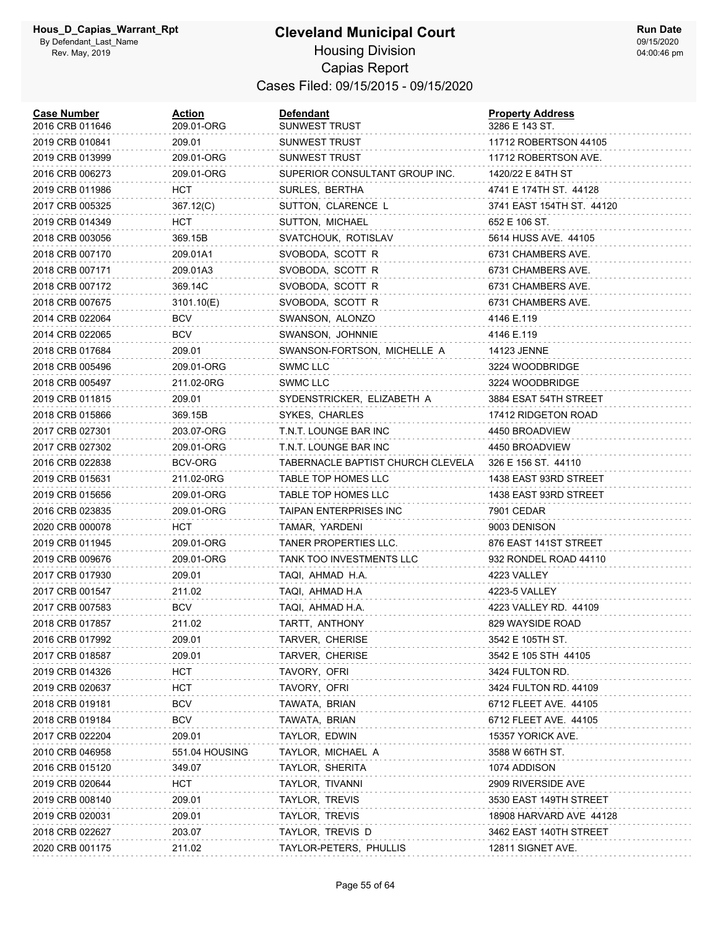#### **Cleveland Municipal Court** Housing Division Capias Report Cases Filed: 09/15/2015 - 09/15/2020

| <b>Case Number</b><br>2016 CRB 011646 | Action<br>209.01-ORG | Defendant<br>SUNWEST TRUST        | <b>Property Address</b><br>3286 E 143 ST. |
|---------------------------------------|----------------------|-----------------------------------|-------------------------------------------|
| 2019 CRB 010841                       | 209.01               | SUNWEST TRUST                     | 11712 ROBERTSON 44105                     |
| 2019 CRB 013999                       | 209.01-ORG           | SUNWEST TRUST                     | 11712 ROBERTSON AVE.                      |
| 2016 CRB 006273                       | 209.01-ORG           | SUPERIOR CONSULTANT GROUP INC.    | 1420/22 E 84TH ST                         |
| 2019 CRB 011986                       | <b>HCT</b>           | SURLES, BERTHA                    | 4741 E 174TH ST. 44128                    |
| 2017 CRB 005325                       | 367.12(C)            | SUTTON, CLARENCE L                | 3741 EAST 154TH ST. 44120                 |
| 2019 CRB 014349                       | HCT                  | SUTTON, MICHAEL                   | 652 E 106 ST.                             |
| 2018 CRB 003056                       | 369.15B              | SVATCHOUK, ROTISLAV               | 5614 HUSS AVE. 44105                      |
| 2018 CRB 007170                       | 209.01A1             | SVOBODA, SCOTT R                  | 6731 CHAMBERS AVE.                        |
| 2018 CRB 007171                       | 209.01A3             | SVOBODA, SCOTT R                  | 6731 CHAMBERS AVE.                        |
| 2018 CRB 007172                       | 369.14C              | SVOBODA, SCOTT R                  | 6731 CHAMBERS AVE.                        |
| 2018 CRB 007675                       | 3101.10(E)           | SVOBODA, SCOTT R                  | 6731 CHAMBERS AVE.                        |
| 2014 CRB 022064                       | BCV                  | SWANSON, ALONZO                   | 4146 E.119                                |
| 2014 CRB 022065                       | <b>BCV</b>           | SWANSON, JOHNNIE                  | 4146 E.119                                |
| 2018 CRB 017684                       | 209.01               | SWANSON-FORTSON, MICHELLE A       | 14123 JENNE                               |
| 2018 CRB 005496                       | 209.01-ORG           | <b>SWMC LLC</b>                   | 3224 WOODBRIDGE                           |
| 2018 CRB 005497                       | 211.02-0RG           | SWMC LLC                          | 3224 WOODBRIDGE                           |
| 2019 CRB 011815                       | 209.01               | SYDENSTRICKER, ELIZABETH A        | 3884 ESAT 54TH STREET                     |
| 2018 CRB 015866                       | 369.15B              | SYKES, CHARLES                    | 17412 RIDGETON ROAD                       |
| 2017 CRB 027301                       | 203.07-ORG           | T.N.T. LOUNGE BAR INC             | 4450 BROADVIEW                            |
| 2017 CRB 027302                       | 209.01-ORG           | T.N.T. LOUNGE BAR INC             | 4450 BROADVIEW                            |
| 2016 CRB 022838                       | BCV-ORG              | TABERNACLE BAPTIST CHURCH CLEVELA | 326 E 156 ST. 44110                       |
| 2019 CRB 015631                       | 211.02-0RG           | TABLE TOP HOMES LLC               | 1438 EAST 93RD STREET                     |
| 2019 CRB 015656                       | 209.01-ORG           | TABLE TOP HOMES LLC               | 1438 EAST 93RD STREET                     |
| 2016 CRB 023835                       | 209.01-ORG           | TAIPAN ENTERPRISES INC            | 7901 CEDAR                                |
| 2020 CRB 000078                       | HCT                  | TAMAR, YARDENI                    | 9003 DENISON                              |
| 2019 CRB 011945                       | 209.01-ORG           | TANER PROPERTIES LLC.             | 876 EAST 141ST STREET                     |
| 2019 CRB 009676                       | 209.01-ORG           | <b>TANK TOO INVESTMENTS LLC</b>   | 932 RONDEL ROAD 44110                     |
| 2017 CRB 017930                       | 209.01               | TAQI, AHMAD H.A.                  | 4223 VALLEY                               |
| 2017 CRB 001547                       | 211.02               | TAQI, AHMAD H.A                   | 4223-5 VALLEY                             |
| 2017 CRB 007583                       | BCV                  | TAQI, AHMAD H.A.                  | 4223 VALLEY RD. 44109                     |
| 2018 CRB 017857                       | 211.02               | TARTT, ANTHONY                    | 829 WAYSIDE ROAD                          |
| 2016 CRB 017992                       | 209.01               | TARVER, CHERISE                   | 3542 E 105TH ST.                          |
| 2017 CRB 018587                       | 209.01               | TARVER, CHERISE                   | 3542 E 105 STH 44105                      |
| 2019 CRB 014326                       | <b>HCT</b>           | TAVORY, OFRI                      | 3424 FULTON RD.                           |
| 2019 CRB 020637                       | HCT                  | TAVORY, OFRI                      | 3424 FULTON RD. 44109                     |
| 2018 CRB 019181                       | <b>BCV</b>           | TAWATA, BRIAN                     | 6712 FLEET AVE. 44105                     |
| 2018 CRB 019184                       | <b>BCV</b>           | TAWATA, BRIAN                     | 6712 FLEET AVE. 44105                     |
| 2017 CRB 022204                       | 209.01               | TAYLOR, EDWIN                     | 15357 YORICK AVE.                         |
| 2010 CRB 046958                       | 551.04 HOUSING       | TAYLOR, MICHAEL A                 | 3588 W 66TH ST.                           |
| 2016 CRB 015120                       | 349.07               | TAYLOR, SHERITA                   | 1074 ADDISON                              |
| 2019 CRB 020644                       | нст                  | TAYLOR, TIVANNI                   | 2909 RIVERSIDE AVE                        |
| 2019 CRB 008140                       | 209.01               | TAYLOR, TREVIS                    | 3530 EAST 149TH STREET                    |
| 2019 CRB 020031                       | 209.01               | TAYLOR, TREVIS                    | 18908 HARVARD AVE 44128                   |
| 2018 CRB 022627                       | 203.07               | TAYLOR, TREVIS D                  | 3462 EAST 140TH STREET                    |
| 2020 CRB 001175                       | 211.02               | TAYLOR-PETERS, PHULLIS            | 12811 SIGNET AVE.                         |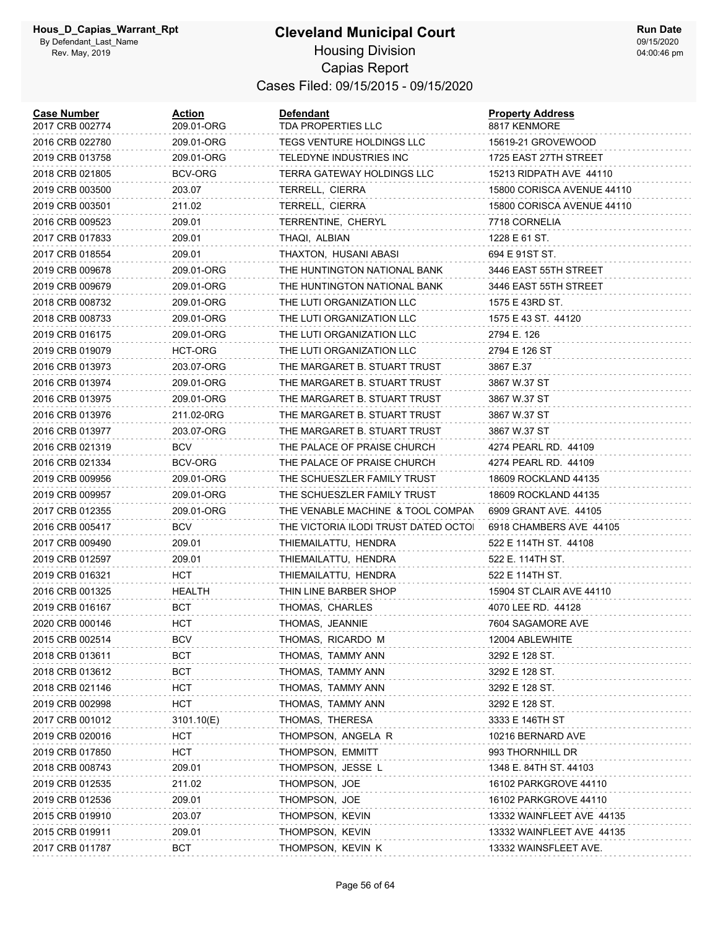#### **Cleveland Municipal Court** Housing Division Capias Report Cases Filed: 09/15/2015 - 09/15/2020

| <b>Case Number</b><br>2017 CRB 002774 | <b>Action</b><br>209.01-ORG | <b>Defendant</b><br>TDA PROPERTIES LLC | <b>Property Address</b><br>8817 KENMORE |
|---------------------------------------|-----------------------------|----------------------------------------|-----------------------------------------|
| 2016 CRB 022780                       | 209.01-ORG                  | TEGS VENTURE HOLDINGS LLC              | 15619-21 GROVEWOOD                      |
| 2019 CRB 013758                       | 209.01-ORG                  | TELEDYNE INDUSTRIES INC                | 1725 EAST 27TH STREET                   |
| 2018 CRB 021805                       | BCV-ORG                     | TERRA GATEWAY HOLDINGS LLC             | 15213 RIDPATH AVE 44110                 |
| 2019 CRB 003500                       | 203.07                      | TERRELL, CIERRA                        | 15800 CORISCA AVENUE 44110              |
| 2019 CRB 003501                       | 211.02                      | TERRELL, CIERRA                        | 15800 CORISCA AVENUE 44110              |
| 2016 CRB 009523                       | 209.01                      | TERRENTINE, CHERYL                     | 7718 CORNELIA                           |
| 2017 CRB 017833                       | 209.01                      | THAQI, ALBIAN                          | 1228 E 61 ST.                           |
| 2017 CRB 018554                       | 209.01                      | THAXTON, HUSANI ABASI                  | 694 E 91ST ST.                          |
| 2019 CRB 009678                       | 209.01-ORG                  | THE HUNTINGTON NATIONAL BANK           | 3446 EAST 55TH STREET                   |
| 2019 CRB 009679                       | 209.01-ORG                  | THE HUNTINGTON NATIONAL BANK           | 3446 EAST 55TH STREET                   |
| 2018 CRB 008732                       | 209.01-ORG                  | THE LUTI ORGANIZATION LLC              | 1575 E 43RD ST.                         |
| 2018 CRB 008733                       | 209.01-ORG                  | THE LUTI ORGANIZATION LLC              | 1575 E 43 ST. 44120                     |
| 2019 CRB 016175                       | 209.01-ORG                  | THE LUTI ORGANIZATION LLC              | 2794 E. 126                             |
| 2019 CRB 019079                       | HCT-ORG                     | THE LUTI ORGANIZATION LLC              | 2794 E 126 ST                           |
| 2016 CRB 013973                       | 203.07-ORG                  | THE MARGARET B. STUART TRUST           | 3867 E.37                               |
| 2016 CRB 013974                       | 209.01-ORG                  | THE MARGARET B. STUART TRUST           | 3867 W.37 ST                            |
| 2016 CRB 013975                       | 209.01-ORG                  | THE MARGARET B. STUART TRUST           | 3867 W.37 ST                            |
| 2016 CRB 013976                       | 211.02-0RG                  | THE MARGARET B. STUART TRUST           | 3867 W.37 ST                            |
| 2016 CRB 013977                       | 203.07-ORG                  | THE MARGARET B. STUART TRUST           | 3867 W.37 ST                            |
| 2016 CRB 021319                       | <b>BCV</b>                  | THE PALACE OF PRAISE CHURCH            | 4274 PEARL RD. 44109                    |
| 2016 CRB 021334                       | BCV-ORG                     | THE PALACE OF PRAISE CHURCH            | 4274 PEARL RD. 44109                    |
| 2019 CRB 009956                       | 209.01-ORG                  | THE SCHUESZLER FAMILY TRUST            | 18609 ROCKLAND 44135                    |
| 2019 CRB 009957                       | 209.01-ORG                  | THE SCHUESZLER FAMILY TRUST            | 18609 ROCKLAND 44135                    |
| 2017 CRB 012355                       | 209.01-ORG                  | THE VENABLE MACHINE & TOOL COMPAN      | 6909 GRANT AVE. 44105                   |
| 2016 CRB 005417                       | <b>BCV</b>                  | THE VICTORIA ILODI TRUST DATED OCTOI   | 6918 CHAMBERS AVE 44105                 |
| 2017 CRB 009490                       | 209.01                      | THIEMAILATTU, HENDRA                   | 522 E 114TH ST. 44108                   |
| 2019 CRB 012597                       | 209.01                      | THIEMAILATTU, HENDRA                   | 522 E. 114TH ST.                        |
| 2019 CRB 016321                       | HCT                         | THIEMAILATTU, HENDRA                   | 522 E 114TH ST.                         |
| 2016 CRB 001325                       | HEALTH                      | THIN LINE BARBER SHOP                  | 15904 ST CLAIR AVE 44110                |
| 2019 CRB 016167                       | <b>BCT</b>                  | THOMAS, CHARLES                        | 4070 LEE RD. 44128                      |
| 2020 CRB 000146                       | HCT                         | THOMAS, JEANNIE                        | 7604 SAGAMORE AVE                       |
| 2015 CRB 002514                       | <b>BCV</b>                  | THOMAS, RICARDO M                      | 12004 ABLEWHITE                         |
| 2018 CRB 013611                       | <b>BCT</b>                  | THOMAS, TAMMY ANN                      | 3292 E 128 ST.                          |
| 2018 CRB 013612                       | <b>BCT</b>                  | THOMAS, TAMMY ANN                      | 3292 E 128 ST.                          |
| 2018 CRB 021146                       | HCT                         | THOMAS, TAMMY ANN                      | 3292 E 128 ST.                          |
| 2019 CRB 002998                       | <b>HCT</b>                  | THOMAS, TAMMY ANN                      | 3292 E 128 ST.                          |
| 2017 CRB 001012                       | 3101.10(E)                  | THOMAS, THERESA                        | 3333 E 146TH ST                         |
| 2019 CRB 020016                       | <b>HCT</b>                  | THOMPSON, ANGELA R                     | 10216 BERNARD AVE                       |
| 2019 CRB 017850                       | HCT                         | THOMPSON, EMMITT                       | 993 THORNHILL DR                        |
| 2018 CRB 008743                       | 209.01                      | THOMPSON, JESSE L                      | 1348 E. 84TH ST. 44103                  |
| 2019 CRB 012535                       | 211.02                      | THOMPSON, JOE                          | 16102 PARKGROVE 44110                   |
| 2019 CRB 012536                       | 209.01                      | THOMPSON, JOE                          | 16102 PARKGROVE 44110                   |
| 2015 CRB 019910                       | 203.07                      | THOMPSON, KEVIN                        | 13332 WAINFLEET AVE 44135               |
| 2015 CRB 019911                       | 209.01                      | THOMPSON, KEVIN                        | 13332 WAINFLEET AVE 44135               |
| 2017 CRB 011787                       | <b>BCT</b>                  | THOMPSON, KEVIN K                      | 13332 WAINSFLEET AVE.                   |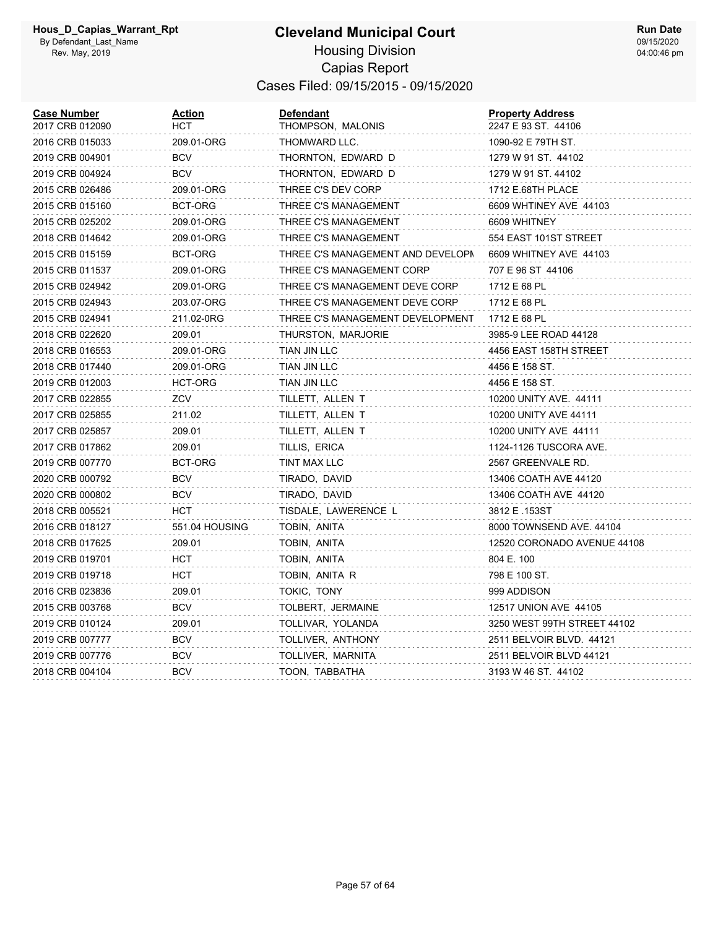| <b>Case Number</b><br>2017 CRB 012090 | <u>Action</u><br>HCT | <b>Defendant</b><br>THOMPSON, MALONIS | <b>Property Address</b><br>2247 E 93 ST. 44106 |
|---------------------------------------|----------------------|---------------------------------------|------------------------------------------------|
| 2016 CRB 015033                       | 209.01-ORG           | THOMWARD LLC.                         | 1090-92 E 79TH ST.                             |
| 2019 CRB 004901                       | <b>BCV</b>           | THORNTON, EDWARD D                    | 1279 W 91 ST. 44102                            |
| 2019 CRB 004924                       | <b>BCV</b>           | THORNTON, EDWARD D                    | 1279 W 91 ST. 44102                            |
| 2015 CRB 026486                       | 209.01-ORG           | THREE C'S DEV CORP                    | 1712 E.68TH PLACE                              |
| 2015 CRB 015160                       | BCT-ORG              | THREE C'S MANAGEMENT                  | 6609 WHTINEY AVE 44103                         |
| 2015 CRB 025202                       | 209.01-ORG           | THREE C'S MANAGEMENT                  | 6609 WHITNEY                                   |
| 2018 CRB 014642                       | 209.01-ORG           | THREE C'S MANAGEMENT                  | 554 EAST 101ST STREET                          |
| 2015 CRB 015159                       | BCT-ORG              | THREE C'S MANAGEMENT AND DEVELOPN     | 6609 WHITNEY AVE 44103                         |
| 2015 CRB 011537                       | 209.01-ORG           | THREE C'S MANAGEMENT CORP             | 707 E 96 ST 44106                              |
| 2015 CRB 024942                       | 209.01-ORG           | THREE C'S MANAGEMENT DEVE CORP        | 1712 E 68 PL                                   |
| 2015 CRB 024943                       | 203.07-ORG           | THREE C'S MANAGEMENT DEVE CORP        | 1712 E 68 PL                                   |
| 2015 CRB 024941                       | 211.02-0RG           | THREE C'S MANAGEMENT DEVELOPMENT      | 1712 E 68 PL                                   |
| 2018 CRB 022620                       | 209.01               | THURSTON, MARJORIE                    | 3985-9 LEE ROAD 44128                          |
| 2018 CRB 016553                       | 209.01-ORG           | TIAN JIN LLC                          | 4456 EAST 158TH STREET                         |
| 2018 CRB 017440                       | 209.01-ORG           | TIAN JIN LLC                          | 4456 E 158 ST.                                 |
| 2019 CRB 012003                       | HCT-ORG              | TIAN JIN LLC                          | 4456 E 158 ST.                                 |
| 2017 CRB 022855                       | ZCV                  | TILLETT, ALLEN T                      | 10200 UNITY AVE. 44111                         |
| 2017 CRB 025855                       | 211.02               | TILLETT, ALLEN T                      | 10200 UNITY AVE 44111                          |
| 2017 CRB 025857                       | 209.01               | TILLETT, ALLEN T                      | 10200 UNITY AVE 44111                          |
| 2017 CRB 017862                       | 209.01               | TILLIS, ERICA                         | 1124-1126 TUSCORA AVE.                         |
| 2019 CRB 007770                       | BCT-ORG              | TINT MAX LLC                          | 2567 GREENVALE RD.                             |
| 2020 CRB 000792                       | <b>BCV</b>           | TIRADO, DAVID                         | 13406 COATH AVE 44120                          |
| 2020 CRB 000802                       | BCV                  | TIRADO, DAVID                         | 13406 COATH AVE 44120                          |
| 2018 CRB 005521                       | HCT                  | TISDALE, LAWERENCE L                  | 3812 E .153ST                                  |
| 2016 CRB 018127                       | 551.04 HOUSING       | TOBIN, ANITA                          | 8000 TOWNSEND AVE. 44104                       |
| 2018 CRB 017625                       | 209.01               | TOBIN, ANITA                          | 12520 CORONADO AVENUE 44108                    |
| 2019 CRB 019701                       | <b>HCT</b>           | TOBIN, ANITA                          | 804 E. 100                                     |
| 2019 CRB 019718                       | <b>HCT</b>           | TOBIN, ANITA R                        | 798 E 100 ST.                                  |
| 2016 CRB 023836                       | 209.01               | TOKIC, TONY                           | 999 ADDISON                                    |
| 2015 CRB 003768                       | <b>BCV</b>           | TOLBERT, JERMAINE                     | 12517 UNION AVE 44105                          |
| 2019 CRB 010124                       | 209.01               | TOLLIVAR, YOLANDA                     | 3250 WEST 99TH STREET 44102                    |
| 2019 CRB 007777                       | BCV                  | TOLLIVER, ANTHONY                     | 2511 BELVOIR BLVD. 44121                       |
| 2019 CRB 007776                       | BCV                  | TOLLIVER, MARNITA                     | 2511 BELVOIR BLVD 44121                        |
| 2018 CRB 004104                       | BCV                  | TOON, TABBATHA                        | 3193 W 46 ST. 44102                            |
|                                       |                      |                                       |                                                |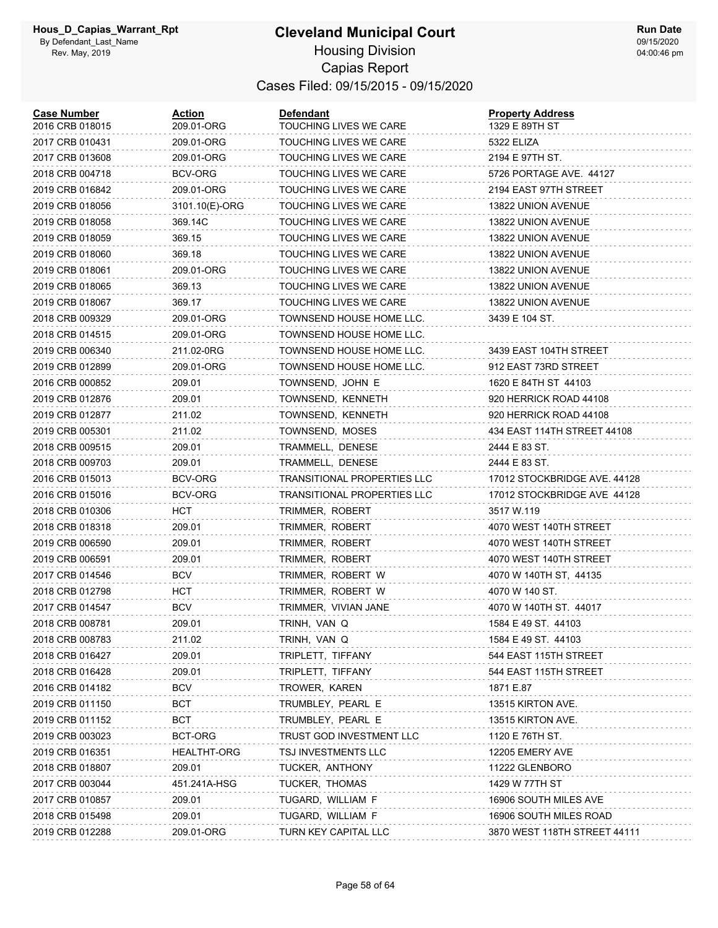| <b>Case Number</b><br>2016 CRB 018015 | Action<br>209.01-ORG | <b>Defendant</b><br>TOUCHING LIVES WE CARE | <b>Property Address</b><br>1329 E 89TH ST |
|---------------------------------------|----------------------|--------------------------------------------|-------------------------------------------|
| 2017 CRB 010431                       | 209.01-ORG           | TOUCHING LIVES WE CARE                     | 5322 ELIZA                                |
| 2017 CRB 013608                       | 209.01-ORG           | TOUCHING LIVES WE CARE                     | 2194 E 97TH ST.                           |
| 2018 CRB 004718                       | BCV-ORG              | TOUCHING LIVES WE CARE                     | 5726 PORTAGE AVE 44127                    |
| 2019 CRB 016842                       | 209.01-ORG           | TOUCHING LIVES WE CARE                     | 2194 EAST 97TH STREET                     |
| 2019 CRB 018056                       | 3101.10(E)-ORG       | TOUCHING LIVES WE CARE                     | 13822 UNION AVENUE                        |
| 2019 CRB 018058                       | 369.14C              | TOUCHING LIVES WE CARE                     | 13822 UNION AVENUE                        |
| 2019 CRB 018059                       | 369.15               | TOUCHING LIVES WE CARE                     | 13822 UNION AVENUE                        |
| 2019 CRB 018060                       | 369.18               | TOUCHING LIVES WE CARE                     | 13822 UNION AVENUE                        |
| 2019 CRB 018061                       | 209.01-ORG           | TOUCHING LIVES WE CARE                     | 13822 UNION AVENUE                        |
| 2019 CRB 018065                       | 369.13               | TOUCHING LIVES WE CARE                     | 13822 UNION AVENUE                        |
| 2019 CRB 018067                       | 369.17               | TOUCHING LIVES WE CARE                     | 13822 UNION AVENUE                        |
| 2018 CRB 009329                       | 209.01-ORG           | TOWNSEND HOUSE HOME LLC.                   | 3439 E 104 ST.                            |
| 2018 CRB 014515                       | 209.01-ORG           | TOWNSEND HOUSE HOME LLC.                   |                                           |
| 2019 CRB 006340                       | 211.02-0RG           | TOWNSEND HOUSE HOME LLC.                   | 3439 EAST 104TH STREET                    |
| 2019 CRB 012899                       | 209.01-ORG           | TOWNSEND HOUSE HOME LLC.                   | 912 EAST 73RD STREET                      |
| 2016 CRB 000852                       | 209.01               | TOWNSEND, JOHN E                           | 1620 E 84TH ST 44103                      |
| 2019 CRB 012876                       | 209.01               | TOWNSEND, KENNETH                          | 920 HERRICK ROAD 44108                    |
| 2019 CRB 012877                       | 211.02               | TOWNSEND, KENNETH                          | 920 HERRICK ROAD 44108                    |
| 2019 CRB 005301                       | 211.02               | TOWNSEND, MOSES                            | 434 EAST 114TH STREET 44108               |
| 2018 CRB 009515                       | 209.01               | TRAMMELL, DENESE                           | 2444 E 83 ST.                             |
| 2018 CRB 009703                       | 209.01               | TRAMMELL, DENESE                           | 2444 E 83 ST.                             |
| 2016 CRB 015013                       | BCV-ORG              | TRANSITIONAL PROPERTIES LLC                | 17012 STOCKBRIDGE AVE. 44128              |
| 2016 CRB 015016                       | BCV-ORG              | TRANSITIONAL PROPERTIES LLC                | 17012 STOCKBRIDGE AVE 44128               |
| 2018 CRB 010306                       | нст                  | TRIMMER, ROBERT                            | 3517 W.119                                |
| 2018 CRB 018318                       | 209.01               | TRIMMER, ROBERT                            | 4070 WEST 140TH STREET                    |
| 2019 CRB 006590                       | 209.01               | TRIMMER, ROBERT                            | 4070 WEST 140TH STREET                    |
| 2019 CRB 006591                       | 209.01               | TRIMMER, ROBERT                            | 4070 WEST 140TH STREET                    |
| 2017 CRB 014546                       | BCV                  | TRIMMER, ROBERT W                          | 4070 W 140TH ST, 44135                    |
| 2018 CRB 012798                       | нст                  | TRIMMER, ROBERT W                          | 4070 W 140 ST.                            |
| 2017 CRB 014547                       | BCV                  | TRIMMER, VIVIAN JANE                       | 4070 W 140TH ST. 44017                    |
| 2018 CRB 008781                       | 209.01               | TRINH, VAN Q                               | 1584 E 49 ST. 44103                       |
| 2018 CRB 008783                       | 211.02               | TRINH, VAN Q                               | 1584 E 49 ST. 44103                       |
| 2018 CRB 016427                       | 209.01               | TRIPLETT, TIFFANY                          | 544 EAST 115TH STREET                     |
| 2018 CRB 016428                       | 209.01               | TRIPLETT, TIFFANY                          | 544 EAST 115TH STREET                     |
| 2016 CRB 014182                       | BCV                  | TROWER, KAREN                              | 1871 E.87                                 |
| 2019 CRB 011150                       | BCT                  | TRUMBLEY, PEARL E                          | 13515 KIRTON AVE.                         |
| 2019 CRB 011152                       | BCT                  | TRUMBLEY, PEARL E                          | 13515 KIRTON AVE.                         |
| 2019 CRB 003023                       | BCT-ORG              | TRUST GOD INVESTMENT LLC                   | 1120 E 76TH ST.                           |
| 2019 CRB 016351                       | <b>HEALTHT-ORG</b>   | TSJ INVESTMENTS LLC                        | 12205 EMERY AVE                           |
| 2018 CRB 018807                       | 209.01               | TUCKER, ANTHONY                            | 11222 GLENBORO                            |
| 2017 CRB 003044                       | 451.241A-HSG         | TUCKER, THOMAS                             | 1429 W 77TH ST                            |
| 2017 CRB 010857                       | 209.01               | TUGARD, WILLIAM F                          | 16906 SOUTH MILES AVE                     |
| 2018 CRB 015498                       | 209.01               | TUGARD, WILLIAM F                          | 16906 SOUTH MILES ROAD                    |
| 2019 CRB 012288                       | 209.01-ORG           | TURN KEY CAPITAL LLC                       | 3870 WEST 118TH STREET 44111              |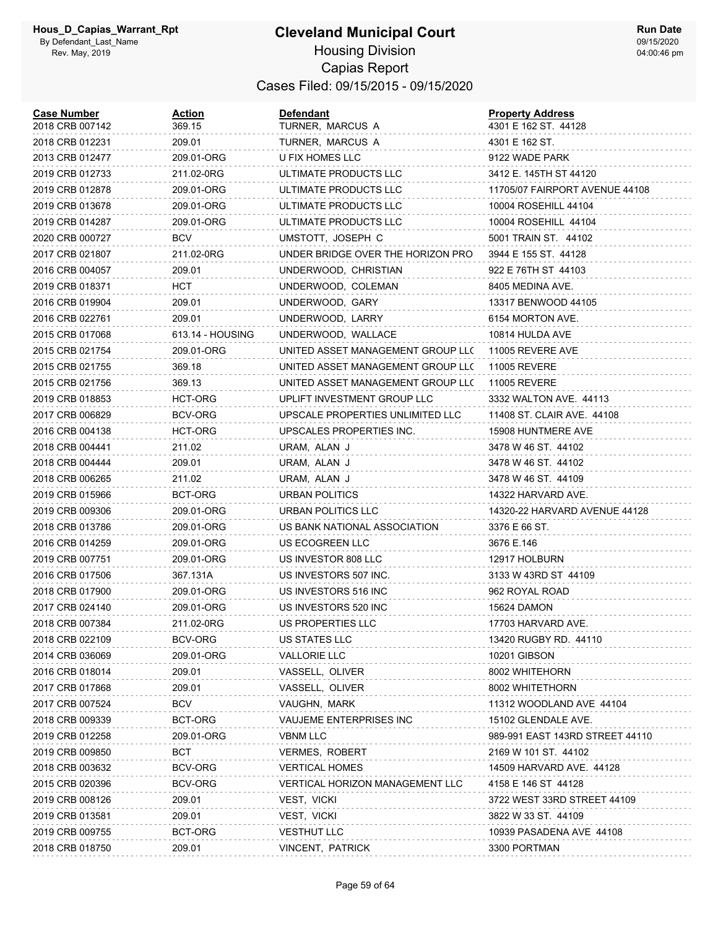| <b>Case Number</b><br>2018 CRB 007142 | <b>Action</b><br>369.15 | <b>Defendant</b><br>TURNER, MARCUS A | <b>Property Address</b><br>4301 E 162 ST. 44128 |
|---------------------------------------|-------------------------|--------------------------------------|-------------------------------------------------|
| 2018 CRB 012231                       | 209.01                  | TURNER, MARCUS A                     | 4301 E 162 ST.                                  |
| 2013 CRB 012477                       | 209.01-ORG              | U FIX HOMES LLC                      | 9122 WADE PARK                                  |
| 2019 CRB 012733                       | 211.02-0RG              | ULTIMATE PRODUCTS LLC                | 3412 E. 145TH ST 44120                          |
| 2019 CRB 012878                       | 209.01-ORG              | ULTIMATE PRODUCTS LLC                | 11705/07 FAIRPORT AVENUE 44108                  |
| 2019 CRB 013678                       | 209.01-ORG              | ULTIMATE PRODUCTS LLC                | 10004 ROSEHILL 44104                            |
| 2019 CRB 014287                       | 209.01-ORG              | ULTIMATE PRODUCTS LLC                | 10004 ROSEHILL 44104                            |
| 2020 CRB 000727                       | <b>BCV</b>              | UMSTOTT, JOSEPH C                    | 5001 TRAIN ST. 44102                            |
| 2017 CRB 021807                       | 211.02-0RG              | UNDER BRIDGE OVER THE HORIZON PRO    | 3944 E 155 ST. 44128                            |
| 2016 CRB 004057                       | 209.01                  | UNDERWOOD, CHRISTIAN                 | 922 E 76TH ST 44103                             |
| 2019 CRB 018371                       | HCT                     | UNDERWOOD, COLEMAN                   | 8405 MEDINA AVE.                                |
| 2016 CRB 019904                       | 209.01                  | UNDERWOOD, GARY                      | 13317 BENWOOD 44105                             |
| 2016 CRB 022761                       | 209.01                  | UNDERWOOD, LARRY                     | 6154 MORTON AVE.                                |
| 2015 CRB 017068                       | 613.14 - HOUSING        | UNDERWOOD, WALLACE                   | 10814 HULDA AVE                                 |
| 2015 CRB 021754                       | 209.01-ORG              | UNITED ASSET MANAGEMENT GROUP LLC    | 11005 REVERE AVE                                |
| 2015 CRB 021755                       | 369.18                  | UNITED ASSET MANAGEMENT GROUP LLC    | <b>11005 REVERE</b>                             |
| 2015 CRB 021756                       | 369.13                  | UNITED ASSET MANAGEMENT GROUP LLC    | <b>11005 REVERE</b>                             |
| 2019 CRB 018853                       | HCT-ORG                 | UPLIFT INVESTMENT GROUP LLC          | 3332 WALTON AVE. 44113                          |
| 2017 CRB 006829                       | BCV-ORG                 | UPSCALE PROPERTIES UNLIMITED LLC     | 11408 ST. CLAIR AVE. 44108                      |
| 2016 CRB 004138                       | HCT-ORG                 | UPSCALES PROPERTIES INC.             | 15908 HUNTMERE AVE                              |
| 2018 CRB 004441                       | 211.02                  | URAM, ALAN J                         | 3478 W 46 ST. 44102                             |
| 2018 CRB 004444                       | 209.01                  | URAM, ALAN J                         | 3478 W 46 ST. 44102                             |
| 2018 CRB 006265                       | 211.02                  | URAM, ALAN J                         | 3478 W 46 ST. 44109                             |
| 2019 CRB 015966                       | BCT-ORG                 | URBAN POLITICS                       | 14322 HARVARD AVE.                              |
| 2019 CRB 009306                       | 209.01-ORG              | URBAN POLITICS LLC                   | 14320-22 HARVARD AVENUE 44128                   |
| 2018 CRB 013786                       | 209.01-ORG              | US BANK NATIONAL ASSOCIATION         | 3376 E 66 ST.                                   |
| 2016 CRB 014259                       | 209.01-ORG              | US ECOGREEN LLC                      | 3676 E.146                                      |
| 2019 CRB 007751                       | 209.01-ORG              | US INVESTOR 808 LLC                  | 12917 HOLBURN                                   |
| 2016 CRB 017506                       | 367.131A                | US INVESTORS 507 INC.                | 3133 W 43RD ST 44109                            |
| 2018 CRB 017900                       | 209.01-ORG              | US INVESTORS 516 INC                 | 962 ROYAL ROAD                                  |
| 2017 CRB 024140                       | 209.01-ORG              | US INVESTORS 520 INC                 | 15624 DAMON                                     |
| 2018 CRB 007384                       | 211.02-0RG              | US PROPERTIES LLC                    | 17703 HARVARD AVE.                              |
| 2018 CRB 022109                       | BCV-ORG                 | US STATES LLC                        | 13420 RUGBY RD. 44110                           |
| 2014 CRB 036069                       | 209.01-ORG              | <b>VALLORIE LLC</b>                  | 10201 GIBSON                                    |
| 2016 CRB 018014                       | 209.01                  | VASSELL, OLIVER                      | 8002 WHITEHORN                                  |
| 2017 CRB 017868                       | 209.01                  | VASSELL, OLIVER                      | 8002 WHITETHORN                                 |
| 2017 CRB 007524                       | <b>BCV</b>              | VAUGHN, MARK                         | 11312 WOODLAND AVE 44104                        |
| 2018 CRB 009339                       | BCT-ORG                 | VAUJEME ENTERPRISES INC              | 15102 GLENDALE AVE.                             |
| 2019 CRB 012258                       | 209.01-ORG              | <b>VBNM LLC</b>                      | 989-991 EAST 143RD STREET 44110                 |
| 2019 CRB 009850                       | BCT                     | VERMES, ROBERT                       | 2169 W 101 ST. 44102                            |
| 2018 CRB 003632                       | BCV-ORG                 | <b>VERTICAL HOMES</b>                | 14509 HARVARD AVE. 44128                        |
| 2015 CRB 020396                       | BCV-ORG                 | VERTICAL HORIZON MANAGEMENT LLC      | 4158 E 146 ST 44128                             |
| 2019 CRB 008126                       | 209.01                  | VEST, VICKI                          | 3722 WEST 33RD STREET 44109                     |
| 2019 CRB 013581                       | 209.01                  | VEST, VICKI                          | 3822 W 33 ST. 44109                             |
| 2019 CRB 009755                       | BCT-ORG                 | <b>VESTHUT LLC</b>                   | 10939 PASADENA AVE 44108                        |
| 2018 CRB 018750                       | 209.01                  | VINCENT, PATRICK                     | 3300 PORTMAN                                    |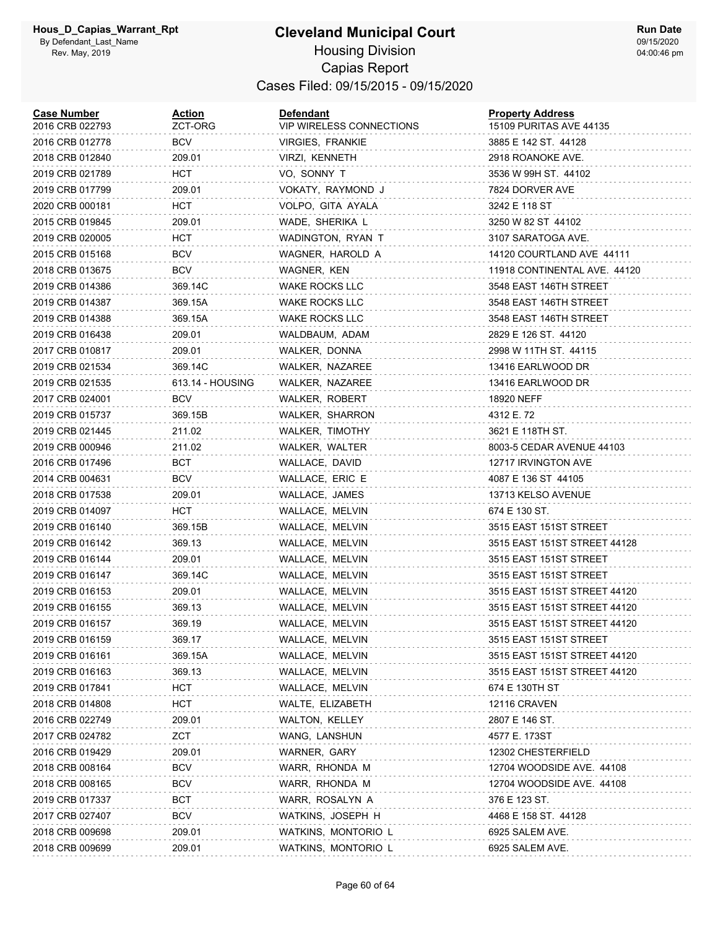| <b>Case Number</b><br>2016 CRB 022793 | Action<br>ZCT-ORG | <b>Defendant</b><br><b>VIP WIRELESS CONNECTIONS</b> | <b>Property Address</b><br>15109 PURITAS AVE 44135 |
|---------------------------------------|-------------------|-----------------------------------------------------|----------------------------------------------------|
| 2016 CRB 012778                       | BCV               | VIRGIES, FRANKIE                                    | 3885 E 142 ST. 44128                               |
| 2018 CRB 012840                       | 209.01            | VIRZI, KENNETH                                      | 2918 ROANOKE AVE.                                  |
| 2019 CRB 021789                       | HCT               | VO, SONNY T                                         | 3536 W 99H ST. 44102                               |
| 2019 CRB 017799                       | 209.01            | VOKATY, RAYMOND J                                   | 7824 DORVER AVE                                    |
| 2020 CRB 000181                       | нст               | VOLPO, GITA AYALA                                   | 3242 E 118 ST                                      |
| 2015 CRB 019845                       | 209.01            | WADE, SHERIKA L                                     | 3250 W 82 ST 44102                                 |
| 2019 CRB 020005                       | нст               | WADINGTON, RYAN T                                   | 3107 SARATOGA AVE.                                 |
| 2015 CRB 015168                       | <b>BCV</b>        | WAGNER, HAROLD A                                    | 14120 COURTLAND AVE 44111                          |
| 2018 CRB 013675                       | <b>BCV</b>        | WAGNER, KEN                                         | 11918 CONTINENTAL AVE. 44120                       |
| 2019 CRB 014386                       | 369.14C           | WAKE ROCKS LLC                                      | 3548 EAST 146TH STREET                             |
| 2019 CRB 014387                       | 369.15A           | <b>WAKE ROCKS LLC</b>                               | 3548 EAST 146TH STREET                             |
| 2019 CRB 014388                       | 369.15A           | <b>WAKE ROCKS LLC</b>                               | 3548 EAST 146TH STREET                             |
| 2019 CRB 016438                       | 209.01            | WALDBAUM, ADAM                                      | 2829 E 126 ST. 44120                               |
| 2017 CRB 010817                       | 209.01            | WALKER, DONNA                                       | 2998 W 11TH ST. 44115                              |
| 2019 CRB 021534                       | 369.14C           | WALKER, NAZAREE                                     | 13416 EARLWOOD DR                                  |
| 2019 CRB 021535                       | 613.14 - HOUSING  | WALKER, NAZAREE                                     | 13416 EARLWOOD DR                                  |
| 2017 CRB 024001                       | BCV               | WALKER, ROBERT                                      | 18920 NEFF                                         |
| 2019 CRB 015737                       | 369.15B           | <b>WALKER, SHARRON</b>                              | 4312 E. 72                                         |
| 2019 CRB 021445                       | 211.02            | WALKER, TIMOTHY                                     | 3621 E 118TH ST.                                   |
| 2019 CRB 000946                       | 211.02            | WALKER, WALTER                                      | 8003-5 CEDAR AVENUE 44103                          |
| 2016 CRB 017496                       | BCT               | WALLACE, DAVID                                      | 12717 IRVINGTON AVE                                |
| 2014 CRB 004631                       | BCV               | WALLACE, ERIC E                                     | 4087 E 136 ST 44105                                |
| 2018 CRB 017538                       | 209.01            | WALLACE, JAMES                                      | 13713 KELSO AVENUE                                 |
| 2019 CRB 014097                       | HCT               | WALLACE, MELVIN                                     | 674 E 130 ST.                                      |
| 2019 CRB 016140                       | 369.15B           | WALLACE, MELVIN                                     | 3515 EAST 151ST STREET                             |
| 2019 CRB 016142                       | 369.13            | WALLACE, MELVIN                                     | 3515 EAST 151ST STREET 44128                       |
| 2019 CRB 016144                       | 209.01            | WALLACE, MELVIN                                     | 3515 EAST 151ST STREET                             |
| 2019 CRB 016147                       | 369.14C           | WALLACE, MELVIN                                     | 3515 EAST 151ST STREET                             |
| 2019 CRB 016153                       | 209.01            | WALLACE, MELVIN                                     | 3515 EAST 151ST STREET 44120                       |
| 2019 CRB 016155                       | 369.13            | WALLACE, MELVIN                                     | 3515 EAST 151ST STREET 44120                       |
| 2019 CRB 016157                       | 369.19            | WALLACE, MELVIN                                     | 3515 EAST 151ST STREET 44120                       |
| 2019 CRB 016159                       | 369.17            | WALLACE, MELVIN                                     | 3515 EAST 151ST STREET                             |
| 2019 CRB 016161                       | 369.15A           | WALLACE, MELVIN                                     | 3515 EAST 151ST STREET 44120                       |
| 2019 CRB 016163                       | 369.13            | WALLACE, MELVIN                                     | 3515 EAST 151ST STREET 44120                       |
| 2019 CRB 017841                       | нст               | WALLACE, MELVIN                                     | 674 E 130TH ST                                     |
| 2018 CRB 014808                       | HCT               | WALTE, ELIZABETH                                    | <b>12116 CRAVEN</b>                                |
| 2016 CRB 022749                       | 209.01            | WALTON, KELLEY                                      | 2807 E 146 ST.                                     |
| 2017 CRB 024782                       | ZCT               | WANG, LANSHUN                                       | 4577 E. 173ST                                      |
| 2016 CRB 019429                       | 209.01            | WARNER, GARY                                        | 12302 CHESTERFIELD                                 |
| 2018 CRB 008164                       | <b>BCV</b>        | WARR, RHONDA M                                      | 12704 WOODSIDE AVE. 44108                          |
| 2018 CRB 008165                       | BCV               | WARR, RHONDA M                                      | 12704 WOODSIDE AVE. 44108                          |
| 2019 CRB 017337                       | BCT               | WARR, ROSALYN A                                     | 376 E 123 ST.                                      |
| 2017 CRB 027407                       | BCV               | WATKINS, JOSEPH H                                   | 4468 E 158 ST. 44128                               |
| 2018 CRB 009698                       | 209.01            | WATKINS, MONTORIO L                                 | 6925 SALEM AVE.                                    |
| 2018 CRB 009699                       | 209.01            | WATKINS, MONTORIO L                                 | 6925 SALEM AVE.                                    |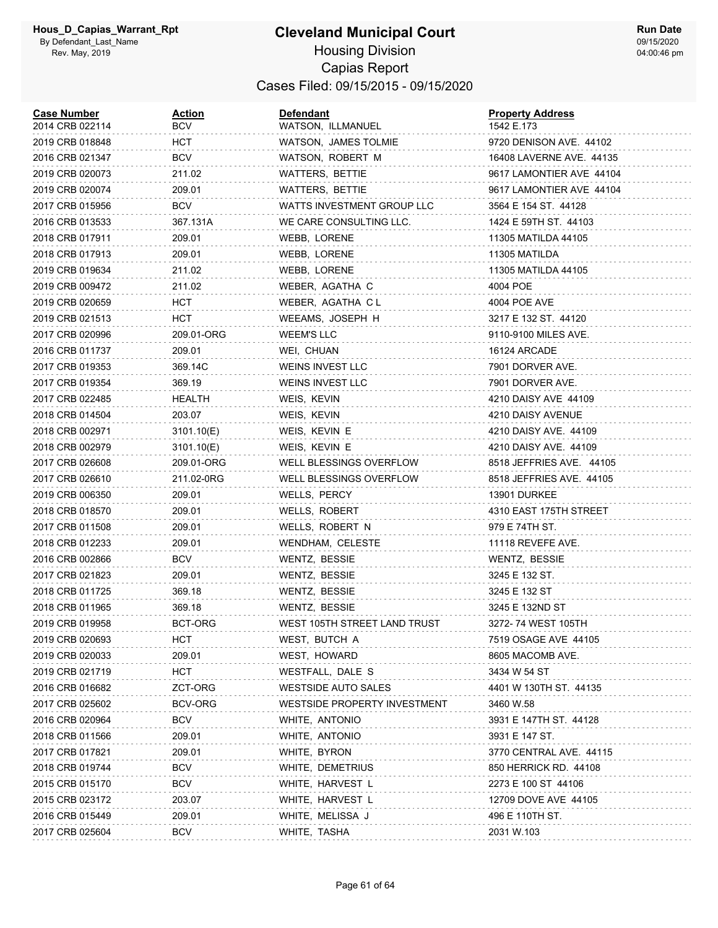#### **Cleveland Municipal Court** Housing Division Capias Report Cases Filed: 09/15/2015 - 09/15/2020

| <b>Case Number</b><br>2014 CRB 022114 | <u>Action</u><br>BCV | <b>Defendant</b><br>WATSON, ILLMANUEL | <b>Property Address</b><br>1542 E.173 |
|---------------------------------------|----------------------|---------------------------------------|---------------------------------------|
| 2019 CRB 018848                       | HCT                  | WATSON, JAMES TOLMIE                  | 9720 DENISON AVE. 44102               |
| 2016 CRB 021347                       | BCV                  | WATSON, ROBERT M                      | 16408 LAVERNE AVE. 44135              |
| 2019 CRB 020073                       | 211.02               | WATTERS, BETTIE                       | 9617 LAMONTIER AVE 44104              |
| 2019 CRB 020074                       | 209.01               | WATTERS, BETTIE                       | 9617 LAMONTIER AVE 44104              |
| 2017 CRB 015956                       | BCV                  | WATTS INVESTMENT GROUP LLC            | 3564 E 154 ST. 44128                  |
| 2016 CRB 013533                       | 367.131A             | WE CARE CONSULTING LLC.               | 1424 E 59TH ST. 44103                 |
| 2018 CRB 017911                       | 209.01               | WEBB, LORENE                          | 11305 MATILDA 44105                   |
| 2018 CRB 017913                       | 209.01               | WEBB, LORENE                          | 11305 MATILDA                         |
| 2019 CRB 019634                       | 211.02               | WEBB, LORENE                          | 11305 MATILDA 44105                   |
| 2019 CRB 009472                       | 211.02               | WEBER, AGATHA C                       | 4004 POE                              |
| 2019 CRB 020659                       | HCT                  | WEBER, AGATHA CL                      | 4004 POE AVE                          |
| 2019 CRB 021513                       | HCT                  | WEEAMS, JOSEPH H                      | 3217 E 132 ST. 44120                  |
| 2017 CRB 020996                       | 209.01-ORG           | <b>WEEM'S LLC</b>                     | 9110-9100 MILES AVE.                  |
| 2016 CRB 011737                       | 209.01               | WEI, CHUAN                            | 16124 ARCADE                          |
| 2017 CRB 019353                       | 369.14C              | WEINS INVEST LLC                      | 7901 DORVER AVE.                      |
| 2017 CRB 019354                       | 369.19               | <b>WEINS INVEST LLC</b>               | 7901 DORVER AVE.                      |
| 2017 CRB 022485                       | HEALTH               | WEIS, KEVIN                           | 4210 DAISY AVE 44109                  |
| 2018 CRB 014504                       | 203.07               | WEIS, KEVIN                           | 4210 DAISY AVENUE                     |
| 2018 CRB 002971                       | 3101.10(E)           | WEIS, KEVIN E                         | 4210 DAISY AVE. 44109                 |
| 2018 CRB 002979                       | 3101.10(E)           | WEIS, KEVIN E                         | 4210 DAISY AVE. 44109                 |
| 2017 CRB 026608                       | 209.01-ORG           | WELL BLESSINGS OVERFLOW               | 8518 JEFFRIES AVE. 44105              |
| 2017 CRB 026610                       | 211.02-0RG           | WELL BLESSINGS OVERFLOW               | 8518 JEFFRIES AVE. 44105              |
| 2019 CRB 006350                       | 209.01               | WELLS, PERCY                          | 13901 DURKEE                          |
| 2018 CRB 018570                       | 209.01               | WELLS, ROBERT                         | 4310 EAST 175TH STREET                |
| 2017 CRB 011508                       | 209.01               | WELLS, ROBERT N                       | 979 E 74TH ST.                        |
| 2018 CRB 012233                       | 209.01               | WENDHAM, CELESTE                      | 11118 REVEFE AVE.                     |
| 2016 CRB 002866                       | <b>BCV</b>           | WENTZ, BESSIE                         | WENTZ, BESSIE                         |
| 2017 CRB 021823                       | 209.01               | WENTZ, BESSIE                         | 3245 E 132 ST.                        |
| 2018 CRB 011725                       | 369.18               | WENTZ, BESSIE                         | 3245 E 132 ST                         |
| 2018 CRB 011965                       | 369.18               | WENTZ, BESSIE                         | 3245 E 132ND ST                       |
| 2019 CRB 019958                       | BCT-ORG              | WEST 105TH STREET LAND TRUST          | 3272-74 WEST 105TH                    |
| 2019 CRB 020693                       | HCT                  | WEST, BUTCH A                         | 7519 OSAGE AVE 44105                  |
| 2019 CRB 020033                       | 209.01               | WEST, HOWARD                          | 8605 MACOMB AVE.                      |
| 2019 CRB 021719                       | HCT                  | WESTFALL, DALE S                      | 3434 W 54 ST                          |
| 2016 CRB 016682                       | ZCT-ORG              | <b>WESTSIDE AUTO SALES</b>            | 4401 W 130TH ST. 44135                |
| 2017 CRB 025602                       | BCV-ORG              | WESTSIDE PROPERTY INVESTMENT          | 3460 W.58                             |
| 2016 CRB 020964                       | <b>BCV</b>           | WHITE, ANTONIO                        | 3931 E 147TH ST. 44128                |
| 2018 CRB 011566                       | 209.01               | WHITE, ANTONIO                        | 3931 E 147 ST.                        |
| 2017 CRB 017821                       | 209.01               | WHITE, BYRON                          | 3770 CENTRAL AVE. 44115               |
| 2018 CRB 019744                       | <b>BCV</b>           | WHITE, DEMETRIUS                      | 850 HERRICK RD. 44108                 |
| 2015 CRB 015170                       | BCV                  | WHITE, HARVEST L                      | 2273 E 100 ST 44106                   |
| 2015 CRB 023172                       | 203.07               | WHITE, HARVEST L                      | 12709 DOVE AVE 44105                  |
| 2016 CRB 015449                       | 209.01               | WHITE, MELISSA J                      | 496 E 110TH ST.                       |
| 2017 CRB 025604                       | <b>BCV</b>           | WHITE, TASHA                          | 2031 W.103                            |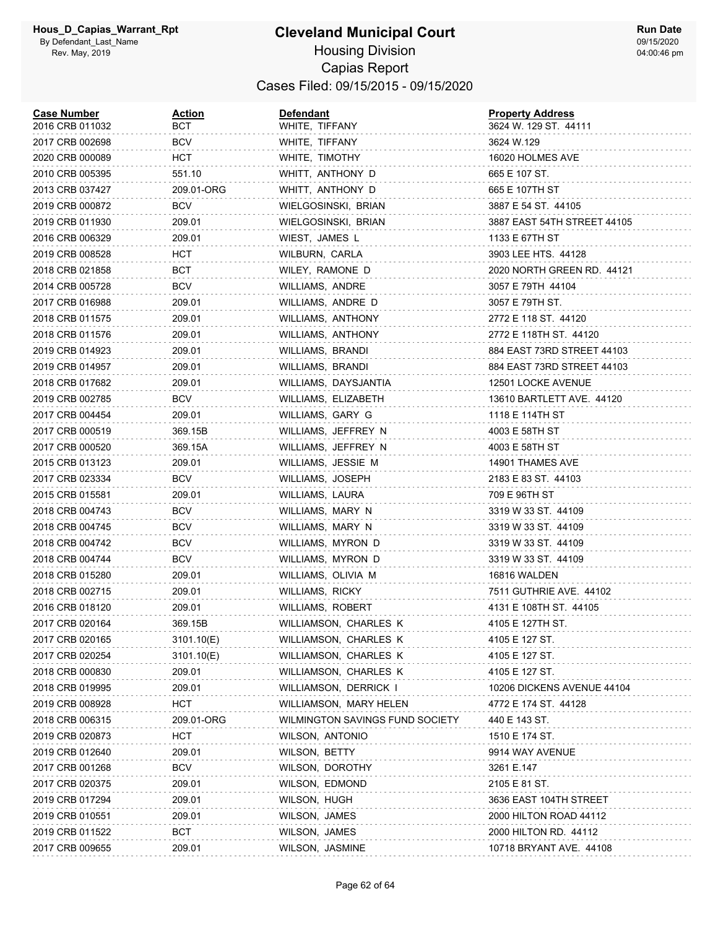| <b>Case Number</b><br>2016 CRB 011032 | <b>Action</b><br>вст | <b>Defendant</b><br>WHITE, TIFFANY | <b>Property Address</b><br>3624 W. 129 ST. 44111 |
|---------------------------------------|----------------------|------------------------------------|--------------------------------------------------|
| 2017 CRB 002698                       | <b>BCV</b>           | WHITE, TIFFANY                     | 3624 W.129                                       |
| 2020 CRB 000089                       | HCT                  | WHITE, TIMOTHY                     | 16020 HOLMES AVE                                 |
| 2010 CRB 005395                       | 551.10               | WHITT, ANTHONY D                   | 665 E 107 ST.                                    |
| 2013 CRB 037427                       | 209.01-ORG           | WHITT, ANTHONY D                   | 665 E 107TH ST                                   |
| 2019 CRB 000872                       | BCV                  | WIELGOSINSKI, BRIAN                | 3887 E 54 ST. 44105                              |
| 2019 CRB 011930                       | 209.01               | WIELGOSINSKI, BRIAN                | 3887 EAST 54TH STREET 44105                      |
| 2016 CRB 006329                       | 209.01               | WIEST, JAMES L                     | 1133 E 67TH ST                                   |
| 2019 CRB 008528                       | HCT                  | WILBURN, CARLA                     | 3903 LEE HTS. 44128                              |
| 2018 CRB 021858                       | BCT                  | WILEY, RAMONE D                    | 2020 NORTH GREEN RD. 44121                       |
| 2014 CRB 005728                       | <b>BCV</b>           | WILLIAMS, ANDRE                    | 3057 E 79TH 44104                                |
| 2017 CRB 016988                       | 209.01               | WILLIAMS, ANDRE D                  | 3057 E 79TH ST.                                  |
| 2018 CRB 011575                       | 209.01               | WILLIAMS, ANTHONY                  | 2772 E 118 ST. 44120                             |
| 2018 CRB 011576                       | 209.01               | WILLIAMS, ANTHONY                  | 2772 E 118TH ST. 44120                           |
| 2019 CRB 014923                       | 209.01               | WILLIAMS, BRANDI                   | 884 EAST 73RD STREET 44103                       |
| 2019 CRB 014957                       | 209.01               | WILLIAMS, BRANDI                   | 884 EAST 73RD STREET 44103                       |
| 2018 CRB 017682                       | 209.01               | WILLIAMS, DAYSJANTIA               | 12501 LOCKE AVENUE                               |
| 2019 CRB 002785                       | BCV                  | WILLIAMS, ELIZABETH                | 13610 BARTLETT AVE. 44120                        |
| 2017 CRB 004454                       | 209.01               | WILLIAMS, GARY G                   | 1118 E 114TH ST                                  |
| 2017 CRB 000519                       | 369.15B              | WILLIAMS, JEFFREY N                | 4003 E 58TH ST                                   |
| 2017 CRB 000520                       | 369.15A              | WILLIAMS, JEFFREY N                | 4003 E 58TH ST                                   |
| 2015 CRB 013123                       | 209.01               | WILLIAMS, JESSIE M                 | 14901 THAMES AVE                                 |
| 2017 CRB 023334                       | BCV                  | WILLIAMS, JOSEPH                   | 2183 E 83 ST. 44103                              |
| 2015 CRB 015581                       | 209.01               | WILLIAMS, LAURA                    | 709 E 96TH ST                                    |
| 2018 CRB 004743                       | BCV                  | WILLIAMS, MARY N                   | 3319 W 33 ST. 44109                              |
| 2018 CRB 004745                       | <b>BCV</b>           | WILLIAMS, MARY N                   | 3319 W 33 ST. 44109                              |
| 2018 CRB 004742                       | <b>BCV</b>           | WILLIAMS, MYRON D                  | 3319 W 33 ST. 44109                              |
| 2018 CRB 004744                       | BCV                  | WILLIAMS, MYRON D                  | 3319 W 33 ST. 44109                              |
| 2018 CRB 015280                       | 209.01               | WILLIAMS, OLIVIA M                 | 16816 WALDEN                                     |
| 2018 CRB 002715                       | 209.01               | WILLIAMS, RICKY                    | 7511 GUTHRIE AVE. 44102                          |
| 2016 CRB 018120                       | 209.01               | WILLIAMS, ROBERT                   | 4131 E 108TH ST. 44105                           |
| 2017 CRB 020164                       | 369.15B              | WILLIAMSON, CHARLES K              | 4105 E 127TH ST.                                 |
| 2017 CRB 020165                       | 3101.10(E)           | WILLIAMSON, CHARLES K              | 4105 E 127 ST.                                   |
| 2017 CRB 020254                       | 3101.10(E)           | WILLIAMSON, CHARLES K              | 4105 E 127 ST.                                   |
| 2018 CRB 000830                       | 209.01               | WILLIAMSON, CHARLES K              | 4105 E 127 ST.                                   |
| 2018 CRB 019995                       | 209.01               | WILLIAMSON, DERRICK I              | 10206 DICKENS AVENUE 44104                       |
| 2019 CRB 008928                       | HCT                  | WILLIAMSON, MARY HELEN             | 4772 E 174 ST. 44128                             |
| 2018 CRB 006315                       | 209.01-ORG           | WILMINGTON SAVINGS FUND SOCIETY    | 440 E 143 ST.                                    |
| 2019 CRB 020873                       | <b>HCT</b>           | WILSON, ANTONIO                    | 1510 E 174 ST.                                   |
| 2019 CRB 012640                       | 209.01               | WILSON, BETTY                      | 9914 WAY AVENUE                                  |
| 2017 CRB 001268                       | <b>BCV</b>           | WILSON, DOROTHY                    | 3261 E.147                                       |
| 2017 CRB 020375                       | 209.01               | WILSON, EDMOND                     | 2105 E 81 ST.                                    |
| 2019 CRB 017294                       | 209.01               | WILSON, HUGH                       | 3636 EAST 104TH STREET                           |
| 2019 CRB 010551                       | 209.01               | WILSON, JAMES                      | 2000 HILTON ROAD 44112                           |
| 2019 CRB 011522                       | <b>BCT</b>           | WILSON, JAMES                      | 2000 HILTON RD. 44112                            |
| 2017 CRB 009655                       | 209.01               | WILSON, JASMINE                    | 10718 BRYANT AVE. 44108                          |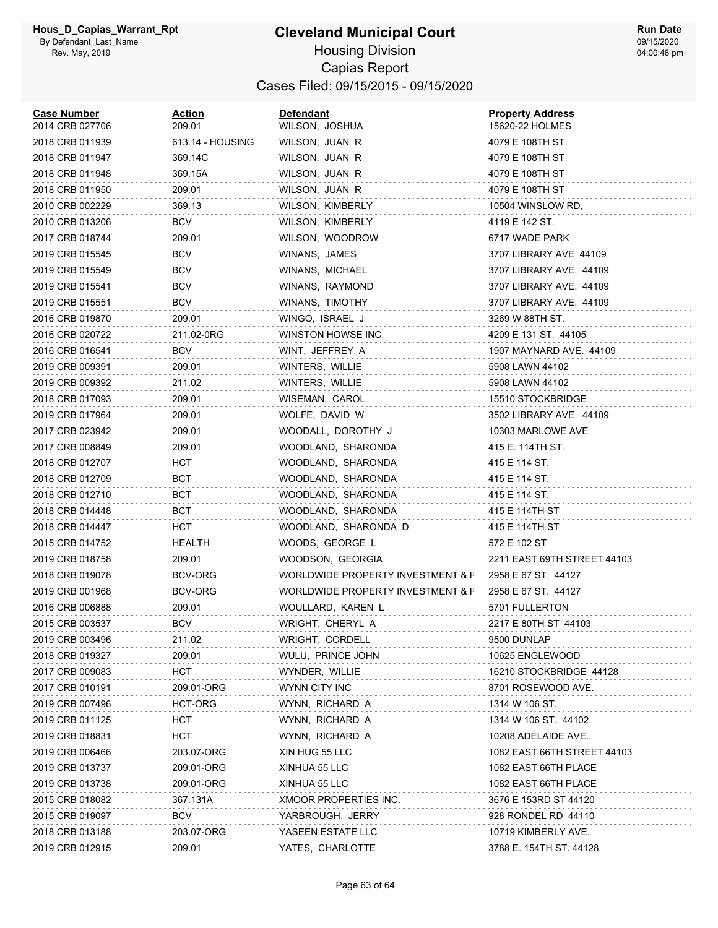| <b>Case Number</b><br>2014 CRB 027706 | <b>Action</b><br>209.01 | <b>Defendant</b><br>WILSON, JOSHUA | <b>Property Address</b><br>15620-22 HOLMES |
|---------------------------------------|-------------------------|------------------------------------|--------------------------------------------|
| 2018 CRB 011939                       | 613.14 - HOUSING        | WILSON, JUAN R                     | 4079 E 108TH ST                            |
| 2018 CRB 011947                       | 369.14C                 | WILSON, JUAN R                     | 4079 E 108TH ST                            |
| 2018 CRB 011948                       | 369.15A                 | WILSON, JUAN R                     | 4079 E 108TH ST                            |
| 2018 CRB 011950                       | 209.01                  | WILSON, JUAN R                     | 4079 E 108TH ST                            |
| 2010 CRB 002229                       | 369.13                  | WILSON, KIMBERLY                   | 10504 WINSLOW RD,                          |
| 2010 CRB 013206                       | <b>BCV</b>              | WILSON, KIMBERLY                   | 4119 E 142 ST.                             |
| 2017 CRB 018744                       | 209.01                  | WILSON, WOODROW                    | 6717 WADE PARK                             |
| 2019 CRB 015545                       | <b>BCV</b>              | WINANS, JAMES                      | 3707 LIBRARY AVE 44109                     |
| 2019 CRB 015549                       | <b>BCV</b>              | WINANS, MICHAEL                    | 3707 LIBRARY AVE. 44109                    |
| 2019 CRB 015541                       | <b>BCV</b>              | WINANS, RAYMOND                    | 3707 LIBRARY AVE. 44109                    |
| 2019 CRB 015551                       | <b>BCV</b>              | WINANS, TIMOTHY                    | 3707 LIBRARY AVE. 44109                    |
| 2016 CRB 019870                       | 209.01                  | WINGO, ISRAEL J                    | 3269 W 88TH ST.                            |
| 2016 CRB 020722                       | 211.02-0RG              | WINSTON HOWSE INC.                 | 4209 E 131 ST. 44105                       |
| 2016 CRB 016541                       | <b>BCV</b>              | WINT, JEFFREY A                    | 1907 MAYNARD AVE. 44109                    |
| 2019 CRB 009391                       | 209.01                  | WINTERS, WILLIE                    | 5908 LAWN 44102                            |
| 2019 CRB 009392                       | 211.02                  | WINTERS, WILLIE                    | 5908 LAWN 44102                            |
| 2018 CRB 017093                       | 209.01                  | WISEMAN, CAROL                     | 15510 STOCKBRIDGE                          |
| 2019 CRB 017964                       | 209.01                  | WOLFE, DAVID W                     | 3502 LIBRARY AVE. 44109                    |
| 2017 CRB 023942                       | 209.01                  | WOODALL, DOROTHY J                 | 10303 MARLOWE AVE                          |
| 2017 CRB 008849                       | 209.01                  | WOODLAND, SHARONDA                 | 415 E. 114TH ST.                           |
| 2018 CRB 012707                       | HCT                     | WOODLAND, SHARONDA                 | 415 E 114 ST.                              |
| 2018 CRB 012709                       | BCT                     | WOODLAND, SHARONDA                 | 415 E 114 ST.                              |
| 2018 CRB 012710                       | BCT                     | WOODLAND, SHARONDA                 | 415 E 114 ST.                              |
| 2018 CRB 014448                       | BCT                     | WOODLAND, SHARONDA                 | 415 E 114TH ST                             |
| 2018 CRB 014447                       | HCT                     | WOODLAND, SHARONDA D               | 415 E 114TH ST                             |
| 2015 CRB 014752                       | HEALTH                  | WOODS, GEORGE L                    | 572 E 102 ST                               |
| 2019 CRB 018758                       | 209.01                  | WOODSON, GEORGIA                   | 2211 EAST 69TH STREET 44103                |
| 2018 CRB 019078                       | BCV-ORG                 | WORLDWIDE PROPERTY INVESTMENT & F  | 2958 E 67 ST. 44127                        |
| 2019 CRB 001968                       | BCV-ORG                 | WORLDWIDE PROPERTY INVESTMENT & F  | 2958 E 67 ST. 44127                        |
| 2016 CRB 006888                       | 209.01                  | WOULLARD, KAREN L                  | 5701 FULLERTON                             |
| 2015 CRB 003537                       | <b>BCV</b>              | WRIGHT, CHERYL A                   | 2217 E 80TH ST 44103                       |
| 2019 CRB 003496                       | 211.02                  | WRIGHT, CORDELL                    | 9500 DUNLAP                                |
| 2018 CRB 019327                       | 209.01                  | WULU, PRINCE JOHN                  | 10625 ENGLEWOOD                            |
| 2017 CRB 009083                       | HCT                     | WYNDER, WILLIE                     | 16210 STOCKBRIDGE 44128                    |
| 2017 CRB 010191                       | 209.01-ORG              | WYNN CITY INC                      | 8701 ROSEWOOD AVE.                         |
| 2019 CRB 007496                       | HCT-ORG                 | WYNN, RICHARD A                    | 1314 W 106 ST.                             |
| 2019 CRB 011125                       | HCT                     | WYNN, RICHARD A                    | 1314 W 106 ST. 44102                       |
| 2019 CRB 018831                       | HCT                     | WYNN, RICHARD A                    | 10208 ADELAIDE AVE.                        |
| 2019 CRB 006466                       | 203.07-ORG              | XIN HUG 55 LLC                     | 1082 EAST 66TH STREET 44103                |
| 2019 CRB 013737                       | 209.01-ORG              | XINHUA 55 LLC                      | 1082 EAST 66TH PLACE                       |
| 2019 CRB 013738                       | 209.01-ORG              | XINHUA 55 LLC                      | 1082 EAST 66TH PLACE                       |
| 2015 CRB 018082                       | 367.131A                | XMOOR PROPERTIES INC.              | 3676 E 153RD ST 44120                      |
| 2015 CRB 019097                       | <b>BCV</b>              | YARBROUGH, JERRY                   | 928 RONDEL RD 44110                        |
| 2018 CRB 013188                       | 203.07-ORG              | YASEEN ESTATE LLC                  | 10719 KIMBERLY AVE.                        |
| 2019 CRB 012915                       | 209.01                  | YATES, CHARLOTTE                   | 3788 E. 154TH ST. 44128                    |